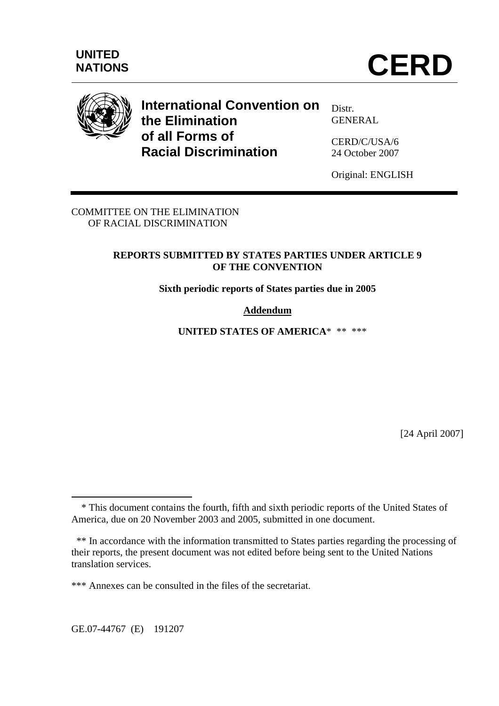





# **International Convention on the Elimination of all Forms of Racial Discrimination**

Distr. **GENERAL** 

CERD/C/USA/6 24 October 2007

Original: ENGLISH

COMMITTEE ON THE ELIMINATION OF RACIAL DISCRIMINATION

#### **REPORTS SUBMITTED BY STATES PARTIES UNDER ARTICLE 9 OF THE CONVENTION**

**Sixth periodic reports of States parties due in 2005** 

## **Addendum**

 **UNITED STATES OF AMERICA**\*\*\*\*\*\*

[24 April 2007]

GE.07-44767 (E) 191207

 $\overline{a}$ 

 <sup>\*</sup> This document contains the fourth, fifth and sixth periodic reports of the United States of America, due on 20 November 2003 and 2005, submitted in one document.

 <sup>\*\*</sup> In accordance with the information transmitted to States parties regarding the processing of their reports, the present document was not edited before being sent to the United Nations translation services.

<sup>\*\*\*</sup> Annexes can be consulted in the files of the secretariat.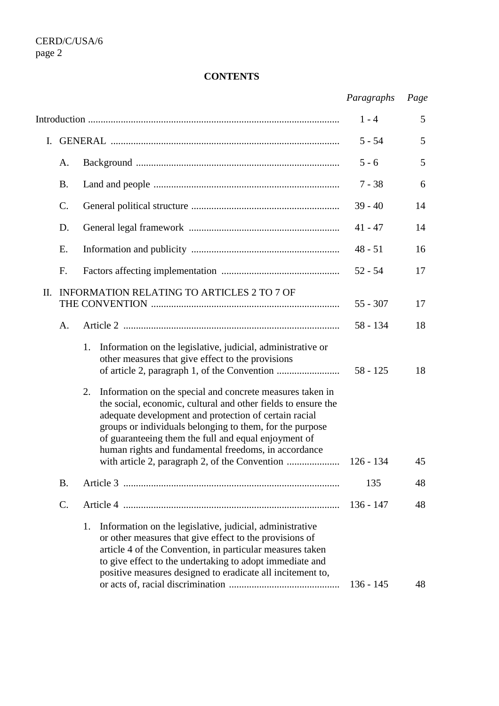# **CONTENTS**

|    |           |                                                                                                                                                                                                                                                                                                                                                                       | Paragraphs  | Page |
|----|-----------|-----------------------------------------------------------------------------------------------------------------------------------------------------------------------------------------------------------------------------------------------------------------------------------------------------------------------------------------------------------------------|-------------|------|
|    |           |                                                                                                                                                                                                                                                                                                                                                                       | $1 - 4$     | 5    |
| Ι. |           |                                                                                                                                                                                                                                                                                                                                                                       | $5 - 54$    | 5    |
|    | A.        |                                                                                                                                                                                                                                                                                                                                                                       | $5 - 6$     | 5    |
|    | <b>B.</b> |                                                                                                                                                                                                                                                                                                                                                                       | $7 - 38$    | 6    |
|    | C.        |                                                                                                                                                                                                                                                                                                                                                                       | $39 - 40$   | 14   |
|    | D.        |                                                                                                                                                                                                                                                                                                                                                                       | $41 - 47$   | 14   |
|    | Ε.        |                                                                                                                                                                                                                                                                                                                                                                       | $48 - 51$   | 16   |
|    | F.        |                                                                                                                                                                                                                                                                                                                                                                       | $52 - 54$   | 17   |
| П. |           | <b>INFORMATION RELATING TO ARTICLES 2 TO 7 OF</b>                                                                                                                                                                                                                                                                                                                     | $55 - 307$  | 17   |
|    | A.        |                                                                                                                                                                                                                                                                                                                                                                       | $58 - 134$  | 18   |
|    |           | 1.<br>Information on the legislative, judicial, administrative or<br>other measures that give effect to the provisions                                                                                                                                                                                                                                                | $58 - 125$  | 18   |
|    |           | Information on the special and concrete measures taken in<br>2.<br>the social, economic, cultural and other fields to ensure the<br>adequate development and protection of certain racial<br>groups or individuals belonging to them, for the purpose<br>of guaranteeing them the full and equal enjoyment of<br>human rights and fundamental freedoms, in accordance |             |      |
|    |           |                                                                                                                                                                                                                                                                                                                                                                       |             | 45   |
|    | <b>B.</b> |                                                                                                                                                                                                                                                                                                                                                                       | 135         | 48   |
|    | $C$ .     |                                                                                                                                                                                                                                                                                                                                                                       | $136 - 147$ | 48   |
|    |           | Information on the legislative, judicial, administrative<br>1.<br>or other measures that give effect to the provisions of<br>article 4 of the Convention, in particular measures taken<br>to give effect to the undertaking to adopt immediate and<br>positive measures designed to eradicate all incitement to,                                                      | $136 - 145$ | 48   |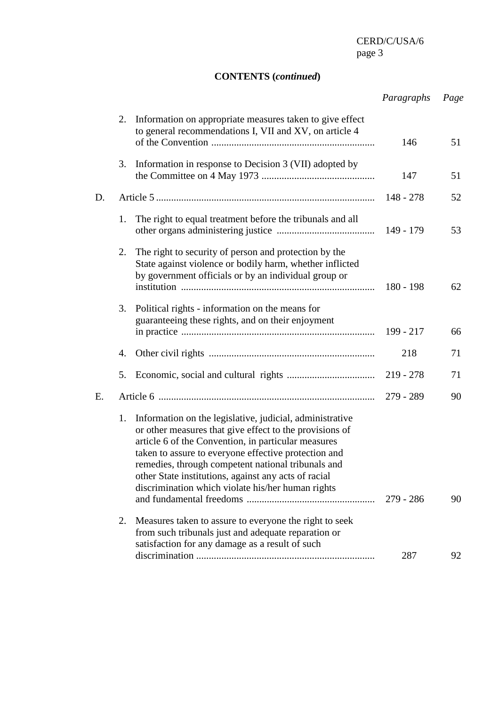CERD/C/USA/6<br>page 3 page 3

# **CONTENTS (***continued***)**

# *Paragraphs Page*

|    | 2. | Information on appropriate measures taken to give effect<br>to general recommendations I, VII and XV, on article 4                                                                                                                                                                                                                                                                                    | 146         | 51 |
|----|----|-------------------------------------------------------------------------------------------------------------------------------------------------------------------------------------------------------------------------------------------------------------------------------------------------------------------------------------------------------------------------------------------------------|-------------|----|
|    | 3. | Information in response to Decision 3 (VII) adopted by                                                                                                                                                                                                                                                                                                                                                | 147         | 51 |
| D. |    |                                                                                                                                                                                                                                                                                                                                                                                                       | $148 - 278$ | 52 |
|    | 1. | The right to equal treatment before the tribunals and all                                                                                                                                                                                                                                                                                                                                             | 149 - 179   | 53 |
|    | 2. | The right to security of person and protection by the<br>State against violence or bodily harm, whether inflicted<br>by government officials or by an individual group or                                                                                                                                                                                                                             | $180 - 198$ | 62 |
|    | 3. | Political rights - information on the means for<br>guaranteeing these rights, and on their enjoyment                                                                                                                                                                                                                                                                                                  | $199 - 217$ | 66 |
|    | 4. |                                                                                                                                                                                                                                                                                                                                                                                                       | 218         | 71 |
|    | 5. |                                                                                                                                                                                                                                                                                                                                                                                                       | $219 - 278$ | 71 |
| Ε. |    |                                                                                                                                                                                                                                                                                                                                                                                                       | $279 - 289$ | 90 |
|    | 1. | Information on the legislative, judicial, administrative<br>or other measures that give effect to the provisions of<br>article 6 of the Convention, in particular measures<br>taken to assure to everyone effective protection and<br>remedies, through competent national tribunals and<br>other State institutions, against any acts of racial<br>discrimination which violate his/her human rights |             |    |
|    |    |                                                                                                                                                                                                                                                                                                                                                                                                       | $279 - 286$ | 90 |
|    | 2. | Measures taken to assure to everyone the right to seek<br>from such tribunals just and adequate reparation or<br>satisfaction for any damage as a result of such                                                                                                                                                                                                                                      |             |    |
|    |    |                                                                                                                                                                                                                                                                                                                                                                                                       | 287         | 92 |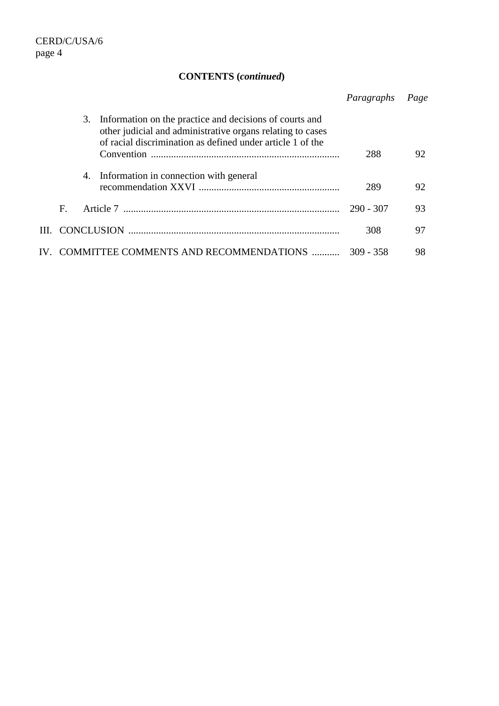# **CONTENTS (***continued***)**

|                        |    |                                                                                                                                                                                        | Paragraphs  | Page |
|------------------------|----|----------------------------------------------------------------------------------------------------------------------------------------------------------------------------------------|-------------|------|
|                        |    | 3. Information on the practice and decisions of courts and<br>other judicial and administrative organs relating to cases<br>of racial discrimination as defined under article 1 of the |             |      |
|                        |    | Convention                                                                                                                                                                             | 288         | 92   |
|                        | 4. | Information in connection with general                                                                                                                                                 | 289         | 92   |
| F.                     |    |                                                                                                                                                                                        | $290 - 307$ | 93   |
| <b>III. CONCLUSION</b> |    |                                                                                                                                                                                        | 308         | 97   |
|                        |    | COMMITTEE COMMENTS AND RECOMMENDATIONS                                                                                                                                                 | 309 - 358   | 98   |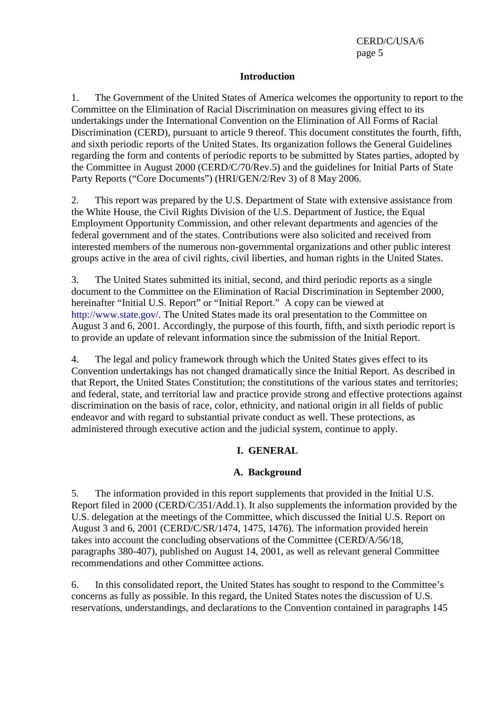#### **Introduction**

1. The Government of the United States of America welcomes the opportunity to report to the Committee on the Elimination of Racial Discrimination on measures giving effect to its undertakings under the International Convention on the Elimination of All Forms of Racial Discrimination (CERD), pursuant to article 9 thereof. This document constitutes the fourth, fifth, and sixth periodic reports of the United States. Its organization follows the General Guidelines regarding the form and contents of periodic reports to be submitted by States parties, adopted by the Committee in August 2000 (CERD/C/70/Rev.5) and the guidelines for Initial Parts of State Party Reports ("Core Documents") (HRI/GEN/2/Rev 3) of 8 May 2006.

2. This report was prepared by the U.S. Department of State with extensive assistance from the White House, the Civil Rights Division of the U.S. Department of Justice, the Equal Employment Opportunity Commission, and other relevant departments and agencies of the federal government and of the states. Contributions were also solicited and received from interested members of the numerous non-governmental organizations and other public interest groups active in the area of civil rights, civil liberties, and human rights in the United States.

3. The United States submitted its initial, second, and third periodic reports as a single document to the Committee on the Elimination of Racial Discrimination in September 2000, hereinafter "Initial U.S. Report" or "Initial Report." A copy can be viewed at http://www.state.gov/. The United States made its oral presentation to the Committee on August 3 and 6, 2001. Accordingly, the purpose of this fourth, fifth, and sixth periodic report is to provide an update of relevant information since the submission of the Initial Report.

4. The legal and policy framework through which the United States gives effect to its Convention undertakings has not changed dramatically since the Initial Report. As described in that Report, the United States Constitution; the constitutions of the various states and territories; and federal, state, and territorial law and practice provide strong and effective protections against discrimination on the basis of race, color, ethnicity, and national origin in all fields of public endeavor and with regard to substantial private conduct as well. These protections, as administered through executive action and the judicial system, continue to apply.

## **I. GENERAL**

## **A. Background**

5. The information provided in this report supplements that provided in the Initial U.S. Report filed in 2000 (CERD/C/351/Add.1). It also supplements the information provided by the U.S. delegation at the meetings of the Committee, which discussed the Initial U.S. Report on August 3 and 6, 2001 (CERD/C/SR/1474, 1475, 1476). The information provided herein takes into account the concluding observations of the Committee (CERD/A/56/18, paragraphs 380-407), published on August 14, 2001, as well as relevant general Committee recommendations and other Committee actions.

6. In this consolidated report, the United States has sought to respond to the Committee's concerns as fully as possible. In this regard, the United States notes the discussion of U.S. reservations, understandings, and declarations to the Convention contained in paragraphs 145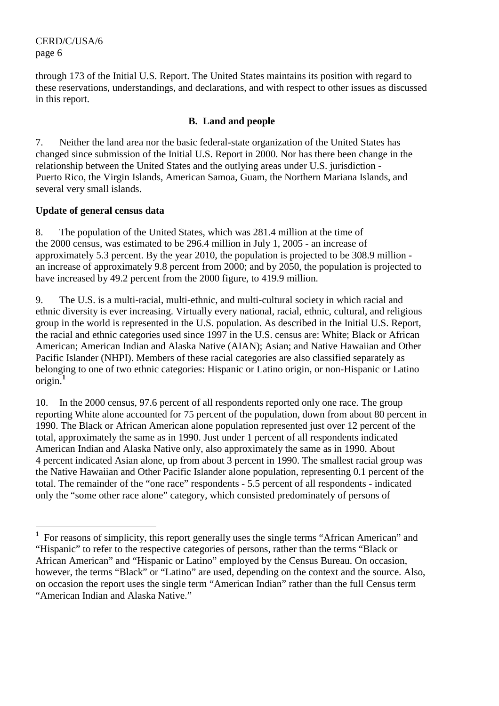through 173 of the Initial U.S. Report. The United States maintains its position with regard to these reservations, understandings, and declarations, and with respect to other issues as discussed in this report.

# **B. Land and people**

7. Neither the land area nor the basic federal-state organization of the United States has changed since submission of the Initial U.S. Report in 2000. Nor has there been change in the relationship between the United States and the outlying areas under U.S. jurisdiction - Puerto Rico, the Virgin Islands, American Samoa, Guam, the Northern Mariana Islands, and several very small islands.

# **Update of general census data**

8. The population of the United States, which was 281.4 million at the time of the 2000 census, was estimated to be 296.4 million in July 1, 2005 - an increase of approximately 5.3 percent. By the year 2010, the population is projected to be 308.9 million an increase of approximately 9.8 percent from 2000; and by 2050, the population is projected to have increased by 49.2 percent from the 2000 figure, to 419.9 million.

9. The U.S. is a multi-racial, multi-ethnic, and multi-cultural society in which racial and ethnic diversity is ever increasing. Virtually every national, racial, ethnic, cultural, and religious group in the world is represented in the U.S. population. As described in the Initial U.S. Report, the racial and ethnic categories used since 1997 in the U.S. census are: White; Black or African American; American Indian and Alaska Native (AIAN); Asian; and Native Hawaiian and Other Pacific Islander (NHPI). Members of these racial categories are also classified separately as belonging to one of two ethnic categories: Hispanic or Latino origin, or non-Hispanic or Latino origin.**<sup>1</sup>**

10. In the 2000 census, 97.6 percent of all respondents reported only one race. The group reporting White alone accounted for 75 percent of the population, down from about 80 percent in 1990. The Black or African American alone population represented just over 12 percent of the total, approximately the same as in 1990. Just under 1 percent of all respondents indicated American Indian and Alaska Native only, also approximately the same as in 1990. About 4 percent indicated Asian alone, up from about 3 percent in 1990. The smallest racial group was the Native Hawaiian and Other Pacific Islander alone population, representing 0.1 percent of the total. The remainder of the "one race" respondents - 5.5 percent of all respondents - indicated only the "some other race alone" category, which consisted predominately of persons of

<sup>&</sup>lt;sup>1</sup> For reasons of simplicity, this report generally uses the single terms "African American" and "Hispanic" to refer to the respective categories of persons, rather than the terms "Black or African American" and "Hispanic or Latino" employed by the Census Bureau. On occasion, however, the terms "Black" or "Latino" are used, depending on the context and the source. Also, on occasion the report uses the single term "American Indian" rather than the full Census term "American Indian and Alaska Native."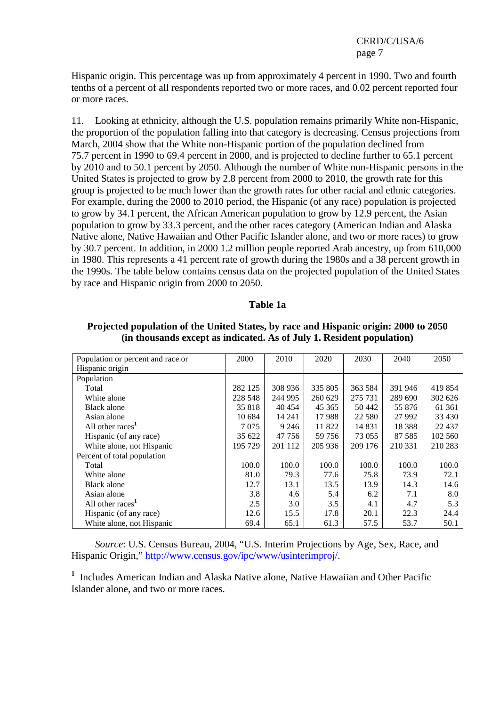Hispanic origin. This percentage was up from approximately 4 percent in 1990. Two and fourth tenths of a percent of all respondents reported two or more races, and 0.02 percent reported four or more races.

11. Looking at ethnicity, although the U.S. population remains primarily White non-Hispanic, the proportion of the population falling into that category is decreasing. Census projections from March, 2004 show that the White non-Hispanic portion of the population declined from 75.7 percent in 1990 to 69.4 percent in 2000, and is projected to decline further to 65.1 percent by 2010 and to 50.1 percent by 2050. Although the number of White non-Hispanic persons in the United States is projected to grow by 2.8 percent from 2000 to 2010, the growth rate for this group is projected to be much lower than the growth rates for other racial and ethnic categories. For example, during the 2000 to 2010 period, the Hispanic (of any race) population is projected to grow by 34.1 percent, the African American population to grow by 12.9 percent, the Asian population to grow by 33.3 percent, and the other races category (American Indian and Alaska Native alone, Native Hawaiian and Other Pacific Islander alone, and two or more races) to grow by 30.7 percent. In addition, in 2000 1.2 million people reported Arab ancestry, up from 610,000 in 1980. This represents a 41 percent rate of growth during the 1980s and a 38 percent growth in the 1990s. The table below contains census data on the projected population of the United States by race and Hispanic origin from 2000 to 2050.

#### **Table 1a**

| Population or percent and race or | 2000    | 2010    | 2020    | 2030     | 2040     | 2050     |
|-----------------------------------|---------|---------|---------|----------|----------|----------|
| Hispanic origin                   |         |         |         |          |          |          |
| Population                        |         |         |         |          |          |          |
| Total                             | 282 125 | 308 936 | 335 805 | 363 584  | 391 946  | 419 854  |
| White alone                       | 228 548 | 244 995 | 260 629 | 275 731  | 289 690  | 302 626  |
| Black alone                       | 35 818  | 40 454  | 45 365  | 50 442   | 55 876   | 61 361   |
| Asian alone                       | 10 684  | 14 24 1 | 17988   | 22 5 8 0 | 27 992   | 33 430   |
| All other races <sup>1</sup>      | 7 0 7 5 | 9 2 4 6 | 11 822  | 14 8 31  | 18 3 8 8 | 22 4 3 7 |
| Hispanic (of any race)            | 35 622  | 47 756  | 59 756  | 73 055   | 87 5 85  | 102 560  |
| White alone, not Hispanic         | 195 729 | 201 112 | 205 936 | 209 176  | 210 331  | 210 283  |
| Percent of total population       |         |         |         |          |          |          |
| Total                             | 100.0   | 100.0   | 100.0   | 100.0    | 100.0    | 100.0    |
| White alone                       | 81.0    | 79.3    | 77.6    | 75.8     | 73.9     | 72.1     |
| Black alone                       | 12.7    | 13.1    | 13.5    | 13.9     | 14.3     | 14.6     |
| Asian alone                       | 3.8     | 4.6     | 5.4     | 6.2      | 7.1      | 8.0      |
| All other races <sup>1</sup>      | 2.5     | 3.0     | 3.5     | 4.1      | 4.7      | 5.3      |
| Hispanic (of any race)            | 12.6    | 15.5    | 17.8    | 20.1     | 22.3     | 24.4     |
| White alone, not Hispanic         | 69.4    | 65.1    | 61.3    | 57.5     | 53.7     | 50.1     |

**Projected population of the United States, by race and Hispanic origin: 2000 to 2050 (in thousands except as indicated. As of July 1. Resident population)** 

*Source*: U.S. Census Bureau, 2004, "U.S. Interim Projections by Age, Sex, Race, and Hispanic Origin," http://www.census.gov/ipc/www/usinterimproj/.

<sup>1</sup> Includes American Indian and Alaska Native alone, Native Hawaiian and Other Pacific Islander alone, and two or more races.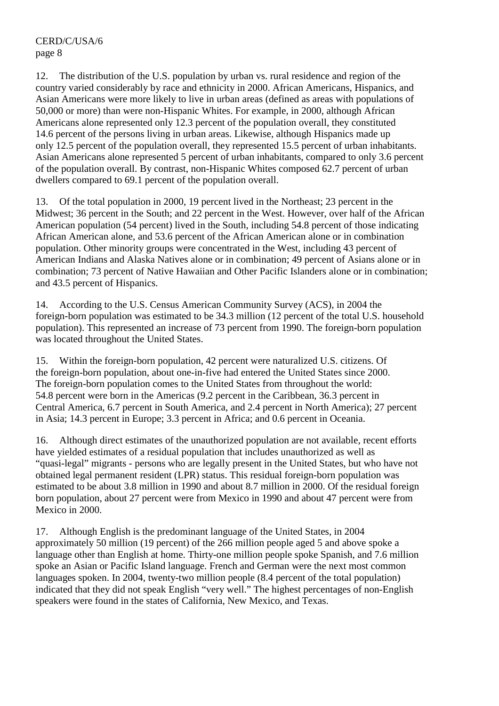12. The distribution of the U.S. population by urban vs. rural residence and region of the country varied considerably by race and ethnicity in 2000. African Americans, Hispanics, and Asian Americans were more likely to live in urban areas (defined as areas with populations of 50,000 or more) than were non-Hispanic Whites. For example, in 2000, although African Americans alone represented only 12.3 percent of the population overall, they constituted 14.6 percent of the persons living in urban areas. Likewise, although Hispanics made up only 12.5 percent of the population overall, they represented 15.5 percent of urban inhabitants. Asian Americans alone represented 5 percent of urban inhabitants, compared to only 3.6 percent of the population overall. By contrast, non-Hispanic Whites composed 62.7 percent of urban dwellers compared to 69.1 percent of the population overall.

13. Of the total population in 2000, 19 percent lived in the Northeast; 23 percent in the Midwest; 36 percent in the South; and 22 percent in the West. However, over half of the African American population (54 percent) lived in the South, including 54.8 percent of those indicating African American alone, and 53.6 percent of the African American alone or in combination population. Other minority groups were concentrated in the West, including 43 percent of American Indians and Alaska Natives alone or in combination; 49 percent of Asians alone or in combination; 73 percent of Native Hawaiian and Other Pacific Islanders alone or in combination; and 43.5 percent of Hispanics.

14. According to the U.S. Census American Community Survey (ACS), in 2004 the foreign-born population was estimated to be 34.3 million (12 percent of the total U.S. household population). This represented an increase of 73 percent from 1990. The foreign-born population was located throughout the United States.

15. Within the foreign-born population, 42 percent were naturalized U.S. citizens. Of the foreign-born population, about one-in-five had entered the United States since 2000. The foreign-born population comes to the United States from throughout the world: 54.8 percent were born in the Americas (9.2 percent in the Caribbean, 36.3 percent in Central America, 6.7 percent in South America, and 2.4 percent in North America); 27 percent in Asia; 14.3 percent in Europe; 3.3 percent in Africa; and 0.6 percent in Oceania.

16. Although direct estimates of the unauthorized population are not available, recent efforts have yielded estimates of a residual population that includes unauthorized as well as "quasi-legal" migrants - persons who are legally present in the United States, but who have not obtained legal permanent resident (LPR) status. This residual foreign-born population was estimated to be about 3.8 million in 1990 and about 8.7 million in 2000. Of the residual foreign born population, about 27 percent were from Mexico in 1990 and about 47 percent were from Mexico in 2000.

17. Although English is the predominant language of the United States, in 2004 approximately 50 million (19 percent) of the 266 million people aged 5 and above spoke a language other than English at home. Thirty-one million people spoke Spanish, and 7.6 million spoke an Asian or Pacific Island language. French and German were the next most common languages spoken. In 2004, twenty-two million people (8.4 percent of the total population) indicated that they did not speak English "very well." The highest percentages of non-English speakers were found in the states of California, New Mexico, and Texas.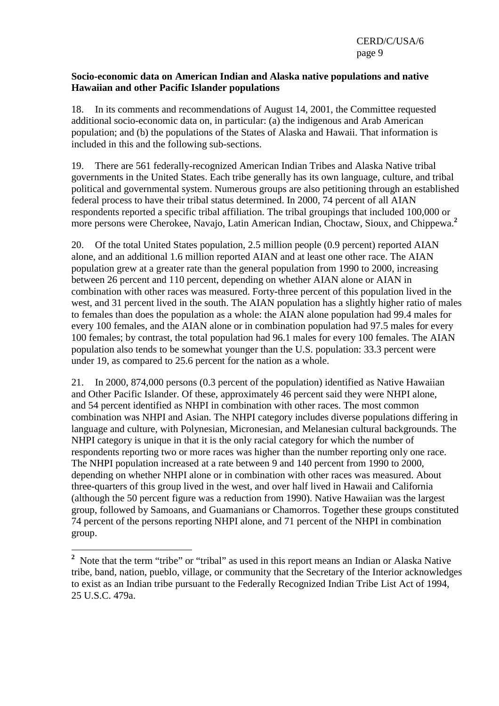#### **Socio-economic data on American Indian and Alaska native populations and native Hawaiian and other Pacific Islander populations**

18. In its comments and recommendations of August 14, 2001, the Committee requested additional socio-economic data on, in particular: (a) the indigenous and Arab American population; and (b) the populations of the States of Alaska and Hawaii. That information is included in this and the following sub-sections.

19. There are 561 federally-recognized American Indian Tribes and Alaska Native tribal governments in the United States. Each tribe generally has its own language, culture, and tribal political and governmental system. Numerous groups are also petitioning through an established federal process to have their tribal status determined. In 2000, 74 percent of all AIAN respondents reported a specific tribal affiliation. The tribal groupings that included 100,000 or more persons were Cherokee, Navajo, Latin American Indian, Choctaw, Sioux, and Chippewa.**<sup>2</sup>**

20. Of the total United States population, 2.5 million people (0.9 percent) reported AIAN alone, and an additional 1.6 million reported AIAN and at least one other race. The AIAN population grew at a greater rate than the general population from 1990 to 2000, increasing between 26 percent and 110 percent, depending on whether AIAN alone or AIAN in combination with other races was measured. Forty-three percent of this population lived in the west, and 31 percent lived in the south. The AIAN population has a slightly higher ratio of males to females than does the population as a whole: the AIAN alone population had 99.4 males for every 100 females, and the AIAN alone or in combination population had 97.5 males for every 100 females; by contrast, the total population had 96.1 males for every 100 females. The AIAN population also tends to be somewhat younger than the U.S. population: 33.3 percent were under 19, as compared to 25.6 percent for the nation as a whole.

21. In 2000, 874,000 persons (0.3 percent of the population) identified as Native Hawaiian and Other Pacific Islander. Of these, approximately 46 percent said they were NHPI alone, and 54 percent identified as NHPI in combination with other races. The most common combination was NHPI and Asian. The NHPI category includes diverse populations differing in language and culture, with Polynesian, Micronesian, and Melanesian cultural backgrounds. The NHPI category is unique in that it is the only racial category for which the number of respondents reporting two or more races was higher than the number reporting only one race. The NHPI population increased at a rate between 9 and 140 percent from 1990 to 2000, depending on whether NHPI alone or in combination with other races was measured. About three-quarters of this group lived in the west, and over half lived in Hawaii and California (although the 50 percent figure was a reduction from 1990). Native Hawaiian was the largest group, followed by Samoans, and Guamanians or Chamorros. Together these groups constituted 74 percent of the persons reporting NHPI alone, and 71 percent of the NHPI in combination group.

<sup>&</sup>lt;sup>2</sup> Note that the term "tribe" or "tribal" as used in this report means an Indian or Alaska Native tribe, band, nation, pueblo, village, or community that the Secretary of the Interior acknowledges to exist as an Indian tribe pursuant to the Federally Recognized Indian Tribe List Act of 1994, 25 U.S.C. 479a.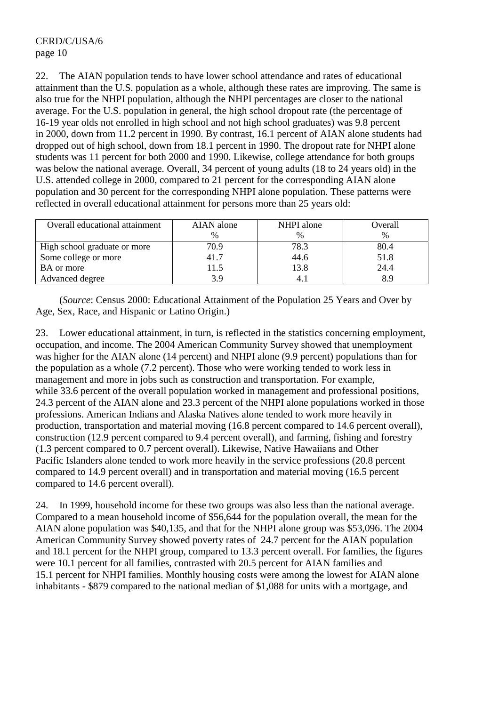22. The AIAN population tends to have lower school attendance and rates of educational attainment than the U.S. population as a whole, although these rates are improving. The same is also true for the NHPI population, although the NHPI percentages are closer to the national average. For the U.S. population in general, the high school dropout rate (the percentage of 16-19 year olds not enrolled in high school and not high school graduates) was 9.8 percent in 2000, down from 11.2 percent in 1990. By contrast, 16.1 percent of AIAN alone students had dropped out of high school, down from 18.1 percent in 1990. The dropout rate for NHPI alone students was 11 percent for both 2000 and 1990. Likewise, college attendance for both groups was below the national average. Overall, 34 percent of young adults (18 to 24 years old) in the U.S. attended college in 2000, compared to 21 percent for the corresponding AIAN alone population and 30 percent for the corresponding NHPI alone population. These patterns were reflected in overall educational attainment for persons more than 25 years old:

| Overall educational attainment | AIAN alone | NHPI alone | Overall |
|--------------------------------|------------|------------|---------|
|                                | $\%$       | $\%$       | $\%$    |
| High school graduate or more   | 70.9       | 78.3       | 80.4    |
| Some college or more           | 41.7       | 44.6       | 51.8    |
| <b>BA</b> or more              | 11.5       | 13.8       | 24.4    |
| Advanced degree                | 3.9        | 4.         | 8.9     |

 (*Source*: Census 2000: Educational Attainment of the Population 25 Years and Over by Age, Sex, Race, and Hispanic or Latino Origin.)

23. Lower educational attainment, in turn, is reflected in the statistics concerning employment, occupation, and income. The 2004 American Community Survey showed that unemployment was higher for the AIAN alone (14 percent) and NHPI alone (9.9 percent) populations than for the population as a whole (7.2 percent). Those who were working tended to work less in management and more in jobs such as construction and transportation. For example, while 33.6 percent of the overall population worked in management and professional positions, 24.3 percent of the AIAN alone and 23.3 percent of the NHPI alone populations worked in those professions. American Indians and Alaska Natives alone tended to work more heavily in production, transportation and material moving (16.8 percent compared to 14.6 percent overall), construction (12.9 percent compared to 9.4 percent overall), and farming, fishing and forestry (1.3 percent compared to 0.7 percent overall). Likewise, Native Hawaiians and Other Pacific Islanders alone tended to work more heavily in the service professions (20.8 percent compared to 14.9 percent overall) and in transportation and material moving (16.5 percent compared to 14.6 percent overall).

24. In 1999, household income for these two groups was also less than the national average. Compared to a mean household income of \$56,644 for the population overall, the mean for the AIAN alone population was \$40,135, and that for the NHPI alone group was \$53,096. The 2004 American Community Survey showed poverty rates of 24.7 percent for the AIAN population and 18.1 percent for the NHPI group, compared to 13.3 percent overall. For families, the figures were 10.1 percent for all families, contrasted with 20.5 percent for AIAN families and 15.1 percent for NHPI families. Monthly housing costs were among the lowest for AIAN alone inhabitants - \$879 compared to the national median of \$1,088 for units with a mortgage, and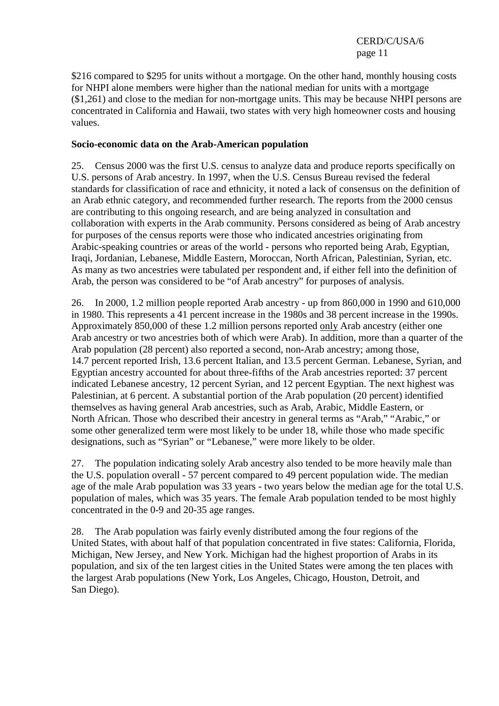\$216 compared to \$295 for units without a mortgage. On the other hand, monthly housing costs for NHPI alone members were higher than the national median for units with a mortgage (\$1,261) and close to the median for non-mortgage units. This may be because NHPI persons are concentrated in California and Hawaii, two states with very high homeowner costs and housing values.

#### **Socio-economic data on the Arab-American population**

25. Census 2000 was the first U.S. census to analyze data and produce reports specifically on U.S. persons of Arab ancestry. In 1997, when the U.S. Census Bureau revised the federal standards for classification of race and ethnicity, it noted a lack of consensus on the definition of an Arab ethnic category, and recommended further research. The reports from the 2000 census are contributing to this ongoing research, and are being analyzed in consultation and collaboration with experts in the Arab community. Persons considered as being of Arab ancestry for purposes of the census reports were those who indicated ancestries originating from Arabic-speaking countries or areas of the world - persons who reported being Arab, Egyptian, Iraqi, Jordanian, Lebanese, Middle Eastern, Moroccan, North African, Palestinian, Syrian, etc. As many as two ancestries were tabulated per respondent and, if either fell into the definition of Arab, the person was considered to be "of Arab ancestry" for purposes of analysis.

26. In 2000, 1.2 million people reported Arab ancestry - up from 860,000 in 1990 and 610,000 in 1980. This represents a 41 percent increase in the 1980s and 38 percent increase in the 1990s. Approximately 850,000 of these 1.2 million persons reported only Arab ancestry (either one Arab ancestry or two ancestries both of which were Arab). In addition, more than a quarter of the Arab population (28 percent) also reported a second, non-Arab ancestry; among those, 14.7 percent reported Irish, 13.6 percent Italian, and 13.5 percent German. Lebanese, Syrian, and Egyptian ancestry accounted for about three-fifths of the Arab ancestries reported: 37 percent indicated Lebanese ancestry, 12 percent Syrian, and 12 percent Egyptian. The next highest was Palestinian, at 6 percent. A substantial portion of the Arab population (20 percent) identified themselves as having general Arab ancestries, such as Arab, Arabic, Middle Eastern, or North African. Those who described their ancestry in general terms as "Arab," "Arabic," or some other generalized term were most likely to be under 18, while those who made specific designations, such as "Syrian" or "Lebanese," were more likely to be older.

27. The population indicating solely Arab ancestry also tended to be more heavily male than the U.S. population overall - 57 percent compared to 49 percent population wide. The median age of the male Arab population was 33 years - two years below the median age for the total U.S. population of males, which was 35 years. The female Arab population tended to be most highly concentrated in the 0-9 and 20-35 age ranges.

28. The Arab population was fairly evenly distributed among the four regions of the United States, with about half of that population concentrated in five states: California, Florida, Michigan, New Jersey, and New York. Michigan had the highest proportion of Arabs in its population, and six of the ten largest cities in the United States were among the ten places with the largest Arab populations (New York, Los Angeles, Chicago, Houston, Detroit, and San Diego).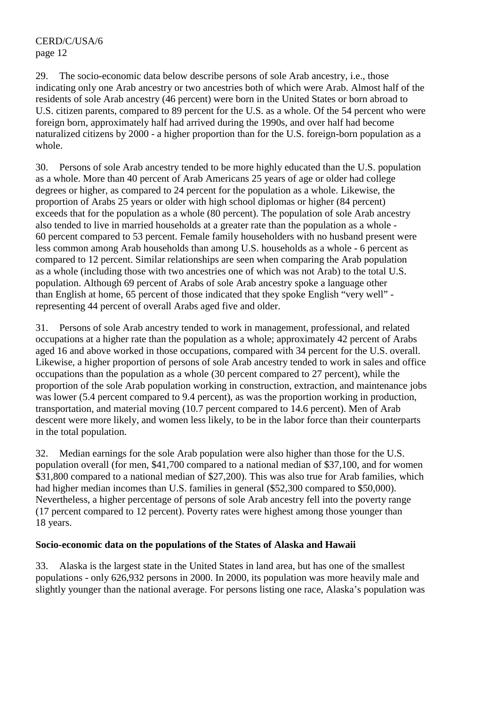29. The socio-economic data below describe persons of sole Arab ancestry, i.e., those indicating only one Arab ancestry or two ancestries both of which were Arab. Almost half of the residents of sole Arab ancestry (46 percent) were born in the United States or born abroad to U.S. citizen parents, compared to 89 percent for the U.S. as a whole. Of the 54 percent who were foreign born, approximately half had arrived during the 1990s, and over half had become naturalized citizens by 2000 - a higher proportion than for the U.S. foreign-born population as a whole.

30. Persons of sole Arab ancestry tended to be more highly educated than the U.S. population as a whole. More than 40 percent of Arab Americans 25 years of age or older had college degrees or higher, as compared to 24 percent for the population as a whole. Likewise, the proportion of Arabs 25 years or older with high school diplomas or higher (84 percent) exceeds that for the population as a whole (80 percent). The population of sole Arab ancestry also tended to live in married households at a greater rate than the population as a whole - 60 percent compared to 53 percent. Female family householders with no husband present were less common among Arab households than among U.S. households as a whole - 6 percent as compared to 12 percent. Similar relationships are seen when comparing the Arab population as a whole (including those with two ancestries one of which was not Arab) to the total U.S. population. Although 69 percent of Arabs of sole Arab ancestry spoke a language other than English at home, 65 percent of those indicated that they spoke English "very well" representing 44 percent of overall Arabs aged five and older.

31. Persons of sole Arab ancestry tended to work in management, professional, and related occupations at a higher rate than the population as a whole; approximately 42 percent of Arabs aged 16 and above worked in those occupations, compared with 34 percent for the U.S. overall. Likewise, a higher proportion of persons of sole Arab ancestry tended to work in sales and office occupations than the population as a whole (30 percent compared to 27 percent), while the proportion of the sole Arab population working in construction, extraction, and maintenance jobs was lower (5.4 percent compared to 9.4 percent), as was the proportion working in production, transportation, and material moving (10.7 percent compared to 14.6 percent). Men of Arab descent were more likely, and women less likely, to be in the labor force than their counterparts in the total population.

32. Median earnings for the sole Arab population were also higher than those for the U.S. population overall (for men, \$41,700 compared to a national median of \$37,100, and for women \$31,800 compared to a national median of \$27,200). This was also true for Arab families, which had higher median incomes than U.S. families in general (\$52,300 compared to \$50,000). Nevertheless, a higher percentage of persons of sole Arab ancestry fell into the poverty range (17 percent compared to 12 percent). Poverty rates were highest among those younger than 18 years.

## **Socio-economic data on the populations of the States of Alaska and Hawaii**

33. Alaska is the largest state in the United States in land area, but has one of the smallest populations - only 626,932 persons in 2000. In 2000, its population was more heavily male and slightly younger than the national average. For persons listing one race, Alaska's population was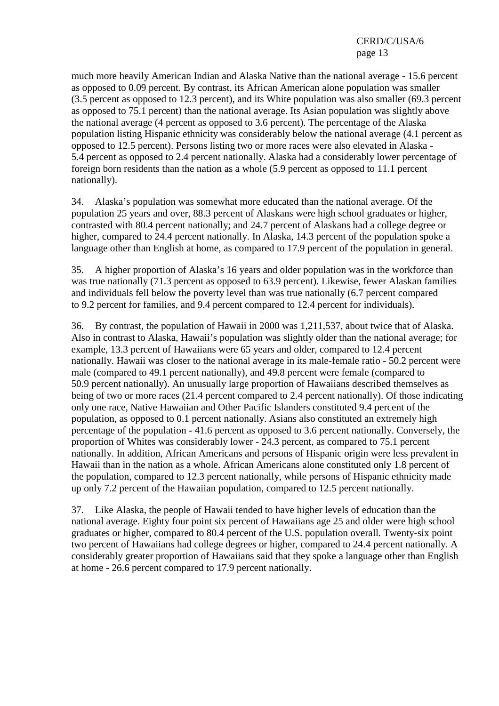much more heavily American Indian and Alaska Native than the national average - 15.6 percent as opposed to 0.09 percent. By contrast, its African American alone population was smaller (3.5 percent as opposed to 12.3 percent), and its White population was also smaller (69.3 percent as opposed to 75.1 percent) than the national average. Its Asian population was slightly above the national average (4 percent as opposed to 3.6 percent). The percentage of the Alaska population listing Hispanic ethnicity was considerably below the national average (4.1 percent as opposed to 12.5 percent). Persons listing two or more races were also elevated in Alaska - 5.4 percent as opposed to 2.4 percent nationally. Alaska had a considerably lower percentage of foreign born residents than the nation as a whole (5.9 percent as opposed to 11.1 percent nationally).

34. Alaska's population was somewhat more educated than the national average. Of the population 25 years and over, 88.3 percent of Alaskans were high school graduates or higher, contrasted with 80.4 percent nationally; and 24.7 percent of Alaskans had a college degree or higher, compared to 24.4 percent nationally. In Alaska, 14.3 percent of the population spoke a language other than English at home, as compared to 17.9 percent of the population in general.

35. A higher proportion of Alaska's 16 years and older population was in the workforce than was true nationally (71.3 percent as opposed to 63.9 percent). Likewise, fewer Alaskan families and individuals fell below the poverty level than was true nationally (6.7 percent compared to 9.2 percent for families, and 9.4 percent compared to 12.4 percent for individuals).

36. By contrast, the population of Hawaii in 2000 was 1,211,537, about twice that of Alaska. Also in contrast to Alaska, Hawaii's population was slightly older than the national average; for example, 13.3 percent of Hawaiians were 65 years and older, compared to 12.4 percent nationally. Hawaii was closer to the national average in its male-female ratio - 50.2 percent were male (compared to 49.1 percent nationally), and 49.8 percent were female (compared to 50.9 percent nationally). An unusually large proportion of Hawaiians described themselves as being of two or more races (21.4 percent compared to 2.4 percent nationally). Of those indicating only one race, Native Hawaiian and Other Pacific Islanders constituted 9.4 percent of the population, as opposed to 0.1 percent nationally. Asians also constituted an extremely high percentage of the population - 41.6 percent as opposed to 3.6 percent nationally. Conversely, the proportion of Whites was considerably lower - 24.3 percent, as compared to 75.1 percent nationally. In addition, African Americans and persons of Hispanic origin were less prevalent in Hawaii than in the nation as a whole. African Americans alone constituted only 1.8 percent of the population, compared to 12.3 percent nationally, while persons of Hispanic ethnicity made up only 7.2 percent of the Hawaiian population, compared to 12.5 percent nationally.

37. Like Alaska, the people of Hawaii tended to have higher levels of education than the national average. Eighty four point six percent of Hawaiians age 25 and older were high school graduates or higher, compared to 80.4 percent of the U.S. population overall. Twenty-six point two percent of Hawaiians had college degrees or higher, compared to 24.4 percent nationally. A considerably greater proportion of Hawaiians said that they spoke a language other than English at home - 26.6 percent compared to 17.9 percent nationally.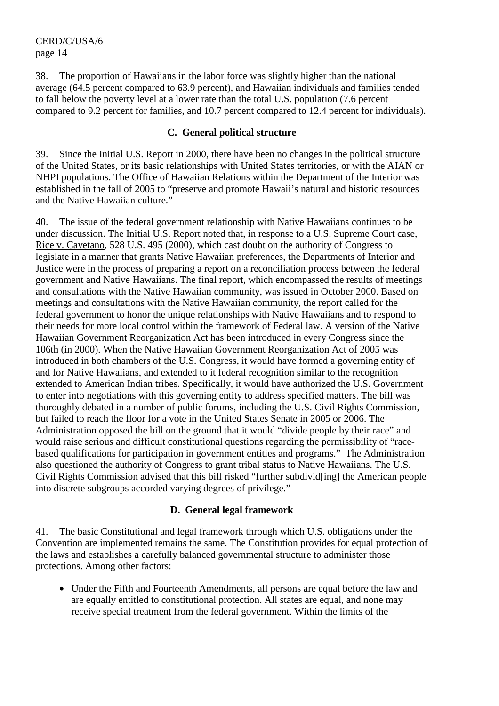38. The proportion of Hawaiians in the labor force was slightly higher than the national average (64.5 percent compared to 63.9 percent), and Hawaiian individuals and families tended to fall below the poverty level at a lower rate than the total U.S. population (7.6 percent compared to 9.2 percent for families, and 10.7 percent compared to 12.4 percent for individuals).

#### **C. General political structure**

39. Since the Initial U.S. Report in 2000, there have been no changes in the political structure of the United States, or its basic relationships with United States territories, or with the AIAN or NHPI populations. The Office of Hawaiian Relations within the Department of the Interior was established in the fall of 2005 to "preserve and promote Hawaii's natural and historic resources and the Native Hawaiian culture."

40. The issue of the federal government relationship with Native Hawaiians continues to be under discussion. The Initial U.S. Report noted that, in response to a U.S. Supreme Court case, Rice v. Cayetano, 528 U.S. 495 (2000), which cast doubt on the authority of Congress to legislate in a manner that grants Native Hawaiian preferences, the Departments of Interior and Justice were in the process of preparing a report on a reconciliation process between the federal government and Native Hawaiians. The final report, which encompassed the results of meetings and consultations with the Native Hawaiian community, was issued in October 2000. Based on meetings and consultations with the Native Hawaiian community, the report called for the federal government to honor the unique relationships with Native Hawaiians and to respond to their needs for more local control within the framework of Federal law. A version of the Native Hawaiian Government Reorganization Act has been introduced in every Congress since the 106th (in 2000). When the Native Hawaiian Government Reorganization Act of 2005 was introduced in both chambers of the U.S. Congress, it would have formed a governing entity of and for Native Hawaiians, and extended to it federal recognition similar to the recognition extended to American Indian tribes. Specifically, it would have authorized the U.S. Government to enter into negotiations with this governing entity to address specified matters. The bill was thoroughly debated in a number of public forums, including the U.S. Civil Rights Commission, but failed to reach the floor for a vote in the United States Senate in 2005 or 2006. The Administration opposed the bill on the ground that it would "divide people by their race" and would raise serious and difficult constitutional questions regarding the permissibility of "racebased qualifications for participation in government entities and programs." The Administration also questioned the authority of Congress to grant tribal status to Native Hawaiians. The U.S. Civil Rights Commission advised that this bill risked "further subdivid[ing] the American people into discrete subgroups accorded varying degrees of privilege."

## **D. General legal framework**

41. The basic Constitutional and legal framework through which U.S. obligations under the Convention are implemented remains the same. The Constitution provides for equal protection of the laws and establishes a carefully balanced governmental structure to administer those protections. Among other factors:

• Under the Fifth and Fourteenth Amendments, all persons are equal before the law and are equally entitled to constitutional protection. All states are equal, and none may receive special treatment from the federal government. Within the limits of the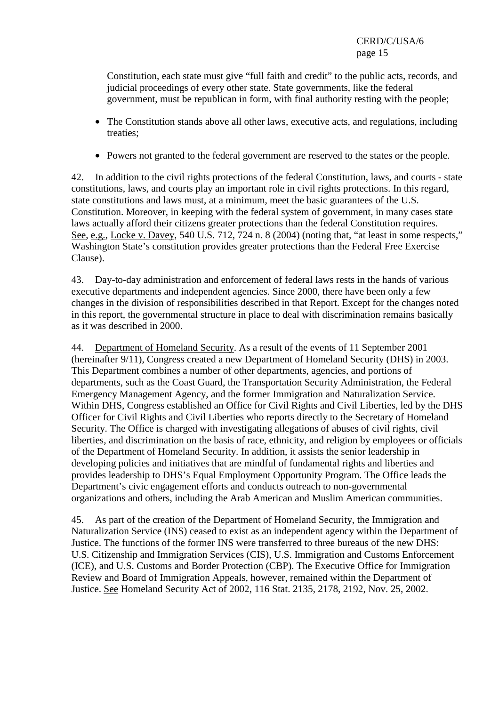Constitution, each state must give "full faith and credit" to the public acts, records, and judicial proceedings of every other state. State governments, like the federal government, must be republican in form, with final authority resting with the people;

- The Constitution stands above all other laws, executive acts, and regulations, including treaties;
- Powers not granted to the federal government are reserved to the states or the people.

42. In addition to the civil rights protections of the federal Constitution, laws, and courts - state constitutions, laws, and courts play an important role in civil rights protections. In this regard, state constitutions and laws must, at a minimum, meet the basic guarantees of the U.S. Constitution. Moreover, in keeping with the federal system of government, in many cases state laws actually afford their citizens greater protections than the federal Constitution requires. See, e.g., Locke v. Davey, 540 U.S. 712, 724 n. 8 (2004) (noting that, "at least in some respects," Washington State's constitution provides greater protections than the Federal Free Exercise Clause).

43. Day-to-day administration and enforcement of federal laws rests in the hands of various executive departments and independent agencies. Since 2000, there have been only a few changes in the division of responsibilities described in that Report. Except for the changes noted in this report, the governmental structure in place to deal with discrimination remains basically as it was described in 2000.

44. Department of Homeland Security. As a result of the events of 11 September 2001 (hereinafter 9/11), Congress created a new Department of Homeland Security (DHS) in 2003. This Department combines a number of other departments, agencies, and portions of departments, such as the Coast Guard, the Transportation Security Administration, the Federal Emergency Management Agency, and the former Immigration and Naturalization Service. Within DHS, Congress established an Office for Civil Rights and Civil Liberties, led by the DHS Officer for Civil Rights and Civil Liberties who reports directly to the Secretary of Homeland Security. The Office is charged with investigating allegations of abuses of civil rights, civil liberties, and discrimination on the basis of race, ethnicity, and religion by employees or officials of the Department of Homeland Security. In addition, it assists the senior leadership in developing policies and initiatives that are mindful of fundamental rights and liberties and provides leadership to DHS's Equal Employment Opportunity Program. The Office leads the Department's civic engagement efforts and conducts outreach to non-governmental organizations and others, including the Arab American and Muslim American communities.

45. As part of the creation of the Department of Homeland Security, the Immigration and Naturalization Service (INS) ceased to exist as an independent agency within the Department of Justice. The functions of the former INS were transferred to three bureaus of the new DHS: U.S. Citizenship and Immigration Services (CIS), U.S. Immigration and Customs Enforcement (ICE), and U.S. Customs and Border Protection (CBP). The Executive Office for Immigration Review and Board of Immigration Appeals, however, remained within the Department of Justice. See Homeland Security Act of 2002, 116 Stat. 2135, 2178, 2192, Nov. 25, 2002.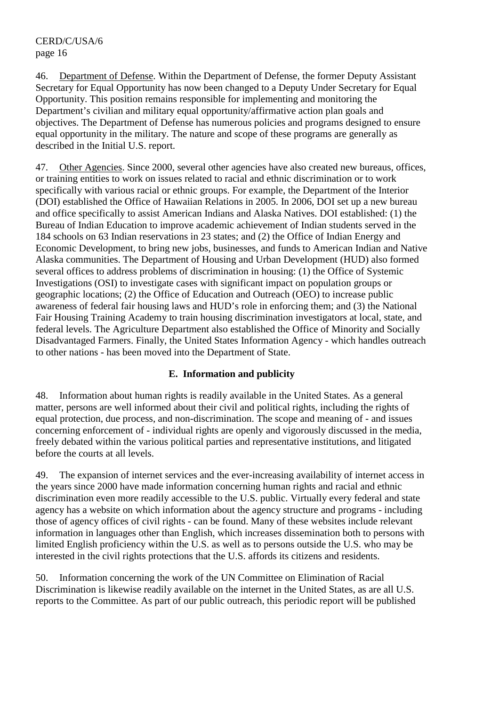46. Department of Defense. Within the Department of Defense, the former Deputy Assistant Secretary for Equal Opportunity has now been changed to a Deputy Under Secretary for Equal Opportunity. This position remains responsible for implementing and monitoring the Department's civilian and military equal opportunity/affirmative action plan goals and objectives. The Department of Defense has numerous policies and programs designed to ensure equal opportunity in the military. The nature and scope of these programs are generally as described in the Initial U.S. report.

47. Other Agencies. Since 2000, several other agencies have also created new bureaus, offices, or training entities to work on issues related to racial and ethnic discrimination or to work specifically with various racial or ethnic groups. For example, the Department of the Interior (DOI) established the Office of Hawaiian Relations in 2005. In 2006, DOI set up a new bureau and office specifically to assist American Indians and Alaska Natives. DOI established: (1) the Bureau of Indian Education to improve academic achievement of Indian students served in the 184 schools on 63 Indian reservations in 23 states; and (2) the Office of Indian Energy and Economic Development, to bring new jobs, businesses, and funds to American Indian and Native Alaska communities. The Department of Housing and Urban Development (HUD) also formed several offices to address problems of discrimination in housing: (1) the Office of Systemic Investigations (OSI) to investigate cases with significant impact on population groups or geographic locations; (2) the Office of Education and Outreach (OEO) to increase public awareness of federal fair housing laws and HUD's role in enforcing them; and (3) the National Fair Housing Training Academy to train housing discrimination investigators at local, state, and federal levels. The Agriculture Department also established the Office of Minority and Socially Disadvantaged Farmers. Finally, the United States Information Agency - which handles outreach to other nations - has been moved into the Department of State.

## **E. Information and publicity**

48. Information about human rights is readily available in the United States. As a general matter, persons are well informed about their civil and political rights, including the rights of equal protection, due process, and non-discrimination. The scope and meaning of - and issues concerning enforcement of - individual rights are openly and vigorously discussed in the media, freely debated within the various political parties and representative institutions, and litigated before the courts at all levels.

49. The expansion of internet services and the ever-increasing availability of internet access in the years since 2000 have made information concerning human rights and racial and ethnic discrimination even more readily accessible to the U.S. public. Virtually every federal and state agency has a website on which information about the agency structure and programs - including those of agency offices of civil rights - can be found. Many of these websites include relevant information in languages other than English, which increases dissemination both to persons with limited English proficiency within the U.S. as well as to persons outside the U.S. who may be interested in the civil rights protections that the U.S. affords its citizens and residents.

50. Information concerning the work of the UN Committee on Elimination of Racial Discrimination is likewise readily available on the internet in the United States, as are all U.S. reports to the Committee. As part of our public outreach, this periodic report will be published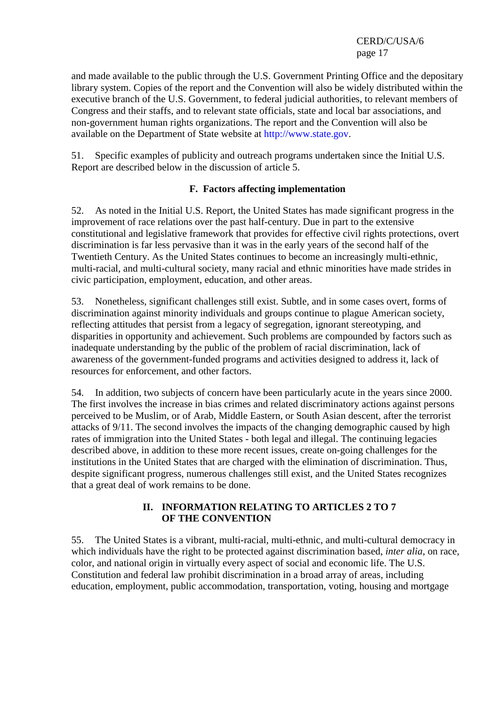and made available to the public through the U.S. Government Printing Office and the depositary library system. Copies of the report and the Convention will also be widely distributed within the executive branch of the U.S. Government, to federal judicial authorities, to relevant members of Congress and their staffs, and to relevant state officials, state and local bar associations, and non-government human rights organizations. The report and the Convention will also be available on the Department of State website at http://www.state.gov.

51. Specific examples of publicity and outreach programs undertaken since the Initial U.S. Report are described below in the discussion of article 5.

# **F. Factors affecting implementation**

52. As noted in the Initial U.S. Report, the United States has made significant progress in the improvement of race relations over the past half-century. Due in part to the extensive constitutional and legislative framework that provides for effective civil rights protections, overt discrimination is far less pervasive than it was in the early years of the second half of the Twentieth Century. As the United States continues to become an increasingly multi-ethnic, multi-racial, and multi-cultural society, many racial and ethnic minorities have made strides in civic participation, employment, education, and other areas.

53. Nonetheless, significant challenges still exist. Subtle, and in some cases overt, forms of discrimination against minority individuals and groups continue to plague American society, reflecting attitudes that persist from a legacy of segregation, ignorant stereotyping, and disparities in opportunity and achievement. Such problems are compounded by factors such as inadequate understanding by the public of the problem of racial discrimination, lack of awareness of the government-funded programs and activities designed to address it, lack of resources for enforcement, and other factors.

54. In addition, two subjects of concern have been particularly acute in the years since 2000. The first involves the increase in bias crimes and related discriminatory actions against persons perceived to be Muslim, or of Arab, Middle Eastern, or South Asian descent, after the terrorist attacks of 9/11. The second involves the impacts of the changing demographic caused by high rates of immigration into the United States - both legal and illegal. The continuing legacies described above, in addition to these more recent issues, create on-going challenges for the institutions in the United States that are charged with the elimination of discrimination. Thus, despite significant progress, numerous challenges still exist, and the United States recognizes that a great deal of work remains to be done.

## **II. INFORMATION RELATING TO ARTICLES 2 TO 7 OF THE CONVENTION**

55. The United States is a vibrant, multi-racial, multi-ethnic, and multi-cultural democracy in which individuals have the right to be protected against discrimination based, *inter alia*, on race, color, and national origin in virtually every aspect of social and economic life. The U.S. Constitution and federal law prohibit discrimination in a broad array of areas, including education, employment, public accommodation, transportation, voting, housing and mortgage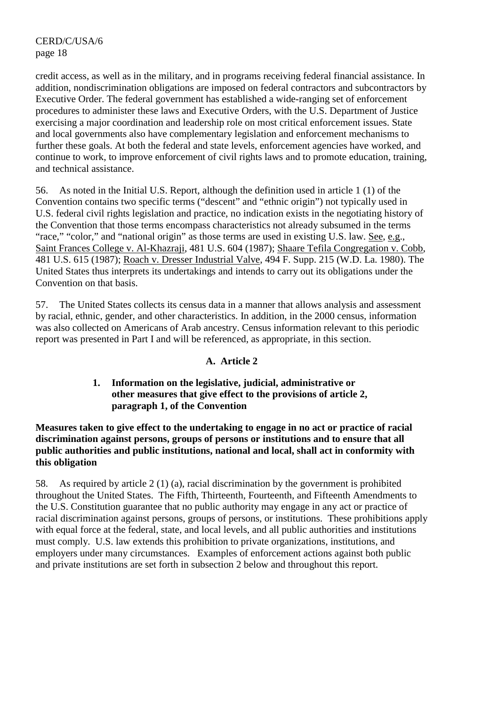credit access, as well as in the military, and in programs receiving federal financial assistance. In addition, nondiscrimination obligations are imposed on federal contractors and subcontractors by Executive Order. The federal government has established a wide-ranging set of enforcement procedures to administer these laws and Executive Orders, with the U.S. Department of Justice exercising a major coordination and leadership role on most critical enforcement issues. State and local governments also have complementary legislation and enforcement mechanisms to further these goals. At both the federal and state levels, enforcement agencies have worked, and continue to work, to improve enforcement of civil rights laws and to promote education, training, and technical assistance.

56. As noted in the Initial U.S. Report, although the definition used in article 1 (1) of the Convention contains two specific terms ("descent" and "ethnic origin") not typically used in U.S. federal civil rights legislation and practice, no indication exists in the negotiating history of the Convention that those terms encompass characteristics not already subsumed in the terms "race," "color," and "national origin" as those terms are used in existing U.S. law. See, e.g., Saint Frances College v. Al-Khazraji, 481 U.S. 604 (1987); Shaare Tefila Congregation v. Cobb, 481 U.S. 615 (1987); Roach v. Dresser Industrial Valve, 494 F. Supp. 215 (W.D. La. 1980). The United States thus interprets its undertakings and intends to carry out its obligations under the Convention on that basis.

57. The United States collects its census data in a manner that allows analysis and assessment by racial, ethnic, gender, and other characteristics. In addition, in the 2000 census, information was also collected on Americans of Arab ancestry. Census information relevant to this periodic report was presented in Part I and will be referenced, as appropriate, in this section.

## **A. Article 2**

## **1. Information on the legislative, judicial, administrative or other measures that give effect to the provisions of article 2, paragraph 1, of the Convention**

**Measures taken to give effect to the undertaking to engage in no act or practice of racial discrimination against persons, groups of persons or institutions and to ensure that all public authorities and public institutions, national and local, shall act in conformity with this obligation** 

58. As required by article 2 (1) (a), racial discrimination by the government is prohibited throughout the United States. The Fifth, Thirteenth, Fourteenth, and Fifteenth Amendments to the U.S. Constitution guarantee that no public authority may engage in any act or practice of racial discrimination against persons, groups of persons, or institutions. These prohibitions apply with equal force at the federal, state, and local levels, and all public authorities and institutions must comply. U.S. law extends this prohibition to private organizations, institutions, and employers under many circumstances.Examples of enforcement actions against both public and private institutions are set forth in subsection 2 below and throughout this report.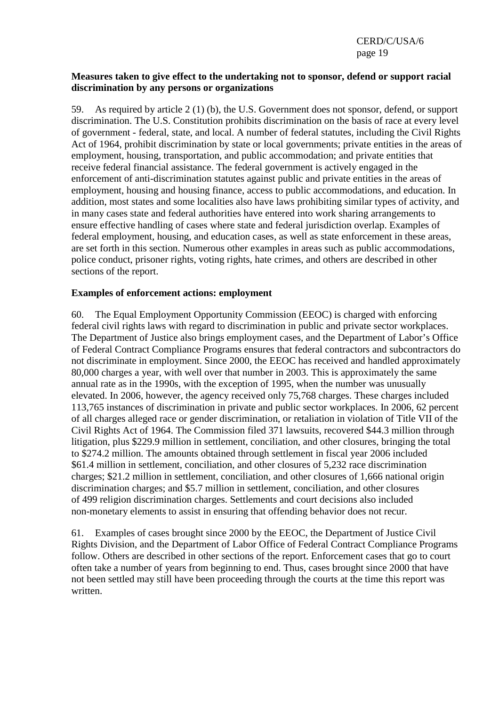#### **Measures taken to give effect to the undertaking not to sponsor, defend or support racial discrimination by any persons or organizations**

59. As required by article 2 (1) (b), the U.S. Government does not sponsor, defend, or support discrimination. The U.S. Constitution prohibits discrimination on the basis of race at every level of government - federal, state, and local. A number of federal statutes, including the Civil Rights Act of 1964, prohibit discrimination by state or local governments; private entities in the areas of employment, housing, transportation, and public accommodation; and private entities that receive federal financial assistance. The federal government is actively engaged in the enforcement of anti-discrimination statutes against public and private entities in the areas of employment, housing and housing finance, access to public accommodations, and education. In addition, most states and some localities also have laws prohibiting similar types of activity, and in many cases state and federal authorities have entered into work sharing arrangements to ensure effective handling of cases where state and federal jurisdiction overlap. Examples of federal employment, housing, and education cases, as well as state enforcement in these areas, are set forth in this section. Numerous other examples in areas such as public accommodations, police conduct, prisoner rights, voting rights, hate crimes, and others are described in other sections of the report.

#### **Examples of enforcement actions: employment**

60. The Equal Employment Opportunity Commission (EEOC) is charged with enforcing federal civil rights laws with regard to discrimination in public and private sector workplaces. The Department of Justice also brings employment cases, and the Department of Labor's Office of Federal Contract Compliance Programs ensures that federal contractors and subcontractors do not discriminate in employment. Since 2000, the EEOC has received and handled approximately 80,000 charges a year, with well over that number in 2003. This is approximately the same annual rate as in the 1990s, with the exception of 1995, when the number was unusually elevated. In 2006, however, the agency received only 75,768 charges. These charges included 113,765 instances of discrimination in private and public sector workplaces. In 2006, 62 percent of all charges alleged race or gender discrimination, or retaliation in violation of Title VII of the Civil Rights Act of 1964. The Commission filed 371 lawsuits, recovered \$44.3 million through litigation, plus \$229.9 million in settlement, conciliation, and other closures, bringing the total to \$274.2 million. The amounts obtained through settlement in fiscal year 2006 included \$61.4 million in settlement, conciliation, and other closures of 5,232 race discrimination charges; \$21.2 million in settlement, conciliation, and other closures of 1,666 national origin discrimination charges; and \$5.7 million in settlement, conciliation, and other closures of 499 religion discrimination charges. Settlements and court decisions also included non-monetary elements to assist in ensuring that offending behavior does not recur.

61. Examples of cases brought since 2000 by the EEOC, the Department of Justice Civil Rights Division, and the Department of Labor Office of Federal Contract Compliance Programs follow. Others are described in other sections of the report. Enforcement cases that go to court often take a number of years from beginning to end. Thus, cases brought since 2000 that have not been settled may still have been proceeding through the courts at the time this report was written.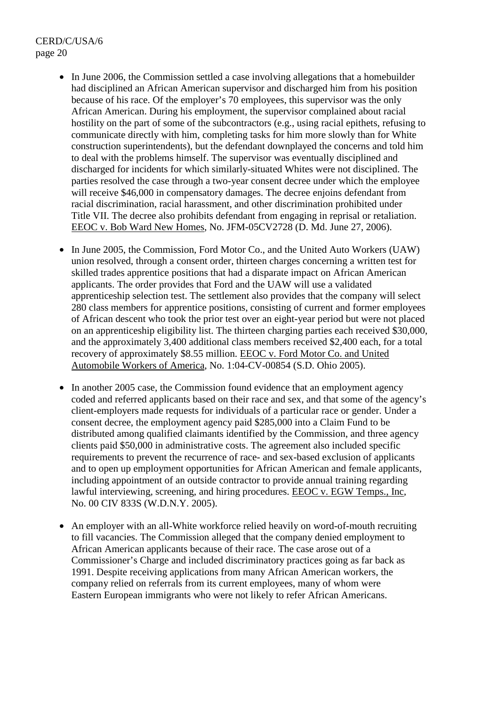- In June 2006, the Commission settled a case involving allegations that a homebuilder had disciplined an African American supervisor and discharged him from his position because of his race. Of the employer's 70 employees, this supervisor was the only African American. During his employment, the supervisor complained about racial hostility on the part of some of the subcontractors (e.g., using racial epithets, refusing to communicate directly with him, completing tasks for him more slowly than for White construction superintendents), but the defendant downplayed the concerns and told him to deal with the problems himself. The supervisor was eventually disciplined and discharged for incidents for which similarly-situated Whites were not disciplined. The parties resolved the case through a two-year consent decree under which the employee will receive \$46,000 in compensatory damages. The decree enjoins defendant from racial discrimination, racial harassment, and other discrimination prohibited under Title VII. The decree also prohibits defendant from engaging in reprisal or retaliation. EEOC v. Bob Ward New Homes, No. JFM-05CV2728 (D. Md. June 27, 2006).
- In June 2005, the Commission, Ford Motor Co., and the United Auto Workers (UAW) union resolved, through a consent order, thirteen charges concerning a written test for skilled trades apprentice positions that had a disparate impact on African American applicants. The order provides that Ford and the UAW will use a validated apprenticeship selection test. The settlement also provides that the company will select 280 class members for apprentice positions, consisting of current and former employees of African descent who took the prior test over an eight-year period but were not placed on an apprenticeship eligibility list. The thirteen charging parties each received \$30,000, and the approximately 3,400 additional class members received \$2,400 each, for a total recovery of approximately \$8.55 million. EEOC v. Ford Motor Co. and United Automobile Workers of America, No. 1:04-CV-00854 (S.D. Ohio 2005).
- In another 2005 case, the Commission found evidence that an employment agency coded and referred applicants based on their race and sex, and that some of the agency's client-employers made requests for individuals of a particular race or gender. Under a consent decree, the employment agency paid \$285,000 into a Claim Fund to be distributed among qualified claimants identified by the Commission, and three agency clients paid \$50,000 in administrative costs. The agreement also included specific requirements to prevent the recurrence of race- and sex-based exclusion of applicants and to open up employment opportunities for African American and female applicants, including appointment of an outside contractor to provide annual training regarding lawful interviewing, screening, and hiring procedures. EEOC v. EGW Temps., Inc, No. 00 CIV 833S (W.D.N.Y. 2005).
- An employer with an all-White workforce relied heavily on word-of-mouth recruiting to fill vacancies. The Commission alleged that the company denied employment to African American applicants because of their race. The case arose out of a Commissioner's Charge and included discriminatory practices going as far back as 1991. Despite receiving applications from many African American workers, the company relied on referrals from its current employees, many of whom were Eastern European immigrants who were not likely to refer African Americans.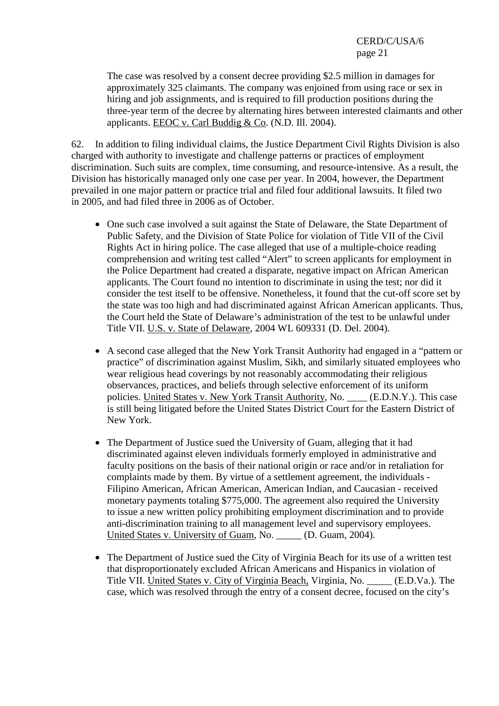The case was resolved by a consent decree providing \$2.5 million in damages for approximately 325 claimants. The company was enjoined from using race or sex in hiring and job assignments, and is required to fill production positions during the three-year term of the decree by alternating hires between interested claimants and other applicants. EEOC v. Carl Buddig & Co. (N.D. Ill. 2004).

62. In addition to filing individual claims, the Justice Department Civil Rights Division is also charged with authority to investigate and challenge patterns or practices of employment discrimination. Such suits are complex, time consuming, and resource-intensive. As a result, the Division has historically managed only one case per year. In 2004, however, the Department prevailed in one major pattern or practice trial and filed four additional lawsuits. It filed two in 2005, and had filed three in 2006 as of October.

- One such case involved a suit against the State of Delaware, the State Department of Public Safety, and the Division of State Police for violation of Title VII of the Civil Rights Act in hiring police. The case alleged that use of a multiple-choice reading comprehension and writing test called "Alert" to screen applicants for employment in the Police Department had created a disparate, negative impact on African American applicants. The Court found no intention to discriminate in using the test; nor did it consider the test itself to be offensive. Nonetheless, it found that the cut-off score set by the state was too high and had discriminated against African American applicants. Thus, the Court held the State of Delaware's administration of the test to be unlawful under Title VII. U.S. v. State of Delaware, 2004 WL 609331 (D. Del. 2004).
- A second case alleged that the New York Transit Authority had engaged in a "pattern or practice" of discrimination against Muslim, Sikh, and similarly situated employees who wear religious head coverings by not reasonably accommodating their religious observances, practices, and beliefs through selective enforcement of its uniform policies. United States v. New York Transit Authority, No. \_\_\_\_ (E.D.N.Y.). This case is still being litigated before the United States District Court for the Eastern District of New York.
- The Department of Justice sued the University of Guam, alleging that it had discriminated against eleven individuals formerly employed in administrative and faculty positions on the basis of their national origin or race and/or in retaliation for complaints made by them. By virtue of a settlement agreement, the individuals - Filipino American, African American, American Indian, and Caucasian - received monetary payments totaling \$775,000. The agreement also required the University to issue a new written policy prohibiting employment discrimination and to provide anti-discrimination training to all management level and supervisory employees. United States v. University of Guam, No. (D. Guam, 2004).
- The Department of Justice sued the City of Virginia Beach for its use of a written test that disproportionately excluded African Americans and Hispanics in violation of Title VII. United States v. City of Virginia Beach, Virginia, No. \_\_\_\_\_ (E.D.Va.). The case, which was resolved through the entry of a consent decree, focused on the city's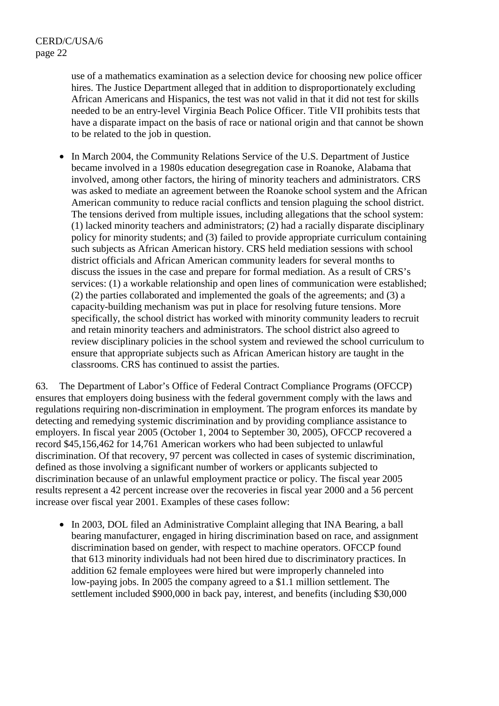use of a mathematics examination as a selection device for choosing new police officer hires. The Justice Department alleged that in addition to disproportionately excluding African Americans and Hispanics, the test was not valid in that it did not test for skills needed to be an entry-level Virginia Beach Police Officer. Title VII prohibits tests that have a disparate impact on the basis of race or national origin and that cannot be shown to be related to the job in question.

• In March 2004, the Community Relations Service of the U.S. Department of Justice became involved in a 1980s education desegregation case in Roanoke, Alabama that involved, among other factors, the hiring of minority teachers and administrators. CRS was asked to mediate an agreement between the Roanoke school system and the African American community to reduce racial conflicts and tension plaguing the school district. The tensions derived from multiple issues, including allegations that the school system: (1) lacked minority teachers and administrators; (2) had a racially disparate disciplinary policy for minority students; and (3) failed to provide appropriate curriculum containing such subjects as African American history. CRS held mediation sessions with school district officials and African American community leaders for several months to discuss the issues in the case and prepare for formal mediation. As a result of CRS's services: (1) a workable relationship and open lines of communication were established; (2) the parties collaborated and implemented the goals of the agreements; and (3) a capacity-building mechanism was put in place for resolving future tensions. More specifically, the school district has worked with minority community leaders to recruit and retain minority teachers and administrators. The school district also agreed to review disciplinary policies in the school system and reviewed the school curriculum to ensure that appropriate subjects such as African American history are taught in the classrooms. CRS has continued to assist the parties.

63. The Department of Labor's Office of Federal Contract Compliance Programs (OFCCP) ensures that employers doing business with the federal government comply with the laws and regulations requiring non-discrimination in employment. The program enforces its mandate by detecting and remedying systemic discrimination and by providing compliance assistance to employers. In fiscal year 2005 (October 1, 2004 to September 30, 2005), OFCCP recovered a record \$45,156,462 for 14,761 American workers who had been subjected to unlawful discrimination. Of that recovery, 97 percent was collected in cases of systemic discrimination, defined as those involving a significant number of workers or applicants subjected to discrimination because of an unlawful employment practice or policy. The fiscal year 2005 results represent a 42 percent increase over the recoveries in fiscal year 2000 and a 56 percent increase over fiscal year 2001. Examples of these cases follow:

• In 2003, DOL filed an Administrative Complaint alleging that INA Bearing, a ball bearing manufacturer, engaged in hiring discrimination based on race, and assignment discrimination based on gender, with respect to machine operators. OFCCP found that 613 minority individuals had not been hired due to discriminatory practices. In addition 62 female employees were hired but were improperly channeled into low-paying jobs. In 2005 the company agreed to a \$1.1 million settlement. The settlement included \$900,000 in back pay, interest, and benefits (including \$30,000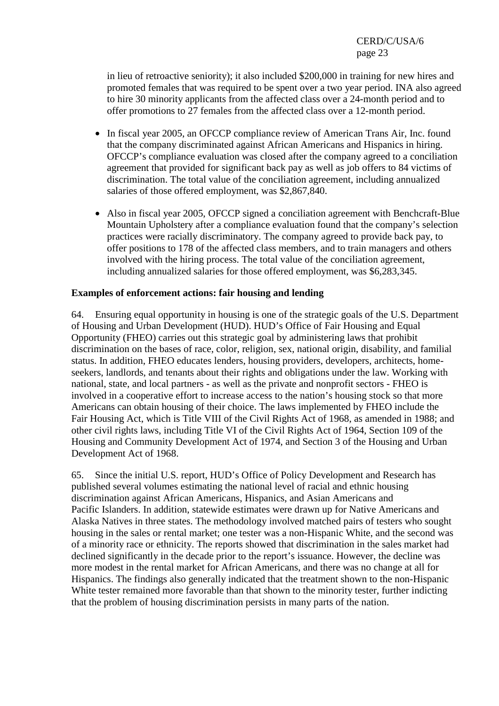in lieu of retroactive seniority); it also included \$200,000 in training for new hires and promoted females that was required to be spent over a two year period. INA also agreed to hire 30 minority applicants from the affected class over a 24-month period and to offer promotions to 27 females from the affected class over a 12-month period.

- In fiscal year 2005, an OFCCP compliance review of American Trans Air, Inc. found that the company discriminated against African Americans and Hispanics in hiring. OFCCP's compliance evaluation was closed after the company agreed to a conciliation agreement that provided for significant back pay as well as job offers to 84 victims of discrimination. The total value of the conciliation agreement, including annualized salaries of those offered employment, was \$2,867,840.
- Also in fiscal year 2005, OFCCP signed a conciliation agreement with Benchcraft-Blue Mountain Upholstery after a compliance evaluation found that the company's selection practices were racially discriminatory. The company agreed to provide back pay, to offer positions to 178 of the affected class members, and to train managers and others involved with the hiring process. The total value of the conciliation agreement, including annualized salaries for those offered employment, was \$6,283,345.

#### **Examples of enforcement actions: fair housing and lending**

64. Ensuring equal opportunity in housing is one of the strategic goals of the U.S. Department of Housing and Urban Development (HUD). HUD's Office of Fair Housing and Equal Opportunity (FHEO) carries out this strategic goal by administering laws that prohibit discrimination on the bases of race, color, religion, sex, national origin, disability, and familial status. In addition, FHEO educates lenders, housing providers, developers, architects, homeseekers, landlords, and tenants about their rights and obligations under the law. Working with national, state, and local partners - as well as the private and nonprofit sectors - FHEO is involved in a cooperative effort to increase access to the nation's housing stock so that more Americans can obtain housing of their choice. The laws implemented by FHEO include the Fair Housing Act, which is Title VIII of the Civil Rights Act of 1968, as amended in 1988; and other civil rights laws, including Title VI of the Civil Rights Act of 1964, Section 109 of the Housing and Community Development Act of 1974, and Section 3 of the Housing and Urban Development Act of 1968.

65. Since the initial U.S. report, HUD's Office of Policy Development and Research has published several volumes estimating the national level of racial and ethnic housing discrimination against African Americans, Hispanics, and Asian Americans and Pacific Islanders. In addition, statewide estimates were drawn up for Native Americans and Alaska Natives in three states. The methodology involved matched pairs of testers who sought housing in the sales or rental market; one tester was a non-Hispanic White, and the second was of a minority race or ethnicity. The reports showed that discrimination in the sales market had declined significantly in the decade prior to the report's issuance. However, the decline was more modest in the rental market for African Americans, and there was no change at all for Hispanics. The findings also generally indicated that the treatment shown to the non-Hispanic White tester remained more favorable than that shown to the minority tester, further indicting that the problem of housing discrimination persists in many parts of the nation.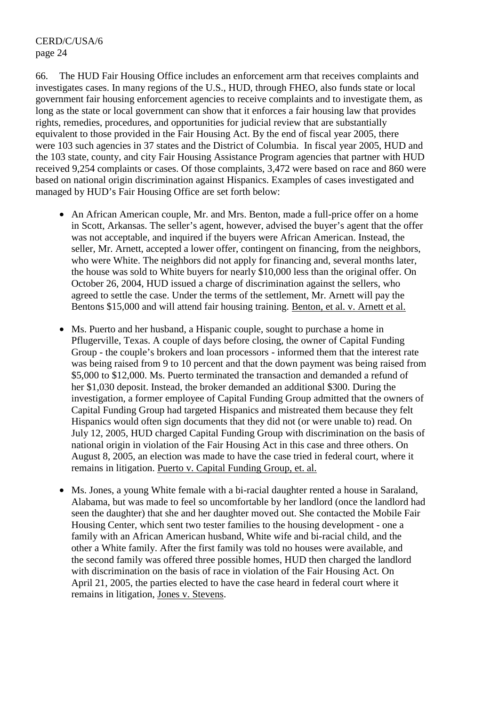66. The HUD Fair Housing Office includes an enforcement arm that receives complaints and investigates cases. In many regions of the U.S., HUD, through FHEO, also funds state or local government fair housing enforcement agencies to receive complaints and to investigate them, as long as the state or local government can show that it enforces a fair housing law that provides rights, remedies, procedures, and opportunities for judicial review that are substantially equivalent to those provided in the Fair Housing Act. By the end of fiscal year 2005, there were 103 such agencies in 37 states and the District of Columbia. In fiscal year 2005, HUD and the 103 state, county, and city Fair Housing Assistance Program agencies that partner with HUD received 9,254 complaints or cases. Of those complaints, 3,472 were based on race and 860 were based on national origin discrimination against Hispanics. Examples of cases investigated and managed by HUD's Fair Housing Office are set forth below:

- An African American couple, Mr. and Mrs. Benton, made a full-price offer on a home in Scott, Arkansas. The seller's agent, however, advised the buyer's agent that the offer was not acceptable, and inquired if the buyers were African American. Instead, the seller, Mr. Arnett, accepted a lower offer, contingent on financing, from the neighbors, who were White. The neighbors did not apply for financing and, several months later, the house was sold to White buyers for nearly \$10,000 less than the original offer. On October 26, 2004, HUD issued a charge of discrimination against the sellers, who agreed to settle the case. Under the terms of the settlement, Mr. Arnett will pay the Bentons \$15,000 and will attend fair housing training. Benton, et al. v. Arnett et al.
- Ms. Puerto and her husband, a Hispanic couple, sought to purchase a home in Pflugerville, Texas. A couple of days before closing, the owner of Capital Funding Group - the couple's brokers and loan processors - informed them that the interest rate was being raised from 9 to 10 percent and that the down payment was being raised from \$5,000 to \$12,000. Ms. Puerto terminated the transaction and demanded a refund of her \$1,030 deposit. Instead, the broker demanded an additional \$300. During the investigation, a former employee of Capital Funding Group admitted that the owners of Capital Funding Group had targeted Hispanics and mistreated them because they felt Hispanics would often sign documents that they did not (or were unable to) read. On July 12, 2005, HUD charged Capital Funding Group with discrimination on the basis of national origin in violation of the Fair Housing Act in this case and three others. On August 8, 2005, an election was made to have the case tried in federal court, where it remains in litigation. Puerto v. Capital Funding Group, et. al.
- Ms. Jones, a young White female with a bi-racial daughter rented a house in Saraland, Alabama, but was made to feel so uncomfortable by her landlord (once the landlord had seen the daughter) that she and her daughter moved out. She contacted the Mobile Fair Housing Center, which sent two tester families to the housing development - one a family with an African American husband, White wife and bi-racial child, and the other a White family. After the first family was told no houses were available, and the second family was offered three possible homes, HUD then charged the landlord with discrimination on the basis of race in violation of the Fair Housing Act. On April 21, 2005, the parties elected to have the case heard in federal court where it remains in litigation, Jones v. Stevens.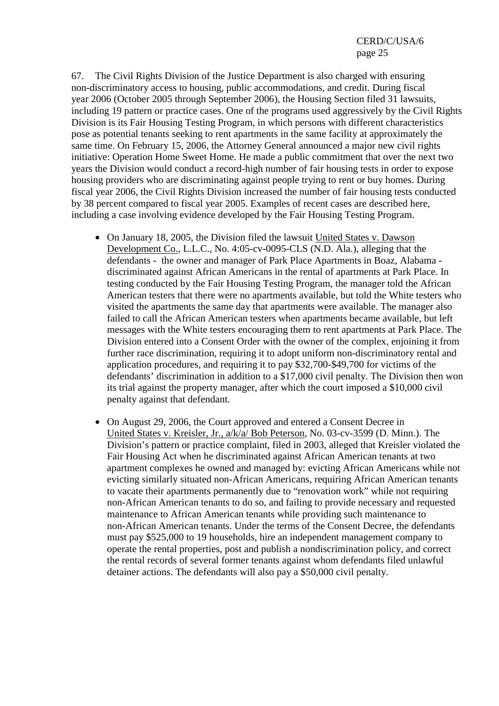67. The Civil Rights Division of the Justice Department is also charged with ensuring non-discriminatory access to housing, public accommodations, and credit. During fiscal year 2006 (October 2005 through September 2006), the Housing Section filed 31 lawsuits, including 19 pattern or practice cases. One of the programs used aggressively by the Civil Rights Division is its Fair Housing Testing Program, in which persons with different characteristics pose as potential tenants seeking to rent apartments in the same facility at approximately the same time. On February 15, 2006, the Attorney General announced a major new civil rights initiative: Operation Home Sweet Home. He made a public commitment that over the next two years the Division would conduct a record-high number of fair housing tests in order to expose housing providers who are discriminating against people trying to rent or buy homes. During fiscal year 2006, the Civil Rights Division increased the number of fair housing tests conducted by 38 percent compared to fiscal year 2005. Examples of recent cases are described here, including a case involving evidence developed by the Fair Housing Testing Program.

- On January 18, 2005, the Division filed the lawsuit United States v. Dawson Development Co., L.L.C., No. 4:05-cv-0095-CLS (N.D. Ala.), alleging that the defendants - the owner and manager of Park Place Apartments in Boaz, Alabama discriminated against African Americans in the rental of apartments at Park Place. In testing conducted by the Fair Housing Testing Program, the manager told the African American testers that there were no apartments available, but told the White testers who visited the apartments the same day that apartments were available. The manager also failed to call the African American testers when apartments became available, but left messages with the White testers encouraging them to rent apartments at Park Place. The Division entered into a Consent Order with the owner of the complex, enjoining it from further race discrimination, requiring it to adopt uniform non-discriminatory rental and application procedures, and requiring it to pay \$32,700-\$49,700 for victims of the defendants' discrimination in addition to a \$17,000 civil penalty. The Division then won its trial against the property manager, after which the court imposed a \$10,000 civil penalty against that defendant.
- On August 29, 2006, the Court approved and entered a Consent Decree in United States v. Kreisler, Jr., a/k/a/ Bob Peterson, No. 03-cv-3599 (D. Minn.). The Division's pattern or practice complaint, filed in 2003, alleged that Kreisler violated the Fair Housing Act when he discriminated against African American tenants at two apartment complexes he owned and managed by: evicting African Americans while not evicting similarly situated non-African Americans, requiring African American tenants to vacate their apartments permanently due to "renovation work" while not requiring non-African American tenants to do so, and failing to provide necessary and requested maintenance to African American tenants while providing such maintenance to non-African American tenants. Under the terms of the Consent Decree, the defendants must pay \$525,000 to 19 households, hire an independent management company to operate the rental properties, post and publish a nondiscrimination policy, and correct the rental records of several former tenants against whom defendants filed unlawful detainer actions. The defendants will also pay a \$50,000 civil penalty.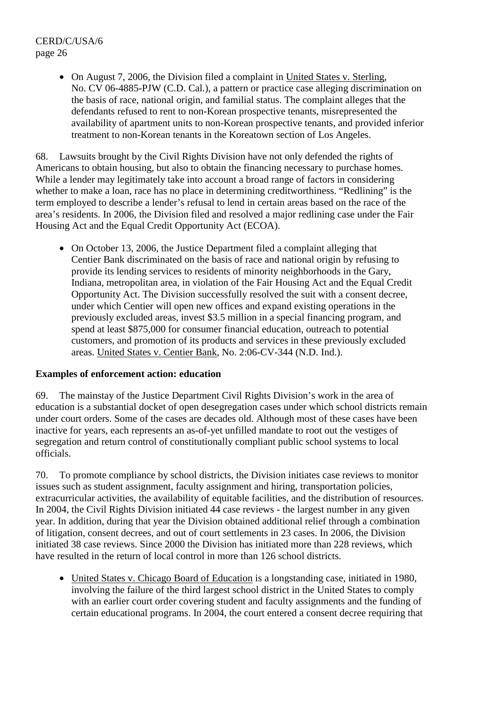• On August 7, 2006, the Division filed a complaint in United States v. Sterling, No. CV 06-4885-PJW (C.D. Cal.), a pattern or practice case alleging discrimination on the basis of race, national origin, and familial status. The complaint alleges that the defendants refused to rent to non-Korean prospective tenants, misrepresented the availability of apartment units to non-Korean prospective tenants, and provided inferior treatment to non-Korean tenants in the Koreatown section of Los Angeles.

68. Lawsuits brought by the Civil Rights Division have not only defended the rights of Americans to obtain housing, but also to obtain the financing necessary to purchase homes. While a lender may legitimately take into account a broad range of factors in considering whether to make a loan, race has no place in determining creditworthiness. "Redlining" is the term employed to describe a lender's refusal to lend in certain areas based on the race of the area's residents. In 2006, the Division filed and resolved a major redlining case under the Fair Housing Act and the Equal Credit Opportunity Act (ECOA).

• On October 13, 2006, the Justice Department filed a complaint alleging that Centier Bank discriminated on the basis of race and national origin by refusing to provide its lending services to residents of minority neighborhoods in the Gary, Indiana, metropolitan area, in violation of the Fair Housing Act and the Equal Credit Opportunity Act. The Division successfully resolved the suit with a consent decree, under which Centier will open new offices and expand existing operations in the previously excluded areas, invest \$3.5 million in a special financing program, and spend at least \$875,000 for consumer financial education, outreach to potential customers, and promotion of its products and services in these previously excluded areas. United States v. Centier Bank, No. 2:06-CV-344 (N.D. Ind.).

## **Examples of enforcement action: education**

69. The mainstay of the Justice Department Civil Rights Division's work in the area of education is a substantial docket of open desegregation cases under which school districts remain under court orders. Some of the cases are decades old. Although most of these cases have been inactive for years, each represents an as-of-yet unfilled mandate to root out the vestiges of segregation and return control of constitutionally compliant public school systems to local officials.

70. To promote compliance by school districts, the Division initiates case reviews to monitor issues such as student assignment, faculty assignment and hiring, transportation policies, extracurricular activities, the availability of equitable facilities, and the distribution of resources. In 2004, the Civil Rights Division initiated 44 case reviews - the largest number in any given year. In addition, during that year the Division obtained additional relief through a combination of litigation, consent decrees, and out of court settlements in 23 cases. In 2006, the Division initiated 38 case reviews. Since 2000 the Division has initiated more than 228 reviews, which have resulted in the return of local control in more than 126 school districts.

• United States v. Chicago Board of Education is a longstanding case, initiated in 1980, involving the failure of the third largest school district in the United States to comply with an earlier court order covering student and faculty assignments and the funding of certain educational programs. In 2004, the court entered a consent decree requiring that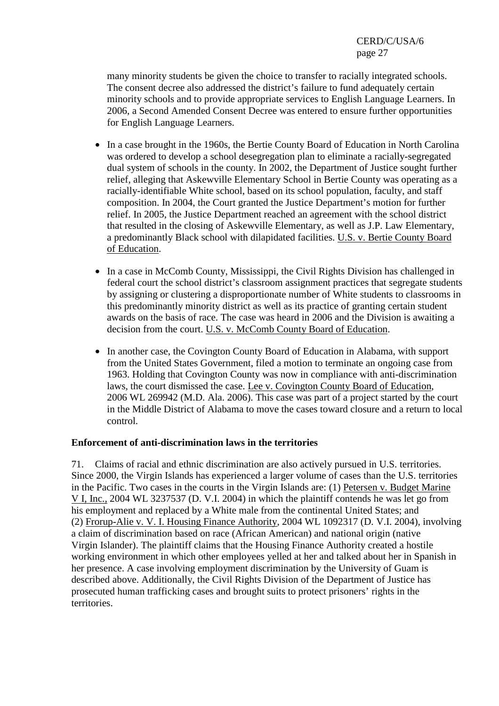many minority students be given the choice to transfer to racially integrated schools. The consent decree also addressed the district's failure to fund adequately certain minority schools and to provide appropriate services to English Language Learners. In 2006, a Second Amended Consent Decree was entered to ensure further opportunities for English Language Learners.

- In a case brought in the 1960s, the Bertie County Board of Education in North Carolina was ordered to develop a school desegregation plan to eliminate a racially-segregated dual system of schools in the county. In 2002, the Department of Justice sought further relief, alleging that Askewville Elementary School in Bertie County was operating as a racially-identifiable White school, based on its school population, faculty, and staff composition. In 2004, the Court granted the Justice Department's motion for further relief. In 2005, the Justice Department reached an agreement with the school district that resulted in the closing of Askewville Elementary, as well as J.P. Law Elementary, a predominantly Black school with dilapidated facilities. U.S. v. Bertie County Board of Education.
- In a case in McComb County, Mississippi, the Civil Rights Division has challenged in federal court the school district's classroom assignment practices that segregate students by assigning or clustering a disproportionate number of White students to classrooms in this predominantly minority district as well as its practice of granting certain student awards on the basis of race. The case was heard in 2006 and the Division is awaiting a decision from the court. U.S. v. McComb County Board of Education.
- In another case, the Covington County Board of Education in Alabama, with support from the United States Government, filed a motion to terminate an ongoing case from 1963. Holding that Covington County was now in compliance with anti-discrimination laws, the court dismissed the case. Lee v. Covington County Board of Education, 2006 WL 269942 (M.D. Ala. 2006). This case was part of a project started by the court in the Middle District of Alabama to move the cases toward closure and a return to local control.

## **Enforcement of anti-discrimination laws in the territories**

71. Claims of racial and ethnic discrimination are also actively pursued in U.S. territories. Since 2000, the Virgin Islands has experienced a larger volume of cases than the U.S. territories in the Pacific. Two cases in the courts in the Virgin Islands are: (1) Petersen v. Budget Marine V I, Inc., 2004 WL 3237537 (D. V.I. 2004) in which the plaintiff contends he was let go from his employment and replaced by a White male from the continental United States; and (2) Frorup-Alie v. V. I. Housing Finance Authority, 2004 WL 1092317 (D. V.I. 2004), involving a claim of discrimination based on race (African American) and national origin (native Virgin Islander). The plaintiff claims that the Housing Finance Authority created a hostile working environment in which other employees yelled at her and talked about her in Spanish in her presence. A case involving employment discrimination by the University of Guam is described above. Additionally, the Civil Rights Division of the Department of Justice has prosecuted human trafficking cases and brought suits to protect prisoners' rights in the territories.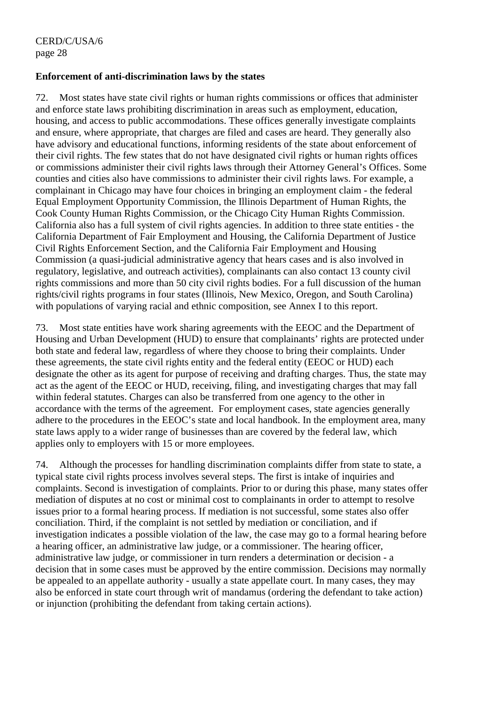#### **Enforcement of anti-discrimination laws by the states**

72. Most states have state civil rights or human rights commissions or offices that administer and enforce state laws prohibiting discrimination in areas such as employment, education, housing, and access to public accommodations. These offices generally investigate complaints and ensure, where appropriate, that charges are filed and cases are heard. They generally also have advisory and educational functions, informing residents of the state about enforcement of their civil rights. The few states that do not have designated civil rights or human rights offices or commissions administer their civil rights laws through their Attorney General's Offices. Some counties and cities also have commissions to administer their civil rights laws. For example, a complainant in Chicago may have four choices in bringing an employment claim - the federal Equal Employment Opportunity Commission, the Illinois Department of Human Rights, the Cook County Human Rights Commission, or the Chicago City Human Rights Commission. California also has a full system of civil rights agencies. In addition to three state entities - the California Department of Fair Employment and Housing, the California Department of Justice Civil Rights Enforcement Section, and the California Fair Employment and Housing Commission (a quasi-judicial administrative agency that hears cases and is also involved in regulatory, legislative, and outreach activities), complainants can also contact 13 county civil rights commissions and more than 50 city civil rights bodies. For a full discussion of the human rights/civil rights programs in four states (Illinois, New Mexico, Oregon, and South Carolina) with populations of varying racial and ethnic composition, see Annex I to this report.

73. Most state entities have work sharing agreements with the EEOC and the Department of Housing and Urban Development (HUD) to ensure that complainants' rights are protected under both state and federal law, regardless of where they choose to bring their complaints. Under these agreements, the state civil rights entity and the federal entity (EEOC or HUD) each designate the other as its agent for purpose of receiving and drafting charges. Thus, the state may act as the agent of the EEOC or HUD, receiving, filing, and investigating charges that may fall within federal statutes. Charges can also be transferred from one agency to the other in accordance with the terms of the agreement. For employment cases, state agencies generally adhere to the procedures in the EEOC's state and local handbook. In the employment area, many state laws apply to a wider range of businesses than are covered by the federal law, which applies only to employers with 15 or more employees.

74. Although the processes for handling discrimination complaints differ from state to state, a typical state civil rights process involves several steps. The first is intake of inquiries and complaints. Second is investigation of complaints. Prior to or during this phase, many states offer mediation of disputes at no cost or minimal cost to complainants in order to attempt to resolve issues prior to a formal hearing process. If mediation is not successful, some states also offer conciliation. Third, if the complaint is not settled by mediation or conciliation, and if investigation indicates a possible violation of the law, the case may go to a formal hearing before a hearing officer, an administrative law judge, or a commissioner. The hearing officer, administrative law judge, or commissioner in turn renders a determination or decision - a decision that in some cases must be approved by the entire commission. Decisions may normally be appealed to an appellate authority - usually a state appellate court. In many cases, they may also be enforced in state court through writ of mandamus (ordering the defendant to take action) or injunction (prohibiting the defendant from taking certain actions).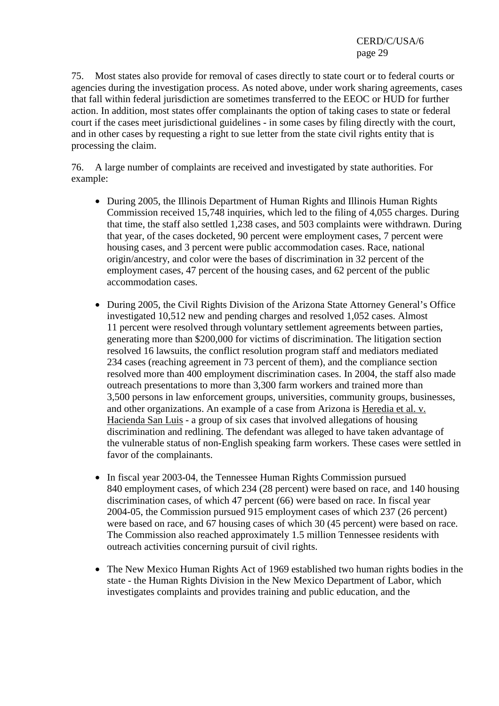75. Most states also provide for removal of cases directly to state court or to federal courts or agencies during the investigation process. As noted above, under work sharing agreements, cases that fall within federal jurisdiction are sometimes transferred to the EEOC or HUD for further action. In addition, most states offer complainants the option of taking cases to state or federal court if the cases meet jurisdictional guidelines - in some cases by filing directly with the court, and in other cases by requesting a right to sue letter from the state civil rights entity that is processing the claim.

76. A large number of complaints are received and investigated by state authorities. For example:

- During 2005, the Illinois Department of Human Rights and Illinois Human Rights Commission received 15,748 inquiries, which led to the filing of 4,055 charges. During that time, the staff also settled 1,238 cases, and 503 complaints were withdrawn. During that year, of the cases docketed, 90 percent were employment cases, 7 percent were housing cases, and 3 percent were public accommodation cases. Race, national origin/ancestry, and color were the bases of discrimination in 32 percent of the employment cases, 47 percent of the housing cases, and 62 percent of the public accommodation cases.
- During 2005, the Civil Rights Division of the Arizona State Attorney General's Office investigated 10,512 new and pending charges and resolved 1,052 cases. Almost 11 percent were resolved through voluntary settlement agreements between parties, generating more than \$200,000 for victims of discrimination. The litigation section resolved 16 lawsuits, the conflict resolution program staff and mediators mediated 234 cases (reaching agreement in 73 percent of them), and the compliance section resolved more than 400 employment discrimination cases. In 2004, the staff also made outreach presentations to more than 3,300 farm workers and trained more than 3,500 persons in law enforcement groups, universities, community groups, businesses, and other organizations. An example of a case from Arizona is Heredia et al. v. Hacienda San Luis - a group of six cases that involved allegations of housing discrimination and redlining. The defendant was alleged to have taken advantage of the vulnerable status of non-English speaking farm workers. These cases were settled in favor of the complainants.
- In fiscal year 2003-04, the Tennessee Human Rights Commission pursued 840 employment cases, of which 234 (28 percent) were based on race, and 140 housing discrimination cases, of which 47 percent (66) were based on race. In fiscal year 2004-05, the Commission pursued 915 employment cases of which 237 (26 percent) were based on race, and 67 housing cases of which 30 (45 percent) were based on race. The Commission also reached approximately 1.5 million Tennessee residents with outreach activities concerning pursuit of civil rights.
- The New Mexico Human Rights Act of 1969 established two human rights bodies in the state - the Human Rights Division in the New Mexico Department of Labor, which investigates complaints and provides training and public education, and the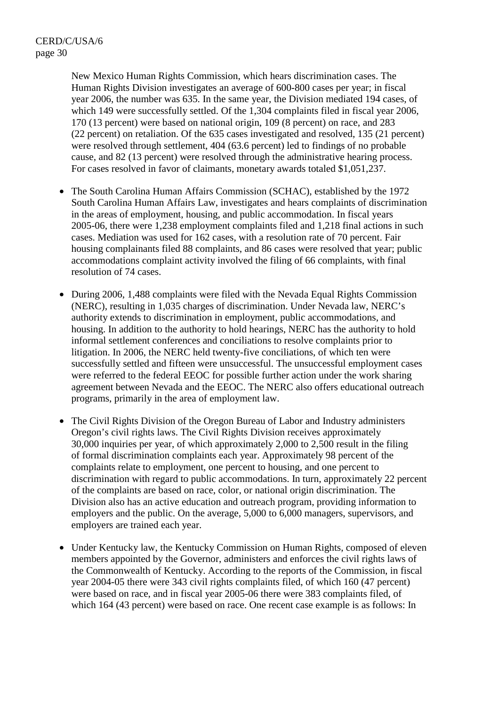New Mexico Human Rights Commission, which hears discrimination cases. The Human Rights Division investigates an average of 600-800 cases per year; in fiscal year 2006, the number was 635. In the same year, the Division mediated 194 cases, of which 149 were successfully settled. Of the 1,304 complaints filed in fiscal year 2006, 170 (13 percent) were based on national origin, 109 (8 percent) on race, and 283 (22 percent) on retaliation. Of the 635 cases investigated and resolved, 135 (21 percent) were resolved through settlement, 404 (63.6 percent) led to findings of no probable cause, and 82 (13 percent) were resolved through the administrative hearing process. For cases resolved in favor of claimants, monetary awards totaled \$1,051,237.

- The South Carolina Human Affairs Commission (SCHAC), established by the 1972 South Carolina Human Affairs Law, investigates and hears complaints of discrimination in the areas of employment, housing, and public accommodation. In fiscal years 2005-06, there were 1,238 employment complaints filed and 1,218 final actions in such cases. Mediation was used for 162 cases, with a resolution rate of 70 percent. Fair housing complainants filed 88 complaints, and 86 cases were resolved that year; public accommodations complaint activity involved the filing of 66 complaints, with final resolution of 74 cases.
- During 2006, 1,488 complaints were filed with the Nevada Equal Rights Commission (NERC), resulting in 1,035 charges of discrimination. Under Nevada law, NERC's authority extends to discrimination in employment, public accommodations, and housing. In addition to the authority to hold hearings, NERC has the authority to hold informal settlement conferences and conciliations to resolve complaints prior to litigation. In 2006, the NERC held twenty-five conciliations, of which ten were successfully settled and fifteen were unsuccessful. The unsuccessful employment cases were referred to the federal EEOC for possible further action under the work sharing agreement between Nevada and the EEOC. The NERC also offers educational outreach programs, primarily in the area of employment law.
- The Civil Rights Division of the Oregon Bureau of Labor and Industry administers Oregon's civil rights laws. The Civil Rights Division receives approximately 30,000 inquiries per year, of which approximately 2,000 to 2,500 result in the filing of formal discrimination complaints each year. Approximately 98 percent of the complaints relate to employment, one percent to housing, and one percent to discrimination with regard to public accommodations. In turn, approximately 22 percent of the complaints are based on race, color, or national origin discrimination. The Division also has an active education and outreach program, providing information to employers and the public. On the average, 5,000 to 6,000 managers, supervisors, and employers are trained each year.
- Under Kentucky law, the Kentucky Commission on Human Rights, composed of eleven members appointed by the Governor, administers and enforces the civil rights laws of the Commonwealth of Kentucky. According to the reports of the Commission, in fiscal year 2004-05 there were 343 civil rights complaints filed, of which 160 (47 percent) were based on race, and in fiscal year 2005-06 there were 383 complaints filed, of which 164 (43 percent) were based on race. One recent case example is as follows: In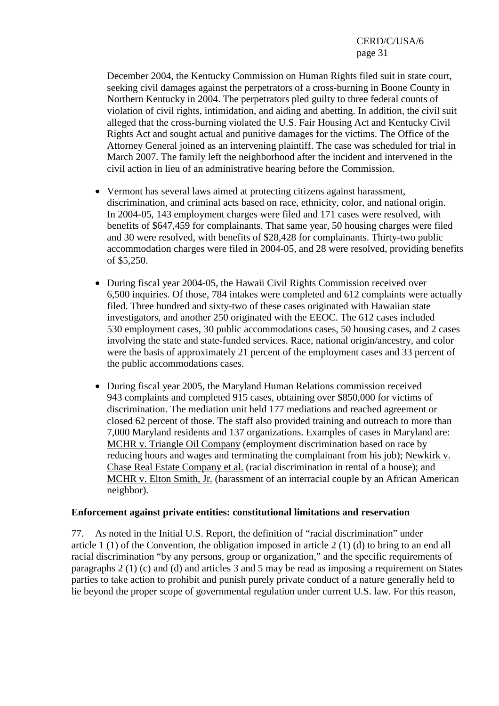December 2004, the Kentucky Commission on Human Rights filed suit in state court, seeking civil damages against the perpetrators of a cross-burning in Boone County in Northern Kentucky in 2004. The perpetrators pled guilty to three federal counts of violation of civil rights, intimidation, and aiding and abetting. In addition, the civil suit alleged that the cross-burning violated the U.S. Fair Housing Act and Kentucky Civil Rights Act and sought actual and punitive damages for the victims. The Office of the Attorney General joined as an intervening plaintiff. The case was scheduled for trial in March 2007. The family left the neighborhood after the incident and intervened in the civil action in lieu of an administrative hearing before the Commission.

- Vermont has several laws aimed at protecting citizens against harassment, discrimination, and criminal acts based on race, ethnicity, color, and national origin. In 2004-05, 143 employment charges were filed and 171 cases were resolved, with benefits of \$647,459 for complainants. That same year, 50 housing charges were filed and 30 were resolved, with benefits of \$28,428 for complainants. Thirty-two public accommodation charges were filed in 2004-05, and 28 were resolved, providing benefits of \$5,250.
- During fiscal year 2004-05, the Hawaii Civil Rights Commission received over 6,500 inquiries. Of those, 784 intakes were completed and 612 complaints were actually filed. Three hundred and sixty-two of these cases originated with Hawaiian state investigators, and another 250 originated with the EEOC. The 612 cases included 530 employment cases, 30 public accommodations cases, 50 housing cases, and 2 cases involving the state and state-funded services. Race, national origin/ancestry, and color were the basis of approximately 21 percent of the employment cases and 33 percent of the public accommodations cases.
- During fiscal year 2005, the Maryland Human Relations commission received 943 complaints and completed 915 cases, obtaining over \$850,000 for victims of discrimination. The mediation unit held 177 mediations and reached agreement or closed 62 percent of those. The staff also provided training and outreach to more than 7,000 Maryland residents and 137 organizations. Examples of cases in Maryland are: MCHR v. Triangle Oil Company (employment discrimination based on race by reducing hours and wages and terminating the complainant from his job); Newkirk v. Chase Real Estate Company et al. (racial discrimination in rental of a house); and MCHR v. Elton Smith, Jr. (harassment of an interracial couple by an African American neighbor).

#### **Enforcement against private entities: constitutional limitations and reservation**

77. As noted in the Initial U.S. Report, the definition of "racial discrimination" under article 1 (1) of the Convention, the obligation imposed in article 2 (1) (d) to bring to an end all racial discrimination "by any persons, group or organization," and the specific requirements of paragraphs 2 (1) (c) and (d) and articles 3 and 5 may be read as imposing a requirement on States parties to take action to prohibit and punish purely private conduct of a nature generally held to lie beyond the proper scope of governmental regulation under current U.S. law. For this reason,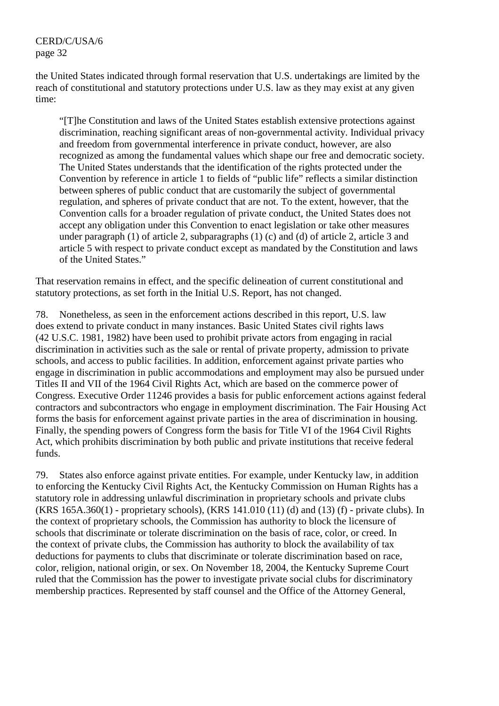the United States indicated through formal reservation that U.S. undertakings are limited by the reach of constitutional and statutory protections under U.S. law as they may exist at any given time:

"[T]he Constitution and laws of the United States establish extensive protections against discrimination, reaching significant areas of non-governmental activity. Individual privacy and freedom from governmental interference in private conduct, however, are also recognized as among the fundamental values which shape our free and democratic society. The United States understands that the identification of the rights protected under the Convention by reference in article 1 to fields of "public life" reflects a similar distinction between spheres of public conduct that are customarily the subject of governmental regulation, and spheres of private conduct that are not. To the extent, however, that the Convention calls for a broader regulation of private conduct, the United States does not accept any obligation under this Convention to enact legislation or take other measures under paragraph (1) of article 2, subparagraphs (1) (c) and (d) of article 2, article 3 and article 5 with respect to private conduct except as mandated by the Constitution and laws of the United States."

That reservation remains in effect, and the specific delineation of current constitutional and statutory protections, as set forth in the Initial U.S. Report, has not changed.

78. Nonetheless, as seen in the enforcement actions described in this report, U.S. law does extend to private conduct in many instances. Basic United States civil rights laws (42 U.S.C. 1981, 1982) have been used to prohibit private actors from engaging in racial discrimination in activities such as the sale or rental of private property, admission to private schools, and access to public facilities. In addition, enforcement against private parties who engage in discrimination in public accommodations and employment may also be pursued under Titles II and VII of the 1964 Civil Rights Act, which are based on the commerce power of Congress. Executive Order 11246 provides a basis for public enforcement actions against federal contractors and subcontractors who engage in employment discrimination. The Fair Housing Act forms the basis for enforcement against private parties in the area of discrimination in housing. Finally, the spending powers of Congress form the basis for Title VI of the 1964 Civil Rights Act, which prohibits discrimination by both public and private institutions that receive federal funds.

79. States also enforce against private entities. For example, under Kentucky law, in addition to enforcing the Kentucky Civil Rights Act, the Kentucky Commission on Human Rights has a statutory role in addressing unlawful discrimination in proprietary schools and private clubs (KRS 165A.360(1) - proprietary schools), (KRS 141.010 (11) (d) and (13) (f) - private clubs). In the context of proprietary schools, the Commission has authority to block the licensure of schools that discriminate or tolerate discrimination on the basis of race, color, or creed. In the context of private clubs, the Commission has authority to block the availability of tax deductions for payments to clubs that discriminate or tolerate discrimination based on race, color, religion, national origin, or sex. On November 18, 2004, the Kentucky Supreme Court ruled that the Commission has the power to investigate private social clubs for discriminatory membership practices. Represented by staff counsel and the Office of the Attorney General,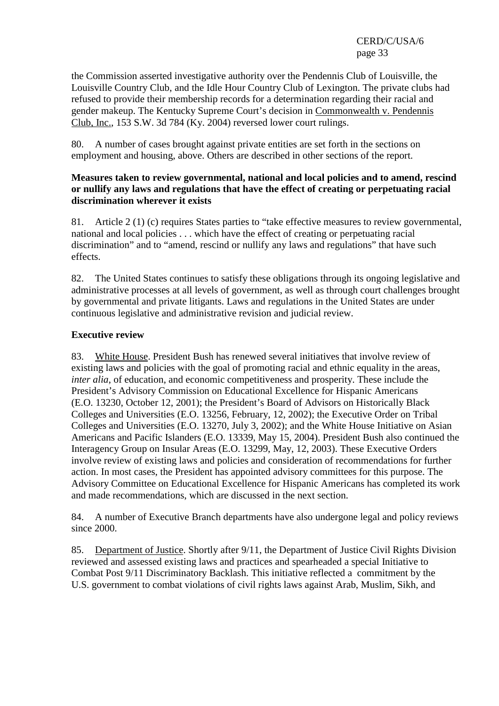the Commission asserted investigative authority over the Pendennis Club of Louisville, the Louisville Country Club, and the Idle Hour Country Club of Lexington. The private clubs had refused to provide their membership records for a determination regarding their racial and gender makeup. The Kentucky Supreme Court's decision in Commonwealth v. Pendennis Club, Inc., 153 S.W. 3d 784 (Ky. 2004) reversed lower court rulings.

80. A number of cases brought against private entities are set forth in the sections on employment and housing, above. Others are described in other sections of the report.

### **Measures taken to review governmental, national and local policies and to amend, rescind or nullify any laws and regulations that have the effect of creating or perpetuating racial discrimination wherever it exists**

81. Article 2 (1) (c) requires States parties to "take effective measures to review governmental, national and local policies . . . which have the effect of creating or perpetuating racial discrimination" and to "amend, rescind or nullify any laws and regulations" that have such effects.

82. The United States continues to satisfy these obligations through its ongoing legislative and administrative processes at all levels of government, as well as through court challenges brought by governmental and private litigants. Laws and regulations in the United States are under continuous legislative and administrative revision and judicial review.

# **Executive review**

83. White House. President Bush has renewed several initiatives that involve review of existing laws and policies with the goal of promoting racial and ethnic equality in the areas, *inter alia*, of education, and economic competitiveness and prosperity. These include the President's Advisory Commission on Educational Excellence for Hispanic Americans (E.O. 13230, October 12, 2001); the President's Board of Advisors on Historically Black Colleges and Universities (E.O. 13256, February, 12, 2002); the Executive Order on Tribal Colleges and Universities (E.O. 13270, July 3, 2002); and the White House Initiative on Asian Americans and Pacific Islanders (E.O. 13339, May 15, 2004). President Bush also continued the Interagency Group on Insular Areas (E.O. 13299, May, 12, 2003). These Executive Orders involve review of existing laws and policies and consideration of recommendations for further action. In most cases, the President has appointed advisory committees for this purpose. The Advisory Committee on Educational Excellence for Hispanic Americans has completed its work and made recommendations, which are discussed in the next section.

84. A number of Executive Branch departments have also undergone legal and policy reviews since 2000.

85. Department of Justice. Shortly after 9/11, the Department of Justice Civil Rights Division reviewed and assessed existing laws and practices and spearheaded a special Initiative to Combat Post 9/11 Discriminatory Backlash. This initiative reflected a commitment by the U.S. government to combat violations of civil rights laws against Arab, Muslim, Sikh, and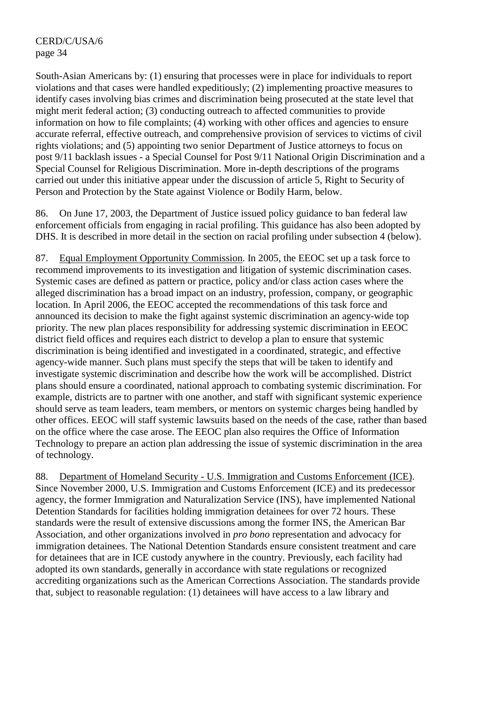South-Asian Americans by: (1) ensuring that processes were in place for individuals to report violations and that cases were handled expeditiously; (2) implementing proactive measures to identify cases involving bias crimes and discrimination being prosecuted at the state level that might merit federal action; (3) conducting outreach to affected communities to provide information on how to file complaints; (4) working with other offices and agencies to ensure accurate referral, effective outreach, and comprehensive provision of services to victims of civil rights violations; and (5) appointing two senior Department of Justice attorneys to focus on post 9/11 backlash issues - a Special Counsel for Post 9/11 National Origin Discrimination and a Special Counsel for Religious Discrimination. More in-depth descriptions of the programs carried out under this initiative appear under the discussion of article 5, Right to Security of Person and Protection by the State against Violence or Bodily Harm, below.

86. On June 17, 2003, the Department of Justice issued policy guidance to ban federal law enforcement officials from engaging in racial profiling. This guidance has also been adopted by DHS. It is described in more detail in the section on racial profiling under subsection 4 (below).

87. Equal Employment Opportunity Commission. In 2005, the EEOC set up a task force to recommend improvements to its investigation and litigation of systemic discrimination cases. Systemic cases are defined as pattern or practice, policy and/or class action cases where the alleged discrimination has a broad impact on an industry, profession, company, or geographic location. In April 2006, the EEOC accepted the recommendations of this task force and announced its decision to make the fight against systemic discrimination an agency-wide top priority. The new plan places responsibility for addressing systemic discrimination in EEOC district field offices and requires each district to develop a plan to ensure that systemic discrimination is being identified and investigated in a coordinated, strategic, and effective agency-wide manner. Such plans must specify the steps that will be taken to identify and investigate systemic discrimination and describe how the work will be accomplished. District plans should ensure a coordinated, national approach to combating systemic discrimination. For example, districts are to partner with one another, and staff with significant systemic experience should serve as team leaders, team members, or mentors on systemic charges being handled by other offices. EEOC will staff systemic lawsuits based on the needs of the case, rather than based on the office where the case arose. The EEOC plan also requires the Office of Information Technology to prepare an action plan addressing the issue of systemic discrimination in the area of technology.

88. Department of Homeland Security - U.S. Immigration and Customs Enforcement (ICE). Since November 2000, U.S. Immigration and Customs Enforcement (ICE) and its predecessor agency, the former Immigration and Naturalization Service (INS), have implemented National Detention Standards for facilities holding immigration detainees for over 72 hours. These standards were the result of extensive discussions among the former INS, the American Bar Association, and other organizations involved in *pro bono* representation and advocacy for immigration detainees. The National Detention Standards ensure consistent treatment and care for detainees that are in ICE custody anywhere in the country. Previously, each facility had adopted its own standards, generally in accordance with state regulations or recognized accrediting organizations such as the American Corrections Association. The standards provide that, subject to reasonable regulation: (1) detainees will have access to a law library and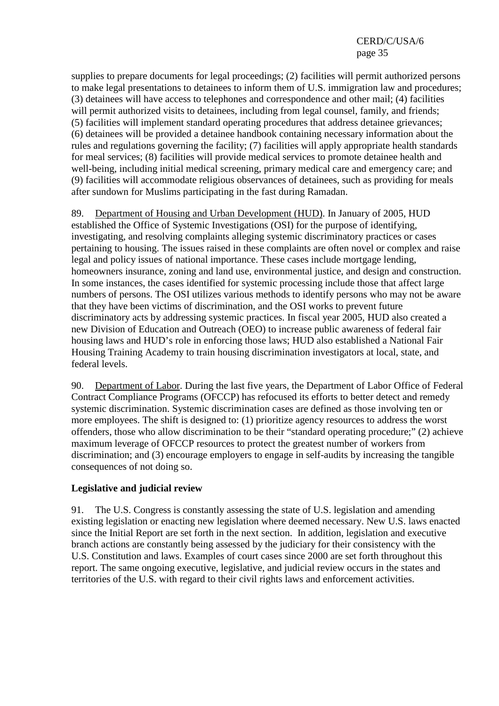supplies to prepare documents for legal proceedings; (2) facilities will permit authorized persons to make legal presentations to detainees to inform them of U.S. immigration law and procedures; (3) detainees will have access to telephones and correspondence and other mail; (4) facilities will permit authorized visits to detainees, including from legal counsel, family, and friends; (5) facilities will implement standard operating procedures that address detainee grievances; (6) detainees will be provided a detainee handbook containing necessary information about the rules and regulations governing the facility; (7) facilities will apply appropriate health standards for meal services; (8) facilities will provide medical services to promote detainee health and well-being, including initial medical screening, primary medical care and emergency care; and (9) facilities will accommodate religious observances of detainees, such as providing for meals after sundown for Muslims participating in the fast during Ramadan.

89. Department of Housing and Urban Development (HUD). In January of 2005, HUD established the Office of Systemic Investigations (OSI) for the purpose of identifying, investigating, and resolving complaints alleging systemic discriminatory practices or cases pertaining to housing. The issues raised in these complaints are often novel or complex and raise legal and policy issues of national importance. These cases include mortgage lending, homeowners insurance, zoning and land use, environmental justice, and design and construction. In some instances, the cases identified for systemic processing include those that affect large numbers of persons. The OSI utilizes various methods to identify persons who may not be aware that they have been victims of discrimination, and the OSI works to prevent future discriminatory acts by addressing systemic practices. In fiscal year 2005, HUD also created a new Division of Education and Outreach (OEO) to increase public awareness of federal fair housing laws and HUD's role in enforcing those laws; HUD also established a National Fair Housing Training Academy to train housing discrimination investigators at local, state, and federal levels.

90. Department of Labor. During the last five years, the Department of Labor Office of Federal Contract Compliance Programs (OFCCP) has refocused its efforts to better detect and remedy systemic discrimination. Systemic discrimination cases are defined as those involving ten or more employees. The shift is designed to: (1) prioritize agency resources to address the worst offenders, those who allow discrimination to be their "standard operating procedure;" (2) achieve maximum leverage of OFCCP resources to protect the greatest number of workers from discrimination; and (3) encourage employers to engage in self-audits by increasing the tangible consequences of not doing so.

## **Legislative and judicial review**

91. The U.S. Congress is constantly assessing the state of U.S. legislation and amending existing legislation or enacting new legislation where deemed necessary. New U.S. laws enacted since the Initial Report are set forth in the next section. In addition, legislation and executive branch actions are constantly being assessed by the judiciary for their consistency with the U.S. Constitution and laws. Examples of court cases since 2000 are set forth throughout this report. The same ongoing executive, legislative, and judicial review occurs in the states and territories of the U.S. with regard to their civil rights laws and enforcement activities.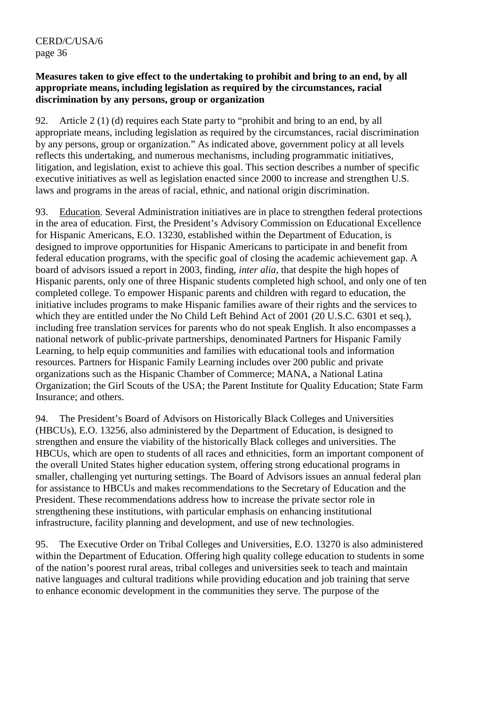#### **Measures taken to give effect to the undertaking to prohibit and bring to an end, by all appropriate means, including legislation as required by the circumstances, racial discrimination by any persons, group or organization**

92. Article 2 (1) (d) requires each State party to "prohibit and bring to an end, by all appropriate means, including legislation as required by the circumstances, racial discrimination by any persons, group or organization." As indicated above, government policy at all levels reflects this undertaking, and numerous mechanisms, including programmatic initiatives, litigation, and legislation, exist to achieve this goal. This section describes a number of specific executive initiatives as well as legislation enacted since 2000 to increase and strengthen U.S. laws and programs in the areas of racial, ethnic, and national origin discrimination.

93. Education. Several Administration initiatives are in place to strengthen federal protections in the area of education. First, the President's Advisory Commission on Educational Excellence for Hispanic Americans, E.O. 13230, established within the Department of Education, is designed to improve opportunities for Hispanic Americans to participate in and benefit from federal education programs, with the specific goal of closing the academic achievement gap. A board of advisors issued a report in 2003, finding*, inter alia,* that despite the high hopes of Hispanic parents, only one of three Hispanic students completed high school, and only one of ten completed college. To empower Hispanic parents and children with regard to education, the initiative includes programs to make Hispanic families aware of their rights and the services to which they are entitled under the No Child Left Behind Act of 2001 (20 U.S.C. 6301 et seq.), including free translation services for parents who do not speak English. It also encompasses a national network of public-private partnerships, denominated Partners for Hispanic Family Learning, to help equip communities and families with educational tools and information resources. Partners for Hispanic Family Learning includes over 200 public and private organizations such as the Hispanic Chamber of Commerce; MANA, a National Latina Organization; the Girl Scouts of the USA; the Parent Institute for Quality Education; State Farm Insurance; and others.

94. The President's Board of Advisors on Historically Black Colleges and Universities (HBCUs), E.O. 13256, also administered by the Department of Education, is designed to strengthen and ensure the viability of the historically Black colleges and universities. The HBCUs, which are open to students of all races and ethnicities, form an important component of the overall United States higher education system, offering strong educational programs in smaller, challenging yet nurturing settings. The Board of Advisors issues an annual federal plan for assistance to HBCUs and makes recommendations to the Secretary of Education and the President. These recommendations address how to increase the private sector role in strengthening these institutions, with particular emphasis on enhancing institutional infrastructure, facility planning and development, and use of new technologies.

95. The Executive Order on Tribal Colleges and Universities, E.O. 13270 is also administered within the Department of Education. Offering high quality college education to students in some of the nation's poorest rural areas, tribal colleges and universities seek to teach and maintain native languages and cultural traditions while providing education and job training that serve to enhance economic development in the communities they serve. The purpose of the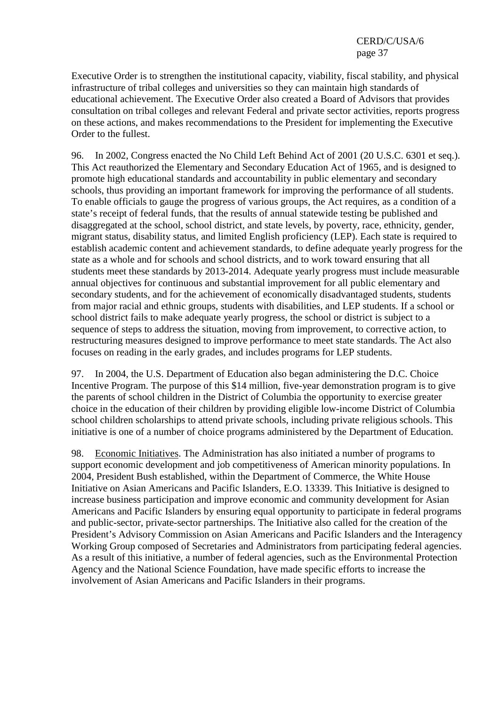Executive Order is to strengthen the institutional capacity, viability, fiscal stability, and physical infrastructure of tribal colleges and universities so they can maintain high standards of educational achievement. The Executive Order also created a Board of Advisors that provides consultation on tribal colleges and relevant Federal and private sector activities, reports progress on these actions, and makes recommendations to the President for implementing the Executive Order to the fullest.

96. In 2002, Congress enacted the No Child Left Behind Act of 2001 (20 U.S.C. 6301 et seq.). This Act reauthorized the Elementary and Secondary Education Act of 1965, and is designed to promote high educational standards and accountability in public elementary and secondary schools, thus providing an important framework for improving the performance of all students. To enable officials to gauge the progress of various groups, the Act requires, as a condition of a state's receipt of federal funds, that the results of annual statewide testing be published and disaggregated at the school, school district, and state levels, by poverty, race, ethnicity, gender, migrant status, disability status, and limited English proficiency (LEP). Each state is required to establish academic content and achievement standards, to define adequate yearly progress for the state as a whole and for schools and school districts, and to work toward ensuring that all students meet these standards by 2013-2014. Adequate yearly progress must include measurable annual objectives for continuous and substantial improvement for all public elementary and secondary students, and for the achievement of economically disadvantaged students, students from major racial and ethnic groups, students with disabilities, and LEP students. If a school or school district fails to make adequate yearly progress, the school or district is subject to a sequence of steps to address the situation, moving from improvement, to corrective action, to restructuring measures designed to improve performance to meet state standards. The Act also focuses on reading in the early grades, and includes programs for LEP students.

97. In 2004, the U.S. Department of Education also began administering the D.C. Choice Incentive Program. The purpose of this \$14 million, five-year demonstration program is to give the parents of school children in the District of Columbia the opportunity to exercise greater choice in the education of their children by providing eligible low-income District of Columbia school children scholarships to attend private schools, including private religious schools. This initiative is one of a number of choice programs administered by the Department of Education.

98. Economic Initiatives. The Administration has also initiated a number of programs to support economic development and job competitiveness of American minority populations. In 2004, President Bush established, within the Department of Commerce, the White House Initiative on Asian Americans and Pacific Islanders, E.O. 13339. This Initiative is designed to increase business participation and improve economic and community development for Asian Americans and Pacific Islanders by ensuring equal opportunity to participate in federal programs and public-sector, private-sector partnerships. The Initiative also called for the creation of the President's Advisory Commission on Asian Americans and Pacific Islanders and the Interagency Working Group composed of Secretaries and Administrators from participating federal agencies. As a result of this initiative, a number of federal agencies, such as the Environmental Protection Agency and the National Science Foundation, have made specific efforts to increase the involvement of Asian Americans and Pacific Islanders in their programs.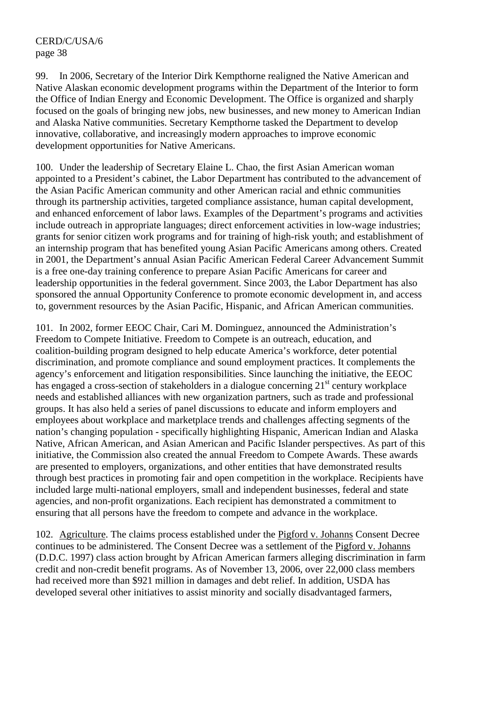99. In 2006, Secretary of the Interior Dirk Kempthorne realigned the Native American and Native Alaskan economic development programs within the Department of the Interior to form the Office of Indian Energy and Economic Development. The Office is organized and sharply focused on the goals of bringing new jobs, new businesses, and new money to American Indian and Alaska Native communities. Secretary Kempthorne tasked the Department to develop innovative, collaborative, and increasingly modern approaches to improve economic development opportunities for Native Americans.

100. Under the leadership of Secretary Elaine L. Chao, the first Asian American woman appointed to a President's cabinet, the Labor Department has contributed to the advancement of the Asian Pacific American community and other American racial and ethnic communities through its partnership activities, targeted compliance assistance, human capital development, and enhanced enforcement of labor laws. Examples of the Department's programs and activities include outreach in appropriate languages; direct enforcement activities in low-wage industries; grants for senior citizen work programs and for training of high-risk youth; and establishment of an internship program that has benefited young Asian Pacific Americans among others. Created in 2001, the Department's annual Asian Pacific American Federal Career Advancement Summit is a free one-day training conference to prepare Asian Pacific Americans for career and leadership opportunities in the federal government. Since 2003, the Labor Department has also sponsored the annual Opportunity Conference to promote economic development in, and access to, government resources by the Asian Pacific, Hispanic, and African American communities.

101. In 2002, former EEOC Chair, Cari M. Dominguez, announced the Administration's Freedom to Compete Initiative. Freedom to Compete is an outreach, education, and coalition-building program designed to help educate America's workforce, deter potential discrimination, and promote compliance and sound employment practices. It complements the agency's enforcement and litigation responsibilities. Since launching the initiative, the EEOC has engaged a cross-section of stakeholders in a dialogue concerning 21<sup>st</sup> century workplace needs and established alliances with new organization partners, such as trade and professional groups. It has also held a series of panel discussions to educate and inform employers and employees about workplace and marketplace trends and challenges affecting segments of the nation's changing population - specifically highlighting Hispanic, American Indian and Alaska Native, African American, and Asian American and Pacific Islander perspectives. As part of this initiative, the Commission also created the annual Freedom to Compete Awards. These awards are presented to employers, organizations, and other entities that have demonstrated results through best practices in promoting fair and open competition in the workplace. Recipients have included large multi-national employers, small and independent businesses, federal and state agencies, and non-profit organizations. Each recipient has demonstrated a commitment to ensuring that all persons have the freedom to compete and advance in the workplace.

102. Agriculture. The claims process established under the Pigford v. Johanns Consent Decree continues to be administered. The Consent Decree was a settlement of the Pigford v. Johanns (D.D.C. 1997) class action brought by African American farmers alleging discrimination in farm credit and non-credit benefit programs. As of November 13, 2006, over 22,000 class members had received more than \$921 million in damages and debt relief. In addition, USDA has developed several other initiatives to assist minority and socially disadvantaged farmers,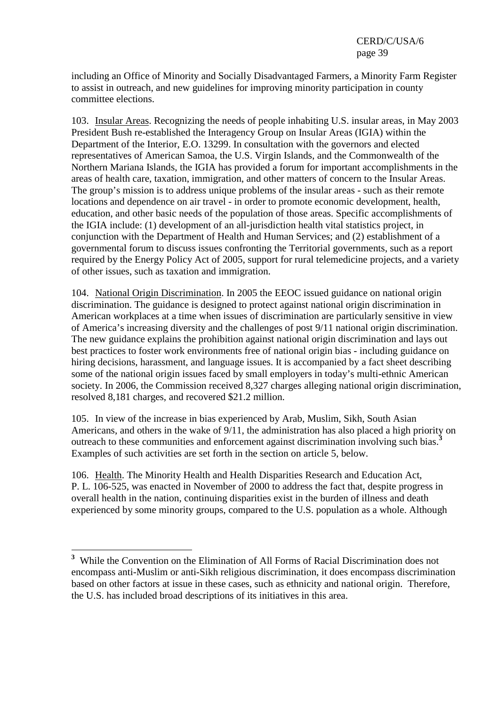including an Office of Minority and Socially Disadvantaged Farmers, a Minority Farm Register to assist in outreach, and new guidelines for improving minority participation in county committee elections.

103. Insular Areas. Recognizing the needs of people inhabiting U.S. insular areas, in May 2003 President Bush re-established the Interagency Group on Insular Areas (IGIA) within the Department of the Interior, E.O. 13299. In consultation with the governors and elected representatives of American Samoa, the U.S. Virgin Islands, and the Commonwealth of the Northern Mariana Islands, the IGIA has provided a forum for important accomplishments in the areas of health care, taxation, immigration, and other matters of concern to the Insular Areas. The group's mission is to address unique problems of the insular areas - such as their remote locations and dependence on air travel - in order to promote economic development, health, education, and other basic needs of the population of those areas. Specific accomplishments of the IGIA include: (1) development of an all-jurisdiction health vital statistics project, in conjunction with the Department of Health and Human Services; and (2) establishment of a governmental forum to discuss issues confronting the Territorial governments, such as a report required by the Energy Policy Act of 2005, support for rural telemedicine projects, and a variety of other issues, such as taxation and immigration.

104. National Origin Discrimination. In 2005 the EEOC issued guidance on national origin discrimination. The guidance is designed to protect against national origin discrimination in American workplaces at a time when issues of discrimination are particularly sensitive in view of America's increasing diversity and the challenges of post 9/11 national origin discrimination. The new guidance explains the prohibition against national origin discrimination and lays out best practices to foster work environments free of national origin bias - including guidance on hiring decisions, harassment, and language issues. It is accompanied by a fact sheet describing some of the national origin issues faced by small employers in today's multi-ethnic American society. In 2006, the Commission received 8,327 charges alleging national origin discrimination, resolved 8,181 charges, and recovered \$21.2 million.

105. In view of the increase in bias experienced by Arab, Muslim, Sikh, South Asian Americans, and others in the wake of 9/11, the administration has also placed a high priority on outreach to these communities and enforcement against discrimination involving such bias.<sup>3</sup> Examples of such activities are set forth in the section on article 5, below.

106. Health. The Minority Health and Health Disparities Research and Education Act, P. L. 106-525, was enacted in November of 2000 to address the fact that, despite progress in overall health in the nation, continuing disparities exist in the burden of illness and death experienced by some minority groups, compared to the U.S. population as a whole. Although

<sup>&</sup>lt;sup>3</sup> While the Convention on the Elimination of All Forms of Racial Discrimination does not encompass anti-Muslim or anti-Sikh religious discrimination, it does encompass discrimination based on other factors at issue in these cases, such as ethnicity and national origin. Therefore, the U.S. has included broad descriptions of its initiatives in this area.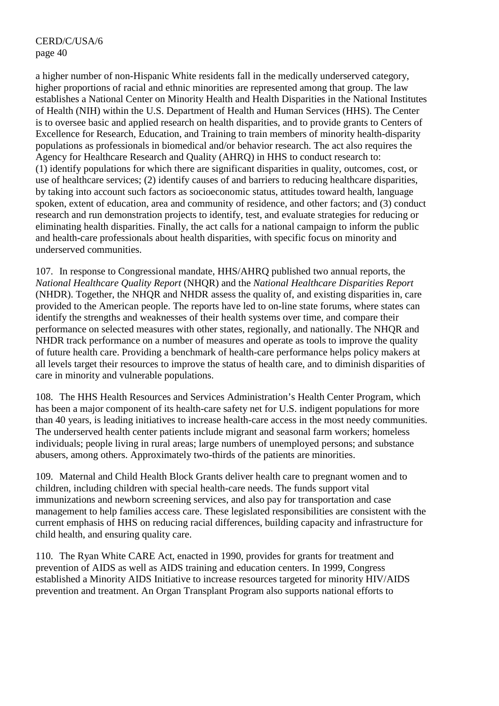a higher number of non-Hispanic White residents fall in the medically underserved category, higher proportions of racial and ethnic minorities are represented among that group. The law establishes a National Center on Minority Health and Health Disparities in the National Institutes of Health (NIH) within the U.S. Department of Health and Human Services (HHS). The Center is to oversee basic and applied research on health disparities, and to provide grants to Centers of Excellence for Research, Education, and Training to train members of minority health-disparity populations as professionals in biomedical and/or behavior research. The act also requires the Agency for Healthcare Research and Quality (AHRQ) in HHS to conduct research to: (1) identify populations for which there are significant disparities in quality, outcomes, cost, or use of healthcare services; (2) identify causes of and barriers to reducing healthcare disparities, by taking into account such factors as socioeconomic status, attitudes toward health, language spoken, extent of education, area and community of residence, and other factors; and (3) conduct research and run demonstration projects to identify, test, and evaluate strategies for reducing or eliminating health disparities. Finally, the act calls for a national campaign to inform the public and health-care professionals about health disparities, with specific focus on minority and underserved communities.

107. In response to Congressional mandate, HHS/AHRQ published two annual reports, the *National Healthcare Quality Report* (NHQR) and the *National Healthcare Disparities Report* (NHDR). Together, the NHQR and NHDR assess the quality of, and existing disparities in, care provided to the American people. The reports have led to on-line state forums, where states can identify the strengths and weaknesses of their health systems over time, and compare their performance on selected measures with other states, regionally, and nationally. The NHQR and NHDR track performance on a number of measures and operate as tools to improve the quality of future health care. Providing a benchmark of health-care performance helps policy makers at all levels target their resources to improve the status of health care, and to diminish disparities of care in minority and vulnerable populations.

108. The HHS Health Resources and Services Administration's Health Center Program, which has been a major component of its health-care safety net for U.S. indigent populations for more than 40 years, is leading initiatives to increase health-care access in the most needy communities. The underserved health center patients include migrant and seasonal farm workers; homeless individuals; people living in rural areas; large numbers of unemployed persons; and substance abusers, among others. Approximately two-thirds of the patients are minorities.

109. Maternal and Child Health Block Grants deliver health care to pregnant women and to children, including children with special health-care needs. The funds support vital immunizations and newborn screening services, and also pay for transportation and case management to help families access care. These legislated responsibilities are consistent with the current emphasis of HHS on reducing racial differences, building capacity and infrastructure for child health, and ensuring quality care.

110. The Ryan White CARE Act, enacted in 1990, provides for grants for treatment and prevention of AIDS as well as AIDS training and education centers. In 1999, Congress established a Minority AIDS Initiative to increase resources targeted for minority HIV/AIDS prevention and treatment. An Organ Transplant Program also supports national efforts to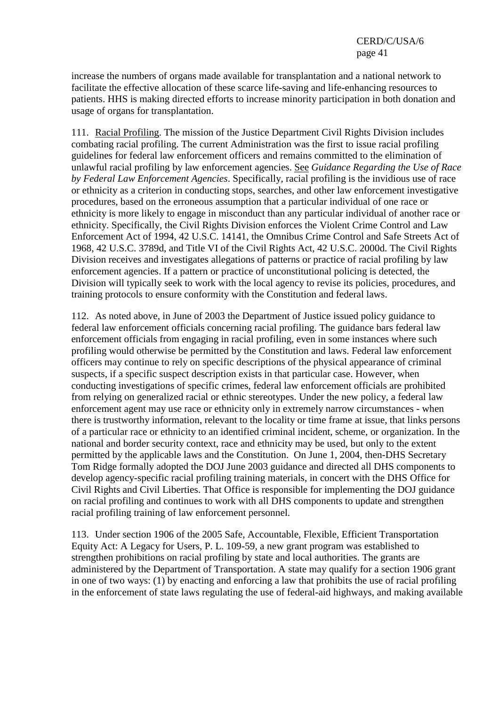increase the numbers of organs made available for transplantation and a national network to facilitate the effective allocation of these scarce life-saving and life-enhancing resources to patients. HHS is making directed efforts to increase minority participation in both donation and usage of organs for transplantation.

111. Racial Profiling. The mission of the Justice Department Civil Rights Division includes combating racial profiling. The current Administration was the first to issue racial profiling guidelines for federal law enforcement officers and remains committed to the elimination of unlawful racial profiling by law enforcement agencies. See *Guidance Regarding the Use of Race by Federal Law Enforcement Agencies*. Specifically, racial profiling is the invidious use of race or ethnicity as a criterion in conducting stops, searches, and other law enforcement investigative procedures, based on the erroneous assumption that a particular individual of one race or ethnicity is more likely to engage in misconduct than any particular individual of another race or ethnicity. Specifically, the Civil Rights Division enforces the Violent Crime Control and Law Enforcement Act of 1994, 42 U.S.C. 14141, the Omnibus Crime Control and Safe Streets Act of 1968, 42 U.S.C. 3789d, and Title VI of the Civil Rights Act, 42 U.S.C. 2000d. The Civil Rights Division receives and investigates allegations of patterns or practice of racial profiling by law enforcement agencies. If a pattern or practice of unconstitutional policing is detected, the Division will typically seek to work with the local agency to revise its policies, procedures, and training protocols to ensure conformity with the Constitution and federal laws.

112. As noted above, in June of 2003 the Department of Justice issued policy guidance to federal law enforcement officials concerning racial profiling. The guidance bars federal law enforcement officials from engaging in racial profiling, even in some instances where such profiling would otherwise be permitted by the Constitution and laws. Federal law enforcement officers may continue to rely on specific descriptions of the physical appearance of criminal suspects, if a specific suspect description exists in that particular case. However, when conducting investigations of specific crimes, federal law enforcement officials are prohibited from relying on generalized racial or ethnic stereotypes. Under the new policy, a federal law enforcement agent may use race or ethnicity only in extremely narrow circumstances - when there is trustworthy information, relevant to the locality or time frame at issue, that links persons of a particular race or ethnicity to an identified criminal incident, scheme, or organization. In the national and border security context, race and ethnicity may be used, but only to the extent permitted by the applicable laws and the Constitution. On June 1, 2004, then-DHS Secretary Tom Ridge formally adopted the DOJ June 2003 guidance and directed all DHS components to develop agency-specific racial profiling training materials, in concert with the DHS Office for Civil Rights and Civil Liberties. That Office is responsible for implementing the DOJ guidance on racial profiling and continues to work with all DHS components to update and strengthen racial profiling training of law enforcement personnel.

113. Under section 1906 of the 2005 Safe, Accountable, Flexible, Efficient Transportation Equity Act: A Legacy for Users, P. L. 109-59, a new grant program was established to strengthen prohibitions on racial profiling by state and local authorities. The grants are administered by the Department of Transportation. A state may qualify for a section 1906 grant in one of two ways: (1) by enacting and enforcing a law that prohibits the use of racial profiling in the enforcement of state laws regulating the use of federal-aid highways, and making available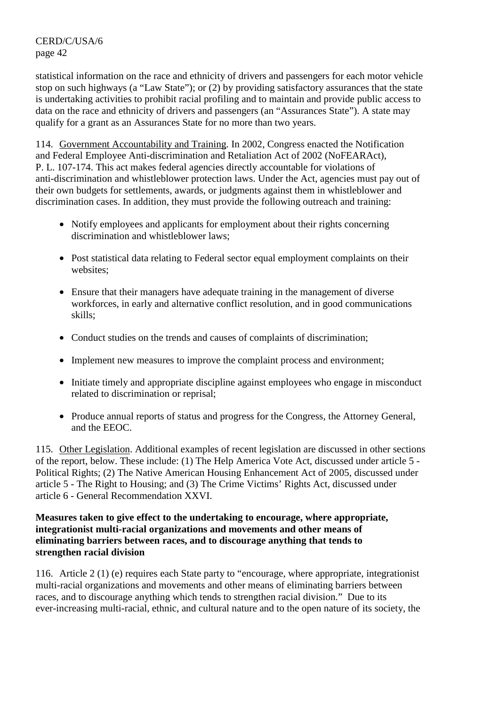statistical information on the race and ethnicity of drivers and passengers for each motor vehicle stop on such highways (a "Law State"); or (2) by providing satisfactory assurances that the state is undertaking activities to prohibit racial profiling and to maintain and provide public access to data on the race and ethnicity of drivers and passengers (an "Assurances State"). A state may qualify for a grant as an Assurances State for no more than two years.

114. Government Accountability and Training. In 2002, Congress enacted the Notification and Federal Employee Anti-discrimination and Retaliation Act of 2002 (NoFEARAct), P. L. 107-174. This act makes federal agencies directly accountable for violations of anti-discrimination and whistleblower protection laws. Under the Act, agencies must pay out of their own budgets for settlements, awards, or judgments against them in whistleblower and discrimination cases. In addition, they must provide the following outreach and training:

- Notify employees and applicants for employment about their rights concerning discrimination and whistleblower laws;
- Post statistical data relating to Federal sector equal employment complaints on their websites;
- Ensure that their managers have adequate training in the management of diverse workforces, in early and alternative conflict resolution, and in good communications skills;
- Conduct studies on the trends and causes of complaints of discrimination;
- Implement new measures to improve the complaint process and environment;
- Initiate timely and appropriate discipline against employees who engage in misconduct related to discrimination or reprisal;
- Produce annual reports of status and progress for the Congress, the Attorney General, and the EEOC.

115. Other Legislation. Additional examples of recent legislation are discussed in other sections of the report, below. These include: (1) The Help America Vote Act, discussed under article 5 - Political Rights; (2) The Native American Housing Enhancement Act of 2005, discussed under article 5 - The Right to Housing; and (3) The Crime Victims' Rights Act, discussed under article 6 - General Recommendation XXVI.

### **Measures taken to give effect to the undertaking to encourage, where appropriate, integrationist multi-racial organizations and movements and other means of eliminating barriers between races, and to discourage anything that tends to strengthen racial division**

116. Article 2 (1) (e) requires each State party to "encourage, where appropriate, integrationist multi-racial organizations and movements and other means of eliminating barriers between races, and to discourage anything which tends to strengthen racial division." Due to its ever-increasing multi-racial, ethnic, and cultural nature and to the open nature of its society, the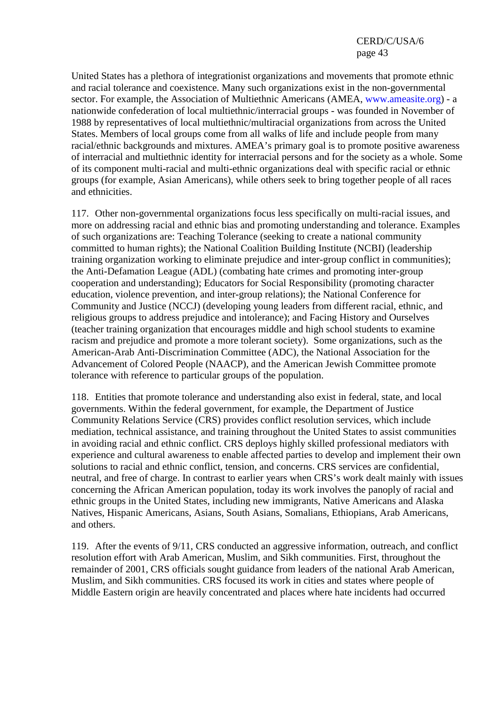United States has a plethora of integrationist organizations and movements that promote ethnic and racial tolerance and coexistence. Many such organizations exist in the non-governmental sector. For example, the Association of Multiethnic Americans (AMEA, www.ameasite.org) - a nationwide confederation of local multiethnic/interracial groups - was founded in November of 1988 by representatives of local multiethnic/multiracial organizations from across the United States. Members of local groups come from all walks of life and include people from many racial/ethnic backgrounds and mixtures. AMEA's primary goal is to promote positive awareness of interracial and multiethnic identity for interracial persons and for the society as a whole. Some of its component multi-racial and multi-ethnic organizations deal with specific racial or ethnic groups (for example, Asian Americans), while others seek to bring together people of all races and ethnicities.

117. Other non-governmental organizations focus less specifically on multi-racial issues, and more on addressing racial and ethnic bias and promoting understanding and tolerance. Examples of such organizations are: Teaching Tolerance (seeking to create a national community committed to human rights); the National Coalition Building Institute (NCBI) (leadership training organization working to eliminate prejudice and inter-group conflict in communities); the Anti-Defamation League (ADL) (combating hate crimes and promoting inter-group cooperation and understanding); Educators for Social Responsibility (promoting character education, violence prevention, and inter-group relations); the National Conference for Community and Justice (NCCJ) (developing young leaders from different racial, ethnic, and religious groups to address prejudice and intolerance); and Facing History and Ourselves (teacher training organization that encourages middle and high school students to examine racism and prejudice and promote a more tolerant society). Some organizations, such as the American-Arab Anti-Discrimination Committee (ADC), the National Association for the Advancement of Colored People (NAACP), and the American Jewish Committee promote tolerance with reference to particular groups of the population.

118. Entities that promote tolerance and understanding also exist in federal, state, and local governments. Within the federal government, for example, the Department of Justice Community Relations Service (CRS) provides conflict resolution services, which include mediation, technical assistance, and training throughout the United States to assist communities in avoiding racial and ethnic conflict. CRS deploys highly skilled professional mediators with experience and cultural awareness to enable affected parties to develop and implement their own solutions to racial and ethnic conflict, tension, and concerns. CRS services are confidential, neutral, and free of charge. In contrast to earlier years when CRS's work dealt mainly with issues concerning the African American population, today its work involves the panoply of racial and ethnic groups in the United States, including new immigrants, Native Americans and Alaska Natives, Hispanic Americans, Asians, South Asians, Somalians, Ethiopians, Arab Americans, and others.

119. After the events of 9/11, CRS conducted an aggressive information, outreach, and conflict resolution effort with Arab American, Muslim, and Sikh communities. First, throughout the remainder of 2001, CRS officials sought guidance from leaders of the national Arab American, Muslim, and Sikh communities. CRS focused its work in cities and states where people of Middle Eastern origin are heavily concentrated and places where hate incidents had occurred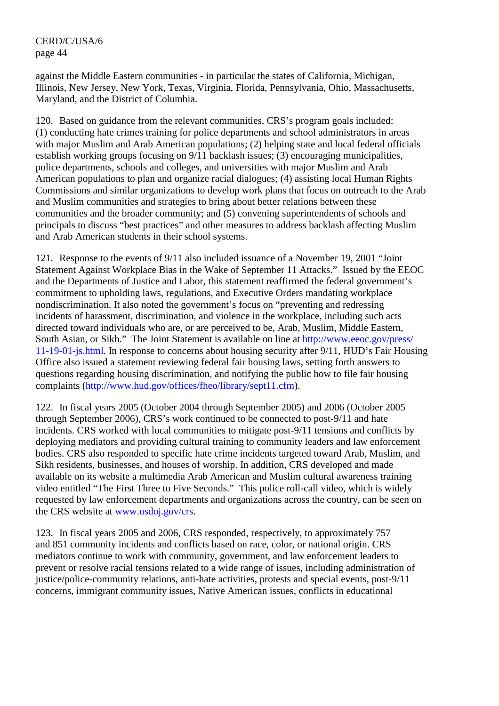against the Middle Eastern communities - in particular the states of California, Michigan, Illinois, New Jersey, New York, Texas, Virginia, Florida, Pennsylvania, Ohio, Massachusetts, Maryland, and the District of Columbia.

120. Based on guidance from the relevant communities, CRS's program goals included: (1) conducting hate crimes training for police departments and school administrators in areas with major Muslim and Arab American populations; (2) helping state and local federal officials establish working groups focusing on 9/11 backlash issues; (3) encouraging municipalities, police departments, schools and colleges, and universities with major Muslim and Arab American populations to plan and organize racial dialogues; (4) assisting local Human Rights Commissions and similar organizations to develop work plans that focus on outreach to the Arab and Muslim communities and strategies to bring about better relations between these communities and the broader community; and (5) convening superintendents of schools and principals to discuss "best practices" and other measures to address backlash affecting Muslim and Arab American students in their school systems.

121. Response to the events of 9/11 also included issuance of a November 19, 2001 "Joint Statement Against Workplace Bias in the Wake of September 11 Attacks." Issued by the EEOC and the Departments of Justice and Labor, this statement reaffirmed the federal government's commitment to upholding laws, regulations, and Executive Orders mandating workplace nondiscrimination. It also noted the government's focus on "preventing and redressing incidents of harassment, discrimination, and violence in the workplace, including such acts directed toward individuals who are, or are perceived to be, Arab, Muslim, Middle Eastern, South Asian, or Sikh." The Joint Statement is available on line at http://www.eeoc.gov/press/ 11-19-01-js.html. In response to concerns about housing security after 9/11, HUD's Fair Housing Office also issued a statement reviewing federal fair housing laws, setting forth answers to questions regarding housing discrimination, and notifying the public how to file fair housing complaints (http://www.hud.gov/offices/fheo/library/sept11.cfm).

122. In fiscal years 2005 (October 2004 through September 2005) and 2006 (October 2005 through September 2006), CRS's work continued to be connected to post-9/11 and hate incidents. CRS worked with local communities to mitigate post-9/11 tensions and conflicts by deploying mediators and providing cultural training to community leaders and law enforcement bodies. CRS also responded to specific hate crime incidents targeted toward Arab, Muslim, and Sikh residents, businesses, and houses of worship. In addition, CRS developed and made available on its website a multimedia Arab American and Muslim cultural awareness training video entitled "The First Three to Five Seconds." This police roll-call video, which is widely requested by law enforcement departments and organizations across the country, can be seen on the CRS website at www.usdoj.gov/crs.

123. In fiscal years 2005 and 2006, CRS responded, respectively, to approximately 757 and 851 community incidents and conflicts based on race, color, or national origin. CRS mediators continue to work with community, government, and law enforcement leaders to prevent or resolve racial tensions related to a wide range of issues, including administration of justice/police-community relations, anti-hate activities, protests and special events, post-9/11 concerns, immigrant community issues, Native American issues, conflicts in educational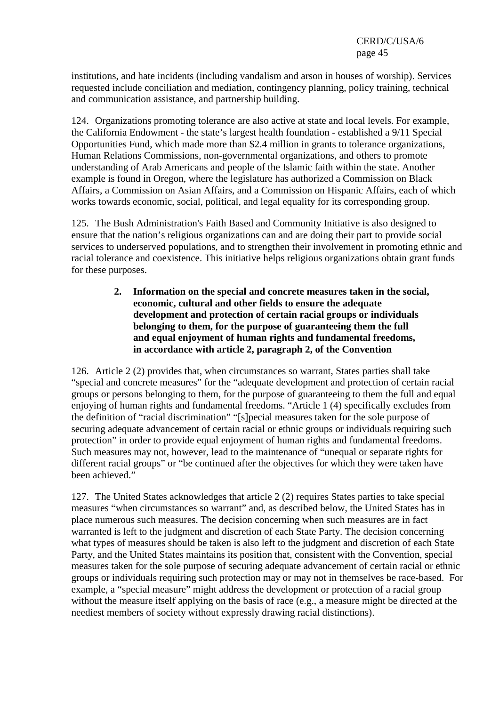institutions, and hate incidents (including vandalism and arson in houses of worship). Services requested include conciliation and mediation, contingency planning, policy training, technical and communication assistance, and partnership building.

124. Organizations promoting tolerance are also active at state and local levels. For example, the California Endowment - the state's largest health foundation - established a 9/11 Special Opportunities Fund, which made more than \$2.4 million in grants to tolerance organizations, Human Relations Commissions, non-governmental organizations, and others to promote understanding of Arab Americans and people of the Islamic faith within the state. Another example is found in Oregon, where the legislature has authorized a Commission on Black Affairs, a Commission on Asian Affairs, and a Commission on Hispanic Affairs, each of which works towards economic, social, political, and legal equality for its corresponding group.

125. The Bush Administration's Faith Based and Community Initiative is also designed to ensure that the nation's religious organizations can and are doing their part to provide social services to underserved populations, and to strengthen their involvement in promoting ethnic and racial tolerance and coexistence. This initiative helps religious organizations obtain grant funds for these purposes.

> **2. Information on the special and concrete measures taken in the social, economic, cultural and other fields to ensure the adequate development and protection of certain racial groups or individuals belonging to them, for the purpose of guaranteeing them the full and equal enjoyment of human rights and fundamental freedoms, in accordance with article 2, paragraph 2, of the Convention**

126. Article 2 (2) provides that, when circumstances so warrant, States parties shall take "special and concrete measures" for the "adequate development and protection of certain racial groups or persons belonging to them, for the purpose of guaranteeing to them the full and equal enjoying of human rights and fundamental freedoms. "Article 1 (4) specifically excludes from the definition of "racial discrimination" "[s]pecial measures taken for the sole purpose of securing adequate advancement of certain racial or ethnic groups or individuals requiring such protection" in order to provide equal enjoyment of human rights and fundamental freedoms. Such measures may not, however, lead to the maintenance of "unequal or separate rights for different racial groups" or "be continued after the objectives for which they were taken have been achieved."

127. The United States acknowledges that article 2 (2) requires States parties to take special measures "when circumstances so warrant" and, as described below, the United States has in place numerous such measures. The decision concerning when such measures are in fact warranted is left to the judgment and discretion of each State Party. The decision concerning what types of measures should be taken is also left to the judgment and discretion of each State Party, and the United States maintains its position that, consistent with the Convention, special measures taken for the sole purpose of securing adequate advancement of certain racial or ethnic groups or individuals requiring such protection may or may not in themselves be race-based. For example, a "special measure" might address the development or protection of a racial group without the measure itself applying on the basis of race (e.g., a measure might be directed at the neediest members of society without expressly drawing racial distinctions).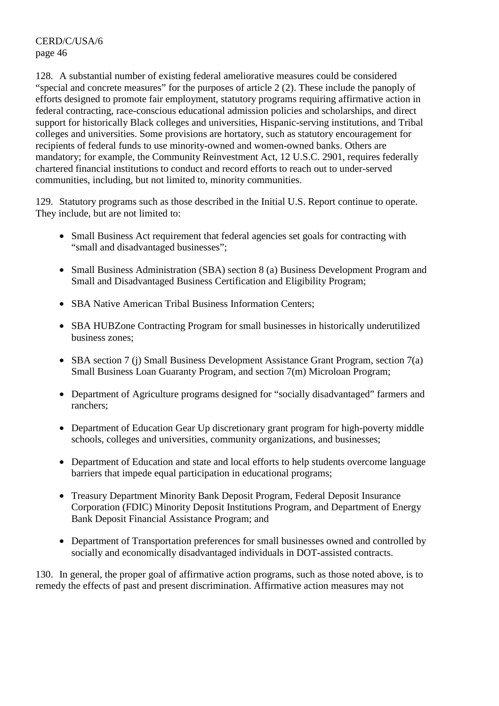128. A substantial number of existing federal ameliorative measures could be considered "special and concrete measures" for the purposes of article 2 (2). These include the panoply of efforts designed to promote fair employment, statutory programs requiring affirmative action in federal contracting, race-conscious educational admission policies and scholarships, and direct support for historically Black colleges and universities, Hispanic-serving institutions, and Tribal colleges and universities. Some provisions are hortatory, such as statutory encouragement for recipients of federal funds to use minority-owned and women-owned banks. Others are mandatory; for example, the Community Reinvestment Act, 12 U.S.C. 2901, requires federally chartered financial institutions to conduct and record efforts to reach out to under-served communities, including, but not limited to, minority communities.

129. Statutory programs such as those described in the Initial U.S. Report continue to operate. They include, but are not limited to:

- Small Business Act requirement that federal agencies set goals for contracting with "small and disadvantaged businesses";
- Small Business Administration (SBA) section 8 (a) Business Development Program and Small and Disadvantaged Business Certification and Eligibility Program;
- SBA Native American Tribal Business Information Centers:
- SBA HUBZone Contracting Program for small businesses in historically underutilized business zones;
- SBA section 7 (j) Small Business Development Assistance Grant Program, section 7(a) Small Business Loan Guaranty Program, and section 7(m) Microloan Program;
- Department of Agriculture programs designed for "socially disadvantaged" farmers and ranchers;
- Department of Education Gear Up discretionary grant program for high-poverty middle schools, colleges and universities, community organizations, and businesses;
- Department of Education and state and local efforts to help students overcome language barriers that impede equal participation in educational programs;
- Treasury Department Minority Bank Deposit Program, Federal Deposit Insurance Corporation (FDIC) Minority Deposit Institutions Program, and Department of Energy Bank Deposit Financial Assistance Program; and
- Department of Transportation preferences for small businesses owned and controlled by socially and economically disadvantaged individuals in DOT-assisted contracts.

130. In general, the proper goal of affirmative action programs, such as those noted above, is to remedy the effects of past and present discrimination. Affirmative action measures may not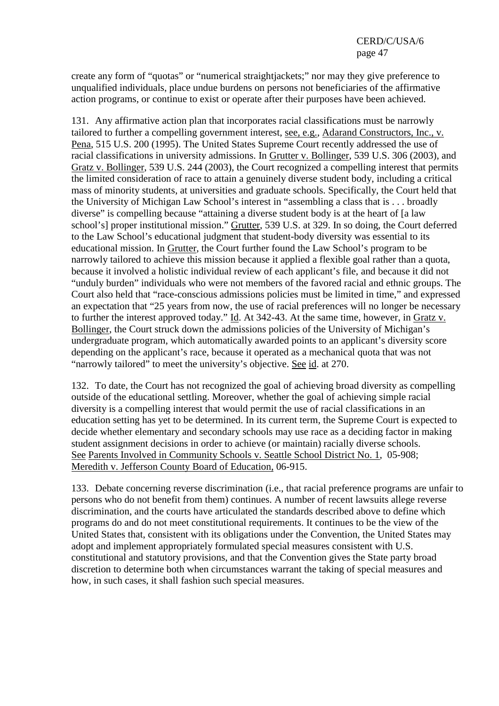create any form of "quotas" or "numerical straightjackets;" nor may they give preference to unqualified individuals, place undue burdens on persons not beneficiaries of the affirmative action programs, or continue to exist or operate after their purposes have been achieved.

131. Any affirmative action plan that incorporates racial classifications must be narrowly tailored to further a compelling government interest, see, e.g., Adarand Constructors, Inc., v. Pena, 515 U.S. 200 (1995). The United States Supreme Court recently addressed the use of racial classifications in university admissions. In Grutter v. Bollinger, 539 U.S. 306 (2003), and Gratz v. Bollinger, 539 U.S. 244 (2003), the Court recognized a compelling interest that permits the limited consideration of race to attain a genuinely diverse student body, including a critical mass of minority students, at universities and graduate schools. Specifically, the Court held that the University of Michigan Law School's interest in "assembling a class that is . . . broadly diverse" is compelling because "attaining a diverse student body is at the heart of [a law school's] proper institutional mission." Grutter, 539 U.S. at 329. In so doing, the Court deferred to the Law School's educational judgment that student-body diversity was essential to its educational mission. In Grutter, the Court further found the Law School's program to be narrowly tailored to achieve this mission because it applied a flexible goal rather than a quota, because it involved a holistic individual review of each applicant's file, and because it did not "unduly burden" individuals who were not members of the favored racial and ethnic groups. The Court also held that "race-conscious admissions policies must be limited in time," and expressed an expectation that "25 years from now, the use of racial preferences will no longer be necessary to further the interest approved today." Id. At 342-43. At the same time, however, in Gratz v. Bollinger, the Court struck down the admissions policies of the University of Michigan's undergraduate program, which automatically awarded points to an applicant's diversity score depending on the applicant's race, because it operated as a mechanical quota that was not "narrowly tailored" to meet the university's objective. See id. at 270.

132. To date, the Court has not recognized the goal of achieving broad diversity as compelling outside of the educational settling. Moreover, whether the goal of achieving simple racial diversity is a compelling interest that would permit the use of racial classifications in an education setting has yet to be determined. In its current term, the Supreme Court is expected to decide whether elementary and secondary schools may use race as a deciding factor in making student assignment decisions in order to achieve (or maintain) racially diverse schools. See Parents Involved in Community Schools v. Seattle School District No. 1, 05-908; Meredith v. Jefferson County Board of Education, 06-915.

133. Debate concerning reverse discrimination (i.e., that racial preference programs are unfair to persons who do not benefit from them) continues. A number of recent lawsuits allege reverse discrimination, and the courts have articulated the standards described above to define which programs do and do not meet constitutional requirements. It continues to be the view of the United States that, consistent with its obligations under the Convention, the United States may adopt and implement appropriately formulated special measures consistent with U.S. constitutional and statutory provisions, and that the Convention gives the State party broad discretion to determine both when circumstances warrant the taking of special measures and how, in such cases, it shall fashion such special measures.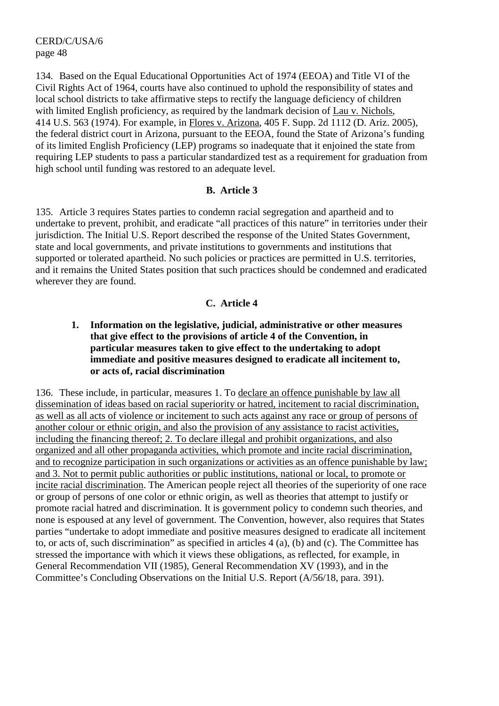134. Based on the Equal Educational Opportunities Act of 1974 (EEOA) and Title VI of the Civil Rights Act of 1964, courts have also continued to uphold the responsibility of states and local school districts to take affirmative steps to rectify the language deficiency of children with limited English proficiency, as required by the landmark decision of Lau v. Nichols, 414 U.S. 563 (1974). For example, in Flores v. Arizona, 405 F. Supp. 2d 1112 (D. Ariz. 2005), the federal district court in Arizona, pursuant to the EEOA, found the State of Arizona's funding of its limited English Proficiency (LEP) programs so inadequate that it enjoined the state from requiring LEP students to pass a particular standardized test as a requirement for graduation from high school until funding was restored to an adequate level.

## **B. Article 3**

135. Article 3 requires States parties to condemn racial segregation and apartheid and to undertake to prevent, prohibit, and eradicate "all practices of this nature" in territories under their jurisdiction. The Initial U.S. Report described the response of the United States Government, state and local governments, and private institutions to governments and institutions that supported or tolerated apartheid. No such policies or practices are permitted in U.S. territories, and it remains the United States position that such practices should be condemned and eradicated wherever they are found.

# **C. Article 4**

## **1. Information on the legislative, judicial, administrative or other measures that give effect to the provisions of article 4 of the Convention, in particular measures taken to give effect to the undertaking to adopt immediate and positive measures designed to eradicate all incitement to, or acts of, racial discrimination**

136. These include, in particular, measures 1. To declare an offence punishable by law all dissemination of ideas based on racial superiority or hatred, incitement to racial discrimination, as well as all acts of violence or incitement to such acts against any race or group of persons of another colour or ethnic origin, and also the provision of any assistance to racist activities, including the financing thereof; 2. To declare illegal and prohibit organizations, and also organized and all other propaganda activities, which promote and incite racial discrimination, and to recognize participation in such organizations or activities as an offence punishable by law; and 3. Not to permit public authorities or public institutions, national or local, to promote or incite racial discrimination. The American people reject all theories of the superiority of one race or group of persons of one color or ethnic origin, as well as theories that attempt to justify or promote racial hatred and discrimination. It is government policy to condemn such theories, and none is espoused at any level of government. The Convention, however, also requires that States parties "undertake to adopt immediate and positive measures designed to eradicate all incitement to, or acts of, such discrimination" as specified in articles 4 (a), (b) and (c). The Committee has stressed the importance with which it views these obligations, as reflected, for example, in General Recommendation VII (1985), General Recommendation XV (1993), and in the Committee's Concluding Observations on the Initial U.S. Report (A/56/18, para. 391).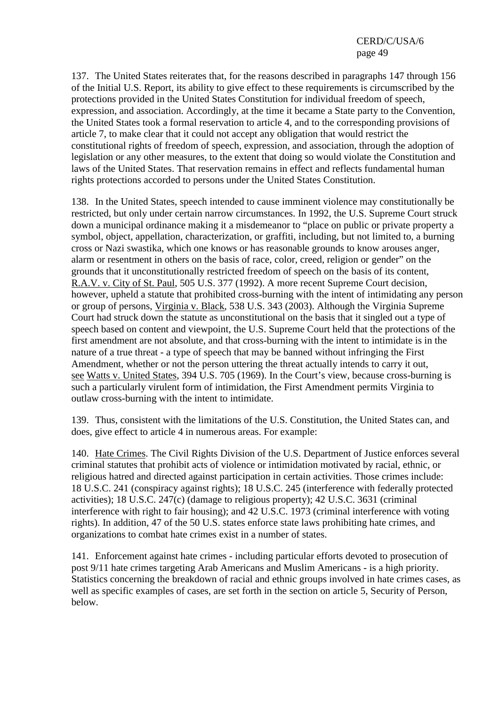137. The United States reiterates that, for the reasons described in paragraphs 147 through 156 of the Initial U.S. Report, its ability to give effect to these requirements is circumscribed by the protections provided in the United States Constitution for individual freedom of speech, expression, and association. Accordingly, at the time it became a State party to the Convention, the United States took a formal reservation to article 4, and to the corresponding provisions of article 7, to make clear that it could not accept any obligation that would restrict the constitutional rights of freedom of speech, expression, and association, through the adoption of legislation or any other measures, to the extent that doing so would violate the Constitution and laws of the United States. That reservation remains in effect and reflects fundamental human rights protections accorded to persons under the United States Constitution.

138. In the United States, speech intended to cause imminent violence may constitutionally be restricted, but only under certain narrow circumstances. In 1992, the U.S. Supreme Court struck down a municipal ordinance making it a misdemeanor to "place on public or private property a symbol, object, appellation, characterization, or graffiti, including, but not limited to, a burning cross or Nazi swastika, which one knows or has reasonable grounds to know arouses anger, alarm or resentment in others on the basis of race, color, creed, religion or gender" on the grounds that it unconstitutionally restricted freedom of speech on the basis of its content, R.A.V. v. City of St. Paul, 505 U.S. 377 (1992). A more recent Supreme Court decision, however, upheld a statute that prohibited cross-burning with the intent of intimidating any person or group of persons, Virginia v. Black, 538 U.S. 343 (2003). Although the Virginia Supreme Court had struck down the statute as unconstitutional on the basis that it singled out a type of speech based on content and viewpoint, the U.S. Supreme Court held that the protections of the first amendment are not absolute, and that cross-burning with the intent to intimidate is in the nature of a true threat - a type of speech that may be banned without infringing the First Amendment, whether or not the person uttering the threat actually intends to carry it out, see Watts v. United States, 394 U.S. 705 (1969). In the Court's view, because cross-burning is such a particularly virulent form of intimidation, the First Amendment permits Virginia to outlaw cross-burning with the intent to intimidate.

139. Thus, consistent with the limitations of the U.S. Constitution, the United States can, and does, give effect to article 4 in numerous areas. For example:

140. Hate Crimes. The Civil Rights Division of the U.S. Department of Justice enforces several criminal statutes that prohibit acts of violence or intimidation motivated by racial, ethnic, or religious hatred and directed against participation in certain activities. Those crimes include: 18 U.S.C. 241 (conspiracy against rights); 18 U.S.C. 245 (interference with federally protected activities); 18 U.S.C. 247(c) (damage to religious property); 42 U.S.C. 3631 (criminal interference with right to fair housing); and 42 U.S.C. 1973 (criminal interference with voting rights). In addition, 47 of the 50 U.S. states enforce state laws prohibiting hate crimes, and organizations to combat hate crimes exist in a number of states.

141. Enforcement against hate crimes - including particular efforts devoted to prosecution of post 9/11 hate crimes targeting Arab Americans and Muslim Americans - is a high priority. Statistics concerning the breakdown of racial and ethnic groups involved in hate crimes cases, as well as specific examples of cases, are set forth in the section on article 5, Security of Person, below.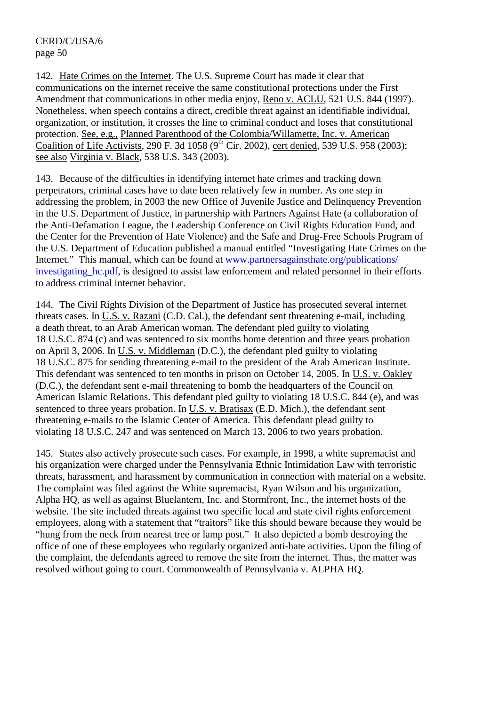142. Hate Crimes on the Internet. The U.S. Supreme Court has made it clear that communications on the internet receive the same constitutional protections under the First Amendment that communications in other media enjoy, Reno v. ACLU, 521 U.S. 844 (1997). Nonetheless, when speech contains a direct, credible threat against an identifiable individual, organization, or institution, it crosses the line to criminal conduct and loses that constitutional protection. See, e.g., Planned Parenthood of the Colombia/Willamette, Inc. v. American Coalition of Life Activists, 290 F. 3d 1058 (9<sup>th</sup> Cir. 2002), cert denied, 539 U.S. 958 (2003); see also Virginia v. Black, 538 U.S. 343 (2003).

143. Because of the difficulties in identifying internet hate crimes and tracking down perpetrators, criminal cases have to date been relatively few in number. As one step in addressing the problem, in 2003 the new Office of Juvenile Justice and Delinquency Prevention in the U.S. Department of Justice, in partnership with Partners Against Hate (a collaboration of the Anti-Defamation League, the Leadership Conference on Civil Rights Education Fund, and the Center for the Prevention of Hate Violence) and the Safe and Drug-Free Schools Program of the U.S. Department of Education published a manual entitled "Investigating Hate Crimes on the Internet." This manual, which can be found at www.partnersagainsthate.org/publications/ investigating hc.pdf, is designed to assist law enforcement and related personnel in their efforts to address criminal internet behavior.

144. The Civil Rights Division of the Department of Justice has prosecuted several internet threats cases. In U.S. v. Razani (C.D. Cal.), the defendant sent threatening e-mail, including a death threat, to an Arab American woman. The defendant pled guilty to violating 18 U.S.C. 874 (c) and was sentenced to six months home detention and three years probation on April 3, 2006. In U.S. v. Middleman (D.C.), the defendant pled guilty to violating 18 U.S.C. 875 for sending threatening e-mail to the president of the Arab American Institute. This defendant was sentenced to ten months in prison on October 14, 2005. In U.S. v. Oakley (D.C.), the defendant sent e-mail threatening to bomb the headquarters of the Council on American Islamic Relations. This defendant pled guilty to violating 18 U.S.C. 844 (e), and was sentenced to three years probation. In U.S. v. Bratisax (E.D. Mich.), the defendant sent threatening e-mails to the Islamic Center of America. This defendant plead guilty to violating 18 U.S.C. 247 and was sentenced on March 13, 2006 to two years probation.

145. States also actively prosecute such cases. For example, in 1998, a white supremacist and his organization were charged under the Pennsylvania Ethnic Intimidation Law with terroristic threats, harassment, and harassment by communication in connection with material on a website. The complaint was filed against the White supremacist, Ryan Wilson and his organization, Alpha HQ, as well as against Bluelantern, Inc. and Stormfront, Inc., the internet hosts of the website. The site included threats against two specific local and state civil rights enforcement employees, along with a statement that "traitors" like this should beware because they would be "hung from the neck from nearest tree or lamp post." It also depicted a bomb destroying the office of one of these employees who regularly organized anti-hate activities. Upon the filing of the complaint, the defendants agreed to remove the site from the internet. Thus, the matter was resolved without going to court. Commonwealth of Pennsylvania v. ALPHA HQ.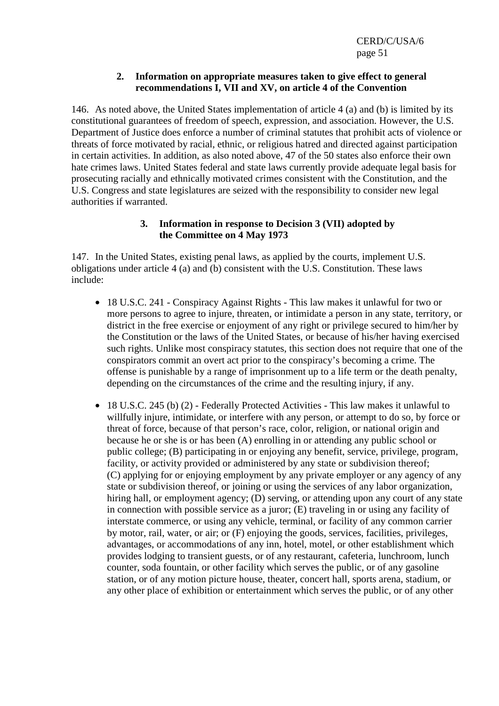#### **2. Information on appropriate measures taken to give effect to general recommendations I, VII and XV, on article 4 of the Convention**

146. As noted above, the United States implementation of article 4 (a) and (b) is limited by its constitutional guarantees of freedom of speech, expression, and association. However, the U.S. Department of Justice does enforce a number of criminal statutes that prohibit acts of violence or threats of force motivated by racial, ethnic, or religious hatred and directed against participation in certain activities. In addition, as also noted above, 47 of the 50 states also enforce their own hate crimes laws. United States federal and state laws currently provide adequate legal basis for prosecuting racially and ethnically motivated crimes consistent with the Constitution, and the U.S. Congress and state legislatures are seized with the responsibility to consider new legal authorities if warranted.

### **3. Information in response to Decision 3 (VII) adopted by the Committee on 4 May 1973**

147. In the United States, existing penal laws, as applied by the courts, implement U.S. obligations under article 4 (a) and (b) consistent with the U.S. Constitution. These laws include:

- 18 U.S.C. 241 Conspiracy Against Rights This law makes it unlawful for two or more persons to agree to injure, threaten, or intimidate a person in any state, territory, or district in the free exercise or enjoyment of any right or privilege secured to him/her by the Constitution or the laws of the United States, or because of his/her having exercised such rights. Unlike most conspiracy statutes, this section does not require that one of the conspirators commit an overt act prior to the conspiracy's becoming a crime. The offense is punishable by a range of imprisonment up to a life term or the death penalty, depending on the circumstances of the crime and the resulting injury, if any.
- 18 U.S.C. 245 (b) (2) Federally Protected Activities This law makes it unlawful to willfully injure, intimidate, or interfere with any person, or attempt to do so, by force or threat of force, because of that person's race, color, religion, or national origin and because he or she is or has been (A) enrolling in or attending any public school or public college; (B) participating in or enjoying any benefit, service, privilege, program, facility, or activity provided or administered by any state or subdivision thereof; (C) applying for or enjoying employment by any private employer or any agency of any state or subdivision thereof, or joining or using the services of any labor organization, hiring hall, or employment agency; (D) serving, or attending upon any court of any state in connection with possible service as a juror; (E) traveling in or using any facility of interstate commerce, or using any vehicle, terminal, or facility of any common carrier by motor, rail, water, or air; or (F) enjoying the goods, services, facilities, privileges, advantages, or accommodations of any inn, hotel, motel, or other establishment which provides lodging to transient guests, or of any restaurant, cafeteria, lunchroom, lunch counter, soda fountain, or other facility which serves the public, or of any gasoline station, or of any motion picture house, theater, concert hall, sports arena, stadium, or any other place of exhibition or entertainment which serves the public, or of any other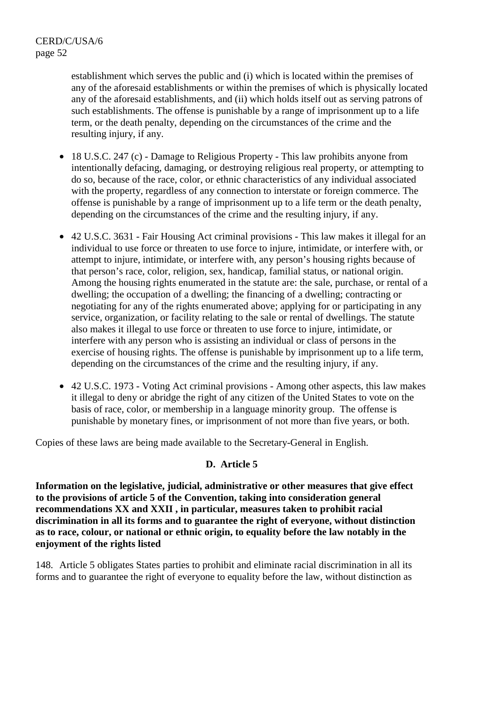establishment which serves the public and (i) which is located within the premises of any of the aforesaid establishments or within the premises of which is physically located any of the aforesaid establishments, and (ii) which holds itself out as serving patrons of such establishments. The offense is punishable by a range of imprisonment up to a life term, or the death penalty, depending on the circumstances of the crime and the resulting injury, if any.

- 18 U.S.C. 247 (c) Damage to Religious Property This law prohibits anyone from intentionally defacing, damaging, or destroying religious real property, or attempting to do so, because of the race, color, or ethnic characteristics of any individual associated with the property, regardless of any connection to interstate or foreign commerce. The offense is punishable by a range of imprisonment up to a life term or the death penalty, depending on the circumstances of the crime and the resulting injury, if any.
- 42 U.S.C. 3631 Fair Housing Act criminal provisions This law makes it illegal for an individual to use force or threaten to use force to injure, intimidate, or interfere with, or attempt to injure, intimidate, or interfere with, any person's housing rights because of that person's race, color, religion, sex, handicap, familial status, or national origin. Among the housing rights enumerated in the statute are: the sale, purchase, or rental of a dwelling; the occupation of a dwelling; the financing of a dwelling; contracting or negotiating for any of the rights enumerated above; applying for or participating in any service, organization, or facility relating to the sale or rental of dwellings. The statute also makes it illegal to use force or threaten to use force to injure, intimidate, or interfere with any person who is assisting an individual or class of persons in the exercise of housing rights. The offense is punishable by imprisonment up to a life term, depending on the circumstances of the crime and the resulting injury, if any.
- 42 U.S.C. 1973 Voting Act criminal provisions Among other aspects, this law makes it illegal to deny or abridge the right of any citizen of the United States to vote on the basis of race, color, or membership in a language minority group. The offense is punishable by monetary fines, or imprisonment of not more than five years, or both.

Copies of these laws are being made available to the Secretary-General in English.

## **D. Article 5**

**Information on the legislative, judicial, administrative or other measures that give effect to the provisions of article 5 of the Convention, taking into consideration general recommendations XX and XXII , in particular, measures taken to prohibit racial discrimination in all its forms and to guarantee the right of everyone, without distinction as to race, colour, or national or ethnic origin, to equality before the law notably in the enjoyment of the rights listed** 

148. Article 5 obligates States parties to prohibit and eliminate racial discrimination in all its forms and to guarantee the right of everyone to equality before the law, without distinction as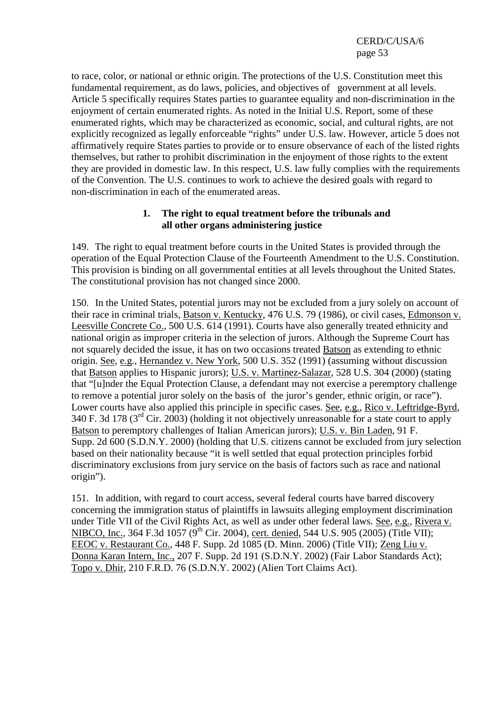to race, color, or national or ethnic origin. The protections of the U.S. Constitution meet this fundamental requirement, as do laws, policies, and objectives of government at all levels. Article 5 specifically requires States parties to guarantee equality and non-discrimination in the enjoyment of certain enumerated rights. As noted in the Initial U.S. Report, some of these enumerated rights, which may be characterized as economic, social, and cultural rights, are not explicitly recognized as legally enforceable "rights" under U.S. law. However, article 5 does not affirmatively require States parties to provide or to ensure observance of each of the listed rights themselves, but rather to prohibit discrimination in the enjoyment of those rights to the extent they are provided in domestic law. In this respect, U.S. law fully complies with the requirements of the Convention. The U.S. continues to work to achieve the desired goals with regard to non-discrimination in each of the enumerated areas.

### **1. The right to equal treatment before the tribunals and all other organs administering justice**

149. The right to equal treatment before courts in the United States is provided through the operation of the Equal Protection Clause of the Fourteenth Amendment to the U.S. Constitution. This provision is binding on all governmental entities at all levels throughout the United States. The constitutional provision has not changed since 2000.

150. In the United States, potential jurors may not be excluded from a jury solely on account of their race in criminal trials, Batson v. Kentucky, 476 U.S. 79 (1986), or civil cases, Edmonson v. Leesville Concrete Co., 500 U.S. 614 (1991). Courts have also generally treated ethnicity and national origin as improper criteria in the selection of jurors. Although the Supreme Court has not squarely decided the issue, it has on two occasions treated Batson as extending to ethnic origin. See, e.g., Hernandez v. New York, 500 U.S. 352 (1991) (assuming without discussion that Batson applies to Hispanic jurors); U.S. v. Martinez-Salazar, 528 U.S. 304 (2000) (stating that "[u]nder the Equal Protection Clause, a defendant may not exercise a peremptory challenge to remove a potential juror solely on the basis of the juror's gender, ethnic origin, or race"). Lower courts have also applied this principle in specific cases. See, e.g., Rico v. Leftridge-Byrd, 340 F. 3d 178 (3rd Cir. 2003) (holding it not objectively unreasonable for a state court to apply Batson to peremptory challenges of Italian American jurors); U.S. v. Bin Laden, 91 F. Supp. 2d 600 (S.D.N.Y. 2000) (holding that U.S. citizens cannot be excluded from jury selection based on their nationality because "it is well settled that equal protection principles forbid discriminatory exclusions from jury service on the basis of factors such as race and national origin").

151. In addition, with regard to court access, several federal courts have barred discovery concerning the immigration status of plaintiffs in lawsuits alleging employment discrimination under Title VII of the Civil Rights Act, as well as under other federal laws. See, e.g., Rivera v. NIBCO, Inc., 364 F.3d 1057 (9<sup>th</sup> Cir. 2004), cert. denied, 544 U.S. 905 (2005) (Title VII); EEOC v. Restaurant Co., 448 F. Supp. 2d 1085 (D. Minn. 2006) (Title VII); Zeng Liu v. Donna Karan Intern, Inc., 207 F. Supp. 2d 191 (S.D.N.Y. 2002) (Fair Labor Standards Act); Topo v. Dhir, 210 F.R.D. 76 (S.D.N.Y. 2002) (Alien Tort Claims Act).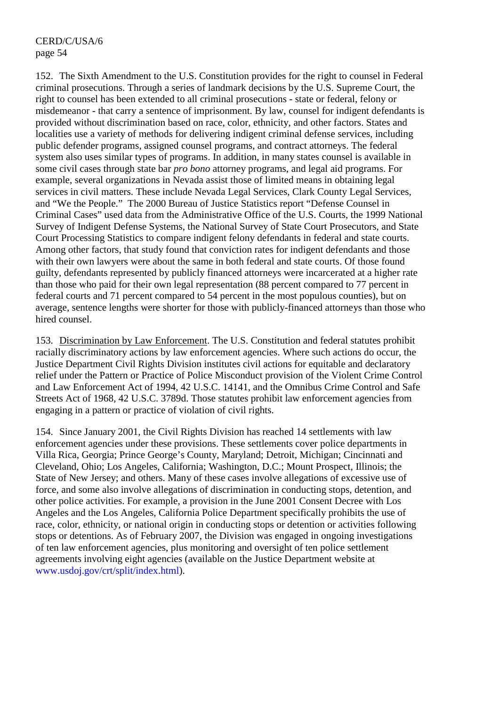152. The Sixth Amendment to the U.S. Constitution provides for the right to counsel in Federal criminal prosecutions. Through a series of landmark decisions by the U.S. Supreme Court, the right to counsel has been extended to all criminal prosecutions - state or federal, felony or misdemeanor - that carry a sentence of imprisonment. By law, counsel for indigent defendants is provided without discrimination based on race, color, ethnicity, and other factors. States and localities use a variety of methods for delivering indigent criminal defense services, including public defender programs, assigned counsel programs, and contract attorneys. The federal system also uses similar types of programs. In addition, in many states counsel is available in some civil cases through state bar *pro bono* attorney programs, and legal aid programs. For example, several organizations in Nevada assist those of limited means in obtaining legal services in civil matters. These include Nevada Legal Services, Clark County Legal Services, and "We the People." The 2000 Bureau of Justice Statistics report "Defense Counsel in Criminal Cases" used data from the Administrative Office of the U.S. Courts, the 1999 National Survey of Indigent Defense Systems, the National Survey of State Court Prosecutors, and State Court Processing Statistics to compare indigent felony defendants in federal and state courts. Among other factors, that study found that conviction rates for indigent defendants and those with their own lawyers were about the same in both federal and state courts. Of those found guilty, defendants represented by publicly financed attorneys were incarcerated at a higher rate than those who paid for their own legal representation (88 percent compared to 77 percent in federal courts and 71 percent compared to 54 percent in the most populous counties), but on average, sentence lengths were shorter for those with publicly-financed attorneys than those who hired counsel.

153. Discrimination by Law Enforcement. The U.S. Constitution and federal statutes prohibit racially discriminatory actions by law enforcement agencies. Where such actions do occur, the Justice Department Civil Rights Division institutes civil actions for equitable and declaratory relief under the Pattern or Practice of Police Misconduct provision of the Violent Crime Control and Law Enforcement Act of 1994, 42 U.S.C. 14141, and the Omnibus Crime Control and Safe Streets Act of 1968, 42 U.S.C. 3789d. Those statutes prohibit law enforcement agencies from engaging in a pattern or practice of violation of civil rights.

154. Since January 2001, the Civil Rights Division has reached 14 settlements with law enforcement agencies under these provisions. These settlements cover police departments in Villa Rica, Georgia; Prince George's County, Maryland; Detroit, Michigan; Cincinnati and Cleveland, Ohio; Los Angeles, California; Washington, D.C.; Mount Prospect, Illinois; the State of New Jersey; and others. Many of these cases involve allegations of excessive use of force, and some also involve allegations of discrimination in conducting stops, detention, and other police activities. For example, a provision in the June 2001 Consent Decree with Los Angeles and the Los Angeles, California Police Department specifically prohibits the use of race, color, ethnicity, or national origin in conducting stops or detention or activities following stops or detentions. As of February 2007, the Division was engaged in ongoing investigations of ten law enforcement agencies, plus monitoring and oversight of ten police settlement agreements involving eight agencies (available on the Justice Department website at www.usdoj.gov/crt/split/index.html).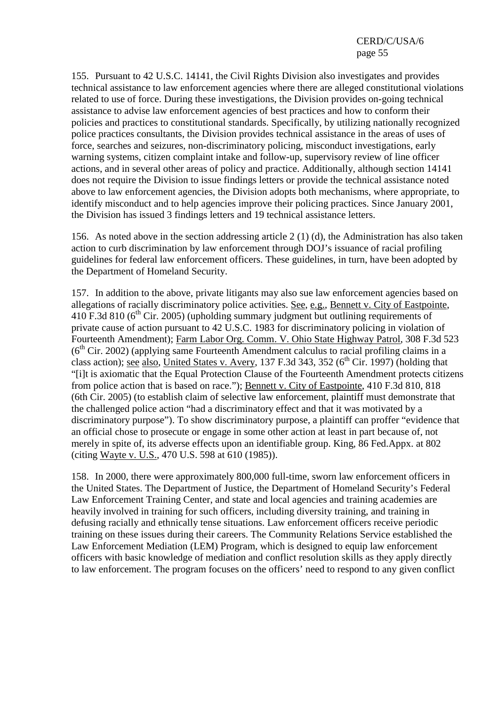155. Pursuant to 42 U.S.C. 14141, the Civil Rights Division also investigates and provides technical assistance to law enforcement agencies where there are alleged constitutional violations related to use of force. During these investigations, the Division provides on-going technical assistance to advise law enforcement agencies of best practices and how to conform their policies and practices to constitutional standards. Specifically, by utilizing nationally recognized police practices consultants, the Division provides technical assistance in the areas of uses of force, searches and seizures, non-discriminatory policing, misconduct investigations, early warning systems, citizen complaint intake and follow-up, supervisory review of line officer actions, and in several other areas of policy and practice. Additionally, although section 14141 does not require the Division to issue findings letters or provide the technical assistance noted above to law enforcement agencies, the Division adopts both mechanisms, where appropriate, to identify misconduct and to help agencies improve their policing practices. Since January 2001, the Division has issued 3 findings letters and 19 technical assistance letters.

156. As noted above in the section addressing article 2 (1) (d), the Administration has also taken action to curb discrimination by law enforcement through DOJ's issuance of racial profiling guidelines for federal law enforcement officers. These guidelines, in turn, have been adopted by the Department of Homeland Security.

157. In addition to the above, private litigants may also sue law enforcement agencies based on allegations of racially discriminatory police activities. See, e.g., Bennett v. City of Eastpointe, 410 F.3d 810 ( $6<sup>th</sup>$  Cir. 2005) (upholding summary judgment but outlining requirements of private cause of action pursuant to 42 U.S.C. 1983 for discriminatory policing in violation of Fourteenth Amendment); Farm Labor Org. Comm. V. Ohio State Highway Patrol, 308 F.3d 523  $(6<sup>th</sup> Cir. 2002)$  (applying same Fourteenth Amendment calculus to racial profiling claims in a class action); see also, United States v. Avery, 137 F.3d 343, 352 ( $6<sup>th</sup> Cir.$  1997) (holding that "[i]t is axiomatic that the Equal Protection Clause of the Fourteenth Amendment protects citizens from police action that is based on race."); Bennett v. City of Eastpointe, 410 F.3d 810, 818 (6th Cir. 2005) (to establish claim of selective law enforcement, plaintiff must demonstrate that the challenged police action "had a discriminatory effect and that it was motivated by a discriminatory purpose"). To show discriminatory purpose, a plaintiff can proffer "evidence that an official chose to prosecute or engage in some other action at least in part because of, not merely in spite of, its adverse effects upon an identifiable group. King, 86 Fed.Appx. at 802 (citing Wayte v. U.S., 470 U.S. 598 at 610 (1985)).

158. In 2000, there were approximately 800,000 full-time, sworn law enforcement officers in the United States. The Department of Justice, the Department of Homeland Security's Federal Law Enforcement Training Center, and state and local agencies and training academies are heavily involved in training for such officers, including diversity training, and training in defusing racially and ethnically tense situations. Law enforcement officers receive periodic training on these issues during their careers. The Community Relations Service established the Law Enforcement Mediation (LEM) Program, which is designed to equip law enforcement officers with basic knowledge of mediation and conflict resolution skills as they apply directly to law enforcement. The program focuses on the officers' need to respond to any given conflict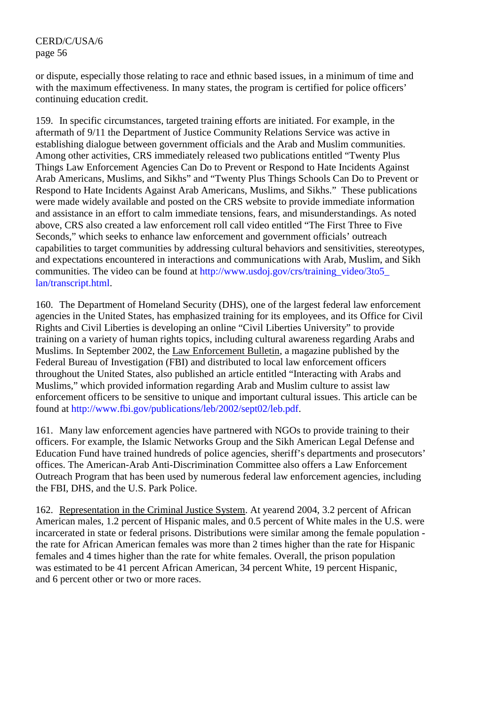or dispute, especially those relating to race and ethnic based issues, in a minimum of time and with the maximum effectiveness. In many states, the program is certified for police officers' continuing education credit.

159. In specific circumstances, targeted training efforts are initiated. For example, in the aftermath of 9/11 the Department of Justice Community Relations Service was active in establishing dialogue between government officials and the Arab and Muslim communities. Among other activities, CRS immediately released two publications entitled "Twenty Plus Things Law Enforcement Agencies Can Do to Prevent or Respond to Hate Incidents Against Arab Americans, Muslims, and Sikhs" and "Twenty Plus Things Schools Can Do to Prevent or Respond to Hate Incidents Against Arab Americans, Muslims, and Sikhs." These publications were made widely available and posted on the CRS website to provide immediate information and assistance in an effort to calm immediate tensions, fears, and misunderstandings. As noted above, CRS also created a law enforcement roll call video entitled "The First Three to Five Seconds," which seeks to enhance law enforcement and government officials' outreach capabilities to target communities by addressing cultural behaviors and sensitivities, stereotypes, and expectations encountered in interactions and communications with Arab, Muslim, and Sikh communities. The video can be found at http://www.usdoj.gov/crs/training\_video/3to5 lan/transcript.html.

160. The Department of Homeland Security (DHS), one of the largest federal law enforcement agencies in the United States, has emphasized training for its employees, and its Office for Civil Rights and Civil Liberties is developing an online "Civil Liberties University" to provide training on a variety of human rights topics, including cultural awareness regarding Arabs and Muslims. In September 2002, the Law Enforcement Bulletin, a magazine published by the Federal Bureau of Investigation (FBI) and distributed to local law enforcement officers throughout the United States, also published an article entitled "Interacting with Arabs and Muslims," which provided information regarding Arab and Muslim culture to assist law enforcement officers to be sensitive to unique and important cultural issues. This article can be found at http://www.fbi.gov/publications/leb/2002/sept02/leb.pdf.

161. Many law enforcement agencies have partnered with NGOs to provide training to their officers. For example, the Islamic Networks Group and the Sikh American Legal Defense and Education Fund have trained hundreds of police agencies, sheriff's departments and prosecutors' offices. The American-Arab Anti-Discrimination Committee also offers a Law Enforcement Outreach Program that has been used by numerous federal law enforcement agencies, including the FBI, DHS, and the U.S. Park Police.

162. Representation in the Criminal Justice System. At yearend 2004, 3.2 percent of African American males, 1.2 percent of Hispanic males, and 0.5 percent of White males in the U.S. were incarcerated in state or federal prisons. Distributions were similar among the female population the rate for African American females was more than 2 times higher than the rate for Hispanic females and 4 times higher than the rate for white females. Overall, the prison population was estimated to be 41 percent African American, 34 percent White, 19 percent Hispanic, and 6 percent other or two or more races.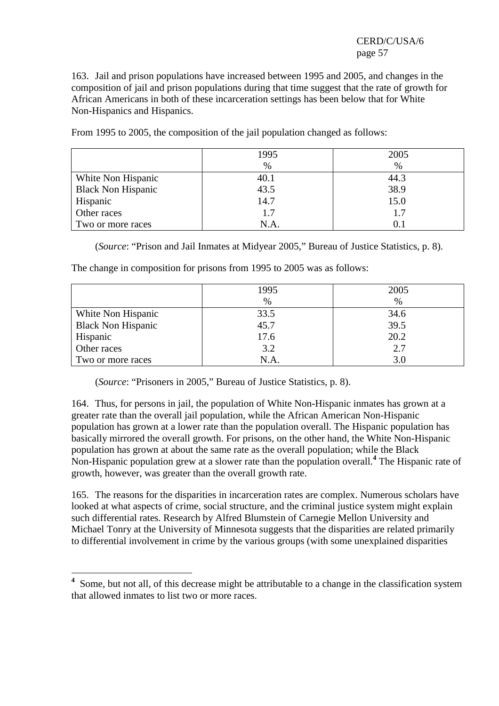163. Jail and prison populations have increased between 1995 and 2005, and changes in the composition of jail and prison populations during that time suggest that the rate of growth for African Americans in both of these incarceration settings has been below that for White Non-Hispanics and Hispanics.

From 1995 to 2005, the composition of the jail population changed as follows:

|                           | 1995 | 2005 |
|---------------------------|------|------|
|                           | $\%$ | $\%$ |
| White Non Hispanic        | 40.1 | 44.3 |
| <b>Black Non Hispanic</b> | 43.5 | 38.9 |
| Hispanic                  | 14.7 | 15.0 |
| Other races               | 1.7  | 1.7  |
| Two or more races         | N.A. | 0.1  |

(*Source*: "Prison and Jail Inmates at Midyear 2005," Bureau of Justice Statistics, p. 8).

The change in composition for prisons from 1995 to 2005 was as follows:

|                           | 1995 | 2005 |
|---------------------------|------|------|
|                           | $\%$ | $\%$ |
| White Non Hispanic        | 33.5 | 34.6 |
| <b>Black Non Hispanic</b> | 45.7 | 39.5 |
| Hispanic                  | 17.6 | 20.2 |
| Other races               | 3.2  | 2.7  |
| Two or more races         | N.A. | 3.0  |

(*Source*: "Prisoners in 2005," Bureau of Justice Statistics, p. 8).

164. Thus, for persons in jail, the population of White Non-Hispanic inmates has grown at a greater rate than the overall jail population, while the African American Non-Hispanic population has grown at a lower rate than the population overall. The Hispanic population has basically mirrored the overall growth. For prisons, on the other hand, the White Non-Hispanic population has grown at about the same rate as the overall population; while the Black Non-Hispanic population grew at a slower rate than the population overall.**<sup>4</sup>** The Hispanic rate of growth, however, was greater than the overall growth rate.

165. The reasons for the disparities in incarceration rates are complex. Numerous scholars have looked at what aspects of crime, social structure, and the criminal justice system might explain such differential rates. Research by Alfred Blumstein of Carnegie Mellon University and Michael Tonry at the University of Minnesota suggests that the disparities are related primarily to differential involvement in crime by the various groups (with some unexplained disparities

<sup>&</sup>lt;sup>4</sup> Some, but not all, of this decrease might be attributable to a change in the classification system that allowed inmates to list two or more races.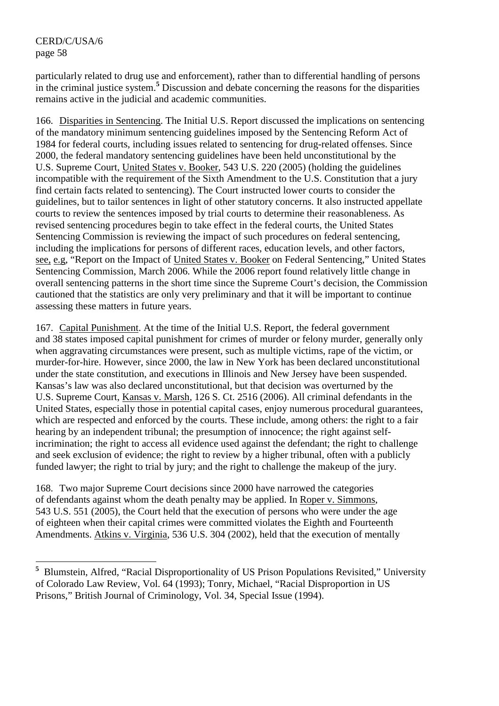particularly related to drug use and enforcement), rather than to differential handling of persons in the criminal justice system.**<sup>5</sup>** Discussion and debate concerning the reasons for the disparities remains active in the judicial and academic communities.

166. Disparities in Sentencing. The Initial U.S. Report discussed the implications on sentencing of the mandatory minimum sentencing guidelines imposed by the Sentencing Reform Act of 1984 for federal courts, including issues related to sentencing for drug-related offenses. Since 2000, the federal mandatory sentencing guidelines have been held unconstitutional by the U.S. Supreme Court, United States v. Booker, 543 U.S. 220 (2005) (holding the guidelines incompatible with the requirement of the Sixth Amendment to the U.S. Constitution that a jury find certain facts related to sentencing). The Court instructed lower courts to consider the guidelines, but to tailor sentences in light of other statutory concerns. It also instructed appellate courts to review the sentences imposed by trial courts to determine their reasonableness. As revised sentencing procedures begin to take effect in the federal courts, the United States Sentencing Commission is reviewing the impact of such procedures on federal sentencing, including the implications for persons of different races, education levels, and other factors, see, e.g, "Report on the Impact of United States v. Booker on Federal Sentencing," United States Sentencing Commission, March 2006. While the 2006 report found relatively little change in overall sentencing patterns in the short time since the Supreme Court's decision, the Commission cautioned that the statistics are only very preliminary and that it will be important to continue assessing these matters in future years.

167. Capital Punishment. At the time of the Initial U.S. Report, the federal government and 38 states imposed capital punishment for crimes of murder or felony murder, generally only when aggravating circumstances were present, such as multiple victims, rape of the victim, or murder-for-hire. However, since 2000, the law in New York has been declared unconstitutional under the state constitution, and executions in Illinois and New Jersey have been suspended. Kansas's law was also declared unconstitutional, but that decision was overturned by the U.S. Supreme Court, Kansas v. Marsh, 126 S. Ct. 2516 (2006). All criminal defendants in the United States, especially those in potential capital cases, enjoy numerous procedural guarantees, which are respected and enforced by the courts. These include, among others: the right to a fair hearing by an independent tribunal; the presumption of innocence; the right against selfincrimination; the right to access all evidence used against the defendant; the right to challenge and seek exclusion of evidence; the right to review by a higher tribunal, often with a publicly funded lawyer; the right to trial by jury; and the right to challenge the makeup of the jury.

168. Two major Supreme Court decisions since 2000 have narrowed the categories of defendants against whom the death penalty may be applied. In Roper v. Simmons, 543 U.S. 551 (2005), the Court held that the execution of persons who were under the age of eighteen when their capital crimes were committed violates the Eighth and Fourteenth Amendments. Atkins v. Virginia, 536 U.S. 304 (2002), held that the execution of mentally

 **5** Blumstein, Alfred, "Racial Disproportionality of US Prison Populations Revisited," University of Colorado Law Review, Vol. 64 (1993); Tonry, Michael, "Racial Disproportion in US Prisons," British Journal of Criminology, Vol. 34, Special Issue (1994).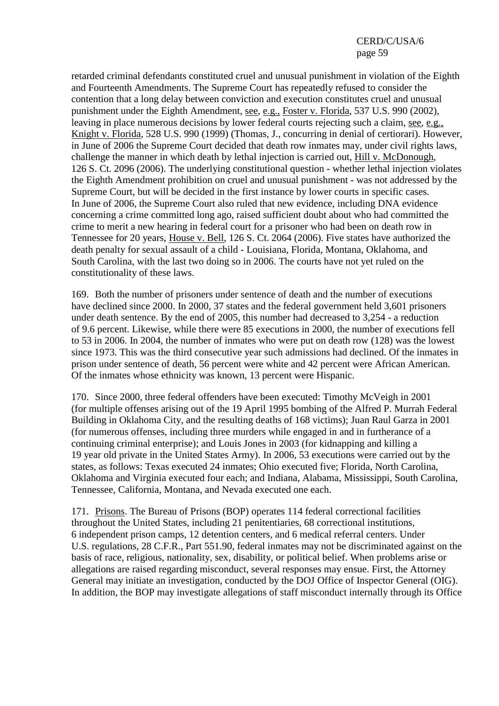retarded criminal defendants constituted cruel and unusual punishment in violation of the Eighth and Fourteenth Amendments. The Supreme Court has repeatedly refused to consider the contention that a long delay between conviction and execution constitutes cruel and unusual punishment under the Eighth Amendment, see, e.g., Foster v. Florida, 537 U.S. 990 (2002), leaving in place numerous decisions by lower federal courts rejecting such a claim, see, e.g., Knight v. Florida, 528 U.S. 990 (1999) (Thomas, J., concurring in denial of certiorari). However, in June of 2006 the Supreme Court decided that death row inmates may, under civil rights laws, challenge the manner in which death by lethal injection is carried out, Hill v. McDonough, 126 S. Ct. 2096 (2006). The underlying constitutional question - whether lethal injection violates the Eighth Amendment prohibition on cruel and unusual punishment - was not addressed by the Supreme Court, but will be decided in the first instance by lower courts in specific cases. In June of 2006, the Supreme Court also ruled that new evidence, including DNA evidence concerning a crime committed long ago, raised sufficient doubt about who had committed the crime to merit a new hearing in federal court for a prisoner who had been on death row in Tennessee for 20 years, House v. Bell, 126 S. Ct. 2064 (2006). Five states have authorized the death penalty for sexual assault of a child - Louisiana, Florida, Montana, Oklahoma, and South Carolina, with the last two doing so in 2006. The courts have not yet ruled on the constitutionality of these laws.

169. Both the number of prisoners under sentence of death and the number of executions have declined since 2000. In 2000, 37 states and the federal government held 3,601 prisoners under death sentence. By the end of 2005, this number had decreased to 3,254 - a reduction of 9.6 percent. Likewise, while there were 85 executions in 2000, the number of executions fell to 53 in 2006. In 2004, the number of inmates who were put on death row (128) was the lowest since 1973. This was the third consecutive year such admissions had declined. Of the inmates in prison under sentence of death, 56 percent were white and 42 percent were African American. Of the inmates whose ethnicity was known, 13 percent were Hispanic.

170. Since 2000, three federal offenders have been executed: Timothy McVeigh in 2001 (for multiple offenses arising out of the 19 April 1995 bombing of the Alfred P. Murrah Federal Building in Oklahoma City, and the resulting deaths of 168 victims); Juan Raul Garza in 2001 (for numerous offenses, including three murders while engaged in and in furtherance of a continuing criminal enterprise); and Louis Jones in 2003 (for kidnapping and killing a 19 year old private in the United States Army). In 2006, 53 executions were carried out by the states, as follows: Texas executed 24 inmates; Ohio executed five; Florida, North Carolina, Oklahoma and Virginia executed four each; and Indiana, Alabama, Mississippi, South Carolina, Tennessee, California, Montana, and Nevada executed one each.

171. Prisons. The Bureau of Prisons (BOP) operates 114 federal correctional facilities throughout the United States, including 21 penitentiaries, 68 correctional institutions, 6 independent prison camps, 12 detention centers, and 6 medical referral centers. Under U.S. regulations, 28 C.F.R., Part 551.90, federal inmates may not be discriminated against on the basis of race, religious, nationality, sex, disability, or political belief. When problems arise or allegations are raised regarding misconduct, several responses may ensue. First, the Attorney General may initiate an investigation, conducted by the DOJ Office of Inspector General (OIG). In addition, the BOP may investigate allegations of staff misconduct internally through its Office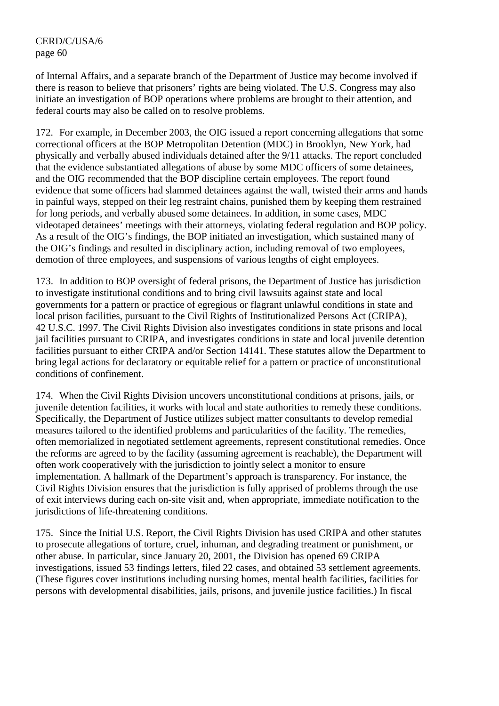of Internal Affairs, and a separate branch of the Department of Justice may become involved if there is reason to believe that prisoners' rights are being violated. The U.S. Congress may also initiate an investigation of BOP operations where problems are brought to their attention, and federal courts may also be called on to resolve problems.

172. For example, in December 2003, the OIG issued a report concerning allegations that some correctional officers at the BOP Metropolitan Detention (MDC) in Brooklyn, New York, had physically and verbally abused individuals detained after the 9/11 attacks. The report concluded that the evidence substantiated allegations of abuse by some MDC officers of some detainees, and the OIG recommended that the BOP discipline certain employees. The report found evidence that some officers had slammed detainees against the wall, twisted their arms and hands in painful ways, stepped on their leg restraint chains, punished them by keeping them restrained for long periods, and verbally abused some detainees. In addition, in some cases, MDC videotaped detainees' meetings with their attorneys, violating federal regulation and BOP policy. As a result of the OIG's findings, the BOP initiated an investigation, which sustained many of the OIG's findings and resulted in disciplinary action, including removal of two employees, demotion of three employees, and suspensions of various lengths of eight employees.

173. In addition to BOP oversight of federal prisons, the Department of Justice has jurisdiction to investigate institutional conditions and to bring civil lawsuits against state and local governments for a pattern or practice of egregious or flagrant unlawful conditions in state and local prison facilities, pursuant to the Civil Rights of Institutionalized Persons Act (CRIPA), 42 U.S.C. 1997. The Civil Rights Division also investigates conditions in state prisons and local jail facilities pursuant to CRIPA, and investigates conditions in state and local juvenile detention facilities pursuant to either CRIPA and/or Section 14141. These statutes allow the Department to bring legal actions for declaratory or equitable relief for a pattern or practice of unconstitutional conditions of confinement.

174. When the Civil Rights Division uncovers unconstitutional conditions at prisons, jails, or juvenile detention facilities, it works with local and state authorities to remedy these conditions. Specifically, the Department of Justice utilizes subject matter consultants to develop remedial measures tailored to the identified problems and particularities of the facility. The remedies, often memorialized in negotiated settlement agreements, represent constitutional remedies. Once the reforms are agreed to by the facility (assuming agreement is reachable), the Department will often work cooperatively with the jurisdiction to jointly select a monitor to ensure implementation. A hallmark of the Department's approach is transparency. For instance, the Civil Rights Division ensures that the jurisdiction is fully apprised of problems through the use of exit interviews during each on-site visit and, when appropriate, immediate notification to the jurisdictions of life-threatening conditions.

175. Since the Initial U.S. Report, the Civil Rights Division has used CRIPA and other statutes to prosecute allegations of torture, cruel, inhuman, and degrading treatment or punishment, or other abuse. In particular, since January 20, 2001, the Division has opened 69 CRIPA investigations, issued 53 findings letters, filed 22 cases, and obtained 53 settlement agreements. (These figures cover institutions including nursing homes, mental health facilities, facilities for persons with developmental disabilities, jails, prisons, and juvenile justice facilities.) In fiscal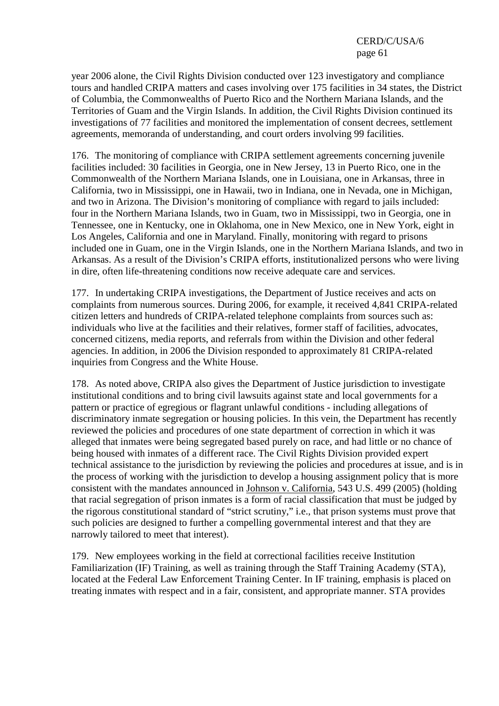year 2006 alone, the Civil Rights Division conducted over 123 investigatory and compliance tours and handled CRIPA matters and cases involving over 175 facilities in 34 states, the District of Columbia, the Commonwealths of Puerto Rico and the Northern Mariana Islands, and the Territories of Guam and the Virgin Islands. In addition, the Civil Rights Division continued its investigations of 77 facilities and monitored the implementation of consent decrees, settlement agreements, memoranda of understanding, and court orders involving 99 facilities.

176. The monitoring of compliance with CRIPA settlement agreements concerning juvenile facilities included: 30 facilities in Georgia, one in New Jersey, 13 in Puerto Rico, one in the Commonwealth of the Northern Mariana Islands, one in Louisiana, one in Arkansas, three in California, two in Mississippi, one in Hawaii, two in Indiana, one in Nevada, one in Michigan, and two in Arizona. The Division's monitoring of compliance with regard to jails included: four in the Northern Mariana Islands, two in Guam, two in Mississippi, two in Georgia, one in Tennessee, one in Kentucky, one in Oklahoma, one in New Mexico, one in New York, eight in Los Angeles, California and one in Maryland. Finally, monitoring with regard to prisons included one in Guam, one in the Virgin Islands, one in the Northern Mariana Islands, and two in Arkansas. As a result of the Division's CRIPA efforts, institutionalized persons who were living in dire, often life-threatening conditions now receive adequate care and services.

177. In undertaking CRIPA investigations, the Department of Justice receives and acts on complaints from numerous sources. During 2006, for example, it received 4,841 CRIPA-related citizen letters and hundreds of CRIPA-related telephone complaints from sources such as: individuals who live at the facilities and their relatives, former staff of facilities, advocates, concerned citizens, media reports, and referrals from within the Division and other federal agencies. In addition, in 2006 the Division responded to approximately 81 CRIPA-related inquiries from Congress and the White House.

178. As noted above, CRIPA also gives the Department of Justice jurisdiction to investigate institutional conditions and to bring civil lawsuits against state and local governments for a pattern or practice of egregious or flagrant unlawful conditions - including allegations of discriminatory inmate segregation or housing policies. In this vein, the Department has recently reviewed the policies and procedures of one state department of correction in which it was alleged that inmates were being segregated based purely on race, and had little or no chance of being housed with inmates of a different race. The Civil Rights Division provided expert technical assistance to the jurisdiction by reviewing the policies and procedures at issue, and is in the process of working with the jurisdiction to develop a housing assignment policy that is more consistent with the mandates announced in Johnson v. California, 543 U.S. 499 (2005) (holding that racial segregation of prison inmates is a form of racial classification that must be judged by the rigorous constitutional standard of "strict scrutiny," i.e., that prison systems must prove that such policies are designed to further a compelling governmental interest and that they are narrowly tailored to meet that interest).

179. New employees working in the field at correctional facilities receive Institution Familiarization (IF) Training, as well as training through the Staff Training Academy (STA), located at the Federal Law Enforcement Training Center. In IF training, emphasis is placed on treating inmates with respect and in a fair, consistent, and appropriate manner. STA provides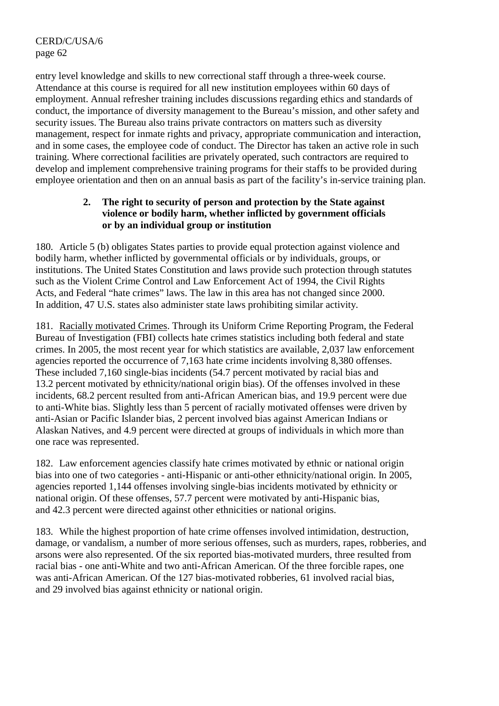entry level knowledge and skills to new correctional staff through a three-week course. Attendance at this course is required for all new institution employees within 60 days of employment. Annual refresher training includes discussions regarding ethics and standards of conduct, the importance of diversity management to the Bureau's mission, and other safety and security issues. The Bureau also trains private contractors on matters such as diversity management, respect for inmate rights and privacy, appropriate communication and interaction, and in some cases, the employee code of conduct. The Director has taken an active role in such training. Where correctional facilities are privately operated, such contractors are required to develop and implement comprehensive training programs for their staffs to be provided during employee orientation and then on an annual basis as part of the facility's in-service training plan.

## **2. The right to security of person and protection by the State against violence or bodily harm, whether inflicted by government officials or by an individual group or institution**

180. Article 5 (b) obligates States parties to provide equal protection against violence and bodily harm, whether inflicted by governmental officials or by individuals, groups, or institutions. The United States Constitution and laws provide such protection through statutes such as the Violent Crime Control and Law Enforcement Act of 1994, the Civil Rights Acts, and Federal "hate crimes" laws. The law in this area has not changed since 2000. In addition, 47 U.S. states also administer state laws prohibiting similar activity.

181. Racially motivated Crimes. Through its Uniform Crime Reporting Program, the Federal Bureau of Investigation (FBI) collects hate crimes statistics including both federal and state crimes. In 2005, the most recent year for which statistics are available, 2,037 law enforcement agencies reported the occurrence of 7,163 hate crime incidents involving 8,380 offenses. These included 7,160 single-bias incidents (54.7 percent motivated by racial bias and 13.2 percent motivated by ethnicity/national origin bias). Of the offenses involved in these incidents, 68.2 percent resulted from anti-African American bias, and 19.9 percent were due to anti-White bias. Slightly less than 5 percent of racially motivated offenses were driven by anti-Asian or Pacific Islander bias, 2 percent involved bias against American Indians or Alaskan Natives, and 4.9 percent were directed at groups of individuals in which more than one race was represented.

182. Law enforcement agencies classify hate crimes motivated by ethnic or national origin bias into one of two categories - anti-Hispanic or anti-other ethnicity/national origin. In 2005, agencies reported 1,144 offenses involving single-bias incidents motivated by ethnicity or national origin. Of these offenses, 57.7 percent were motivated by anti-Hispanic bias, and 42.3 percent were directed against other ethnicities or national origins.

183. While the highest proportion of hate crime offenses involved intimidation, destruction, damage, or vandalism, a number of more serious offenses, such as murders, rapes, robberies, and arsons were also represented. Of the six reported bias-motivated murders, three resulted from racial bias - one anti-White and two anti-African American. Of the three forcible rapes, one was anti-African American. Of the 127 bias-motivated robberies, 61 involved racial bias, and 29 involved bias against ethnicity or national origin.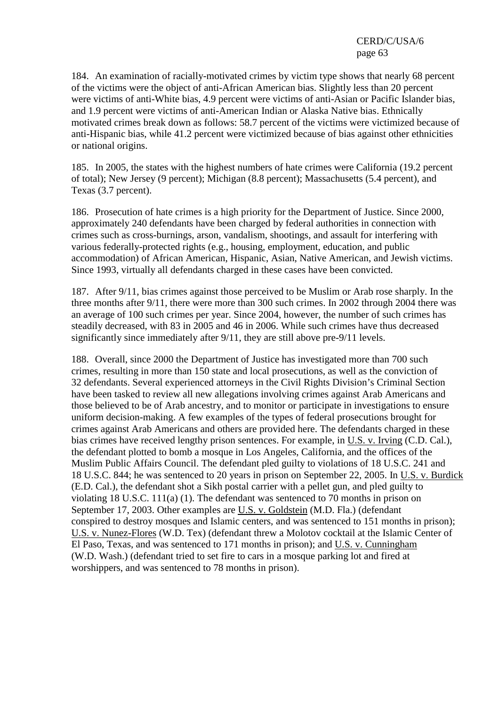184. An examination of racially-motivated crimes by victim type shows that nearly 68 percent of the victims were the object of anti-African American bias. Slightly less than 20 percent were victims of anti-White bias, 4.9 percent were victims of anti-Asian or Pacific Islander bias, and 1.9 percent were victims of anti-American Indian or Alaska Native bias. Ethnically motivated crimes break down as follows: 58.7 percent of the victims were victimized because of anti-Hispanic bias, while 41.2 percent were victimized because of bias against other ethnicities or national origins.

185. In 2005, the states with the highest numbers of hate crimes were California (19.2 percent of total); New Jersey (9 percent); Michigan (8.8 percent); Massachusetts (5.4 percent), and Texas (3.7 percent).

186. Prosecution of hate crimes is a high priority for the Department of Justice. Since 2000, approximately 240 defendants have been charged by federal authorities in connection with crimes such as cross-burnings, arson, vandalism, shootings, and assault for interfering with various federally-protected rights (e.g., housing, employment, education, and public accommodation) of African American, Hispanic, Asian, Native American, and Jewish victims. Since 1993, virtually all defendants charged in these cases have been convicted.

187. After 9/11, bias crimes against those perceived to be Muslim or Arab rose sharply. In the three months after 9/11, there were more than 300 such crimes. In 2002 through 2004 there was an average of 100 such crimes per year. Since 2004, however, the number of such crimes has steadily decreased, with 83 in 2005 and 46 in 2006. While such crimes have thus decreased significantly since immediately after 9/11, they are still above pre-9/11 levels.

188. Overall, since 2000 the Department of Justice has investigated more than 700 such crimes, resulting in more than 150 state and local prosecutions, as well as the conviction of 32 defendants. Several experienced attorneys in the Civil Rights Division's Criminal Section have been tasked to review all new allegations involving crimes against Arab Americans and those believed to be of Arab ancestry, and to monitor or participate in investigations to ensure uniform decision-making. A few examples of the types of federal prosecutions brought for crimes against Arab Americans and others are provided here. The defendants charged in these bias crimes have received lengthy prison sentences. For example, in U.S. v. Irving (C.D. Cal.), the defendant plotted to bomb a mosque in Los Angeles, California, and the offices of the Muslim Public Affairs Council. The defendant pled guilty to violations of 18 U.S.C. 241 and 18 U.S.C. 844; he was sentenced to 20 years in prison on September 22, 2005. In U.S. v. Burdick (E.D. Cal.), the defendant shot a Sikh postal carrier with a pellet gun, and pled guilty to violating 18 U.S.C. 111(a) (1). The defendant was sentenced to 70 months in prison on September 17, 2003. Other examples are U.S. v. Goldstein (M.D. Fla.) (defendant conspired to destroy mosques and Islamic centers, and was sentenced to 151 months in prison); U.S. v. Nunez-Flores (W.D. Tex) (defendant threw a Molotov cocktail at the Islamic Center of El Paso, Texas, and was sentenced to 171 months in prison); and U.S. v. Cunningham (W.D. Wash.) (defendant tried to set fire to cars in a mosque parking lot and fired at worshippers, and was sentenced to 78 months in prison).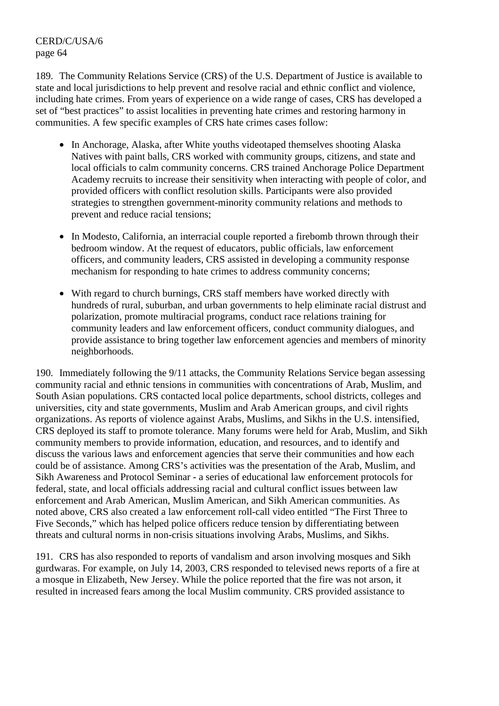189. The Community Relations Service (CRS) of the U.S. Department of Justice is available to state and local jurisdictions to help prevent and resolve racial and ethnic conflict and violence, including hate crimes. From years of experience on a wide range of cases, CRS has developed a set of "best practices" to assist localities in preventing hate crimes and restoring harmony in communities. A few specific examples of CRS hate crimes cases follow:

- In Anchorage, Alaska, after White youths videotaped themselves shooting Alaska Natives with paint balls, CRS worked with community groups, citizens, and state and local officials to calm community concerns. CRS trained Anchorage Police Department Academy recruits to increase their sensitivity when interacting with people of color, and provided officers with conflict resolution skills. Participants were also provided strategies to strengthen government-minority community relations and methods to prevent and reduce racial tensions;
- In Modesto, California, an interracial couple reported a firebomb thrown through their bedroom window. At the request of educators, public officials, law enforcement officers, and community leaders, CRS assisted in developing a community response mechanism for responding to hate crimes to address community concerns;
- With regard to church burnings, CRS staff members have worked directly with hundreds of rural, suburban, and urban governments to help eliminate racial distrust and polarization, promote multiracial programs, conduct race relations training for community leaders and law enforcement officers, conduct community dialogues, and provide assistance to bring together law enforcement agencies and members of minority neighborhoods.

190. Immediately following the 9/11 attacks, the Community Relations Service began assessing community racial and ethnic tensions in communities with concentrations of Arab, Muslim, and South Asian populations. CRS contacted local police departments, school districts, colleges and universities, city and state governments, Muslim and Arab American groups, and civil rights organizations. As reports of violence against Arabs, Muslims, and Sikhs in the U.S. intensified, CRS deployed its staff to promote tolerance. Many forums were held for Arab, Muslim, and Sikh community members to provide information, education, and resources, and to identify and discuss the various laws and enforcement agencies that serve their communities and how each could be of assistance. Among CRS's activities was the presentation of the Arab, Muslim, and Sikh Awareness and Protocol Seminar - a series of educational law enforcement protocols for federal, state, and local officials addressing racial and cultural conflict issues between law enforcement and Arab American, Muslim American, and Sikh American communities. As noted above, CRS also created a law enforcement roll-call video entitled "The First Three to Five Seconds," which has helped police officers reduce tension by differentiating between threats and cultural norms in non-crisis situations involving Arabs, Muslims, and Sikhs.

191. CRS has also responded to reports of vandalism and arson involving mosques and Sikh gurdwaras. For example, on July 14, 2003, CRS responded to televised news reports of a fire at a mosque in Elizabeth, New Jersey. While the police reported that the fire was not arson, it resulted in increased fears among the local Muslim community. CRS provided assistance to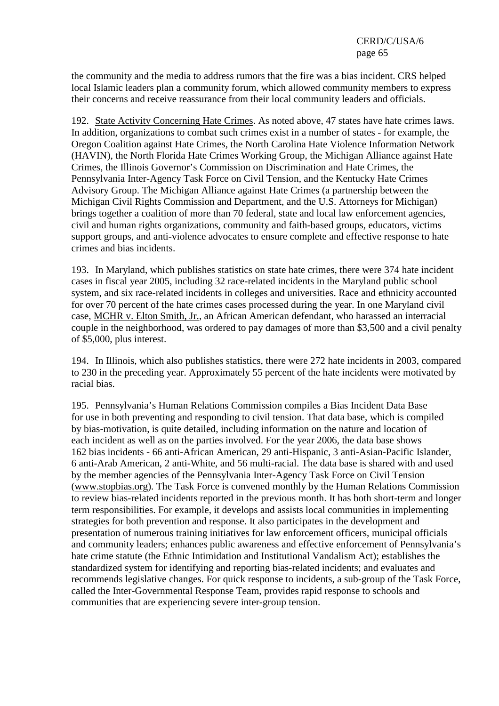the community and the media to address rumors that the fire was a bias incident. CRS helped local Islamic leaders plan a community forum, which allowed community members to express their concerns and receive reassurance from their local community leaders and officials.

192. State Activity Concerning Hate Crimes. As noted above, 47 states have hate crimes laws. In addition, organizations to combat such crimes exist in a number of states - for example, the Oregon Coalition against Hate Crimes, the North Carolina Hate Violence Information Network (HAVIN), the North Florida Hate Crimes Working Group, the Michigan Alliance against Hate Crimes, the Illinois Governor's Commission on Discrimination and Hate Crimes, the Pennsylvania Inter-Agency Task Force on Civil Tension, and the Kentucky Hate Crimes Advisory Group. The Michigan Alliance against Hate Crimes (a partnership between the Michigan Civil Rights Commission and Department, and the U.S. Attorneys for Michigan) brings together a coalition of more than 70 federal, state and local law enforcement agencies, civil and human rights organizations, community and faith-based groups, educators, victims support groups, and anti-violence advocates to ensure complete and effective response to hate crimes and bias incidents.

193. In Maryland, which publishes statistics on state hate crimes, there were 374 hate incident cases in fiscal year 2005, including 32 race-related incidents in the Maryland public school system, and six race-related incidents in colleges and universities. Race and ethnicity accounted for over 70 percent of the hate crimes cases processed during the year. In one Maryland civil case, MCHR v. Elton Smith, Jr., an African American defendant, who harassed an interracial couple in the neighborhood, was ordered to pay damages of more than \$3,500 and a civil penalty of \$5,000, plus interest.

194. In Illinois, which also publishes statistics, there were 272 hate incidents in 2003, compared to 230 in the preceding year. Approximately 55 percent of the hate incidents were motivated by racial bias.

195. Pennsylvania's Human Relations Commission compiles a Bias Incident Data Base for use in both preventing and responding to civil tension. That data base, which is compiled by bias-motivation, is quite detailed, including information on the nature and location of each incident as well as on the parties involved. For the year 2006, the data base shows 162 bias incidents - 66 anti-African American, 29 anti-Hispanic, 3 anti-Asian-Pacific Islander, 6 anti-Arab American, 2 anti-White, and 56 multi-racial. The data base is shared with and used by the member agencies of the Pennsylvania Inter-Agency Task Force on Civil Tension (www.stopbias.org). The Task Force is convened monthly by the Human Relations Commission to review bias-related incidents reported in the previous month. It has both short-term and longer term responsibilities. For example, it develops and assists local communities in implementing strategies for both prevention and response. It also participates in the development and presentation of numerous training initiatives for law enforcement officers, municipal officials and community leaders; enhances public awareness and effective enforcement of Pennsylvania's hate crime statute (the Ethnic Intimidation and Institutional Vandalism Act); establishes the standardized system for identifying and reporting bias-related incidents; and evaluates and recommends legislative changes. For quick response to incidents, a sub-group of the Task Force, called the Inter-Governmental Response Team, provides rapid response to schools and communities that are experiencing severe inter-group tension.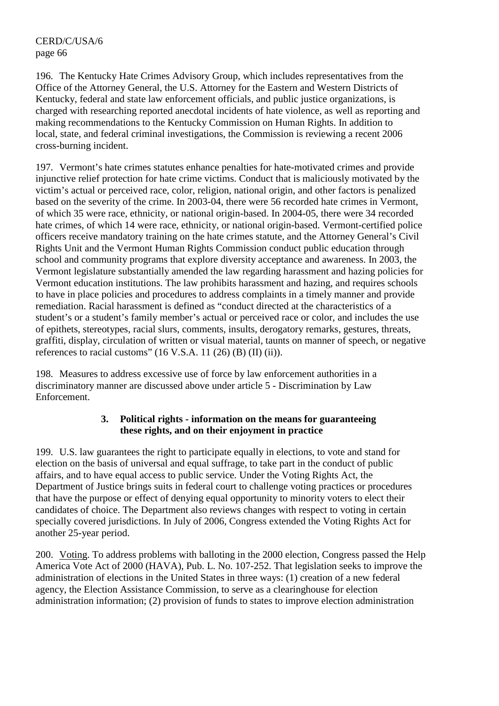196. The Kentucky Hate Crimes Advisory Group, which includes representatives from the Office of the Attorney General, the U.S. Attorney for the Eastern and Western Districts of Kentucky, federal and state law enforcement officials, and public justice organizations, is charged with researching reported anecdotal incidents of hate violence, as well as reporting and making recommendations to the Kentucky Commission on Human Rights. In addition to local, state, and federal criminal investigations, the Commission is reviewing a recent 2006 cross-burning incident.

197. Vermont's hate crimes statutes enhance penalties for hate-motivated crimes and provide injunctive relief protection for hate crime victims. Conduct that is maliciously motivated by the victim's actual or perceived race, color, religion, national origin, and other factors is penalized based on the severity of the crime. In 2003-04, there were 56 recorded hate crimes in Vermont, of which 35 were race, ethnicity, or national origin-based. In 2004-05, there were 34 recorded hate crimes, of which 14 were race, ethnicity, or national origin-based. Vermont-certified police officers receive mandatory training on the hate crimes statute, and the Attorney General's Civil Rights Unit and the Vermont Human Rights Commission conduct public education through school and community programs that explore diversity acceptance and awareness. In 2003, the Vermont legislature substantially amended the law regarding harassment and hazing policies for Vermont education institutions. The law prohibits harassment and hazing, and requires schools to have in place policies and procedures to address complaints in a timely manner and provide remediation. Racial harassment is defined as "conduct directed at the characteristics of a student's or a student's family member's actual or perceived race or color, and includes the use of epithets, stereotypes, racial slurs, comments, insults, derogatory remarks, gestures, threats, graffiti, display, circulation of written or visual material, taunts on manner of speech, or negative references to racial customs" (16 V.S.A. 11 (26) (B) (II) (ii)).

198. Measures to address excessive use of force by law enforcement authorities in a discriminatory manner are discussed above under article 5 - Discrimination by Law Enforcement.

## **3. Political rights - information on the means for guaranteeing these rights, and on their enjoyment in practice**

199. U.S. law guarantees the right to participate equally in elections, to vote and stand for election on the basis of universal and equal suffrage, to take part in the conduct of public affairs, and to have equal access to public service. Under the Voting Rights Act, the Department of Justice brings suits in federal court to challenge voting practices or procedures that have the purpose or effect of denying equal opportunity to minority voters to elect their candidates of choice. The Department also reviews changes with respect to voting in certain specially covered jurisdictions. In July of 2006, Congress extended the Voting Rights Act for another 25-year period.

200. Voting. To address problems with balloting in the 2000 election, Congress passed the Help America Vote Act of 2000 (HAVA), Pub. L. No. 107-252. That legislation seeks to improve the administration of elections in the United States in three ways: (1) creation of a new federal agency, the Election Assistance Commission, to serve as a clearinghouse for election administration information; (2) provision of funds to states to improve election administration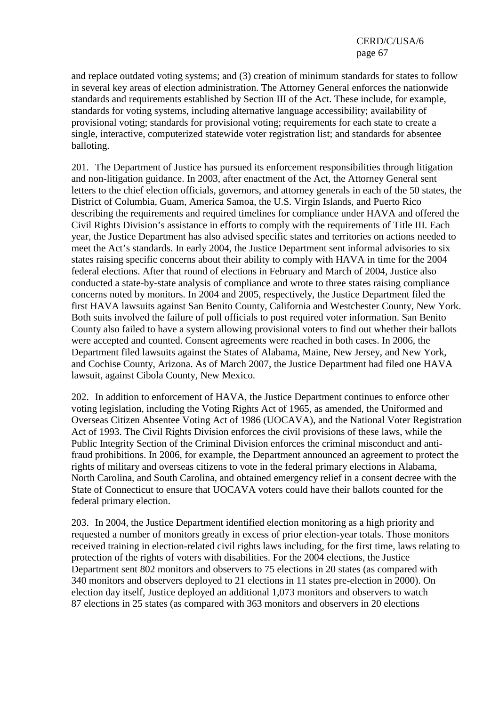and replace outdated voting systems; and (3) creation of minimum standards for states to follow in several key areas of election administration. The Attorney General enforces the nationwide standards and requirements established by Section III of the Act. These include, for example, standards for voting systems, including alternative language accessibility; availability of provisional voting; standards for provisional voting; requirements for each state to create a single, interactive, computerized statewide voter registration list; and standards for absentee balloting.

201. The Department of Justice has pursued its enforcement responsibilities through litigation and non-litigation guidance. In 2003, after enactment of the Act, the Attorney General sent letters to the chief election officials, governors, and attorney generals in each of the 50 states, the District of Columbia, Guam, America Samoa, the U.S. Virgin Islands, and Puerto Rico describing the requirements and required timelines for compliance under HAVA and offered the Civil Rights Division's assistance in efforts to comply with the requirements of Title III. Each year, the Justice Department has also advised specific states and territories on actions needed to meet the Act's standards. In early 2004, the Justice Department sent informal advisories to six states raising specific concerns about their ability to comply with HAVA in time for the 2004 federal elections. After that round of elections in February and March of 2004, Justice also conducted a state-by-state analysis of compliance and wrote to three states raising compliance concerns noted by monitors. In 2004 and 2005, respectively, the Justice Department filed the first HAVA lawsuits against San Benito County, California and Westchester County, New York. Both suits involved the failure of poll officials to post required voter information. San Benito County also failed to have a system allowing provisional voters to find out whether their ballots were accepted and counted. Consent agreements were reached in both cases. In 2006, the Department filed lawsuits against the States of Alabama, Maine, New Jersey, and New York, and Cochise County, Arizona. As of March 2007, the Justice Department had filed one HAVA lawsuit, against Cibola County, New Mexico.

202. In addition to enforcement of HAVA, the Justice Department continues to enforce other voting legislation, including the Voting Rights Act of 1965, as amended, the Uniformed and Overseas Citizen Absentee Voting Act of 1986 (UOCAVA), and the National Voter Registration Act of 1993. The Civil Rights Division enforces the civil provisions of these laws, while the Public Integrity Section of the Criminal Division enforces the criminal misconduct and antifraud prohibitions. In 2006, for example, the Department announced an agreement to protect the rights of military and overseas citizens to vote in the federal primary elections in Alabama, North Carolina, and South Carolina, and obtained emergency relief in a consent decree with the State of Connecticut to ensure that UOCAVA voters could have their ballots counted for the federal primary election.

203. In 2004, the Justice Department identified election monitoring as a high priority and requested a number of monitors greatly in excess of prior election-year totals. Those monitors received training in election-related civil rights laws including, for the first time, laws relating to protection of the rights of voters with disabilities. For the 2004 elections, the Justice Department sent 802 monitors and observers to 75 elections in 20 states (as compared with 340 monitors and observers deployed to 21 elections in 11 states pre-election in 2000). On election day itself, Justice deployed an additional 1,073 monitors and observers to watch 87 elections in 25 states (as compared with 363 monitors and observers in 20 elections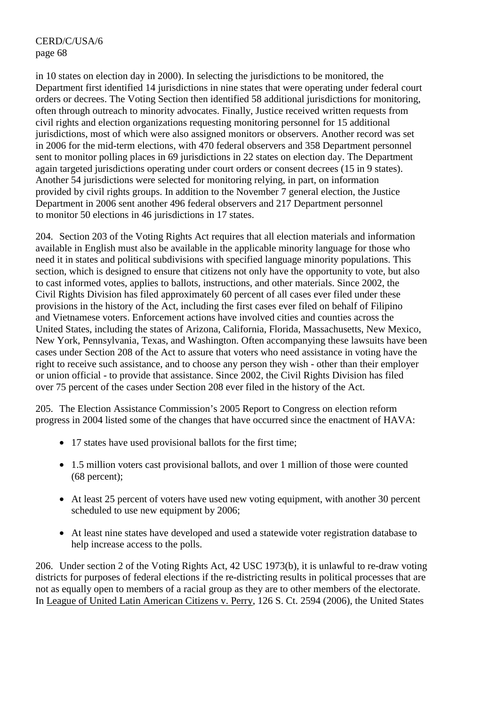in 10 states on election day in 2000). In selecting the jurisdictions to be monitored, the Department first identified 14 jurisdictions in nine states that were operating under federal court orders or decrees. The Voting Section then identified 58 additional jurisdictions for monitoring, often through outreach to minority advocates. Finally, Justice received written requests from civil rights and election organizations requesting monitoring personnel for 15 additional jurisdictions, most of which were also assigned monitors or observers. Another record was set in 2006 for the mid-term elections, with 470 federal observers and 358 Department personnel sent to monitor polling places in 69 jurisdictions in 22 states on election day. The Department again targeted jurisdictions operating under court orders or consent decrees (15 in 9 states). Another 54 jurisdictions were selected for monitoring relying, in part, on information provided by civil rights groups. In addition to the November 7 general election, the Justice Department in 2006 sent another 496 federal observers and 217 Department personnel to monitor 50 elections in 46 jurisdictions in 17 states.

204. Section 203 of the Voting Rights Act requires that all election materials and information available in English must also be available in the applicable minority language for those who need it in states and political subdivisions with specified language minority populations. This section, which is designed to ensure that citizens not only have the opportunity to vote, but also to cast informed votes, applies to ballots, instructions, and other materials. Since 2002, the Civil Rights Division has filed approximately 60 percent of all cases ever filed under these provisions in the history of the Act, including the first cases ever filed on behalf of Filipino and Vietnamese voters. Enforcement actions have involved cities and counties across the United States, including the states of Arizona, California, Florida, Massachusetts, New Mexico, New York, Pennsylvania, Texas, and Washington. Often accompanying these lawsuits have been cases under Section 208 of the Act to assure that voters who need assistance in voting have the right to receive such assistance, and to choose any person they wish - other than their employer or union official - to provide that assistance. Since 2002, the Civil Rights Division has filed over 75 percent of the cases under Section 208 ever filed in the history of the Act.

205. The Election Assistance Commission's 2005 Report to Congress on election reform progress in 2004 listed some of the changes that have occurred since the enactment of HAVA:

- 17 states have used provisional ballots for the first time:
- 1.5 million voters cast provisional ballots, and over 1 million of those were counted (68 percent);
- At least 25 percent of voters have used new voting equipment, with another 30 percent scheduled to use new equipment by 2006;
- At least nine states have developed and used a statewide voter registration database to help increase access to the polls.

206. Under section 2 of the Voting Rights Act, 42 USC 1973(b), it is unlawful to re-draw voting districts for purposes of federal elections if the re-districting results in political processes that are not as equally open to members of a racial group as they are to other members of the electorate. In League of United Latin American Citizens v. Perry, 126 S. Ct. 2594 (2006), the United States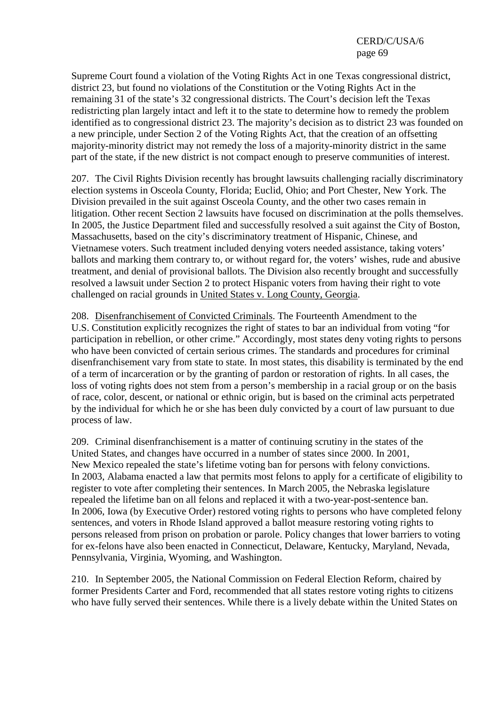Supreme Court found a violation of the Voting Rights Act in one Texas congressional district, district 23, but found no violations of the Constitution or the Voting Rights Act in the remaining 31 of the state's 32 congressional districts. The Court's decision left the Texas redistricting plan largely intact and left it to the state to determine how to remedy the problem identified as to congressional district 23. The majority's decision as to district 23 was founded on a new principle, under Section 2 of the Voting Rights Act, that the creation of an offsetting majority-minority district may not remedy the loss of a majority-minority district in the same part of the state, if the new district is not compact enough to preserve communities of interest.

207. The Civil Rights Division recently has brought lawsuits challenging racially discriminatory election systems in Osceola County, Florida; Euclid, Ohio; and Port Chester, New York. The Division prevailed in the suit against Osceola County, and the other two cases remain in litigation. Other recent Section 2 lawsuits have focused on discrimination at the polls themselves. In 2005, the Justice Department filed and successfully resolved a suit against the City of Boston, Massachusetts, based on the city's discriminatory treatment of Hispanic, Chinese, and Vietnamese voters. Such treatment included denying voters needed assistance, taking voters' ballots and marking them contrary to, or without regard for, the voters' wishes, rude and abusive treatment, and denial of provisional ballots. The Division also recently brought and successfully resolved a lawsuit under Section 2 to protect Hispanic voters from having their right to vote challenged on racial grounds in United States v. Long County, Georgia.

208. Disenfranchisement of Convicted Criminals. The Fourteenth Amendment to the U.S. Constitution explicitly recognizes the right of states to bar an individual from voting "for participation in rebellion, or other crime." Accordingly, most states deny voting rights to persons who have been convicted of certain serious crimes. The standards and procedures for criminal disenfranchisement vary from state to state. In most states, this disability is terminated by the end of a term of incarceration or by the granting of pardon or restoration of rights. In all cases, the loss of voting rights does not stem from a person's membership in a racial group or on the basis of race, color, descent, or national or ethnic origin, but is based on the criminal acts perpetrated by the individual for which he or she has been duly convicted by a court of law pursuant to due process of law.

209. Criminal disenfranchisement is a matter of continuing scrutiny in the states of the United States, and changes have occurred in a number of states since 2000. In 2001, New Mexico repealed the state's lifetime voting ban for persons with felony convictions. In 2003, Alabama enacted a law that permits most felons to apply for a certificate of eligibility to register to vote after completing their sentences. In March 2005, the Nebraska legislature repealed the lifetime ban on all felons and replaced it with a two-year-post-sentence ban. In 2006, Iowa (by Executive Order) restored voting rights to persons who have completed felony sentences, and voters in Rhode Island approved a ballot measure restoring voting rights to persons released from prison on probation or parole. Policy changes that lower barriers to voting for ex-felons have also been enacted in Connecticut, Delaware, Kentucky, Maryland, Nevada, Pennsylvania, Virginia, Wyoming, and Washington.

210. In September 2005, the National Commission on Federal Election Reform, chaired by former Presidents Carter and Ford, recommended that all states restore voting rights to citizens who have fully served their sentences. While there is a lively debate within the United States on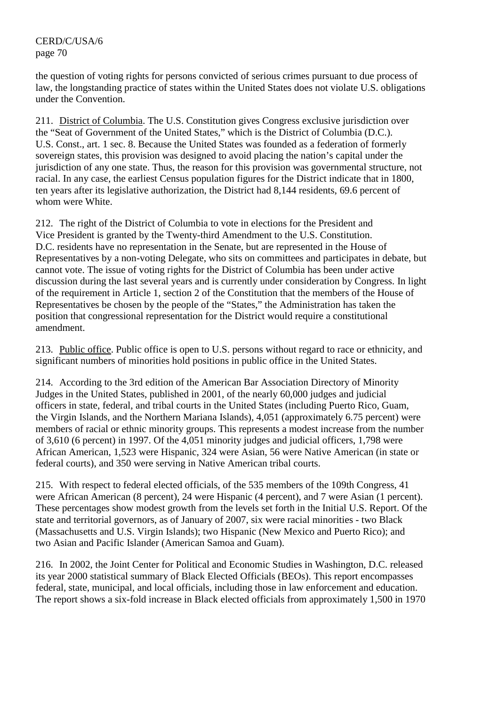the question of voting rights for persons convicted of serious crimes pursuant to due process of law, the longstanding practice of states within the United States does not violate U.S. obligations under the Convention.

211. District of Columbia. The U.S. Constitution gives Congress exclusive jurisdiction over the "Seat of Government of the United States," which is the District of Columbia (D.C.). U.S. Const., art. 1 sec. 8. Because the United States was founded as a federation of formerly sovereign states, this provision was designed to avoid placing the nation's capital under the jurisdiction of any one state. Thus, the reason for this provision was governmental structure, not racial. In any case, the earliest Census population figures for the District indicate that in 1800, ten years after its legislative authorization, the District had 8,144 residents, 69.6 percent of whom were White.

212. The right of the District of Columbia to vote in elections for the President and Vice President is granted by the Twenty-third Amendment to the U.S. Constitution. D.C. residents have no representation in the Senate, but are represented in the House of Representatives by a non-voting Delegate, who sits on committees and participates in debate, but cannot vote. The issue of voting rights for the District of Columbia has been under active discussion during the last several years and is currently under consideration by Congress. In light of the requirement in Article 1, section 2 of the Constitution that the members of the House of Representatives be chosen by the people of the "States," the Administration has taken the position that congressional representation for the District would require a constitutional amendment.

213. Public office. Public office is open to U.S. persons without regard to race or ethnicity, and significant numbers of minorities hold positions in public office in the United States.

214. According to the 3rd edition of the American Bar Association Directory of Minority Judges in the United States, published in 2001, of the nearly 60,000 judges and judicial officers in state, federal, and tribal courts in the United States (including Puerto Rico, Guam, the Virgin Islands, and the Northern Mariana Islands), 4,051 (approximately 6.75 percent) were members of racial or ethnic minority groups. This represents a modest increase from the number of 3,610 (6 percent) in 1997. Of the 4,051 minority judges and judicial officers, 1,798 were African American, 1,523 were Hispanic, 324 were Asian, 56 were Native American (in state or federal courts), and 350 were serving in Native American tribal courts.

215. With respect to federal elected officials, of the 535 members of the 109th Congress, 41 were African American (8 percent), 24 were Hispanic (4 percent), and 7 were Asian (1 percent). These percentages show modest growth from the levels set forth in the Initial U.S. Report. Of the state and territorial governors, as of January of 2007, six were racial minorities - two Black (Massachusetts and U.S. Virgin Islands); two Hispanic (New Mexico and Puerto Rico); and two Asian and Pacific Islander (American Samoa and Guam).

216. In 2002, the Joint Center for Political and Economic Studies in Washington, D.C. released its year 2000 statistical summary of Black Elected Officials (BEOs). This report encompasses federal, state, municipal, and local officials, including those in law enforcement and education. The report shows a six-fold increase in Black elected officials from approximately 1,500 in 1970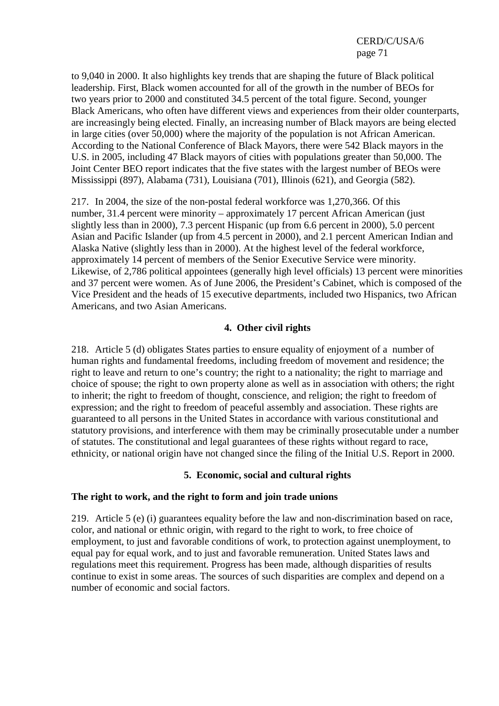to 9,040 in 2000. It also highlights key trends that are shaping the future of Black political leadership. First, Black women accounted for all of the growth in the number of BEOs for two years prior to 2000 and constituted 34.5 percent of the total figure. Second, younger Black Americans, who often have different views and experiences from their older counterparts, are increasingly being elected. Finally, an increasing number of Black mayors are being elected in large cities (over 50,000) where the majority of the population is not African American. According to the National Conference of Black Mayors, there were 542 Black mayors in the U.S. in 2005, including 47 Black mayors of cities with populations greater than 50,000. The Joint Center BEO report indicates that the five states with the largest number of BEOs were Mississippi (897), Alabama (731), Louisiana (701), Illinois (621), and Georgia (582).

217. In 2004, the size of the non-postal federal workforce was 1,270,366. Of this number, 31.4 percent were minority – approximately 17 percent African American (just slightly less than in 2000), 7.3 percent Hispanic (up from 6.6 percent in 2000), 5.0 percent Asian and Pacific Islander (up from 4.5 percent in 2000), and 2.1 percent American Indian and Alaska Native (slightly less than in 2000). At the highest level of the federal workforce, approximately 14 percent of members of the Senior Executive Service were minority. Likewise, of 2,786 political appointees (generally high level officials) 13 percent were minorities and 37 percent were women. As of June 2006, the President's Cabinet, which is composed of the Vice President and the heads of 15 executive departments, included two Hispanics, two African Americans, and two Asian Americans.

## **4. Other civil rights**

218. Article 5 (d) obligates States parties to ensure equality of enjoyment of a number of human rights and fundamental freedoms, including freedom of movement and residence; the right to leave and return to one's country; the right to a nationality; the right to marriage and choice of spouse; the right to own property alone as well as in association with others; the right to inherit; the right to freedom of thought, conscience, and religion; the right to freedom of expression; and the right to freedom of peaceful assembly and association. These rights are guaranteed to all persons in the United States in accordance with various constitutional and statutory provisions, and interference with them may be criminally prosecutable under a number of statutes. The constitutional and legal guarantees of these rights without regard to race, ethnicity, or national origin have not changed since the filing of the Initial U.S. Report in 2000.

## **5. Economic, social and cultural rights**

## **The right to work, and the right to form and join trade unions**

219. Article 5 (e) (i) guarantees equality before the law and non-discrimination based on race, color, and national or ethnic origin, with regard to the right to work, to free choice of employment, to just and favorable conditions of work, to protection against unemployment, to equal pay for equal work, and to just and favorable remuneration. United States laws and regulations meet this requirement. Progress has been made, although disparities of results continue to exist in some areas. The sources of such disparities are complex and depend on a number of economic and social factors.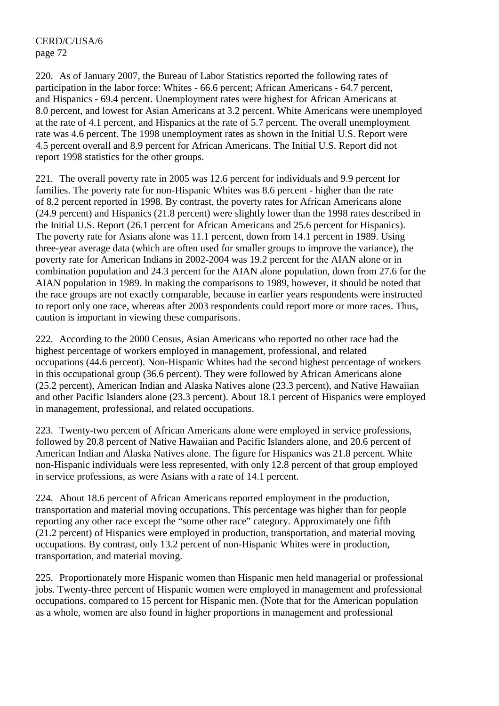220. As of January 2007, the Bureau of Labor Statistics reported the following rates of participation in the labor force: Whites - 66.6 percent; African Americans - 64.7 percent, and Hispanics - 69.4 percent. Unemployment rates were highest for African Americans at 8.0 percent, and lowest for Asian Americans at 3.2 percent. White Americans were unemployed at the rate of 4.1 percent, and Hispanics at the rate of 5.7 percent. The overall unemployment rate was 4.6 percent. The 1998 unemployment rates as shown in the Initial U.S. Report were 4.5 percent overall and 8.9 percent for African Americans. The Initial U.S. Report did not report 1998 statistics for the other groups.

221. The overall poverty rate in 2005 was 12.6 percent for individuals and 9.9 percent for families. The poverty rate for non-Hispanic Whites was 8.6 percent - higher than the rate of 8.2 percent reported in 1998. By contrast, the poverty rates for African Americans alone (24.9 percent) and Hispanics (21.8 percent) were slightly lower than the 1998 rates described in the Initial U.S. Report (26.1 percent for African Americans and 25.6 percent for Hispanics). The poverty rate for Asians alone was 11.1 percent, down from 14.1 percent in 1989. Using three-year average data (which are often used for smaller groups to improve the variance), the poverty rate for American Indians in 2002-2004 was 19.2 percent for the AIAN alone or in combination population and 24.3 percent for the AIAN alone population, down from 27.6 for the AIAN population in 1989. In making the comparisons to 1989, however, it should be noted that the race groups are not exactly comparable, because in earlier years respondents were instructed to report only one race, whereas after 2003 respondents could report more or more races. Thus, caution is important in viewing these comparisons.

222. According to the 2000 Census, Asian Americans who reported no other race had the highest percentage of workers employed in management, professional, and related occupations (44.6 percent). Non-Hispanic Whites had the second highest percentage of workers in this occupational group (36.6 percent). They were followed by African Americans alone (25.2 percent), American Indian and Alaska Natives alone (23.3 percent), and Native Hawaiian and other Pacific Islanders alone (23.3 percent). About 18.1 percent of Hispanics were employed in management, professional, and related occupations.

223. Twenty-two percent of African Americans alone were employed in service professions, followed by 20.8 percent of Native Hawaiian and Pacific Islanders alone, and 20.6 percent of American Indian and Alaska Natives alone. The figure for Hispanics was 21.8 percent. White non-Hispanic individuals were less represented, with only 12.8 percent of that group employed in service professions, as were Asians with a rate of 14.1 percent.

224. About 18.6 percent of African Americans reported employment in the production, transportation and material moving occupations. This percentage was higher than for people reporting any other race except the "some other race" category. Approximately one fifth (21.2 percent) of Hispanics were employed in production, transportation, and material moving occupations. By contrast, only 13.2 percent of non-Hispanic Whites were in production, transportation, and material moving.

225. Proportionately more Hispanic women than Hispanic men held managerial or professional jobs. Twenty-three percent of Hispanic women were employed in management and professional occupations, compared to 15 percent for Hispanic men. (Note that for the American population as a whole, women are also found in higher proportions in management and professional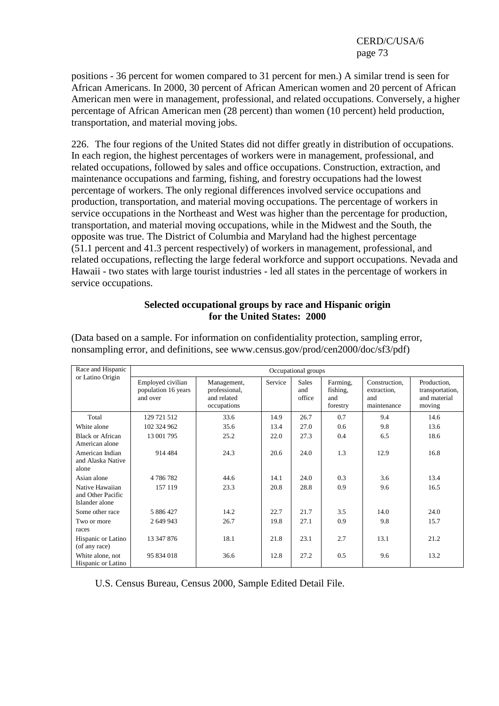positions - 36 percent for women compared to 31 percent for men.) A similar trend is seen for African Americans. In 2000, 30 percent of African American women and 20 percent of African American men were in management, professional, and related occupations. Conversely, a higher percentage of African American men (28 percent) than women (10 percent) held production, transportation, and material moving jobs.

226. The four regions of the United States did not differ greatly in distribution of occupations. In each region, the highest percentages of workers were in management, professional, and related occupations, followed by sales and office occupations. Construction, extraction, and maintenance occupations and farming, fishing, and forestry occupations had the lowest percentage of workers. The only regional differences involved service occupations and production, transportation, and material moving occupations. The percentage of workers in service occupations in the Northeast and West was higher than the percentage for production, transportation, and material moving occupations, while in the Midwest and the South, the opposite was true. The District of Columbia and Maryland had the highest percentage (51.1 percent and 41.3 percent respectively) of workers in management, professional, and related occupations, reflecting the large federal workforce and support occupations. Nevada and Hawaii - two states with large tourist industries - led all states in the percentage of workers in service occupations.

#### **Selected occupational groups by race and Hispanic origin for the United States: 2000**

| Race and Hispanic                                      | Occupational groups                                  |                                                            |         |                               |                                         |                                                    |                                                          |
|--------------------------------------------------------|------------------------------------------------------|------------------------------------------------------------|---------|-------------------------------|-----------------------------------------|----------------------------------------------------|----------------------------------------------------------|
| or Latino Origin                                       | Employed civilian<br>population 16 years<br>and over | Management,<br>professional,<br>and related<br>occupations | Service | <b>Sales</b><br>and<br>office | Farming.<br>fishing,<br>and<br>forestry | Construction,<br>extraction.<br>and<br>maintenance | Production,<br>transportation,<br>and material<br>moving |
| Total                                                  | 129 721 512                                          | 33.6                                                       | 14.9    | 26.7                          | 0.7                                     | 9.4                                                | 14.6                                                     |
| White alone                                            | 102 324 962                                          | 35.6                                                       | 13.4    | 27.0                          | 0.6                                     | 9.8                                                | 13.6                                                     |
| <b>Black or African</b><br>American alone              | 13 001 795                                           | 25.2                                                       | 22.0    | 27.3                          | 0.4                                     | 6.5                                                | 18.6                                                     |
| American Indian<br>and Alaska Native<br>alone          | 914 484                                              | 24.3                                                       | 20.6    | 24.0                          | 1.3                                     | 12.9                                               | 16.8                                                     |
| Asian alone                                            | 4786782                                              | 44.6                                                       | 14.1    | 24.0                          | 0.3                                     | 3.6                                                | 13.4                                                     |
| Native Hawaiian<br>and Other Pacific<br>Islander alone | 157 119                                              | 23.3                                                       | 20.8    | 28.8                          | 0.9                                     | 9.6                                                | 16.5                                                     |
| Some other race                                        | 5 886 427                                            | 14.2                                                       | 22.7    | 21.7                          | 3.5                                     | 14.0                                               | 24.0                                                     |
| Two or more<br>races                                   | 2 649 943                                            | 26.7                                                       | 19.8    | 27.1                          | 0.9                                     | 9.8                                                | 15.7                                                     |
| Hispanic or Latino<br>(of any race)                    | 13 347 876                                           | 18.1                                                       | 21.8    | 23.1                          | 2.7                                     | 13.1                                               | 21.2                                                     |
| White alone, not<br>Hispanic or Latino                 | 95 834 018                                           | 36.6                                                       | 12.8    | 27.2                          | 0.5                                     | 9.6                                                | 13.2                                                     |

(Data based on a sample. For information on confidentiality protection, sampling error, nonsampling error, and definitions, see www.census.gov/prod/cen2000/doc/sf3/pdf)

U.S. Census Bureau, Census 2000, Sample Edited Detail File.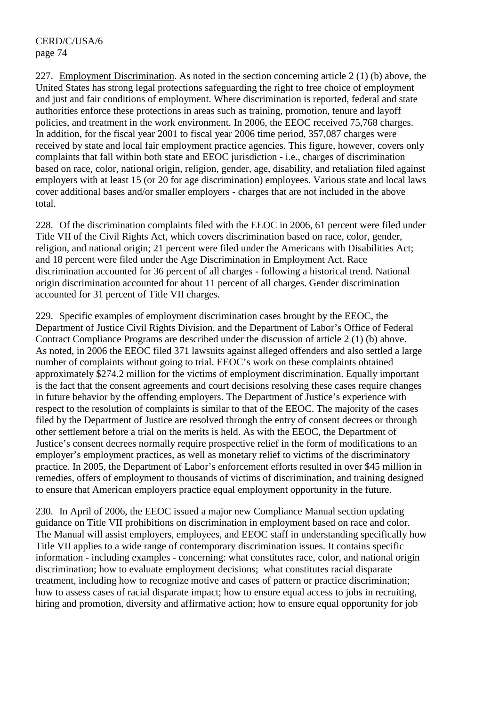227. Employment Discrimination. As noted in the section concerning article 2 (1) (b) above, the United States has strong legal protections safeguarding the right to free choice of employment and just and fair conditions of employment. Where discrimination is reported, federal and state authorities enforce these protections in areas such as training, promotion, tenure and layoff policies, and treatment in the work environment. In 2006, the EEOC received 75,768 charges. In addition, for the fiscal year 2001 to fiscal year 2006 time period, 357,087 charges were received by state and local fair employment practice agencies. This figure, however, covers only complaints that fall within both state and EEOC jurisdiction - i.e., charges of discrimination based on race, color, national origin, religion, gender, age, disability, and retaliation filed against employers with at least 15 (or 20 for age discrimination) employees. Various state and local laws cover additional bases and/or smaller employers - charges that are not included in the above total.

228. Of the discrimination complaints filed with the EEOC in 2006, 61 percent were filed under Title VII of the Civil Rights Act, which covers discrimination based on race, color, gender, religion, and national origin; 21 percent were filed under the Americans with Disabilities Act; and 18 percent were filed under the Age Discrimination in Employment Act. Race discrimination accounted for 36 percent of all charges - following a historical trend. National origin discrimination accounted for about 11 percent of all charges. Gender discrimination accounted for 31 percent of Title VII charges.

229. Specific examples of employment discrimination cases brought by the EEOC, the Department of Justice Civil Rights Division, and the Department of Labor's Office of Federal Contract Compliance Programs are described under the discussion of article 2 (1) (b) above. As noted, in 2006 the EEOC filed 371 lawsuits against alleged offenders and also settled a large number of complaints without going to trial. EEOC's work on these complaints obtained approximately \$274.2 million for the victims of employment discrimination. Equally important is the fact that the consent agreements and court decisions resolving these cases require changes in future behavior by the offending employers. The Department of Justice's experience with respect to the resolution of complaints is similar to that of the EEOC. The majority of the cases filed by the Department of Justice are resolved through the entry of consent decrees or through other settlement before a trial on the merits is held. As with the EEOC, the Department of Justice's consent decrees normally require prospective relief in the form of modifications to an employer's employment practices, as well as monetary relief to victims of the discriminatory practice. In 2005, the Department of Labor's enforcement efforts resulted in over \$45 million in remedies, offers of employment to thousands of victims of discrimination, and training designed to ensure that American employers practice equal employment opportunity in the future.

230. In April of 2006, the EEOC issued a major new Compliance Manual section updating guidance on Title VII prohibitions on discrimination in employment based on race and color. The Manual will assist employers, employees, and EEOC staff in understanding specifically how Title VII applies to a wide range of contemporary discrimination issues. It contains specific information - including examples - concerning: what constitutes race, color, and national origin discrimination; how to evaluate employment decisions; what constitutes racial disparate treatment, including how to recognize motive and cases of pattern or practice discrimination; how to assess cases of racial disparate impact; how to ensure equal access to jobs in recruiting, hiring and promotion, diversity and affirmative action; how to ensure equal opportunity for job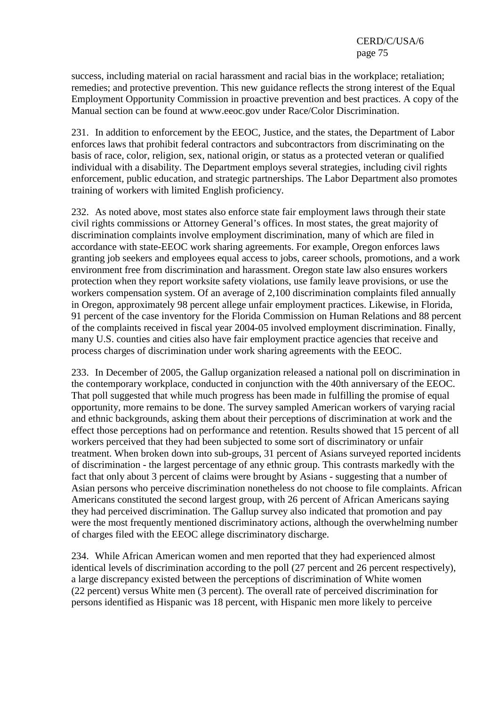success, including material on racial harassment and racial bias in the workplace; retaliation; remedies; and protective prevention. This new guidance reflects the strong interest of the Equal Employment Opportunity Commission in proactive prevention and best practices. A copy of the Manual section can be found at www.eeoc.gov under Race/Color Discrimination.

231. In addition to enforcement by the EEOC, Justice, and the states, the Department of Labor enforces laws that prohibit federal contractors and subcontractors from discriminating on the basis of race, color, religion, sex, national origin, or status as a protected veteran or qualified individual with a disability. The Department employs several strategies, including civil rights enforcement, public education, and strategic partnerships. The Labor Department also promotes training of workers with limited English proficiency.

232. As noted above, most states also enforce state fair employment laws through their state civil rights commissions or Attorney General's offices. In most states, the great majority of discrimination complaints involve employment discrimination, many of which are filed in accordance with state-EEOC work sharing agreements. For example, Oregon enforces laws granting job seekers and employees equal access to jobs, career schools, promotions, and a work environment free from discrimination and harassment. Oregon state law also ensures workers protection when they report worksite safety violations, use family leave provisions, or use the workers compensation system. Of an average of 2,100 discrimination complaints filed annually in Oregon, approximately 98 percent allege unfair employment practices. Likewise, in Florida, 91 percent of the case inventory for the Florida Commission on Human Relations and 88 percent of the complaints received in fiscal year 2004-05 involved employment discrimination. Finally, many U.S. counties and cities also have fair employment practice agencies that receive and process charges of discrimination under work sharing agreements with the EEOC.

233. In December of 2005, the Gallup organization released a national poll on discrimination in the contemporary workplace, conducted in conjunction with the 40th anniversary of the EEOC. That poll suggested that while much progress has been made in fulfilling the promise of equal opportunity, more remains to be done. The survey sampled American workers of varying racial and ethnic backgrounds, asking them about their perceptions of discrimination at work and the effect those perceptions had on performance and retention. Results showed that 15 percent of all workers perceived that they had been subjected to some sort of discriminatory or unfair treatment. When broken down into sub-groups, 31 percent of Asians surveyed reported incidents of discrimination - the largest percentage of any ethnic group. This contrasts markedly with the fact that only about 3 percent of claims were brought by Asians - suggesting that a number of Asian persons who perceive discrimination nonetheless do not choose to file complaints. African Americans constituted the second largest group, with 26 percent of African Americans saying they had perceived discrimination. The Gallup survey also indicated that promotion and pay were the most frequently mentioned discriminatory actions, although the overwhelming number of charges filed with the EEOC allege discriminatory discharge.

234. While African American women and men reported that they had experienced almost identical levels of discrimination according to the poll (27 percent and 26 percent respectively), a large discrepancy existed between the perceptions of discrimination of White women (22 percent) versus White men (3 percent). The overall rate of perceived discrimination for persons identified as Hispanic was 18 percent, with Hispanic men more likely to perceive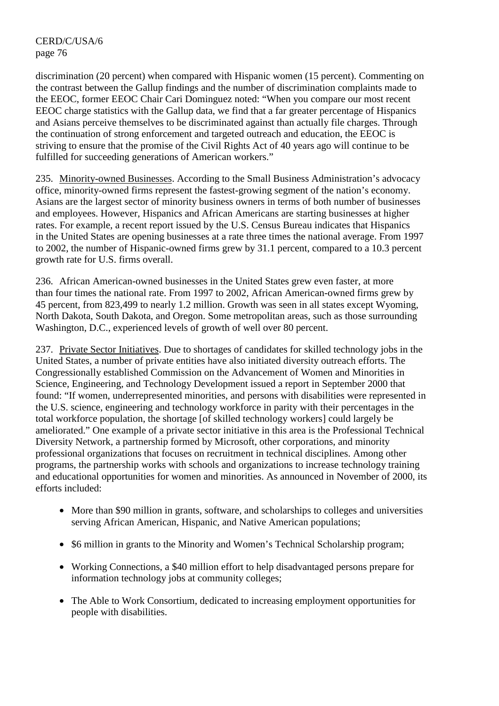discrimination (20 percent) when compared with Hispanic women (15 percent). Commenting on the contrast between the Gallup findings and the number of discrimination complaints made to the EEOC, former EEOC Chair Cari Dominguez noted: "When you compare our most recent EEOC charge statistics with the Gallup data, we find that a far greater percentage of Hispanics and Asians perceive themselves to be discriminated against than actually file charges. Through the continuation of strong enforcement and targeted outreach and education, the EEOC is striving to ensure that the promise of the Civil Rights Act of 40 years ago will continue to be fulfilled for succeeding generations of American workers."

235. Minority-owned Businesses. According to the Small Business Administration's advocacy office, minority-owned firms represent the fastest-growing segment of the nation's economy. Asians are the largest sector of minority business owners in terms of both number of businesses and employees. However, Hispanics and African Americans are starting businesses at higher rates. For example, a recent report issued by the U.S. Census Bureau indicates that Hispanics in the United States are opening businesses at a rate three times the national average. From 1997 to 2002, the number of Hispanic-owned firms grew by 31.1 percent, compared to a 10.3 percent growth rate for U.S. firms overall.

236. African American-owned businesses in the United States grew even faster, at more than four times the national rate. From 1997 to 2002, African American-owned firms grew by 45 percent, from 823,499 to nearly 1.2 million. Growth was seen in all states except Wyoming, North Dakota, South Dakota, and Oregon. Some metropolitan areas, such as those surrounding Washington, D.C., experienced levels of growth of well over 80 percent.

237. Private Sector Initiatives. Due to shortages of candidates for skilled technology jobs in the United States, a number of private entities have also initiated diversity outreach efforts. The Congressionally established Commission on the Advancement of Women and Minorities in Science, Engineering, and Technology Development issued a report in September 2000 that found: "If women, underrepresented minorities, and persons with disabilities were represented in the U.S. science, engineering and technology workforce in parity with their percentages in the total workforce population, the shortage [of skilled technology workers] could largely be ameliorated." One example of a private sector initiative in this area is the Professional Technical Diversity Network, a partnership formed by Microsoft, other corporations, and minority professional organizations that focuses on recruitment in technical disciplines. Among other programs, the partnership works with schools and organizations to increase technology training and educational opportunities for women and minorities. As announced in November of 2000, its efforts included:

- More than \$90 million in grants, software, and scholarships to colleges and universities serving African American, Hispanic, and Native American populations;
- \$6 million in grants to the Minority and Women's Technical Scholarship program;
- Working Connections, a \$40 million effort to help disadvantaged persons prepare for information technology jobs at community colleges;
- The Able to Work Consortium, dedicated to increasing employment opportunities for people with disabilities.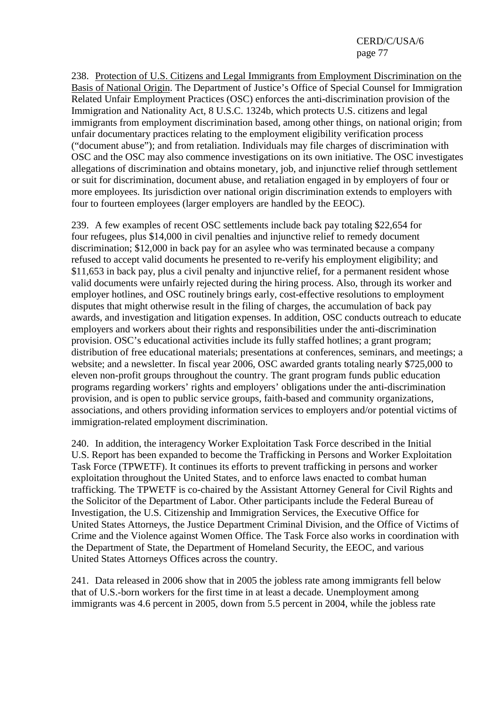238. Protection of U.S. Citizens and Legal Immigrants from Employment Discrimination on the Basis of National Origin. The Department of Justice's Office of Special Counsel for Immigration Related Unfair Employment Practices (OSC) enforces the anti-discrimination provision of the Immigration and Nationality Act, 8 U.S.C. 1324b, which protects U.S. citizens and legal immigrants from employment discrimination based, among other things, on national origin; from unfair documentary practices relating to the employment eligibility verification process ("document abuse"); and from retaliation. Individuals may file charges of discrimination with OSC and the OSC may also commence investigations on its own initiative. The OSC investigates allegations of discrimination and obtains monetary, job, and injunctive relief through settlement or suit for discrimination, document abuse, and retaliation engaged in by employers of four or more employees. Its jurisdiction over national origin discrimination extends to employers with four to fourteen employees (larger employers are handled by the EEOC).

239. A few examples of recent OSC settlements include back pay totaling \$22,654 for four refugees, plus \$14,000 in civil penalties and injunctive relief to remedy document discrimination; \$12,000 in back pay for an asylee who was terminated because a company refused to accept valid documents he presented to re-verify his employment eligibility; and \$11,653 in back pay, plus a civil penalty and injunctive relief, for a permanent resident whose valid documents were unfairly rejected during the hiring process. Also, through its worker and employer hotlines, and OSC routinely brings early, cost-effective resolutions to employment disputes that might otherwise result in the filing of charges, the accumulation of back pay awards, and investigation and litigation expenses. In addition, OSC conducts outreach to educate employers and workers about their rights and responsibilities under the anti-discrimination provision. OSC's educational activities include its fully staffed hotlines; a grant program; distribution of free educational materials; presentations at conferences, seminars, and meetings; a website; and a newsletter. In fiscal year 2006, OSC awarded grants totaling nearly \$725,000 to eleven non-profit groups throughout the country. The grant program funds public education programs regarding workers' rights and employers' obligations under the anti-discrimination provision, and is open to public service groups, faith-based and community organizations, associations, and others providing information services to employers and/or potential victims of immigration-related employment discrimination.

240. In addition, the interagency Worker Exploitation Task Force described in the Initial U.S. Report has been expanded to become the Trafficking in Persons and Worker Exploitation Task Force (TPWETF). It continues its efforts to prevent trafficking in persons and worker exploitation throughout the United States, and to enforce laws enacted to combat human trafficking. The TPWETF is co-chaired by the Assistant Attorney General for Civil Rights and the Solicitor of the Department of Labor. Other participants include the Federal Bureau of Investigation, the U.S. Citizenship and Immigration Services, the Executive Office for United States Attorneys, the Justice Department Criminal Division, and the Office of Victims of Crime and the Violence against Women Office. The Task Force also works in coordination with the Department of State, the Department of Homeland Security, the EEOC, and various United States Attorneys Offices across the country.

241. Data released in 2006 show that in 2005 the jobless rate among immigrants fell below that of U.S.-born workers for the first time in at least a decade. Unemployment among immigrants was 4.6 percent in 2005, down from 5.5 percent in 2004, while the jobless rate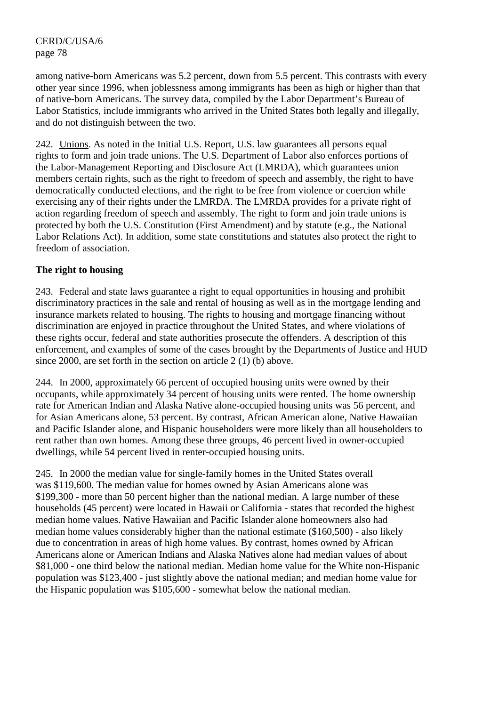among native-born Americans was 5.2 percent, down from 5.5 percent. This contrasts with every other year since 1996, when joblessness among immigrants has been as high or higher than that of native-born Americans. The survey data, compiled by the Labor Department's Bureau of Labor Statistics, include immigrants who arrived in the United States both legally and illegally, and do not distinguish between the two.

242. Unions. As noted in the Initial U.S. Report, U.S. law guarantees all persons equal rights to form and join trade unions. The U.S. Department of Labor also enforces portions of the Labor-Management Reporting and Disclosure Act (LMRDA), which guarantees union members certain rights, such as the right to freedom of speech and assembly, the right to have democratically conducted elections, and the right to be free from violence or coercion while exercising any of their rights under the LMRDA. The LMRDA provides for a private right of action regarding freedom of speech and assembly. The right to form and join trade unions is protected by both the U.S. Constitution (First Amendment) and by statute (e.g., the National Labor Relations Act). In addition, some state constitutions and statutes also protect the right to freedom of association.

## **The right to housing**

243. Federal and state laws guarantee a right to equal opportunities in housing and prohibit discriminatory practices in the sale and rental of housing as well as in the mortgage lending and insurance markets related to housing. The rights to housing and mortgage financing without discrimination are enjoyed in practice throughout the United States, and where violations of these rights occur, federal and state authorities prosecute the offenders. A description of this enforcement, and examples of some of the cases brought by the Departments of Justice and HUD since 2000, are set forth in the section on article 2 (1) (b) above.

244. In 2000, approximately 66 percent of occupied housing units were owned by their occupants, while approximately 34 percent of housing units were rented. The home ownership rate for American Indian and Alaska Native alone-occupied housing units was 56 percent, and for Asian Americans alone, 53 percent. By contrast, African American alone, Native Hawaiian and Pacific Islander alone, and Hispanic householders were more likely than all householders to rent rather than own homes. Among these three groups, 46 percent lived in owner-occupied dwellings, while 54 percent lived in renter-occupied housing units.

245. In 2000 the median value for single-family homes in the United States overall was \$119,600. The median value for homes owned by Asian Americans alone was \$199,300 - more than 50 percent higher than the national median. A large number of these households (45 percent) were located in Hawaii or California - states that recorded the highest median home values. Native Hawaiian and Pacific Islander alone homeowners also had median home values considerably higher than the national estimate (\$160,500) - also likely due to concentration in areas of high home values. By contrast, homes owned by African Americans alone or American Indians and Alaska Natives alone had median values of about \$81,000 - one third below the national median. Median home value for the White non-Hispanic population was \$123,400 - just slightly above the national median; and median home value for the Hispanic population was \$105,600 - somewhat below the national median.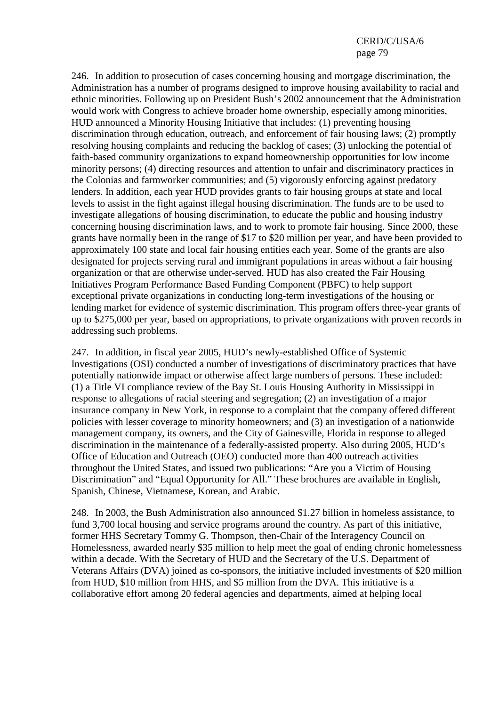246. In addition to prosecution of cases concerning housing and mortgage discrimination, the Administration has a number of programs designed to improve housing availability to racial and ethnic minorities. Following up on President Bush's 2002 announcement that the Administration would work with Congress to achieve broader home ownership, especially among minorities, HUD announced a Minority Housing Initiative that includes: (1) preventing housing discrimination through education, outreach, and enforcement of fair housing laws; (2) promptly resolving housing complaints and reducing the backlog of cases; (3) unlocking the potential of faith-based community organizations to expand homeownership opportunities for low income minority persons; (4) directing resources and attention to unfair and discriminatory practices in the Colonias and farmworker communities; and (5) vigorously enforcing against predatory lenders. In addition, each year HUD provides grants to fair housing groups at state and local levels to assist in the fight against illegal housing discrimination. The funds are to be used to investigate allegations of housing discrimination, to educate the public and housing industry concerning housing discrimination laws, and to work to promote fair housing. Since 2000, these grants have normally been in the range of \$17 to \$20 million per year, and have been provided to approximately 100 state and local fair housing entities each year. Some of the grants are also designated for projects serving rural and immigrant populations in areas without a fair housing organization or that are otherwise under-served. HUD has also created the Fair Housing Initiatives Program Performance Based Funding Component (PBFC) to help support exceptional private organizations in conducting long-term investigations of the housing or lending market for evidence of systemic discrimination. This program offers three-year grants of up to \$275,000 per year, based on appropriations, to private organizations with proven records in addressing such problems.

247. In addition, in fiscal year 2005, HUD's newly-established Office of Systemic Investigations (OSI) conducted a number of investigations of discriminatory practices that have potentially nationwide impact or otherwise affect large numbers of persons. These included: (1) a Title VI compliance review of the Bay St. Louis Housing Authority in Mississippi in response to allegations of racial steering and segregation; (2) an investigation of a major insurance company in New York, in response to a complaint that the company offered different policies with lesser coverage to minority homeowners; and (3) an investigation of a nationwide management company, its owners, and the City of Gainesville, Florida in response to alleged discrimination in the maintenance of a federally-assisted property. Also during 2005, HUD's Office of Education and Outreach (OEO) conducted more than 400 outreach activities throughout the United States, and issued two publications: "Are you a Victim of Housing Discrimination" and "Equal Opportunity for All." These brochures are available in English, Spanish, Chinese, Vietnamese, Korean, and Arabic.

248. In 2003, the Bush Administration also announced \$1.27 billion in homeless assistance, to fund 3,700 local housing and service programs around the country. As part of this initiative, former HHS Secretary Tommy G. Thompson, then-Chair of the Interagency Council on Homelessness, awarded nearly \$35 million to help meet the goal of ending chronic homelessness within a decade. With the Secretary of HUD and the Secretary of the U.S. Department of Veterans Affairs (DVA) joined as co-sponsors, the initiative included investments of \$20 million from HUD, \$10 million from HHS, and \$5 million from the DVA. This initiative is a collaborative effort among 20 federal agencies and departments, aimed at helping local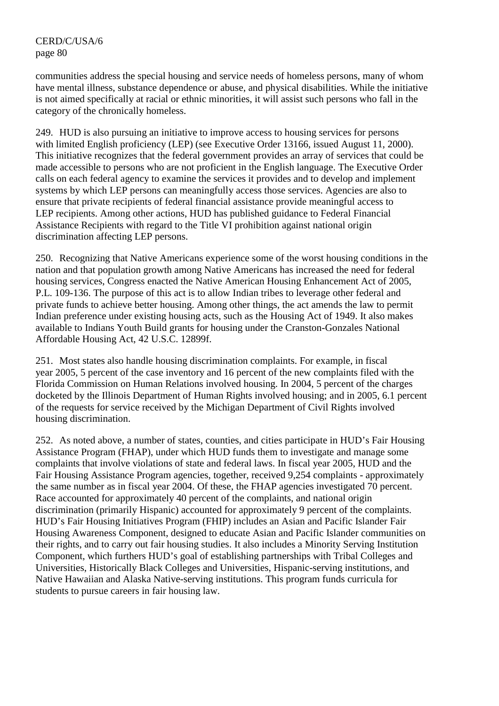communities address the special housing and service needs of homeless persons, many of whom have mental illness, substance dependence or abuse, and physical disabilities. While the initiative is not aimed specifically at racial or ethnic minorities, it will assist such persons who fall in the category of the chronically homeless.

249. HUD is also pursuing an initiative to improve access to housing services for persons with limited English proficiency (LEP) (see Executive Order 13166, issued August 11, 2000). This initiative recognizes that the federal government provides an array of services that could be made accessible to persons who are not proficient in the English language. The Executive Order calls on each federal agency to examine the services it provides and to develop and implement systems by which LEP persons can meaningfully access those services. Agencies are also to ensure that private recipients of federal financial assistance provide meaningful access to LEP recipients. Among other actions, HUD has published guidance to Federal Financial Assistance Recipients with regard to the Title VI prohibition against national origin discrimination affecting LEP persons.

250. Recognizing that Native Americans experience some of the worst housing conditions in the nation and that population growth among Native Americans has increased the need for federal housing services, Congress enacted the Native American Housing Enhancement Act of 2005, P.L. 109-136. The purpose of this act is to allow Indian tribes to leverage other federal and private funds to achieve better housing. Among other things, the act amends the law to permit Indian preference under existing housing acts, such as the Housing Act of 1949. It also makes available to Indians Youth Build grants for housing under the Cranston-Gonzales National Affordable Housing Act, 42 U.S.C. 12899f.

251. Most states also handle housing discrimination complaints. For example, in fiscal year 2005, 5 percent of the case inventory and 16 percent of the new complaints filed with the Florida Commission on Human Relations involved housing. In 2004, 5 percent of the charges docketed by the Illinois Department of Human Rights involved housing; and in 2005, 6.1 percent of the requests for service received by the Michigan Department of Civil Rights involved housing discrimination.

252. As noted above, a number of states, counties, and cities participate in HUD's Fair Housing Assistance Program (FHAP), under which HUD funds them to investigate and manage some complaints that involve violations of state and federal laws. In fiscal year 2005, HUD and the Fair Housing Assistance Program agencies, together, received 9,254 complaints - approximately the same number as in fiscal year 2004. Of these, the FHAP agencies investigated 70 percent. Race accounted for approximately 40 percent of the complaints, and national origin discrimination (primarily Hispanic) accounted for approximately 9 percent of the complaints. HUD's Fair Housing Initiatives Program (FHIP) includes an Asian and Pacific Islander Fair Housing Awareness Component, designed to educate Asian and Pacific Islander communities on their rights, and to carry out fair housing studies. It also includes a Minority Serving Institution Component, which furthers HUD's goal of establishing partnerships with Tribal Colleges and Universities, Historically Black Colleges and Universities, Hispanic-serving institutions, and Native Hawaiian and Alaska Native-serving institutions. This program funds curricula for students to pursue careers in fair housing law.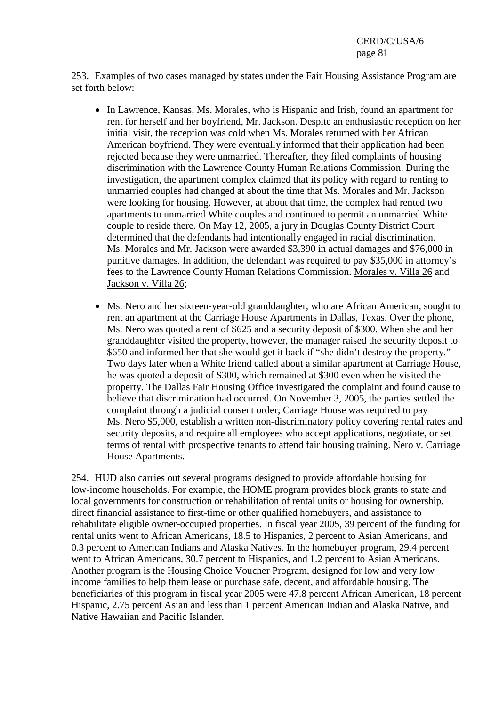253. Examples of two cases managed by states under the Fair Housing Assistance Program are set forth below:

- In Lawrence, Kansas, Ms. Morales, who is Hispanic and Irish, found an apartment for rent for herself and her boyfriend, Mr. Jackson. Despite an enthusiastic reception on her initial visit, the reception was cold when Ms. Morales returned with her African American boyfriend. They were eventually informed that their application had been rejected because they were unmarried. Thereafter, they filed complaints of housing discrimination with the Lawrence County Human Relations Commission. During the investigation, the apartment complex claimed that its policy with regard to renting to unmarried couples had changed at about the time that Ms. Morales and Mr. Jackson were looking for housing. However, at about that time, the complex had rented two apartments to unmarried White couples and continued to permit an unmarried White couple to reside there. On May 12, 2005, a jury in Douglas County District Court determined that the defendants had intentionally engaged in racial discrimination. Ms. Morales and Mr. Jackson were awarded \$3,390 in actual damages and \$76,000 in punitive damages. In addition, the defendant was required to pay \$35,000 in attorney's fees to the Lawrence County Human Relations Commission. Morales v. Villa 26 and Jackson v. Villa 26;
- Ms. Nero and her sixteen-year-old granddaughter, who are African American, sought to rent an apartment at the Carriage House Apartments in Dallas, Texas. Over the phone, Ms. Nero was quoted a rent of \$625 and a security deposit of \$300. When she and her granddaughter visited the property, however, the manager raised the security deposit to \$650 and informed her that she would get it back if "she didn't destroy the property." Two days later when a White friend called about a similar apartment at Carriage House, he was quoted a deposit of \$300, which remained at \$300 even when he visited the property. The Dallas Fair Housing Office investigated the complaint and found cause to believe that discrimination had occurred. On November 3, 2005, the parties settled the complaint through a judicial consent order; Carriage House was required to pay Ms. Nero \$5,000, establish a written non-discriminatory policy covering rental rates and security deposits, and require all employees who accept applications, negotiate, or set terms of rental with prospective tenants to attend fair housing training. Nero v. Carriage House Apartments.

254. HUD also carries out several programs designed to provide affordable housing for low-income households. For example, the HOME program provides block grants to state and local governments for construction or rehabilitation of rental units or housing for ownership, direct financial assistance to first-time or other qualified homebuyers, and assistance to rehabilitate eligible owner-occupied properties. In fiscal year 2005, 39 percent of the funding for rental units went to African Americans, 18.5 to Hispanics, 2 percent to Asian Americans, and 0.3 percent to American Indians and Alaska Natives. In the homebuyer program, 29.4 percent went to African Americans, 30.7 percent to Hispanics, and 1.2 percent to Asian Americans. Another program is the Housing Choice Voucher Program, designed for low and very low income families to help them lease or purchase safe, decent, and affordable housing. The beneficiaries of this program in fiscal year 2005 were 47.8 percent African American, 18 percent Hispanic, 2.75 percent Asian and less than 1 percent American Indian and Alaska Native, and Native Hawaiian and Pacific Islander.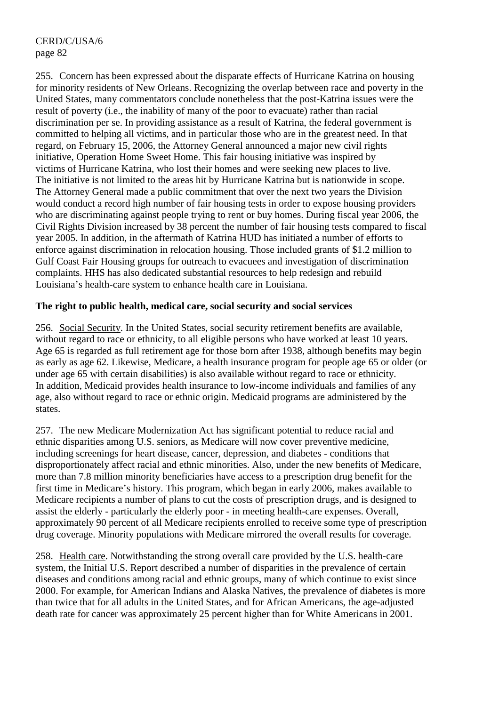255. Concern has been expressed about the disparate effects of Hurricane Katrina on housing for minority residents of New Orleans. Recognizing the overlap between race and poverty in the United States, many commentators conclude nonetheless that the post-Katrina issues were the result of poverty (i.e., the inability of many of the poor to evacuate) rather than racial discrimination per se. In providing assistance as a result of Katrina, the federal government is committed to helping all victims, and in particular those who are in the greatest need. In that regard, on February 15, 2006, the Attorney General announced a major new civil rights initiative, Operation Home Sweet Home. This fair housing initiative was inspired by victims of Hurricane Katrina, who lost their homes and were seeking new places to live. The initiative is not limited to the areas hit by Hurricane Katrina but is nationwide in scope. The Attorney General made a public commitment that over the next two years the Division would conduct a record high number of fair housing tests in order to expose housing providers who are discriminating against people trying to rent or buy homes. During fiscal year 2006, the Civil Rights Division increased by 38 percent the number of fair housing tests compared to fiscal year 2005. In addition, in the aftermath of Katrina HUD has initiated a number of efforts to enforce against discrimination in relocation housing. Those included grants of \$1.2 million to Gulf Coast Fair Housing groups for outreach to evacuees and investigation of discrimination complaints. HHS has also dedicated substantial resources to help redesign and rebuild Louisiana's health-care system to enhance health care in Louisiana.

#### **The right to public health, medical care, social security and social services**

256. Social Security. In the United States, social security retirement benefits are available, without regard to race or ethnicity, to all eligible persons who have worked at least 10 years. Age 65 is regarded as full retirement age for those born after 1938, although benefits may begin as early as age 62. Likewise, Medicare, a health insurance program for people age 65 or older (or under age 65 with certain disabilities) is also available without regard to race or ethnicity. In addition, Medicaid provides health insurance to low-income individuals and families of any age, also without regard to race or ethnic origin. Medicaid programs are administered by the states.

257. The new Medicare Modernization Act has significant potential to reduce racial and ethnic disparities among U.S. seniors, as Medicare will now cover preventive medicine, including screenings for heart disease, cancer, depression, and diabetes - conditions that disproportionately affect racial and ethnic minorities. Also, under the new benefits of Medicare, more than 7.8 million minority beneficiaries have access to a prescription drug benefit for the first time in Medicare's history. This program, which began in early 2006, makes available to Medicare recipients a number of plans to cut the costs of prescription drugs, and is designed to assist the elderly - particularly the elderly poor - in meeting health-care expenses. Overall, approximately 90 percent of all Medicare recipients enrolled to receive some type of prescription drug coverage. Minority populations with Medicare mirrored the overall results for coverage.

258. Health care. Notwithstanding the strong overall care provided by the U.S. health-care system, the Initial U.S. Report described a number of disparities in the prevalence of certain diseases and conditions among racial and ethnic groups, many of which continue to exist since 2000. For example, for American Indians and Alaska Natives, the prevalence of diabetes is more than twice that for all adults in the United States, and for African Americans, the age-adjusted death rate for cancer was approximately 25 percent higher than for White Americans in 2001.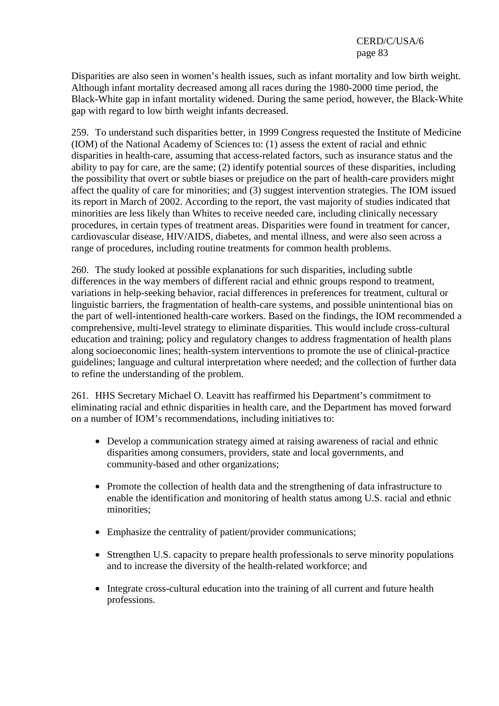Disparities are also seen in women's health issues, such as infant mortality and low birth weight. Although infant mortality decreased among all races during the 1980-2000 time period, the Black-White gap in infant mortality widened. During the same period, however, the Black-White gap with regard to low birth weight infants decreased.

259. To understand such disparities better, in 1999 Congress requested the Institute of Medicine (IOM) of the National Academy of Sciences to: (1) assess the extent of racial and ethnic disparities in health-care, assuming that access-related factors, such as insurance status and the ability to pay for care, are the same; (2) identify potential sources of these disparities, including the possibility that overt or subtle biases or prejudice on the part of health-care providers might affect the quality of care for minorities; and (3) suggest intervention strategies. The IOM issued its report in March of 2002. According to the report, the vast majority of studies indicated that minorities are less likely than Whites to receive needed care, including clinically necessary procedures, in certain types of treatment areas. Disparities were found in treatment for cancer, cardiovascular disease, HIV/AIDS, diabetes, and mental illness, and were also seen across a range of procedures, including routine treatments for common health problems.

260. The study looked at possible explanations for such disparities, including subtle differences in the way members of different racial and ethnic groups respond to treatment, variations in help-seeking behavior, racial differences in preferences for treatment, cultural or linguistic barriers, the fragmentation of health-care systems, and possible unintentional bias on the part of well-intentioned health-care workers. Based on the findings, the IOM recommended a comprehensive, multi-level strategy to eliminate disparities. This would include cross-cultural education and training; policy and regulatory changes to address fragmentation of health plans along socioeconomic lines; health-system interventions to promote the use of clinical-practice guidelines; language and cultural interpretation where needed; and the collection of further data to refine the understanding of the problem.

261. HHS Secretary Michael O. Leavitt has reaffirmed his Department's commitment to eliminating racial and ethnic disparities in health care, and the Department has moved forward on a number of IOM's recommendations, including initiatives to:

- Develop a communication strategy aimed at raising awareness of racial and ethnic disparities among consumers, providers, state and local governments, and community-based and other organizations;
- Promote the collection of health data and the strengthening of data infrastructure to enable the identification and monitoring of health status among U.S. racial and ethnic minorities;
- Emphasize the centrality of patient/provider communications;
- Strengthen U.S. capacity to prepare health professionals to serve minority populations and to increase the diversity of the health-related workforce; and
- Integrate cross-cultural education into the training of all current and future health professions.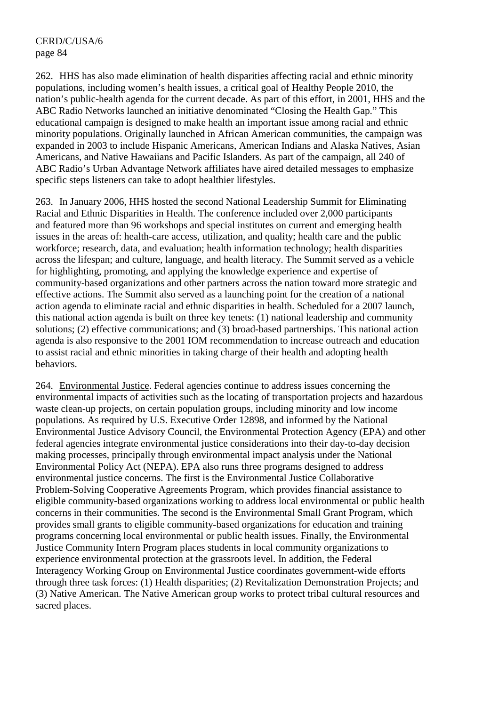262. HHS has also made elimination of health disparities affecting racial and ethnic minority populations, including women's health issues, a critical goal of Healthy People 2010, the nation's public-health agenda for the current decade. As part of this effort, in 2001, HHS and the ABC Radio Networks launched an initiative denominated "Closing the Health Gap." This educational campaign is designed to make health an important issue among racial and ethnic minority populations. Originally launched in African American communities, the campaign was expanded in 2003 to include Hispanic Americans, American Indians and Alaska Natives, Asian Americans, and Native Hawaiians and Pacific Islanders. As part of the campaign, all 240 of ABC Radio's Urban Advantage Network affiliates have aired detailed messages to emphasize specific steps listeners can take to adopt healthier lifestyles.

263. In January 2006, HHS hosted the second National Leadership Summit for Eliminating Racial and Ethnic Disparities in Health. The conference included over 2,000 participants and featured more than 96 workshops and special institutes on current and emerging health issues in the areas of: health-care access, utilization, and quality; health care and the public workforce; research, data, and evaluation; health information technology; health disparities across the lifespan; and culture, language, and health literacy. The Summit served as a vehicle for highlighting, promoting, and applying the knowledge experience and expertise of community-based organizations and other partners across the nation toward more strategic and effective actions. The Summit also served as a launching point for the creation of a national action agenda to eliminate racial and ethnic disparities in health. Scheduled for a 2007 launch, this national action agenda is built on three key tenets: (1) national leadership and community solutions; (2) effective communications; and (3) broad-based partnerships. This national action agenda is also responsive to the 2001 IOM recommendation to increase outreach and education to assist racial and ethnic minorities in taking charge of their health and adopting health behaviors.

264. Environmental Justice. Federal agencies continue to address issues concerning the environmental impacts of activities such as the locating of transportation projects and hazardous waste clean-up projects, on certain population groups, including minority and low income populations. As required by U.S. Executive Order 12898, and informed by the National Environmental Justice Advisory Council, the Environmental Protection Agency (EPA) and other federal agencies integrate environmental justice considerations into their day-to-day decision making processes, principally through environmental impact analysis under the National Environmental Policy Act (NEPA). EPA also runs three programs designed to address environmental justice concerns. The first is the Environmental Justice Collaborative Problem-Solving Cooperative Agreements Program, which provides financial assistance to eligible community-based organizations working to address local environmental or public health concerns in their communities. The second is the Environmental Small Grant Program, which provides small grants to eligible community-based organizations for education and training programs concerning local environmental or public health issues. Finally, the Environmental Justice Community Intern Program places students in local community organizations to experience environmental protection at the grassroots level. In addition, the Federal Interagency Working Group on Environmental Justice coordinates government-wide efforts through three task forces: (1) Health disparities; (2) Revitalization Demonstration Projects; and (3) Native American. The Native American group works to protect tribal cultural resources and sacred places.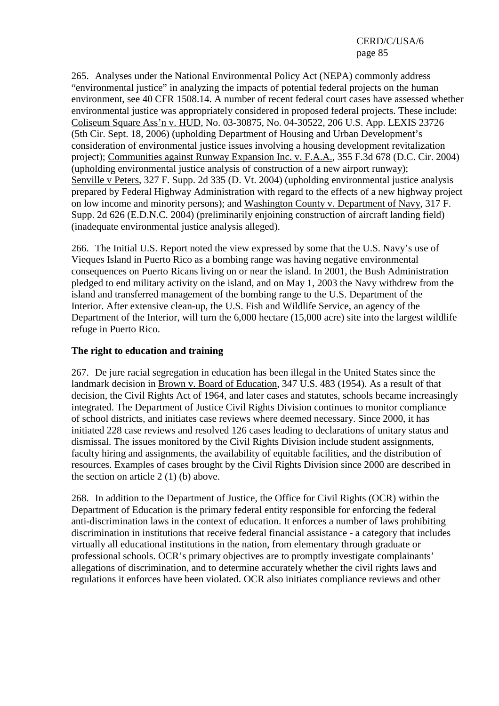265. Analyses under the National Environmental Policy Act (NEPA) commonly address "environmental justice" in analyzing the impacts of potential federal projects on the human environment, see 40 CFR 1508.14. A number of recent federal court cases have assessed whether environmental justice was appropriately considered in proposed federal projects. These include: Coliseum Square Ass'n v. HUD, No. 03-30875, No. 04-30522, 206 U.S. App. LEXIS 23726 (5th Cir. Sept. 18, 2006) (upholding Department of Housing and Urban Development's consideration of environmental justice issues involving a housing development revitalization project); Communities against Runway Expansion Inc. v. F.A.A., 355 F.3d 678 (D.C. Cir. 2004) (upholding environmental justice analysis of construction of a new airport runway); Senville v Peters, 327 F. Supp. 2d 335 (D. Vt. 2004) (upholding environmental justice analysis prepared by Federal Highway Administration with regard to the effects of a new highway project on low income and minority persons); and Washington County v. Department of Navy, 317 F. Supp. 2d 626 (E.D.N.C. 2004) (preliminarily enjoining construction of aircraft landing field) (inadequate environmental justice analysis alleged).

266. The Initial U.S. Report noted the view expressed by some that the U.S. Navy's use of Vieques Island in Puerto Rico as a bombing range was having negative environmental consequences on Puerto Ricans living on or near the island. In 2001, the Bush Administration pledged to end military activity on the island, and on May 1, 2003 the Navy withdrew from the island and transferred management of the bombing range to the U.S. Department of the Interior. After extensive clean-up, the U.S. Fish and Wildlife Service, an agency of the Department of the Interior, will turn the 6,000 hectare (15,000 acre) site into the largest wildlife refuge in Puerto Rico.

## **The right to education and training**

267. De jure racial segregation in education has been illegal in the United States since the landmark decision in Brown v. Board of Education, 347 U.S. 483 (1954). As a result of that decision, the Civil Rights Act of 1964, and later cases and statutes, schools became increasingly integrated. The Department of Justice Civil Rights Division continues to monitor compliance of school districts, and initiates case reviews where deemed necessary. Since 2000, it has initiated 228 case reviews and resolved 126 cases leading to declarations of unitary status and dismissal. The issues monitored by the Civil Rights Division include student assignments, faculty hiring and assignments, the availability of equitable facilities, and the distribution of resources. Examples of cases brought by the Civil Rights Division since 2000 are described in the section on article  $2(1)$  (b) above.

268. In addition to the Department of Justice, the Office for Civil Rights (OCR) within the Department of Education is the primary federal entity responsible for enforcing the federal anti-discrimination laws in the context of education. It enforces a number of laws prohibiting discrimination in institutions that receive federal financial assistance - a category that includes virtually all educational institutions in the nation, from elementary through graduate or professional schools. OCR's primary objectives are to promptly investigate complainants' allegations of discrimination, and to determine accurately whether the civil rights laws and regulations it enforces have been violated. OCR also initiates compliance reviews and other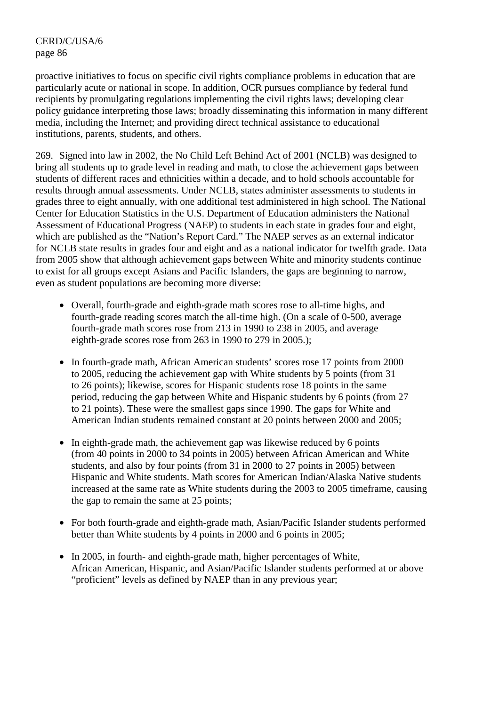proactive initiatives to focus on specific civil rights compliance problems in education that are particularly acute or national in scope. In addition, OCR pursues compliance by federal fund recipients by promulgating regulations implementing the civil rights laws; developing clear policy guidance interpreting those laws; broadly disseminating this information in many different media, including the Internet; and providing direct technical assistance to educational institutions, parents, students, and others.

269. Signed into law in 2002, the No Child Left Behind Act of 2001 (NCLB) was designed to bring all students up to grade level in reading and math, to close the achievement gaps between students of different races and ethnicities within a decade, and to hold schools accountable for results through annual assessments. Under NCLB, states administer assessments to students in grades three to eight annually, with one additional test administered in high school. The National Center for Education Statistics in the U.S. Department of Education administers the National Assessment of Educational Progress (NAEP) to students in each state in grades four and eight, which are published as the "Nation's Report Card." The NAEP serves as an external indicator for NCLB state results in grades four and eight and as a national indicator for twelfth grade. Data from 2005 show that although achievement gaps between White and minority students continue to exist for all groups except Asians and Pacific Islanders, the gaps are beginning to narrow, even as student populations are becoming more diverse:

- Overall, fourth-grade and eighth-grade math scores rose to all-time highs, and fourth-grade reading scores match the all-time high. (On a scale of 0-500, average fourth-grade math scores rose from 213 in 1990 to 238 in 2005, and average eighth-grade scores rose from 263 in 1990 to 279 in 2005.);
- In fourth-grade math, African American students' scores rose 17 points from 2000 to 2005, reducing the achievement gap with White students by 5 points (from 31 to 26 points); likewise, scores for Hispanic students rose 18 points in the same period, reducing the gap between White and Hispanic students by 6 points (from 27 to 21 points). These were the smallest gaps since 1990. The gaps for White and American Indian students remained constant at 20 points between 2000 and 2005;
- In eighth-grade math, the achievement gap was likewise reduced by 6 points (from 40 points in 2000 to 34 points in 2005) between African American and White students, and also by four points (from 31 in 2000 to 27 points in 2005) between Hispanic and White students. Math scores for American Indian/Alaska Native students increased at the same rate as White students during the 2003 to 2005 timeframe, causing the gap to remain the same at 25 points;
- For both fourth-grade and eighth-grade math, Asian/Pacific Islander students performed better than White students by 4 points in 2000 and 6 points in 2005;
- In 2005, in fourth- and eighth-grade math, higher percentages of White, African American, Hispanic, and Asian/Pacific Islander students performed at or above "proficient" levels as defined by NAEP than in any previous year;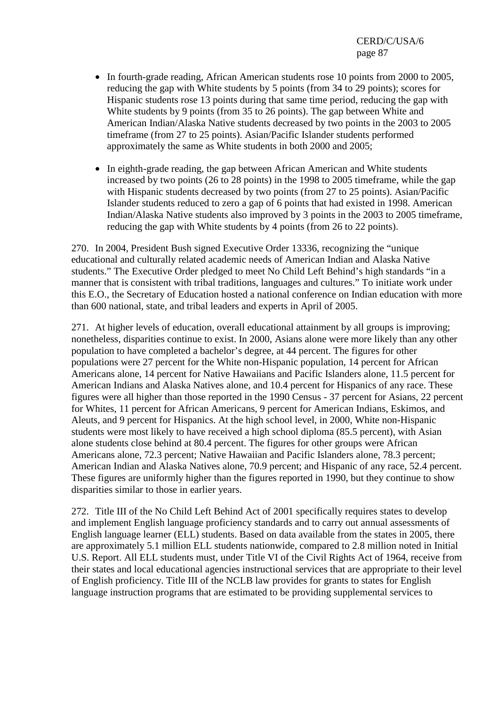- In fourth-grade reading, African American students rose 10 points from 2000 to 2005, reducing the gap with White students by 5 points (from 34 to 29 points); scores for Hispanic students rose 13 points during that same time period, reducing the gap with White students by 9 points (from 35 to 26 points). The gap between White and American Indian/Alaska Native students decreased by two points in the 2003 to 2005 timeframe (from 27 to 25 points). Asian/Pacific Islander students performed approximately the same as White students in both 2000 and 2005;
- In eighth-grade reading, the gap between African American and White students increased by two points (26 to 28 points) in the 1998 to 2005 timeframe, while the gap with Hispanic students decreased by two points (from 27 to 25 points). Asian/Pacific Islander students reduced to zero a gap of 6 points that had existed in 1998. American Indian/Alaska Native students also improved by 3 points in the 2003 to 2005 timeframe, reducing the gap with White students by 4 points (from 26 to 22 points).

270. In 2004, President Bush signed Executive Order 13336, recognizing the "unique educational and culturally related academic needs of American Indian and Alaska Native students." The Executive Order pledged to meet No Child Left Behind's high standards "in a manner that is consistent with tribal traditions, languages and cultures." To initiate work under this E.O., the Secretary of Education hosted a national conference on Indian education with more than 600 national, state, and tribal leaders and experts in April of 2005.

271. At higher levels of education, overall educational attainment by all groups is improving; nonetheless, disparities continue to exist. In 2000, Asians alone were more likely than any other population to have completed a bachelor's degree, at 44 percent. The figures for other populations were 27 percent for the White non-Hispanic population, 14 percent for African Americans alone, 14 percent for Native Hawaiians and Pacific Islanders alone, 11.5 percent for American Indians and Alaska Natives alone, and 10.4 percent for Hispanics of any race. These figures were all higher than those reported in the 1990 Census - 37 percent for Asians, 22 percent for Whites, 11 percent for African Americans, 9 percent for American Indians, Eskimos, and Aleuts, and 9 percent for Hispanics. At the high school level, in 2000, White non-Hispanic students were most likely to have received a high school diploma (85.5 percent), with Asian alone students close behind at 80.4 percent. The figures for other groups were African Americans alone, 72.3 percent; Native Hawaiian and Pacific Islanders alone, 78.3 percent; American Indian and Alaska Natives alone, 70.9 percent; and Hispanic of any race, 52.4 percent. These figures are uniformly higher than the figures reported in 1990, but they continue to show disparities similar to those in earlier years.

272. Title III of the No Child Left Behind Act of 2001 specifically requires states to develop and implement English language proficiency standards and to carry out annual assessments of English language learner (ELL) students. Based on data available from the states in 2005, there are approximately 5.1 million ELL students nationwide, compared to 2.8 million noted in Initial U.S. Report. All ELL students must, under Title VI of the Civil Rights Act of 1964, receive from their states and local educational agencies instructional services that are appropriate to their level of English proficiency. Title III of the NCLB law provides for grants to states for English language instruction programs that are estimated to be providing supplemental services to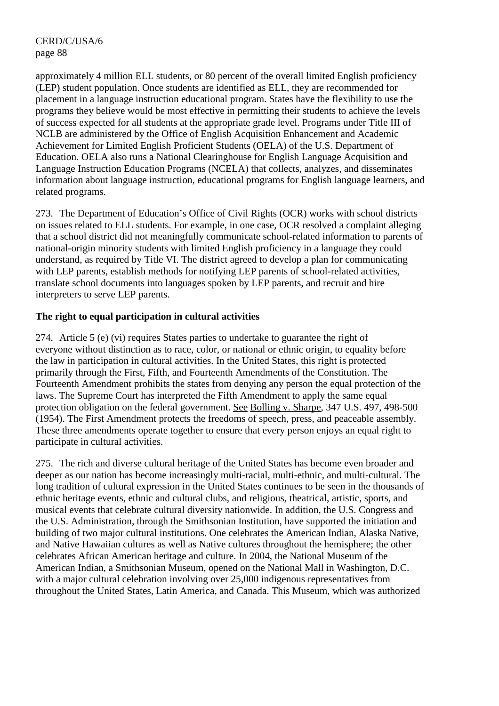approximately 4 million ELL students, or 80 percent of the overall limited English proficiency (LEP) student population. Once students are identified as ELL, they are recommended for placement in a language instruction educational program. States have the flexibility to use the programs they believe would be most effective in permitting their students to achieve the levels of success expected for all students at the appropriate grade level. Programs under Title III of NCLB are administered by the Office of English Acquisition Enhancement and Academic Achievement for Limited English Proficient Students (OELA) of the U.S. Department of Education. OELA also runs a National Clearinghouse for English Language Acquisition and Language Instruction Education Programs (NCELA) that collects, analyzes, and disseminates information about language instruction, educational programs for English language learners, and related programs.

273. The Department of Education's Office of Civil Rights (OCR) works with school districts on issues related to ELL students. For example, in one case, OCR resolved a complaint alleging that a school district did not meaningfully communicate school-related information to parents of national-origin minority students with limited English proficiency in a language they could understand, as required by Title VI. The district agreed to develop a plan for communicating with LEP parents, establish methods for notifying LEP parents of school-related activities, translate school documents into languages spoken by LEP parents, and recruit and hire interpreters to serve LEP parents.

## **The right to equal participation in cultural activities**

274. Article 5 (e) (vi) requires States parties to undertake to guarantee the right of everyone without distinction as to race, color, or national or ethnic origin, to equality before the law in participation in cultural activities. In the United States, this right is protected primarily through the First, Fifth, and Fourteenth Amendments of the Constitution. The Fourteenth Amendment prohibits the states from denying any person the equal protection of the laws. The Supreme Court has interpreted the Fifth Amendment to apply the same equal protection obligation on the federal government. See Bolling v. Sharpe, 347 U.S. 497, 498-500 (1954). The First Amendment protects the freedoms of speech, press, and peaceable assembly. These three amendments operate together to ensure that every person enjoys an equal right to participate in cultural activities.

275. The rich and diverse cultural heritage of the United States has become even broader and deeper as our nation has become increasingly multi-racial, multi-ethnic, and multi-cultural. The long tradition of cultural expression in the United States continues to be seen in the thousands of ethnic heritage events, ethnic and cultural clubs, and religious, theatrical, artistic, sports, and musical events that celebrate cultural diversity nationwide. In addition, the U.S. Congress and the U.S. Administration, through the Smithsonian Institution, have supported the initiation and building of two major cultural institutions. One celebrates the American Indian, Alaska Native, and Native Hawaiian cultures as well as Native cultures throughout the hemisphere; the other celebrates African American heritage and culture. In 2004, the National Museum of the American Indian, a Smithsonian Museum, opened on the National Mall in Washington, D.C. with a major cultural celebration involving over 25,000 indigenous representatives from throughout the United States, Latin America, and Canada. This Museum, which was authorized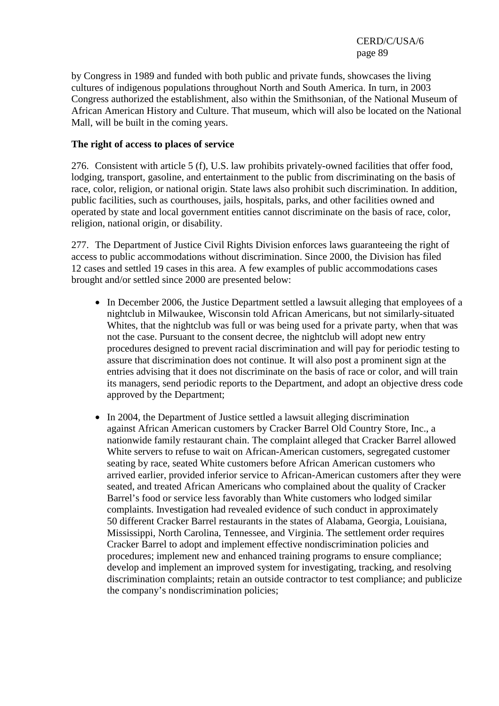by Congress in 1989 and funded with both public and private funds, showcases the living cultures of indigenous populations throughout North and South America. In turn, in 2003 Congress authorized the establishment, also within the Smithsonian, of the National Museum of African American History and Culture. That museum, which will also be located on the National Mall, will be built in the coming years.

### **The right of access to places of service**

276. Consistent with article 5 (f), U.S. law prohibits privately-owned facilities that offer food, lodging, transport, gasoline, and entertainment to the public from discriminating on the basis of race, color, religion, or national origin. State laws also prohibit such discrimination. In addition, public facilities, such as courthouses, jails, hospitals, parks, and other facilities owned and operated by state and local government entities cannot discriminate on the basis of race, color, religion, national origin, or disability.

277. The Department of Justice Civil Rights Division enforces laws guaranteeing the right of access to public accommodations without discrimination. Since 2000, the Division has filed 12 cases and settled 19 cases in this area. A few examples of public accommodations cases brought and/or settled since 2000 are presented below:

- In December 2006, the Justice Department settled a lawsuit alleging that employees of a nightclub in Milwaukee, Wisconsin told African Americans, but not similarly-situated Whites, that the nightclub was full or was being used for a private party, when that was not the case. Pursuant to the consent decree, the nightclub will adopt new entry procedures designed to prevent racial discrimination and will pay for periodic testing to assure that discrimination does not continue. It will also post a prominent sign at the entries advising that it does not discriminate on the basis of race or color, and will train its managers, send periodic reports to the Department, and adopt an objective dress code approved by the Department;
- In 2004, the Department of Justice settled a lawsuit alleging discrimination against African American customers by Cracker Barrel Old Country Store, Inc., a nationwide family restaurant chain. The complaint alleged that Cracker Barrel allowed White servers to refuse to wait on African-American customers, segregated customer seating by race, seated White customers before African American customers who arrived earlier, provided inferior service to African-American customers after they were seated, and treated African Americans who complained about the quality of Cracker Barrel's food or service less favorably than White customers who lodged similar complaints. Investigation had revealed evidence of such conduct in approximately 50 different Cracker Barrel restaurants in the states of Alabama, Georgia, Louisiana, Mississippi, North Carolina, Tennessee, and Virginia. The settlement order requires Cracker Barrel to adopt and implement effective nondiscrimination policies and procedures; implement new and enhanced training programs to ensure compliance; develop and implement an improved system for investigating, tracking, and resolving discrimination complaints; retain an outside contractor to test compliance; and publicize the company's nondiscrimination policies;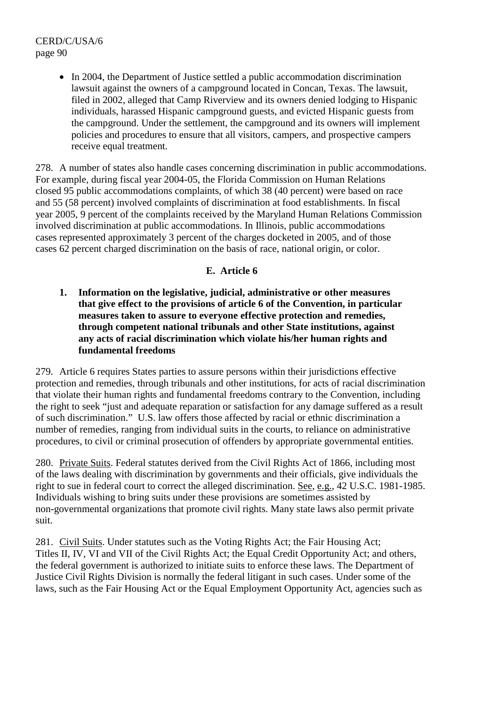• In 2004, the Department of Justice settled a public accommodation discrimination lawsuit against the owners of a campground located in Concan, Texas. The lawsuit, filed in 2002, alleged that Camp Riverview and its owners denied lodging to Hispanic individuals, harassed Hispanic campground guests, and evicted Hispanic guests from the campground. Under the settlement, the campground and its owners will implement policies and procedures to ensure that all visitors, campers, and prospective campers receive equal treatment.

278. A number of states also handle cases concerning discrimination in public accommodations. For example, during fiscal year 2004-05, the Florida Commission on Human Relations closed 95 public accommodations complaints, of which 38 (40 percent) were based on race and 55 (58 percent) involved complaints of discrimination at food establishments. In fiscal year 2005, 9 percent of the complaints received by the Maryland Human Relations Commission involved discrimination at public accommodations. In Illinois, public accommodations cases represented approximately 3 percent of the charges docketed in 2005, and of those cases 62 percent charged discrimination on the basis of race, national origin, or color.

## **E. Article 6**

**1. Information on the legislative, judicial, administrative or other measures that give effect to the provisions of article 6 of the Convention, in particular measures taken to assure to everyone effective protection and remedies, through competent national tribunals and other State institutions, against any acts of racial discrimination which violate his/her human rights and fundamental freedoms** 

279. Article 6 requires States parties to assure persons within their jurisdictions effective protection and remedies, through tribunals and other institutions, for acts of racial discrimination that violate their human rights and fundamental freedoms contrary to the Convention, including the right to seek "just and adequate reparation or satisfaction for any damage suffered as a result of such discrimination." U.S. law offers those affected by racial or ethnic discrimination a number of remedies, ranging from individual suits in the courts, to reliance on administrative procedures, to civil or criminal prosecution of offenders by appropriate governmental entities.

280. Private Suits. Federal statutes derived from the Civil Rights Act of 1866, including most of the laws dealing with discrimination by governments and their officials, give individuals the right to sue in federal court to correct the alleged discrimination. See, e.g., 42 U.S.C. 1981-1985. Individuals wishing to bring suits under these provisions are sometimes assisted by non-governmental organizations that promote civil rights. Many state laws also permit private suit.

281. Civil Suits. Under statutes such as the Voting Rights Act; the Fair Housing Act; Titles II, IV, VI and VII of the Civil Rights Act; the Equal Credit Opportunity Act; and others, the federal government is authorized to initiate suits to enforce these laws. The Department of Justice Civil Rights Division is normally the federal litigant in such cases. Under some of the laws, such as the Fair Housing Act or the Equal Employment Opportunity Act, agencies such as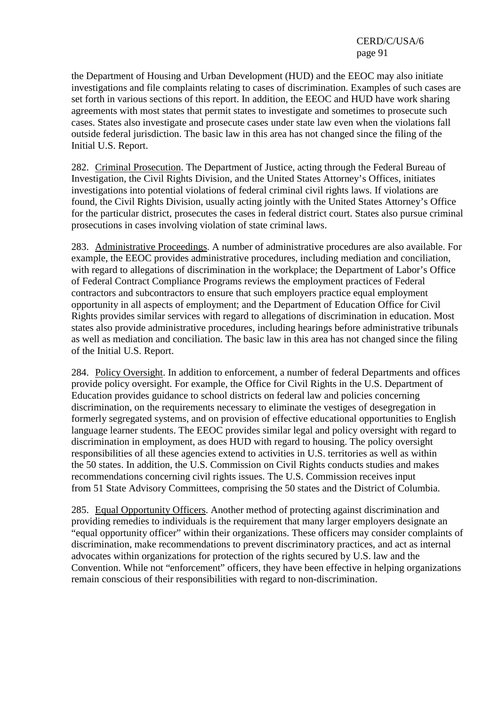the Department of Housing and Urban Development (HUD) and the EEOC may also initiate investigations and file complaints relating to cases of discrimination. Examples of such cases are set forth in various sections of this report. In addition, the EEOC and HUD have work sharing agreements with most states that permit states to investigate and sometimes to prosecute such cases. States also investigate and prosecute cases under state law even when the violations fall outside federal jurisdiction. The basic law in this area has not changed since the filing of the Initial U.S. Report.

282. Criminal Prosecution. The Department of Justice, acting through the Federal Bureau of Investigation, the Civil Rights Division, and the United States Attorney's Offices, initiates investigations into potential violations of federal criminal civil rights laws. If violations are found, the Civil Rights Division, usually acting jointly with the United States Attorney's Office for the particular district, prosecutes the cases in federal district court. States also pursue criminal prosecutions in cases involving violation of state criminal laws.

283. Administrative Proceedings. A number of administrative procedures are also available. For example, the EEOC provides administrative procedures, including mediation and conciliation, with regard to allegations of discrimination in the workplace; the Department of Labor's Office of Federal Contract Compliance Programs reviews the employment practices of Federal contractors and subcontractors to ensure that such employers practice equal employment opportunity in all aspects of employment; and the Department of Education Office for Civil Rights provides similar services with regard to allegations of discrimination in education. Most states also provide administrative procedures, including hearings before administrative tribunals as well as mediation and conciliation. The basic law in this area has not changed since the filing of the Initial U.S. Report.

284. Policy Oversight. In addition to enforcement, a number of federal Departments and offices provide policy oversight. For example, the Office for Civil Rights in the U.S. Department of Education provides guidance to school districts on federal law and policies concerning discrimination, on the requirements necessary to eliminate the vestiges of desegregation in formerly segregated systems, and on provision of effective educational opportunities to English language learner students. The EEOC provides similar legal and policy oversight with regard to discrimination in employment, as does HUD with regard to housing. The policy oversight responsibilities of all these agencies extend to activities in U.S. territories as well as within the 50 states. In addition, the U.S. Commission on Civil Rights conducts studies and makes recommendations concerning civil rights issues. The U.S. Commission receives input from 51 State Advisory Committees, comprising the 50 states and the District of Columbia.

285. Equal Opportunity Officers. Another method of protecting against discrimination and providing remedies to individuals is the requirement that many larger employers designate an "equal opportunity officer" within their organizations. These officers may consider complaints of discrimination, make recommendations to prevent discriminatory practices, and act as internal advocates within organizations for protection of the rights secured by U.S. law and the Convention. While not "enforcement" officers, they have been effective in helping organizations remain conscious of their responsibilities with regard to non-discrimination.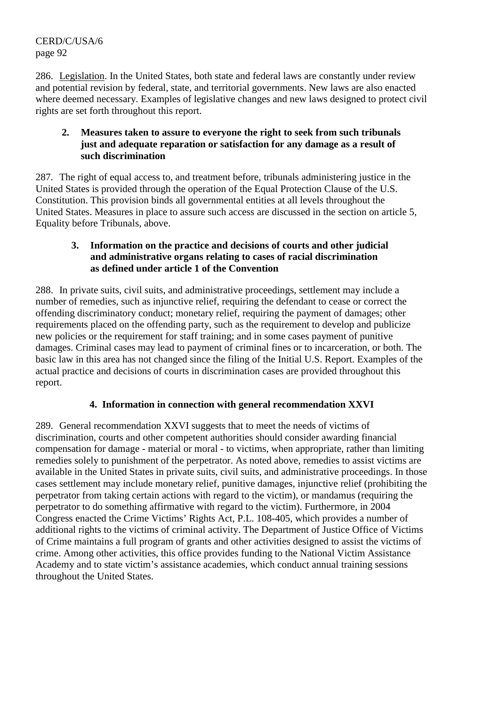286. Legislation. In the United States, both state and federal laws are constantly under review and potential revision by federal, state, and territorial governments. New laws are also enacted where deemed necessary. Examples of legislative changes and new laws designed to protect civil rights are set forth throughout this report.

## **2. Measures taken to assure to everyone the right to seek from such tribunals just and adequate reparation or satisfaction for any damage as a result of such discrimination**

287. The right of equal access to, and treatment before, tribunals administering justice in the United States is provided through the operation of the Equal Protection Clause of the U.S. Constitution. This provision binds all governmental entities at all levels throughout the United States. Measures in place to assure such access are discussed in the section on article 5, Equality before Tribunals, above.

## **3. Information on the practice and decisions of courts and other judicial and administrative organs relating to cases of racial discrimination as defined under article 1 of the Convention**

288. In private suits, civil suits, and administrative proceedings, settlement may include a number of remedies, such as injunctive relief, requiring the defendant to cease or correct the offending discriminatory conduct; monetary relief, requiring the payment of damages; other requirements placed on the offending party, such as the requirement to develop and publicize new policies or the requirement for staff training; and in some cases payment of punitive damages. Criminal cases may lead to payment of criminal fines or to incarceration, or both. The basic law in this area has not changed since the filing of the Initial U.S. Report. Examples of the actual practice and decisions of courts in discrimination cases are provided throughout this report.

# **4. Information in connection with general recommendation XXVI**

289. General recommendation XXVI suggests that to meet the needs of victims of discrimination, courts and other competent authorities should consider awarding financial compensation for damage - material or moral - to victims, when appropriate, rather than limiting remedies solely to punishment of the perpetrator. As noted above, remedies to assist victims are available in the United States in private suits, civil suits, and administrative proceedings. In those cases settlement may include monetary relief, punitive damages, injunctive relief (prohibiting the perpetrator from taking certain actions with regard to the victim), or mandamus (requiring the perpetrator to do something affirmative with regard to the victim). Furthermore, in 2004 Congress enacted the Crime Victims' Rights Act, P.L. 108-405, which provides a number of additional rights to the victims of criminal activity. The Department of Justice Office of Victims of Crime maintains a full program of grants and other activities designed to assist the victims of crime. Among other activities, this office provides funding to the National Victim Assistance Academy and to state victim's assistance academies, which conduct annual training sessions throughout the United States.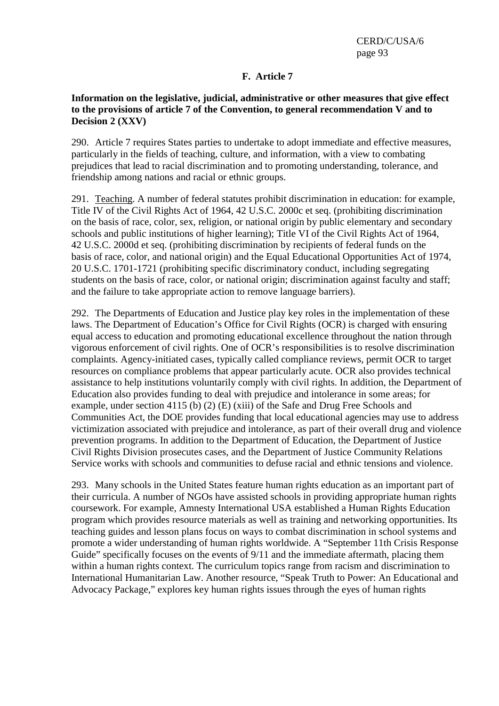## **F. Article 7**

#### **Information on the legislative, judicial, administrative or other measures that give effect to the provisions of article 7 of the Convention, to general recommendation V and to Decision 2 (XXV)**

290. Article 7 requires States parties to undertake to adopt immediate and effective measures, particularly in the fields of teaching, culture, and information, with a view to combating prejudices that lead to racial discrimination and to promoting understanding, tolerance, and friendship among nations and racial or ethnic groups.

291. Teaching. A number of federal statutes prohibit discrimination in education: for example, Title IV of the Civil Rights Act of 1964, 42 U.S.C. 2000c et seq. (prohibiting discrimination on the basis of race, color, sex, religion, or national origin by public elementary and secondary schools and public institutions of higher learning); Title VI of the Civil Rights Act of 1964, 42 U.S.C. 2000d et seq. (prohibiting discrimination by recipients of federal funds on the basis of race, color, and national origin) and the Equal Educational Opportunities Act of 1974, 20 U.S.C. 1701-1721 (prohibiting specific discriminatory conduct, including segregating students on the basis of race, color, or national origin; discrimination against faculty and staff; and the failure to take appropriate action to remove language barriers).

292. The Departments of Education and Justice play key roles in the implementation of these laws. The Department of Education's Office for Civil Rights (OCR) is charged with ensuring equal access to education and promoting educational excellence throughout the nation through vigorous enforcement of civil rights. One of OCR's responsibilities is to resolve discrimination complaints. Agency-initiated cases, typically called compliance reviews, permit OCR to target resources on compliance problems that appear particularly acute. OCR also provides technical assistance to help institutions voluntarily comply with civil rights. In addition, the Department of Education also provides funding to deal with prejudice and intolerance in some areas; for example, under section 4115 (b) (2) (E) (xiii) of the Safe and Drug Free Schools and Communities Act, the DOE provides funding that local educational agencies may use to address victimization associated with prejudice and intolerance, as part of their overall drug and violence prevention programs. In addition to the Department of Education, the Department of Justice Civil Rights Division prosecutes cases, and the Department of Justice Community Relations Service works with schools and communities to defuse racial and ethnic tensions and violence.

293. Many schools in the United States feature human rights education as an important part of their curricula. A number of NGOs have assisted schools in providing appropriate human rights coursework. For example, Amnesty International USA established a Human Rights Education program which provides resource materials as well as training and networking opportunities. Its teaching guides and lesson plans focus on ways to combat discrimination in school systems and promote a wider understanding of human rights worldwide. A "September 11th Crisis Response Guide" specifically focuses on the events of 9/11 and the immediate aftermath, placing them within a human rights context. The curriculum topics range from racism and discrimination to International Humanitarian Law. Another resource, "Speak Truth to Power: An Educational and Advocacy Package," explores key human rights issues through the eyes of human rights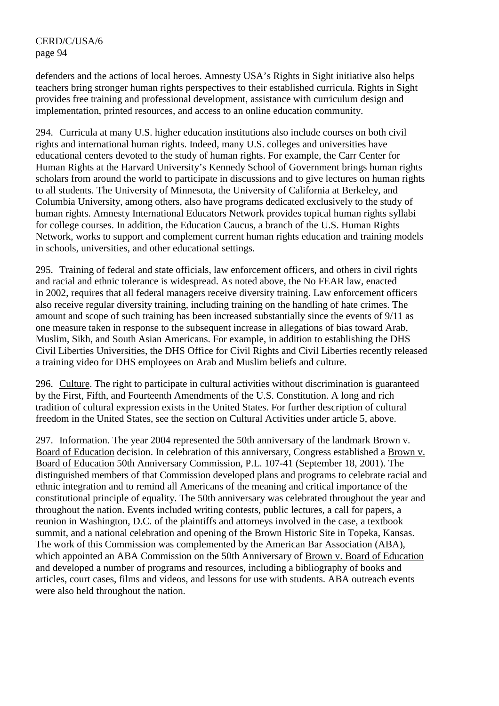defenders and the actions of local heroes. Amnesty USA's Rights in Sight initiative also helps teachers bring stronger human rights perspectives to their established curricula. Rights in Sight provides free training and professional development, assistance with curriculum design and implementation, printed resources, and access to an online education community.

294. Curricula at many U.S. higher education institutions also include courses on both civil rights and international human rights. Indeed, many U.S. colleges and universities have educational centers devoted to the study of human rights. For example, the Carr Center for Human Rights at the Harvard University's Kennedy School of Government brings human rights scholars from around the world to participate in discussions and to give lectures on human rights to all students. The University of Minnesota, the University of California at Berkeley, and Columbia University, among others, also have programs dedicated exclusively to the study of human rights. Amnesty International Educators Network provides topical human rights syllabi for college courses. In addition, the Education Caucus, a branch of the U.S. Human Rights Network, works to support and complement current human rights education and training models in schools, universities, and other educational settings.

295. Training of federal and state officials, law enforcement officers, and others in civil rights and racial and ethnic tolerance is widespread. As noted above, the No FEAR law, enacted in 2002, requires that all federal managers receive diversity training. Law enforcement officers also receive regular diversity training, including training on the handling of hate crimes. The amount and scope of such training has been increased substantially since the events of 9/11 as one measure taken in response to the subsequent increase in allegations of bias toward Arab, Muslim, Sikh, and South Asian Americans. For example, in addition to establishing the DHS Civil Liberties Universities, the DHS Office for Civil Rights and Civil Liberties recently released a training video for DHS employees on Arab and Muslim beliefs and culture.

296. Culture. The right to participate in cultural activities without discrimination is guaranteed by the First, Fifth, and Fourteenth Amendments of the U.S. Constitution. A long and rich tradition of cultural expression exists in the United States. For further description of cultural freedom in the United States, see the section on Cultural Activities under article 5, above.

297. Information. The year 2004 represented the 50th anniversary of the landmark Brown v. Board of Education decision. In celebration of this anniversary, Congress established a Brown v. Board of Education 50th Anniversary Commission, P.L. 107-41 (September 18, 2001). The distinguished members of that Commission developed plans and programs to celebrate racial and ethnic integration and to remind all Americans of the meaning and critical importance of the constitutional principle of equality. The 50th anniversary was celebrated throughout the year and throughout the nation. Events included writing contests, public lectures, a call for papers, a reunion in Washington, D.C. of the plaintiffs and attorneys involved in the case, a textbook summit, and a national celebration and opening of the Brown Historic Site in Topeka, Kansas. The work of this Commission was complemented by the American Bar Association (ABA), which appointed an ABA Commission on the 50th Anniversary of Brown v. Board of Education and developed a number of programs and resources, including a bibliography of books and articles, court cases, films and videos, and lessons for use with students. ABA outreach events were also held throughout the nation.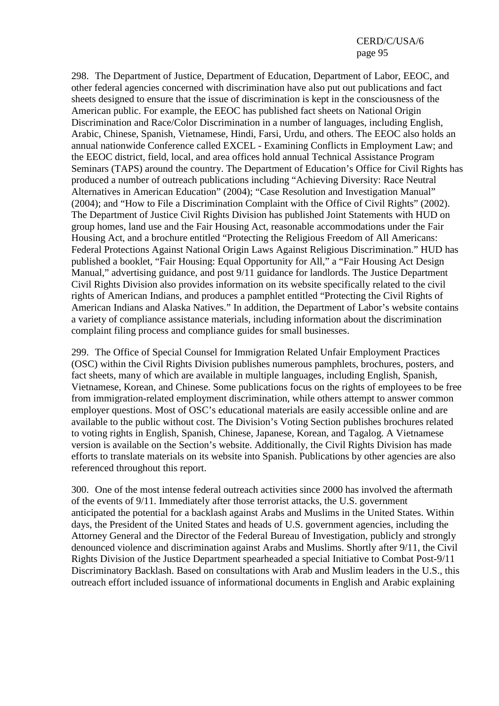298. The Department of Justice, Department of Education, Department of Labor, EEOC, and other federal agencies concerned with discrimination have also put out publications and fact sheets designed to ensure that the issue of discrimination is kept in the consciousness of the American public. For example, the EEOC has published fact sheets on National Origin Discrimination and Race/Color Discrimination in a number of languages, including English, Arabic, Chinese, Spanish, Vietnamese, Hindi, Farsi, Urdu, and others. The EEOC also holds an annual nationwide Conference called EXCEL - Examining Conflicts in Employment Law; and the EEOC district, field, local, and area offices hold annual Technical Assistance Program Seminars (TAPS) around the country. The Department of Education's Office for Civil Rights has produced a number of outreach publications including "Achieving Diversity: Race Neutral Alternatives in American Education" (2004); "Case Resolution and Investigation Manual" (2004); and "How to File a Discrimination Complaint with the Office of Civil Rights" (2002). The Department of Justice Civil Rights Division has published Joint Statements with HUD on group homes, land use and the Fair Housing Act, reasonable accommodations under the Fair Housing Act, and a brochure entitled "Protecting the Religious Freedom of All Americans: Federal Protections Against National Origin Laws Against Religious Discrimination." HUD has published a booklet, "Fair Housing: Equal Opportunity for All," a "Fair Housing Act Design Manual," advertising guidance, and post 9/11 guidance for landlords. The Justice Department Civil Rights Division also provides information on its website specifically related to the civil rights of American Indians, and produces a pamphlet entitled "Protecting the Civil Rights of American Indians and Alaska Natives." In addition, the Department of Labor's website contains a variety of compliance assistance materials, including information about the discrimination complaint filing process and compliance guides for small businesses.

299. The Office of Special Counsel for Immigration Related Unfair Employment Practices (OSC) within the Civil Rights Division publishes numerous pamphlets, brochures, posters, and fact sheets, many of which are available in multiple languages, including English, Spanish, Vietnamese, Korean, and Chinese. Some publications focus on the rights of employees to be free from immigration-related employment discrimination, while others attempt to answer common employer questions. Most of OSC's educational materials are easily accessible online and are available to the public without cost. The Division's Voting Section publishes brochures related to voting rights in English, Spanish, Chinese, Japanese, Korean, and Tagalog. A Vietnamese version is available on the Section's website. Additionally, the Civil Rights Division has made efforts to translate materials on its website into Spanish. Publications by other agencies are also referenced throughout this report.

300. One of the most intense federal outreach activities since 2000 has involved the aftermath of the events of 9/11. Immediately after those terrorist attacks, the U.S. government anticipated the potential for a backlash against Arabs and Muslims in the United States. Within days, the President of the United States and heads of U.S. government agencies, including the Attorney General and the Director of the Federal Bureau of Investigation, publicly and strongly denounced violence and discrimination against Arabs and Muslims. Shortly after 9/11, the Civil Rights Division of the Justice Department spearheaded a special Initiative to Combat Post-9/11 Discriminatory Backlash. Based on consultations with Arab and Muslim leaders in the U.S., this outreach effort included issuance of informational documents in English and Arabic explaining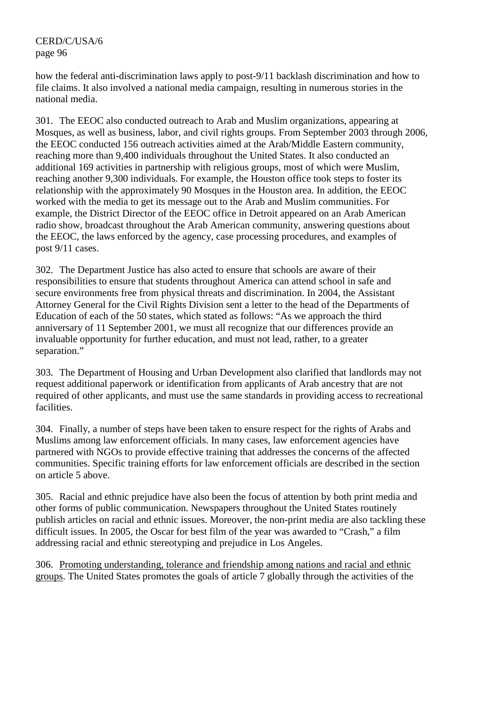how the federal anti-discrimination laws apply to post-9/11 backlash discrimination and how to file claims. It also involved a national media campaign, resulting in numerous stories in the national media.

301. The EEOC also conducted outreach to Arab and Muslim organizations, appearing at Mosques, as well as business, labor, and civil rights groups. From September 2003 through 2006, the EEOC conducted 156 outreach activities aimed at the Arab/Middle Eastern community, reaching more than 9,400 individuals throughout the United States. It also conducted an additional 169 activities in partnership with religious groups, most of which were Muslim, reaching another 9,300 individuals. For example, the Houston office took steps to foster its relationship with the approximately 90 Mosques in the Houston area. In addition, the EEOC worked with the media to get its message out to the Arab and Muslim communities. For example, the District Director of the EEOC office in Detroit appeared on an Arab American radio show, broadcast throughout the Arab American community, answering questions about the EEOC, the laws enforced by the agency, case processing procedures, and examples of post 9/11 cases.

302. The Department Justice has also acted to ensure that schools are aware of their responsibilities to ensure that students throughout America can attend school in safe and secure environments free from physical threats and discrimination. In 2004, the Assistant Attorney General for the Civil Rights Division sent a letter to the head of the Departments of Education of each of the 50 states, which stated as follows: "As we approach the third anniversary of 11 September 2001, we must all recognize that our differences provide an invaluable opportunity for further education, and must not lead, rather, to a greater separation."

303. The Department of Housing and Urban Development also clarified that landlords may not request additional paperwork or identification from applicants of Arab ancestry that are not required of other applicants, and must use the same standards in providing access to recreational facilities.

304. Finally, a number of steps have been taken to ensure respect for the rights of Arabs and Muslims among law enforcement officials. In many cases, law enforcement agencies have partnered with NGOs to provide effective training that addresses the concerns of the affected communities. Specific training efforts for law enforcement officials are described in the section on article 5 above.

305. Racial and ethnic prejudice have also been the focus of attention by both print media and other forms of public communication. Newspapers throughout the United States routinely publish articles on racial and ethnic issues. Moreover, the non-print media are also tackling these difficult issues. In 2005, the Oscar for best film of the year was awarded to "Crash," a film addressing racial and ethnic stereotyping and prejudice in Los Angeles.

306. Promoting understanding, tolerance and friendship among nations and racial and ethnic groups. The United States promotes the goals of article 7 globally through the activities of the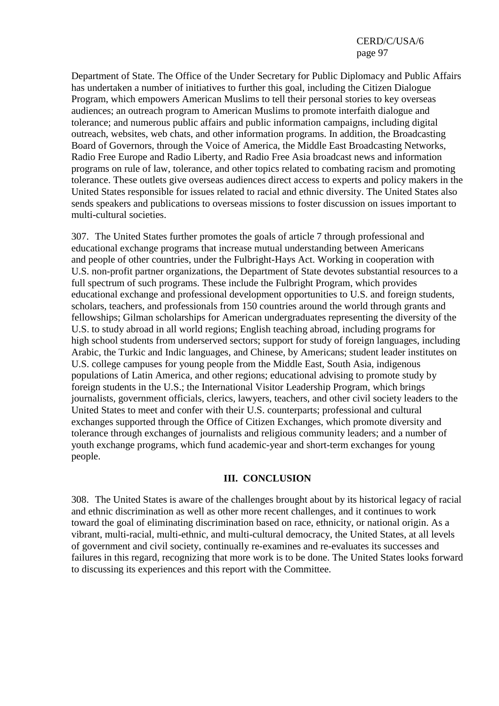Department of State. The Office of the Under Secretary for Public Diplomacy and Public Affairs has undertaken a number of initiatives to further this goal, including the Citizen Dialogue Program, which empowers American Muslims to tell their personal stories to key overseas audiences; an outreach program to American Muslims to promote interfaith dialogue and tolerance; and numerous public affairs and public information campaigns, including digital outreach, websites, web chats, and other information programs. In addition, the Broadcasting Board of Governors, through the Voice of America, the Middle East Broadcasting Networks, Radio Free Europe and Radio Liberty, and Radio Free Asia broadcast news and information programs on rule of law, tolerance, and other topics related to combating racism and promoting tolerance. These outlets give overseas audiences direct access to experts and policy makers in the United States responsible for issues related to racial and ethnic diversity. The United States also sends speakers and publications to overseas missions to foster discussion on issues important to multi-cultural societies.

307. The United States further promotes the goals of article 7 through professional and educational exchange programs that increase mutual understanding between Americans and people of other countries, under the Fulbright-Hays Act. Working in cooperation with U.S. non-profit partner organizations, the Department of State devotes substantial resources to a full spectrum of such programs. These include the Fulbright Program, which provides educational exchange and professional development opportunities to U.S. and foreign students, scholars, teachers, and professionals from 150 countries around the world through grants and fellowships; Gilman scholarships for American undergraduates representing the diversity of the U.S. to study abroad in all world regions; English teaching abroad, including programs for high school students from underserved sectors; support for study of foreign languages, including Arabic, the Turkic and Indic languages, and Chinese, by Americans; student leader institutes on U.S. college campuses for young people from the Middle East, South Asia, indigenous populations of Latin America, and other regions; educational advising to promote study by foreign students in the U.S.; the International Visitor Leadership Program, which brings journalists, government officials, clerics, lawyers, teachers, and other civil society leaders to the United States to meet and confer with their U.S. counterparts; professional and cultural exchanges supported through the Office of Citizen Exchanges, which promote diversity and tolerance through exchanges of journalists and religious community leaders; and a number of youth exchange programs, which fund academic-year and short-term exchanges for young people.

#### **III. CONCLUSION**

308. The United States is aware of the challenges brought about by its historical legacy of racial and ethnic discrimination as well as other more recent challenges, and it continues to work toward the goal of eliminating discrimination based on race, ethnicity, or national origin. As a vibrant, multi-racial, multi-ethnic, and multi-cultural democracy, the United States, at all levels of government and civil society, continually re-examines and re-evaluates its successes and failures in this regard, recognizing that more work is to be done. The United States looks forward to discussing its experiences and this report with the Committee.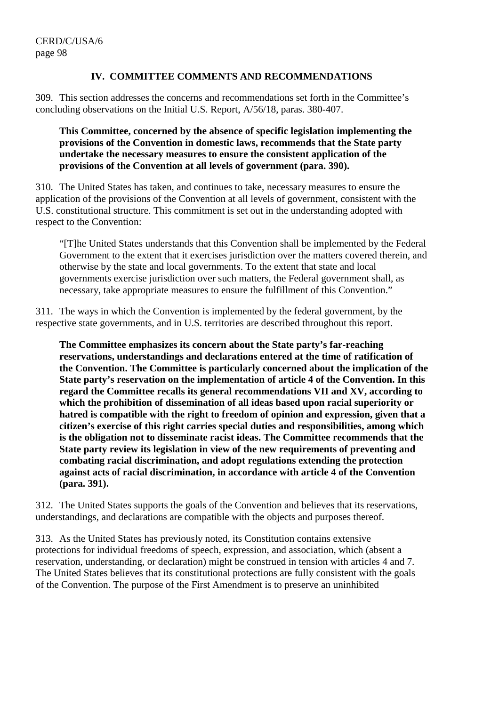## **IV. COMMITTEE COMMENTS AND RECOMMENDATIONS**

309. This section addresses the concerns and recommendations set forth in the Committee's concluding observations on the Initial U.S. Report, A/56/18, paras. 380-407.

### **This Committee, concerned by the absence of specific legislation implementing the provisions of the Convention in domestic laws, recommends that the State party undertake the necessary measures to ensure the consistent application of the provisions of the Convention at all levels of government (para. 390).**

310. The United States has taken, and continues to take, necessary measures to ensure the application of the provisions of the Convention at all levels of government, consistent with the U.S. constitutional structure. This commitment is set out in the understanding adopted with respect to the Convention:

"[T]he United States understands that this Convention shall be implemented by the Federal Government to the extent that it exercises jurisdiction over the matters covered therein, and otherwise by the state and local governments. To the extent that state and local governments exercise jurisdiction over such matters, the Federal government shall, as necessary, take appropriate measures to ensure the fulfillment of this Convention."

311. The ways in which the Convention is implemented by the federal government, by the respective state governments, and in U.S. territories are described throughout this report.

**The Committee emphasizes its concern about the State party's far-reaching reservations, understandings and declarations entered at the time of ratification of the Convention. The Committee is particularly concerned about the implication of the State party's reservation on the implementation of article 4 of the Convention. In this regard the Committee recalls its general recommendations VII and XV, according to which the prohibition of dissemination of all ideas based upon racial superiority or hatred is compatible with the right to freedom of opinion and expression, given that a citizen's exercise of this right carries special duties and responsibilities, among which is the obligation not to disseminate racist ideas. The Committee recommends that the State party review its legislation in view of the new requirements of preventing and combating racial discrimination, and adopt regulations extending the protection against acts of racial discrimination, in accordance with article 4 of the Convention (para. 391).** 

312. The United States supports the goals of the Convention and believes that its reservations, understandings, and declarations are compatible with the objects and purposes thereof.

313. As the United States has previously noted, its Constitution contains extensive protections for individual freedoms of speech, expression, and association, which (absent a reservation, understanding, or declaration) might be construed in tension with articles 4 and 7. The United States believes that its constitutional protections are fully consistent with the goals of the Convention. The purpose of the First Amendment is to preserve an uninhibited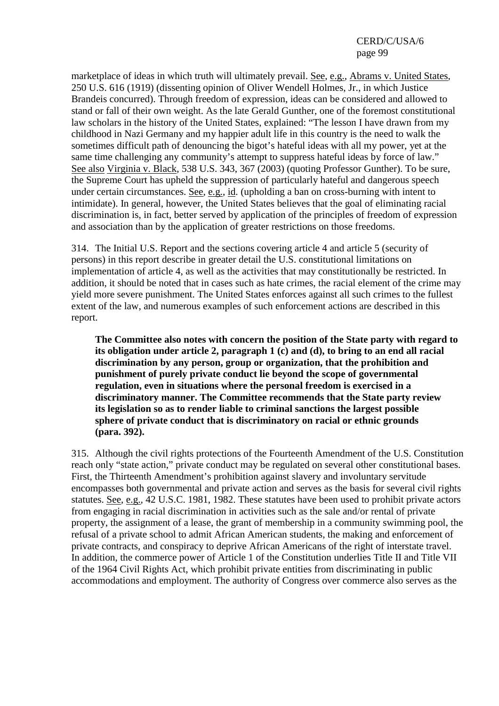marketplace of ideas in which truth will ultimately prevail. See, e.g., Abrams v. United States, 250 U.S. 616 (1919) (dissenting opinion of Oliver Wendell Holmes, Jr., in which Justice Brandeis concurred). Through freedom of expression, ideas can be considered and allowed to stand or fall of their own weight. As the late Gerald Gunther, one of the foremost constitutional law scholars in the history of the United States, explained: "The lesson I have drawn from my childhood in Nazi Germany and my happier adult life in this country is the need to walk the sometimes difficult path of denouncing the bigot's hateful ideas with all my power, yet at the same time challenging any community's attempt to suppress hateful ideas by force of law." See also Virginia v. Black, 538 U.S. 343, 367 (2003) (quoting Professor Gunther). To be sure, the Supreme Court has upheld the suppression of particularly hateful and dangerous speech under certain circumstances. See, e.g., id. (upholding a ban on cross-burning with intent to intimidate). In general, however, the United States believes that the goal of eliminating racial discrimination is, in fact, better served by application of the principles of freedom of expression and association than by the application of greater restrictions on those freedoms.

314. The Initial U.S. Report and the sections covering article 4 and article 5 (security of persons) in this report describe in greater detail the U.S. constitutional limitations on implementation of article 4, as well as the activities that may constitutionally be restricted. In addition, it should be noted that in cases such as hate crimes, the racial element of the crime may yield more severe punishment. The United States enforces against all such crimes to the fullest extent of the law, and numerous examples of such enforcement actions are described in this report.

**The Committee also notes with concern the position of the State party with regard to its obligation under article 2, paragraph 1 (c) and (d), to bring to an end all racial discrimination by any person, group or organization, that the prohibition and punishment of purely private conduct lie beyond the scope of governmental regulation, even in situations where the personal freedom is exercised in a discriminatory manner. The Committee recommends that the State party review its legislation so as to render liable to criminal sanctions the largest possible sphere of private conduct that is discriminatory on racial or ethnic grounds (para. 392).** 

315. Although the civil rights protections of the Fourteenth Amendment of the U.S. Constitution reach only "state action," private conduct may be regulated on several other constitutional bases. First, the Thirteenth Amendment's prohibition against slavery and involuntary servitude encompasses both governmental and private action and serves as the basis for several civil rights statutes. See, e.g., 42 U.S.C. 1981, 1982. These statutes have been used to prohibit private actors from engaging in racial discrimination in activities such as the sale and/or rental of private property, the assignment of a lease, the grant of membership in a community swimming pool, the refusal of a private school to admit African American students, the making and enforcement of private contracts, and conspiracy to deprive African Americans of the right of interstate travel. In addition, the commerce power of Article 1 of the Constitution underlies Title II and Title VII of the 1964 Civil Rights Act, which prohibit private entities from discriminating in public accommodations and employment. The authority of Congress over commerce also serves as the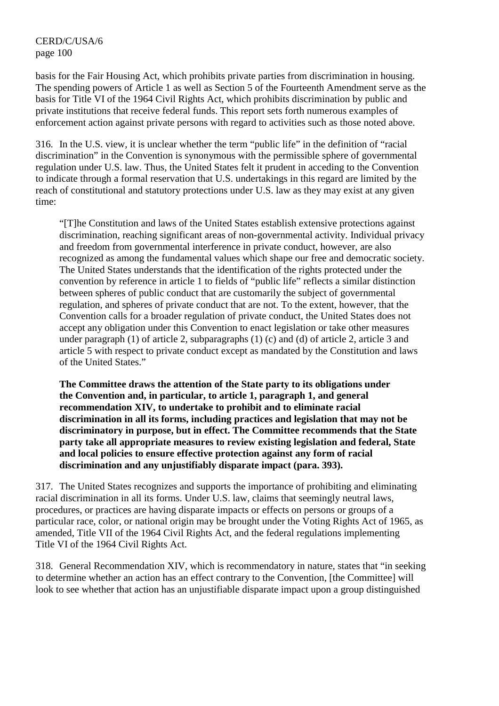basis for the Fair Housing Act, which prohibits private parties from discrimination in housing. The spending powers of Article 1 as well as Section 5 of the Fourteenth Amendment serve as the basis for Title VI of the 1964 Civil Rights Act, which prohibits discrimination by public and private institutions that receive federal funds. This report sets forth numerous examples of enforcement action against private persons with regard to activities such as those noted above.

316. In the U.S. view, it is unclear whether the term "public life" in the definition of "racial discrimination" in the Convention is synonymous with the permissible sphere of governmental regulation under U.S. law. Thus, the United States felt it prudent in acceding to the Convention to indicate through a formal reservation that U.S. undertakings in this regard are limited by the reach of constitutional and statutory protections under U.S. law as they may exist at any given time:

"[T]he Constitution and laws of the United States establish extensive protections against discrimination, reaching significant areas of non-governmental activity. Individual privacy and freedom from governmental interference in private conduct, however, are also recognized as among the fundamental values which shape our free and democratic society. The United States understands that the identification of the rights protected under the convention by reference in article 1 to fields of "public life" reflects a similar distinction between spheres of public conduct that are customarily the subject of governmental regulation, and spheres of private conduct that are not. To the extent, however, that the Convention calls for a broader regulation of private conduct, the United States does not accept any obligation under this Convention to enact legislation or take other measures under paragraph (1) of article 2, subparagraphs (1) (c) and (d) of article 2, article 3 and article 5 with respect to private conduct except as mandated by the Constitution and laws of the United States."

**The Committee draws the attention of the State party to its obligations under the Convention and, in particular, to article 1, paragraph 1, and general recommendation XIV, to undertake to prohibit and to eliminate racial discrimination in all its forms, including practices and legislation that may not be discriminatory in purpose, but in effect. The Committee recommends that the State party take all appropriate measures to review existing legislation and federal, State and local policies to ensure effective protection against any form of racial discrimination and any unjustifiably disparate impact (para. 393).** 

317. The United States recognizes and supports the importance of prohibiting and eliminating racial discrimination in all its forms. Under U.S. law, claims that seemingly neutral laws, procedures, or practices are having disparate impacts or effects on persons or groups of a particular race, color, or national origin may be brought under the Voting Rights Act of 1965, as amended, Title VII of the 1964 Civil Rights Act, and the federal regulations implementing Title VI of the 1964 Civil Rights Act.

318. General Recommendation XIV, which is recommendatory in nature, states that "in seeking to determine whether an action has an effect contrary to the Convention, [the Committee] will look to see whether that action has an unjustifiable disparate impact upon a group distinguished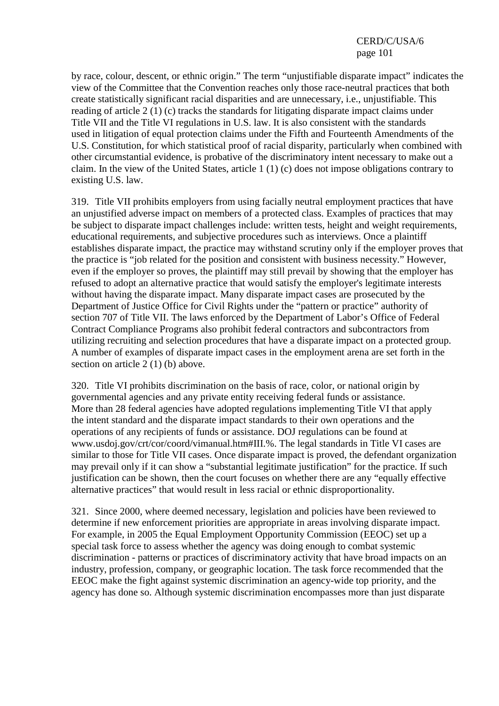by race, colour, descent, or ethnic origin." The term "unjustifiable disparate impact" indicates the view of the Committee that the Convention reaches only those race-neutral practices that both create statistically significant racial disparities and are unnecessary, i.e., unjustifiable. This reading of article 2 (1) (c) tracks the standards for litigating disparate impact claims under Title VII and the Title VI regulations in U.S. law. It is also consistent with the standards used in litigation of equal protection claims under the Fifth and Fourteenth Amendments of the U.S. Constitution, for which statistical proof of racial disparity, particularly when combined with other circumstantial evidence, is probative of the discriminatory intent necessary to make out a claim. In the view of the United States, article 1 (1) (c) does not impose obligations contrary to existing U.S. law.

319. Title VII prohibits employers from using facially neutral employment practices that have an unjustified adverse impact on members of a protected class. Examples of practices that may be subject to disparate impact challenges include: written tests, height and weight requirements, educational requirements, and subjective procedures such as interviews. Once a plaintiff establishes disparate impact, the practice may withstand scrutiny only if the employer proves that the practice is "job related for the position and consistent with business necessity." However, even if the employer so proves, the plaintiff may still prevail by showing that the employer has refused to adopt an alternative practice that would satisfy the employer's legitimate interests without having the disparate impact. Many disparate impact cases are prosecuted by the Department of Justice Office for Civil Rights under the "pattern or practice" authority of section 707 of Title VII. The laws enforced by the Department of Labor's Office of Federal Contract Compliance Programs also prohibit federal contractors and subcontractors from utilizing recruiting and selection procedures that have a disparate impact on a protected group. A number of examples of disparate impact cases in the employment arena are set forth in the section on article 2 (1) (b) above.

320. Title VI prohibits discrimination on the basis of race, color, or national origin by governmental agencies and any private entity receiving federal funds or assistance. More than 28 federal agencies have adopted regulations implementing Title VI that apply the intent standard and the disparate impact standards to their own operations and the operations of any recipients of funds or assistance. DOJ regulations can be found at www.usdoj.gov/crt/cor/coord/vimanual.htm#III.%. The legal standards in Title VI cases are similar to those for Title VII cases. Once disparate impact is proved, the defendant organization may prevail only if it can show a "substantial legitimate justification" for the practice. If such justification can be shown, then the court focuses on whether there are any "equally effective alternative practices" that would result in less racial or ethnic disproportionality.

321. Since 2000, where deemed necessary, legislation and policies have been reviewed to determine if new enforcement priorities are appropriate in areas involving disparate impact. For example, in 2005 the Equal Employment Opportunity Commission (EEOC) set up a special task force to assess whether the agency was doing enough to combat systemic discrimination - patterns or practices of discriminatory activity that have broad impacts on an industry, profession, company, or geographic location. The task force recommended that the EEOC make the fight against systemic discrimination an agency-wide top priority, and the agency has done so. Although systemic discrimination encompasses more than just disparate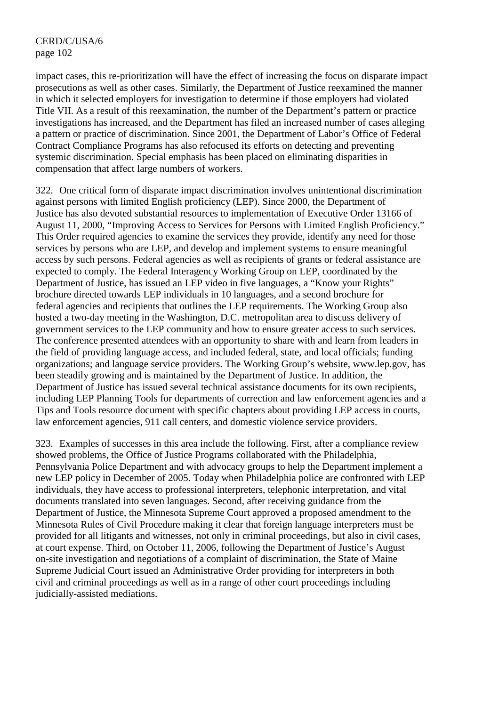impact cases, this re-prioritization will have the effect of increasing the focus on disparate impact prosecutions as well as other cases. Similarly, the Department of Justice reexamined the manner in which it selected employers for investigation to determine if those employers had violated Title VII. As a result of this reexamination, the number of the Department's pattern or practice investigations has increased, and the Department has filed an increased number of cases alleging a pattern or practice of discrimination. Since 2001, the Department of Labor's Office of Federal Contract Compliance Programs has also refocused its efforts on detecting and preventing systemic discrimination. Special emphasis has been placed on eliminating disparities in compensation that affect large numbers of workers.

322. One critical form of disparate impact discrimination involves unintentional discrimination against persons with limited English proficiency (LEP). Since 2000, the Department of Justice has also devoted substantial resources to implementation of Executive Order 13166 of August 11, 2000, "Improving Access to Services for Persons with Limited English Proficiency." This Order required agencies to examine the services they provide, identify any need for those services by persons who are LEP, and develop and implement systems to ensure meaningful access by such persons. Federal agencies as well as recipients of grants or federal assistance are expected to comply. The Federal Interagency Working Group on LEP, coordinated by the Department of Justice, has issued an LEP video in five languages, a "Know your Rights" brochure directed towards LEP individuals in 10 languages, and a second brochure for federal agencies and recipients that outlines the LEP requirements. The Working Group also hosted a two-day meeting in the Washington, D.C. metropolitan area to discuss delivery of government services to the LEP community and how to ensure greater access to such services. The conference presented attendees with an opportunity to share with and learn from leaders in the field of providing language access, and included federal, state, and local officials; funding organizations; and language service providers. The Working Group's website, www.lep.gov, has been steadily growing and is maintained by the Department of Justice. In addition, the Department of Justice has issued several technical assistance documents for its own recipients, including LEP Planning Tools for departments of correction and law enforcement agencies and a Tips and Tools resource document with specific chapters about providing LEP access in courts, law enforcement agencies, 911 call centers, and domestic violence service providers.

323. Examples of successes in this area include the following. First, after a compliance review showed problems, the Office of Justice Programs collaborated with the Philadelphia, Pennsylvania Police Department and with advocacy groups to help the Department implement a new LEP policy in December of 2005. Today when Philadelphia police are confronted with LEP individuals, they have access to professional interpreters, telephonic interpretation, and vital documents translated into seven languages. Second, after receiving guidance from the Department of Justice, the Minnesota Supreme Court approved a proposed amendment to the Minnesota Rules of Civil Procedure making it clear that foreign language interpreters must be provided for all litigants and witnesses, not only in criminal proceedings, but also in civil cases, at court expense. Third, on October 11, 2006, following the Department of Justice's August on-site investigation and negotiations of a complaint of discrimination, the State of Maine Supreme Judicial Court issued an Administrative Order providing for interpreters in both civil and criminal proceedings as well as in a range of other court proceedings including judicially-assisted mediations.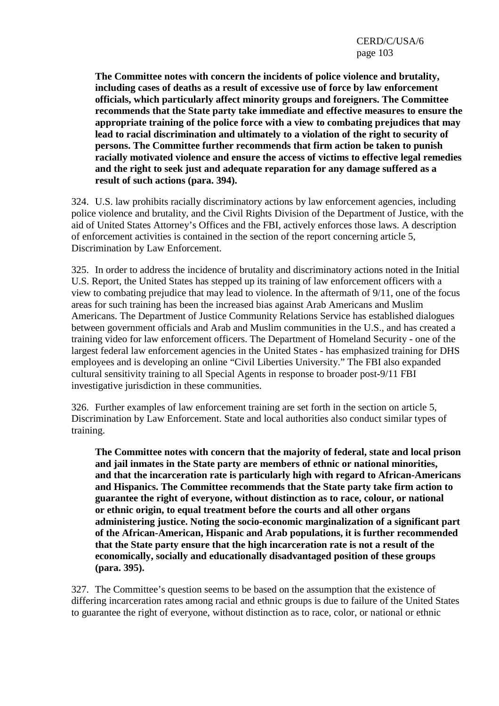**The Committee notes with concern the incidents of police violence and brutality, including cases of deaths as a result of excessive use of force by law enforcement officials, which particularly affect minority groups and foreigners. The Committee recommends that the State party take immediate and effective measures to ensure the appropriate training of the police force with a view to combating prejudices that may lead to racial discrimination and ultimately to a violation of the right to security of persons. The Committee further recommends that firm action be taken to punish racially motivated violence and ensure the access of victims to effective legal remedies and the right to seek just and adequate reparation for any damage suffered as a result of such actions (para. 394).** 

324. U.S. law prohibits racially discriminatory actions by law enforcement agencies, including police violence and brutality, and the Civil Rights Division of the Department of Justice, with the aid of United States Attorney's Offices and the FBI, actively enforces those laws. A description of enforcement activities is contained in the section of the report concerning article 5, Discrimination by Law Enforcement.

325. In order to address the incidence of brutality and discriminatory actions noted in the Initial U.S. Report, the United States has stepped up its training of law enforcement officers with a view to combating prejudice that may lead to violence. In the aftermath of 9/11, one of the focus areas for such training has been the increased bias against Arab Americans and Muslim Americans. The Department of Justice Community Relations Service has established dialogues between government officials and Arab and Muslim communities in the U.S., and has created a training video for law enforcement officers. The Department of Homeland Security - one of the largest federal law enforcement agencies in the United States - has emphasized training for DHS employees and is developing an online "Civil Liberties University." The FBI also expanded cultural sensitivity training to all Special Agents in response to broader post-9/11 FBI investigative jurisdiction in these communities.

326. Further examples of law enforcement training are set forth in the section on article 5, Discrimination by Law Enforcement. State and local authorities also conduct similar types of training.

**The Committee notes with concern that the majority of federal, state and local prison and jail inmates in the State party are members of ethnic or national minorities, and that the incarceration rate is particularly high with regard to African-Americans and Hispanics. The Committee recommends that the State party take firm action to guarantee the right of everyone, without distinction as to race, colour, or national or ethnic origin, to equal treatment before the courts and all other organs administering justice. Noting the socio-economic marginalization of a significant part of the African-American, Hispanic and Arab populations, it is further recommended that the State party ensure that the high incarceration rate is not a result of the economically, socially and educationally disadvantaged position of these groups (para. 395).** 

327. The Committee's question seems to be based on the assumption that the existence of differing incarceration rates among racial and ethnic groups is due to failure of the United States to guarantee the right of everyone, without distinction as to race, color, or national or ethnic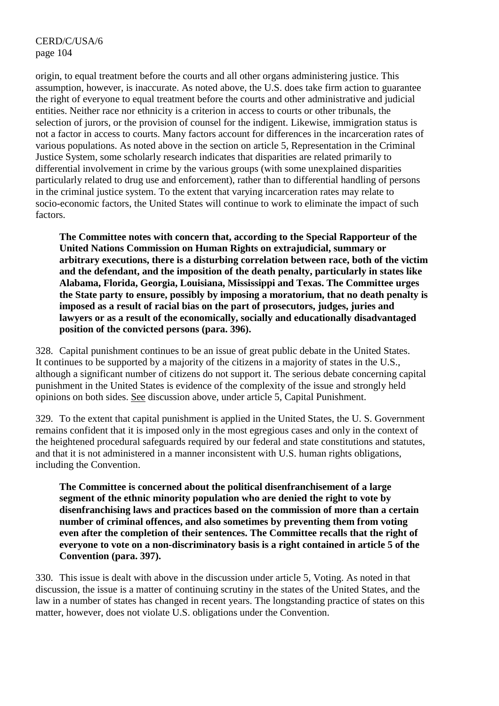origin, to equal treatment before the courts and all other organs administering justice. This assumption, however, is inaccurate. As noted above, the U.S. does take firm action to guarantee the right of everyone to equal treatment before the courts and other administrative and judicial entities. Neither race nor ethnicity is a criterion in access to courts or other tribunals, the selection of jurors, or the provision of counsel for the indigent. Likewise, immigration status is not a factor in access to courts. Many factors account for differences in the incarceration rates of various populations. As noted above in the section on article 5, Representation in the Criminal Justice System, some scholarly research indicates that disparities are related primarily to differential involvement in crime by the various groups (with some unexplained disparities particularly related to drug use and enforcement), rather than to differential handling of persons in the criminal justice system. To the extent that varying incarceration rates may relate to socio-economic factors, the United States will continue to work to eliminate the impact of such factors.

**The Committee notes with concern that, according to the Special Rapporteur of the United Nations Commission on Human Rights on extrajudicial, summary or arbitrary executions, there is a disturbing correlation between race, both of the victim and the defendant, and the imposition of the death penalty, particularly in states like Alabama, Florida, Georgia, Louisiana, Mississippi and Texas. The Committee urges the State party to ensure, possibly by imposing a moratorium, that no death penalty is imposed as a result of racial bias on the part of prosecutors, judges, juries and lawyers or as a result of the economically, socially and educationally disadvantaged position of the convicted persons (para. 396).** 

328. Capital punishment continues to be an issue of great public debate in the United States. It continues to be supported by a majority of the citizens in a majority of states in the U.S., although a significant number of citizens do not support it. The serious debate concerning capital punishment in the United States is evidence of the complexity of the issue and strongly held opinions on both sides. See discussion above, under article 5, Capital Punishment.

329. To the extent that capital punishment is applied in the United States, the U. S. Government remains confident that it is imposed only in the most egregious cases and only in the context of the heightened procedural safeguards required by our federal and state constitutions and statutes, and that it is not administered in a manner inconsistent with U.S. human rights obligations, including the Convention.

**The Committee is concerned about the political disenfranchisement of a large segment of the ethnic minority population who are denied the right to vote by disenfranchising laws and practices based on the commission of more than a certain number of criminal offences, and also sometimes by preventing them from voting even after the completion of their sentences. The Committee recalls that the right of everyone to vote on a non-discriminatory basis is a right contained in article 5 of the Convention (para. 397).** 

330. This issue is dealt with above in the discussion under article 5, Voting. As noted in that discussion, the issue is a matter of continuing scrutiny in the states of the United States, and the law in a number of states has changed in recent years. The longstanding practice of states on this matter, however, does not violate U.S. obligations under the Convention.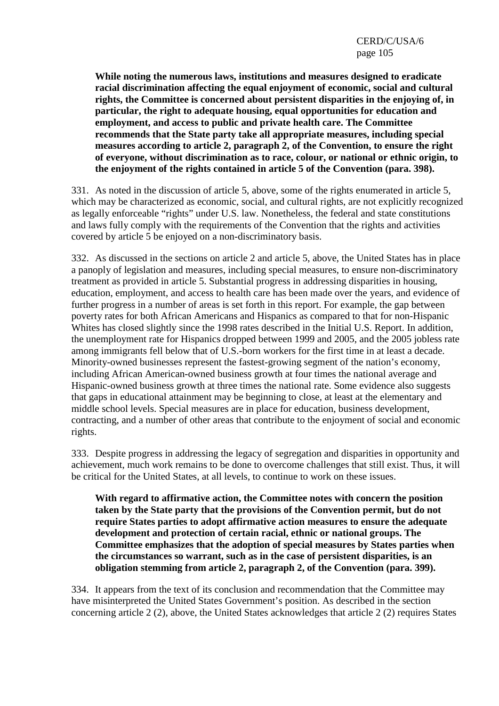**While noting the numerous laws, institutions and measures designed to eradicate racial discrimination affecting the equal enjoyment of economic, social and cultural rights, the Committee is concerned about persistent disparities in the enjoying of, in particular, the right to adequate housing, equal opportunities for education and employment, and access to public and private health care. The Committee recommends that the State party take all appropriate measures, including special measures according to article 2, paragraph 2, of the Convention, to ensure the right of everyone, without discrimination as to race, colour, or national or ethnic origin, to the enjoyment of the rights contained in article 5 of the Convention (para. 398).** 

331. As noted in the discussion of article 5, above, some of the rights enumerated in article 5, which may be characterized as economic, social, and cultural rights, are not explicitly recognized as legally enforceable "rights" under U.S. law. Nonetheless, the federal and state constitutions and laws fully comply with the requirements of the Convention that the rights and activities covered by article 5 be enjoyed on a non-discriminatory basis.

332. As discussed in the sections on article 2 and article 5, above, the United States has in place a panoply of legislation and measures, including special measures, to ensure non-discriminatory treatment as provided in article 5. Substantial progress in addressing disparities in housing, education, employment, and access to health care has been made over the years, and evidence of further progress in a number of areas is set forth in this report. For example, the gap between poverty rates for both African Americans and Hispanics as compared to that for non-Hispanic Whites has closed slightly since the 1998 rates described in the Initial U.S. Report. In addition, the unemployment rate for Hispanics dropped between 1999 and 2005, and the 2005 jobless rate among immigrants fell below that of U.S.-born workers for the first time in at least a decade. Minority-owned businesses represent the fastest-growing segment of the nation's economy, including African American-owned business growth at four times the national average and Hispanic-owned business growth at three times the national rate. Some evidence also suggests that gaps in educational attainment may be beginning to close, at least at the elementary and middle school levels. Special measures are in place for education, business development, contracting, and a number of other areas that contribute to the enjoyment of social and economic rights.

333. Despite progress in addressing the legacy of segregation and disparities in opportunity and achievement, much work remains to be done to overcome challenges that still exist. Thus, it will be critical for the United States, at all levels, to continue to work on these issues.

**With regard to affirmative action, the Committee notes with concern the position taken by the State party that the provisions of the Convention permit, but do not require States parties to adopt affirmative action measures to ensure the adequate development and protection of certain racial, ethnic or national groups. The Committee emphasizes that the adoption of special measures by States parties when the circumstances so warrant, such as in the case of persistent disparities, is an obligation stemming from article 2, paragraph 2, of the Convention (para. 399).** 

334. It appears from the text of its conclusion and recommendation that the Committee may have misinterpreted the United States Government's position. As described in the section concerning article 2 (2), above, the United States acknowledges that article 2 (2) requires States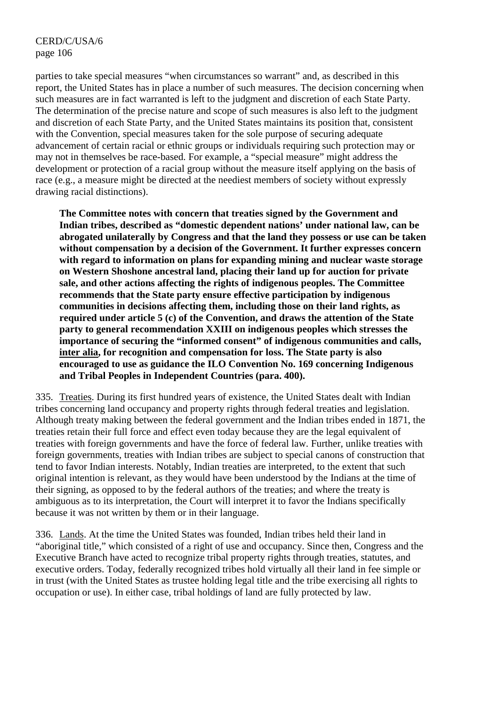parties to take special measures "when circumstances so warrant" and, as described in this report, the United States has in place a number of such measures. The decision concerning when such measures are in fact warranted is left to the judgment and discretion of each State Party. The determination of the precise nature and scope of such measures is also left to the judgment and discretion of each State Party, and the United States maintains its position that, consistent with the Convention, special measures taken for the sole purpose of securing adequate advancement of certain racial or ethnic groups or individuals requiring such protection may or may not in themselves be race-based. For example, a "special measure" might address the development or protection of a racial group without the measure itself applying on the basis of race (e.g., a measure might be directed at the neediest members of society without expressly drawing racial distinctions).

**The Committee notes with concern that treaties signed by the Government and Indian tribes, described as "domestic dependent nations' under national law, can be abrogated unilaterally by Congress and that the land they possess or use can be taken without compensation by a decision of the Government. It further expresses concern with regard to information on plans for expanding mining and nuclear waste storage on Western Shoshone ancestral land, placing their land up for auction for private sale, and other actions affecting the rights of indigenous peoples. The Committee recommends that the State party ensure effective participation by indigenous communities in decisions affecting them, including those on their land rights, as required under article 5 (c) of the Convention, and draws the attention of the State party to general recommendation XXIII on indigenous peoples which stresses the importance of securing the "informed consent" of indigenous communities and calls, inter alia, for recognition and compensation for loss. The State party is also encouraged to use as guidance the ILO Convention No. 169 concerning Indigenous and Tribal Peoples in Independent Countries (para. 400).** 

335. Treaties. During its first hundred years of existence, the United States dealt with Indian tribes concerning land occupancy and property rights through federal treaties and legislation. Although treaty making between the federal government and the Indian tribes ended in 1871, the treaties retain their full force and effect even today because they are the legal equivalent of treaties with foreign governments and have the force of federal law. Further, unlike treaties with foreign governments, treaties with Indian tribes are subject to special canons of construction that tend to favor Indian interests. Notably, Indian treaties are interpreted, to the extent that such original intention is relevant, as they would have been understood by the Indians at the time of their signing, as opposed to by the federal authors of the treaties; and where the treaty is ambiguous as to its interpretation, the Court will interpret it to favor the Indians specifically because it was not written by them or in their language.

336. Lands. At the time the United States was founded, Indian tribes held their land in "aboriginal title," which consisted of a right of use and occupancy. Since then, Congress and the Executive Branch have acted to recognize tribal property rights through treaties, statutes, and executive orders. Today, federally recognized tribes hold virtually all their land in fee simple or in trust (with the United States as trustee holding legal title and the tribe exercising all rights to occupation or use). In either case, tribal holdings of land are fully protected by law.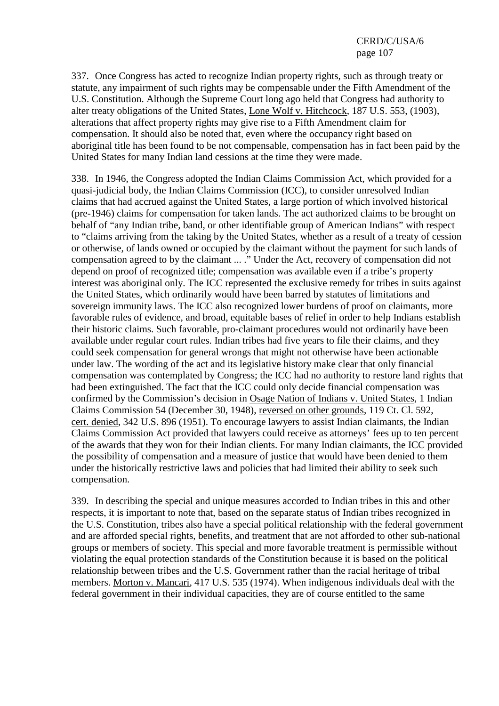337. Once Congress has acted to recognize Indian property rights, such as through treaty or statute, any impairment of such rights may be compensable under the Fifth Amendment of the U.S. Constitution. Although the Supreme Court long ago held that Congress had authority to alter treaty obligations of the United States, Lone Wolf v. Hitchcock, 187 U.S. 553, (1903), alterations that affect property rights may give rise to a Fifth Amendment claim for compensation. It should also be noted that, even where the occupancy right based on aboriginal title has been found to be not compensable, compensation has in fact been paid by the United States for many Indian land cessions at the time they were made.

338. In 1946, the Congress adopted the Indian Claims Commission Act, which provided for a quasi-judicial body, the Indian Claims Commission (ICC), to consider unresolved Indian claims that had accrued against the United States, a large portion of which involved historical (pre-1946) claims for compensation for taken lands. The act authorized claims to be brought on behalf of "any Indian tribe, band, or other identifiable group of American Indians" with respect to "claims arriving from the taking by the United States, whether as a result of a treaty of cession or otherwise, of lands owned or occupied by the claimant without the payment for such lands of compensation agreed to by the claimant ... ." Under the Act, recovery of compensation did not depend on proof of recognized title; compensation was available even if a tribe's property interest was aboriginal only. The ICC represented the exclusive remedy for tribes in suits against the United States, which ordinarily would have been barred by statutes of limitations and sovereign immunity laws. The ICC also recognized lower burdens of proof on claimants, more favorable rules of evidence, and broad, equitable bases of relief in order to help Indians establish their historic claims. Such favorable, pro-claimant procedures would not ordinarily have been available under regular court rules. Indian tribes had five years to file their claims, and they could seek compensation for general wrongs that might not otherwise have been actionable under law. The wording of the act and its legislative history make clear that only financial compensation was contemplated by Congress; the ICC had no authority to restore land rights that had been extinguished. The fact that the ICC could only decide financial compensation was confirmed by the Commission's decision in Osage Nation of Indians v. United States, 1 Indian Claims Commission 54 (December 30, 1948), reversed on other grounds, 119 Ct. Cl. 592, cert. denied, 342 U.S. 896 (1951). To encourage lawyers to assist Indian claimants, the Indian Claims Commission Act provided that lawyers could receive as attorneys' fees up to ten percent of the awards that they won for their Indian clients. For many Indian claimants, the ICC provided the possibility of compensation and a measure of justice that would have been denied to them under the historically restrictive laws and policies that had limited their ability to seek such compensation.

339. In describing the special and unique measures accorded to Indian tribes in this and other respects, it is important to note that, based on the separate status of Indian tribes recognized in the U.S. Constitution, tribes also have a special political relationship with the federal government and are afforded special rights, benefits, and treatment that are not afforded to other sub-national groups or members of society. This special and more favorable treatment is permissible without violating the equal protection standards of the Constitution because it is based on the political relationship between tribes and the U.S. Government rather than the racial heritage of tribal members. Morton v. Mancari, 417 U.S. 535 (1974). When indigenous individuals deal with the federal government in their individual capacities, they are of course entitled to the same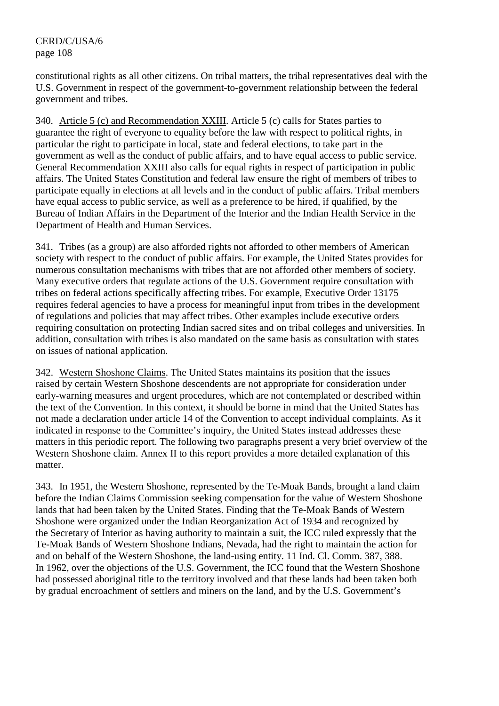constitutional rights as all other citizens. On tribal matters, the tribal representatives deal with the U.S. Government in respect of the government-to-government relationship between the federal government and tribes.

340. Article 5 (c) and Recommendation XXIII. Article 5 (c) calls for States parties to guarantee the right of everyone to equality before the law with respect to political rights, in particular the right to participate in local, state and federal elections, to take part in the government as well as the conduct of public affairs, and to have equal access to public service. General Recommendation XXIII also calls for equal rights in respect of participation in public affairs. The United States Constitution and federal law ensure the right of members of tribes to participate equally in elections at all levels and in the conduct of public affairs. Tribal members have equal access to public service, as well as a preference to be hired, if qualified, by the Bureau of Indian Affairs in the Department of the Interior and the Indian Health Service in the Department of Health and Human Services.

341. Tribes (as a group) are also afforded rights not afforded to other members of American society with respect to the conduct of public affairs. For example, the United States provides for numerous consultation mechanisms with tribes that are not afforded other members of society. Many executive orders that regulate actions of the U.S. Government require consultation with tribes on federal actions specifically affecting tribes. For example, Executive Order 13175 requires federal agencies to have a process for meaningful input from tribes in the development of regulations and policies that may affect tribes. Other examples include executive orders requiring consultation on protecting Indian sacred sites and on tribal colleges and universities. In addition, consultation with tribes is also mandated on the same basis as consultation with states on issues of national application.

342. Western Shoshone Claims. The United States maintains its position that the issues raised by certain Western Shoshone descendents are not appropriate for consideration under early-warning measures and urgent procedures, which are not contemplated or described within the text of the Convention. In this context, it should be borne in mind that the United States has not made a declaration under article 14 of the Convention to accept individual complaints. As it indicated in response to the Committee's inquiry, the United States instead addresses these matters in this periodic report. The following two paragraphs present a very brief overview of the Western Shoshone claim. Annex II to this report provides a more detailed explanation of this matter.

343. In 1951, the Western Shoshone, represented by the Te-Moak Bands, brought a land claim before the Indian Claims Commission seeking compensation for the value of Western Shoshone lands that had been taken by the United States. Finding that the Te-Moak Bands of Western Shoshone were organized under the Indian Reorganization Act of 1934 and recognized by the Secretary of Interior as having authority to maintain a suit, the ICC ruled expressly that the Te-Moak Bands of Western Shoshone Indians, Nevada, had the right to maintain the action for and on behalf of the Western Shoshone, the land-using entity. 11 Ind. Cl. Comm. 387, 388. In 1962, over the objections of the U.S. Government, the ICC found that the Western Shoshone had possessed aboriginal title to the territory involved and that these lands had been taken both by gradual encroachment of settlers and miners on the land, and by the U.S. Government's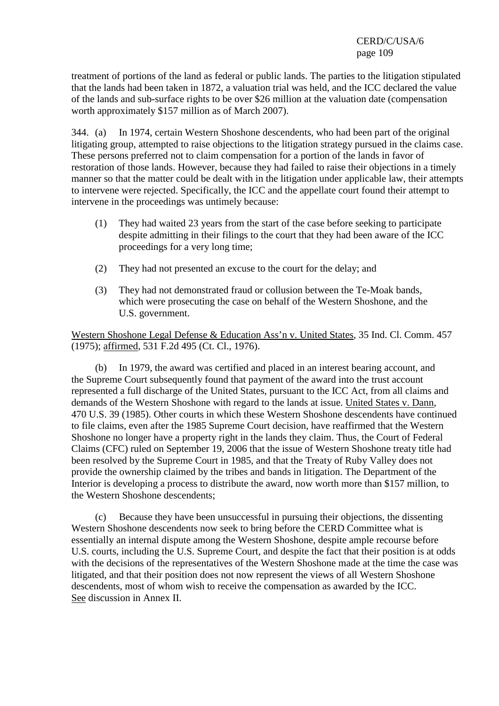## CERD/C/USA/6 page 109

treatment of portions of the land as federal or public lands. The parties to the litigation stipulated that the lands had been taken in 1872, a valuation trial was held, and the ICC declared the value of the lands and sub-surface rights to be over \$26 million at the valuation date (compensation worth approximately \$157 million as of March 2007).

344. (a) In 1974, certain Western Shoshone descendents, who had been part of the original litigating group, attempted to raise objections to the litigation strategy pursued in the claims case. These persons preferred not to claim compensation for a portion of the lands in favor of restoration of those lands. However, because they had failed to raise their objections in a timely manner so that the matter could be dealt with in the litigation under applicable law, their attempts to intervene were rejected. Specifically, the ICC and the appellate court found their attempt to intervene in the proceedings was untimely because:

- (1) They had waited 23 years from the start of the case before seeking to participate despite admitting in their filings to the court that they had been aware of the ICC proceedings for a very long time;
- (2) They had not presented an excuse to the court for the delay; and
- (3) They had not demonstrated fraud or collusion between the Te-Moak bands, which were prosecuting the case on behalf of the Western Shoshone, and the U.S. government.

Western Shoshone Legal Defense & Education Ass'n v. United States, 35 Ind. Cl. Comm. 457 (1975); affirmed, 531 F.2d 495 (Ct. Cl., 1976).

 (b) In 1979, the award was certified and placed in an interest bearing account, and the Supreme Court subsequently found that payment of the award into the trust account represented a full discharge of the United States, pursuant to the ICC Act, from all claims and demands of the Western Shoshone with regard to the lands at issue. United States v. Dann, 470 U.S. 39 (1985). Other courts in which these Western Shoshone descendents have continued to file claims, even after the 1985 Supreme Court decision, have reaffirmed that the Western Shoshone no longer have a property right in the lands they claim. Thus, the Court of Federal Claims (CFC) ruled on September 19, 2006 that the issue of Western Shoshone treaty title had been resolved by the Supreme Court in 1985, and that the Treaty of Ruby Valley does not provide the ownership claimed by the tribes and bands in litigation. The Department of the Interior is developing a process to distribute the award, now worth more than \$157 million, to the Western Shoshone descendents;

 (c) Because they have been unsuccessful in pursuing their objections, the dissenting Western Shoshone descendents now seek to bring before the CERD Committee what is essentially an internal dispute among the Western Shoshone, despite ample recourse before U.S. courts, including the U.S. Supreme Court, and despite the fact that their position is at odds with the decisions of the representatives of the Western Shoshone made at the time the case was litigated, and that their position does not now represent the views of all Western Shoshone descendents, most of whom wish to receive the compensation as awarded by the ICC. See discussion in Annex II.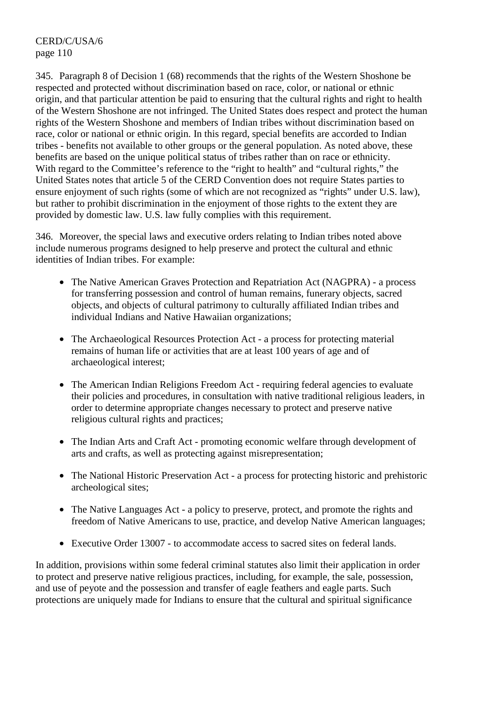345. Paragraph 8 of Decision 1 (68) recommends that the rights of the Western Shoshone be respected and protected without discrimination based on race, color, or national or ethnic origin, and that particular attention be paid to ensuring that the cultural rights and right to health of the Western Shoshone are not infringed. The United States does respect and protect the human rights of the Western Shoshone and members of Indian tribes without discrimination based on race, color or national or ethnic origin. In this regard, special benefits are accorded to Indian tribes - benefits not available to other groups or the general population. As noted above, these benefits are based on the unique political status of tribes rather than on race or ethnicity. With regard to the Committee's reference to the "right to health" and "cultural rights," the United States notes that article 5 of the CERD Convention does not require States parties to ensure enjoyment of such rights (some of which are not recognized as "rights" under U.S. law), but rather to prohibit discrimination in the enjoyment of those rights to the extent they are provided by domestic law. U.S. law fully complies with this requirement.

346. Moreover, the special laws and executive orders relating to Indian tribes noted above include numerous programs designed to help preserve and protect the cultural and ethnic identities of Indian tribes. For example:

- The Native American Graves Protection and Repatriation Act (NAGPRA) a process for transferring possession and control of human remains, funerary objects, sacred objects, and objects of cultural patrimony to culturally affiliated Indian tribes and individual Indians and Native Hawaiian organizations;
- The Archaeological Resources Protection Act a process for protecting material remains of human life or activities that are at least 100 years of age and of archaeological interest;
- The American Indian Religions Freedom Act requiring federal agencies to evaluate their policies and procedures, in consultation with native traditional religious leaders, in order to determine appropriate changes necessary to protect and preserve native religious cultural rights and practices;
- The Indian Arts and Craft Act promoting economic welfare through development of arts and crafts, as well as protecting against misrepresentation;
- The National Historic Preservation Act a process for protecting historic and prehistoric archeological sites;
- The Native Languages Act a policy to preserve, protect, and promote the rights and freedom of Native Americans to use, practice, and develop Native American languages;
- Executive Order 13007 to accommodate access to sacred sites on federal lands.

In addition, provisions within some federal criminal statutes also limit their application in order to protect and preserve native religious practices, including, for example, the sale, possession, and use of peyote and the possession and transfer of eagle feathers and eagle parts. Such protections are uniquely made for Indians to ensure that the cultural and spiritual significance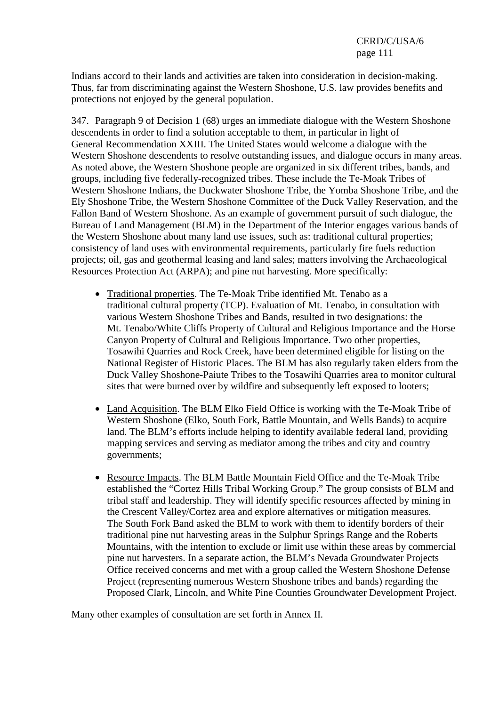Indians accord to their lands and activities are taken into consideration in decision-making. Thus, far from discriminating against the Western Shoshone, U.S. law provides benefits and protections not enjoyed by the general population.

347. Paragraph 9 of Decision 1 (68) urges an immediate dialogue with the Western Shoshone descendents in order to find a solution acceptable to them, in particular in light of General Recommendation XXIII. The United States would welcome a dialogue with the Western Shoshone descendents to resolve outstanding issues, and dialogue occurs in many areas. As noted above, the Western Shoshone people are organized in six different tribes, bands, and groups, including five federally-recognized tribes. These include the Te-Moak Tribes of Western Shoshone Indians, the Duckwater Shoshone Tribe, the Yomba Shoshone Tribe, and the Ely Shoshone Tribe, the Western Shoshone Committee of the Duck Valley Reservation, and the Fallon Band of Western Shoshone. As an example of government pursuit of such dialogue, the Bureau of Land Management (BLM) in the Department of the Interior engages various bands of the Western Shoshone about many land use issues, such as: traditional cultural properties; consistency of land uses with environmental requirements, particularly fire fuels reduction projects; oil, gas and geothermal leasing and land sales; matters involving the Archaeological Resources Protection Act (ARPA); and pine nut harvesting. More specifically:

- Traditional properties. The Te-Moak Tribe identified Mt. Tenabo as a traditional cultural property (TCP). Evaluation of Mt. Tenabo, in consultation with various Western Shoshone Tribes and Bands, resulted in two designations: the Mt. Tenabo/White Cliffs Property of Cultural and Religious Importance and the Horse Canyon Property of Cultural and Religious Importance. Two other properties, Tosawihi Quarries and Rock Creek, have been determined eligible for listing on the National Register of Historic Places. The BLM has also regularly taken elders from the Duck Valley Shoshone-Paiute Tribes to the Tosawihi Quarries area to monitor cultural sites that were burned over by wildfire and subsequently left exposed to looters;
- Land Acquisition. The BLM Elko Field Office is working with the Te-Moak Tribe of Western Shoshone (Elko, South Fork, Battle Mountain, and Wells Bands) to acquire land. The BLM's efforts include helping to identify available federal land, providing mapping services and serving as mediator among the tribes and city and country governments;
- Resource Impacts. The BLM Battle Mountain Field Office and the Te-Moak Tribe established the "Cortez Hills Tribal Working Group." The group consists of BLM and tribal staff and leadership. They will identify specific resources affected by mining in the Crescent Valley/Cortez area and explore alternatives or mitigation measures. The South Fork Band asked the BLM to work with them to identify borders of their traditional pine nut harvesting areas in the Sulphur Springs Range and the Roberts Mountains, with the intention to exclude or limit use within these areas by commercial pine nut harvesters. In a separate action, the BLM's Nevada Groundwater Projects Office received concerns and met with a group called the Western Shoshone Defense Project (representing numerous Western Shoshone tribes and bands) regarding the Proposed Clark, Lincoln, and White Pine Counties Groundwater Development Project.

Many other examples of consultation are set forth in Annex II.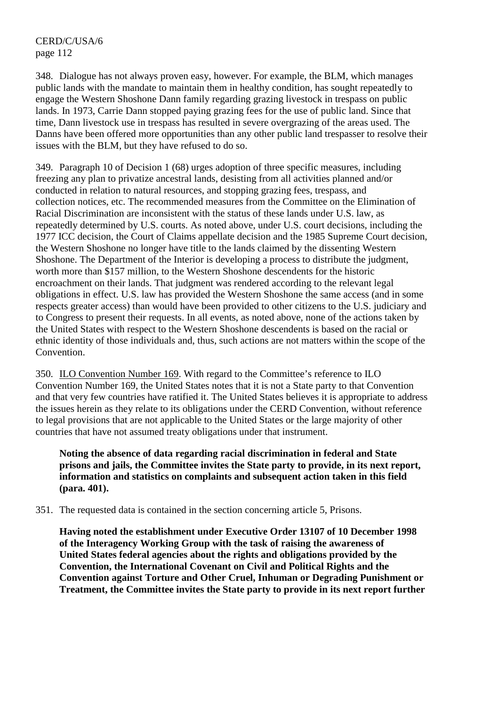CERD/C/USA/6 page 112

348. Dialogue has not always proven easy, however. For example, the BLM, which manages public lands with the mandate to maintain them in healthy condition, has sought repeatedly to engage the Western Shoshone Dann family regarding grazing livestock in trespass on public lands. In 1973, Carrie Dann stopped paying grazing fees for the use of public land. Since that time, Dann livestock use in trespass has resulted in severe overgrazing of the areas used. The Danns have been offered more opportunities than any other public land trespasser to resolve their issues with the BLM, but they have refused to do so.

349. Paragraph 10 of Decision 1 (68) urges adoption of three specific measures, including freezing any plan to privatize ancestral lands, desisting from all activities planned and/or conducted in relation to natural resources, and stopping grazing fees, trespass, and collection notices, etc. The recommended measures from the Committee on the Elimination of Racial Discrimination are inconsistent with the status of these lands under U.S. law, as repeatedly determined by U.S. courts. As noted above, under U.S. court decisions, including the 1977 ICC decision, the Court of Claims appellate decision and the 1985 Supreme Court decision, the Western Shoshone no longer have title to the lands claimed by the dissenting Western Shoshone. The Department of the Interior is developing a process to distribute the judgment, worth more than \$157 million, to the Western Shoshone descendents for the historic encroachment on their lands. That judgment was rendered according to the relevant legal obligations in effect. U.S. law has provided the Western Shoshone the same access (and in some respects greater access) than would have been provided to other citizens to the U.S. judiciary and to Congress to present their requests. In all events, as noted above, none of the actions taken by the United States with respect to the Western Shoshone descendents is based on the racial or ethnic identity of those individuals and, thus, such actions are not matters within the scope of the Convention.

350. ILO Convention Number 169. With regard to the Committee's reference to ILO Convention Number 169, the United States notes that it is not a State party to that Convention and that very few countries have ratified it. The United States believes it is appropriate to address the issues herein as they relate to its obligations under the CERD Convention, without reference to legal provisions that are not applicable to the United States or the large majority of other countries that have not assumed treaty obligations under that instrument.

**Noting the absence of data regarding racial discrimination in federal and State prisons and jails, the Committee invites the State party to provide, in its next report, information and statistics on complaints and subsequent action taken in this field (para. 401).** 

351. The requested data is contained in the section concerning article 5, Prisons.

**Having noted the establishment under Executive Order 13107 of 10 December 1998 of the Interagency Working Group with the task of raising the awareness of United States federal agencies about the rights and obligations provided by the Convention, the International Covenant on Civil and Political Rights and the Convention against Torture and Other Cruel, Inhuman or Degrading Punishment or Treatment, the Committee invites the State party to provide in its next report further**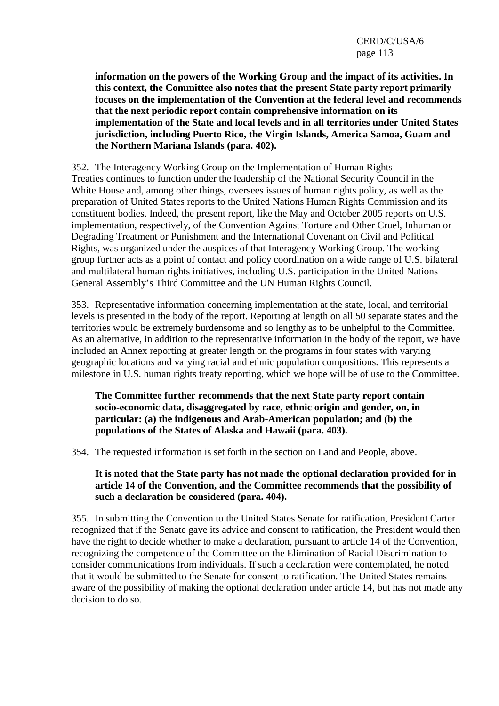**information on the powers of the Working Group and the impact of its activities. In this context, the Committee also notes that the present State party report primarily focuses on the implementation of the Convention at the federal level and recommends that the next periodic report contain comprehensive information on its implementation of the State and local levels and in all territories under United States jurisdiction, including Puerto Rico, the Virgin Islands, America Samoa, Guam and the Northern Mariana Islands (para. 402).** 

352. The Interagency Working Group on the Implementation of Human Rights Treaties continues to function under the leadership of the National Security Council in the White House and, among other things, oversees issues of human rights policy, as well as the preparation of United States reports to the United Nations Human Rights Commission and its constituent bodies. Indeed, the present report, like the May and October 2005 reports on U.S. implementation, respectively, of the Convention Against Torture and Other Cruel, Inhuman or Degrading Treatment or Punishment and the International Covenant on Civil and Political Rights, was organized under the auspices of that Interagency Working Group. The working group further acts as a point of contact and policy coordination on a wide range of U.S. bilateral and multilateral human rights initiatives, including U.S. participation in the United Nations General Assembly's Third Committee and the UN Human Rights Council.

353. Representative information concerning implementation at the state, local, and territorial levels is presented in the body of the report. Reporting at length on all 50 separate states and the territories would be extremely burdensome and so lengthy as to be unhelpful to the Committee. As an alternative, in addition to the representative information in the body of the report, we have included an Annex reporting at greater length on the programs in four states with varying geographic locations and varying racial and ethnic population compositions. This represents a milestone in U.S. human rights treaty reporting, which we hope will be of use to the Committee.

**The Committee further recommends that the next State party report contain socio-economic data, disaggregated by race, ethnic origin and gender, on, in particular: (a) the indigenous and Arab-American population; and (b) the populations of the States of Alaska and Hawaii (para. 403).** 

354. The requested information is set forth in the section on Land and People, above.

## **It is noted that the State party has not made the optional declaration provided for in article 14 of the Convention, and the Committee recommends that the possibility of such a declaration be considered (para. 404).**

355. In submitting the Convention to the United States Senate for ratification, President Carter recognized that if the Senate gave its advice and consent to ratification, the President would then have the right to decide whether to make a declaration, pursuant to article 14 of the Convention, recognizing the competence of the Committee on the Elimination of Racial Discrimination to consider communications from individuals. If such a declaration were contemplated, he noted that it would be submitted to the Senate for consent to ratification. The United States remains aware of the possibility of making the optional declaration under article 14, but has not made any decision to do so.